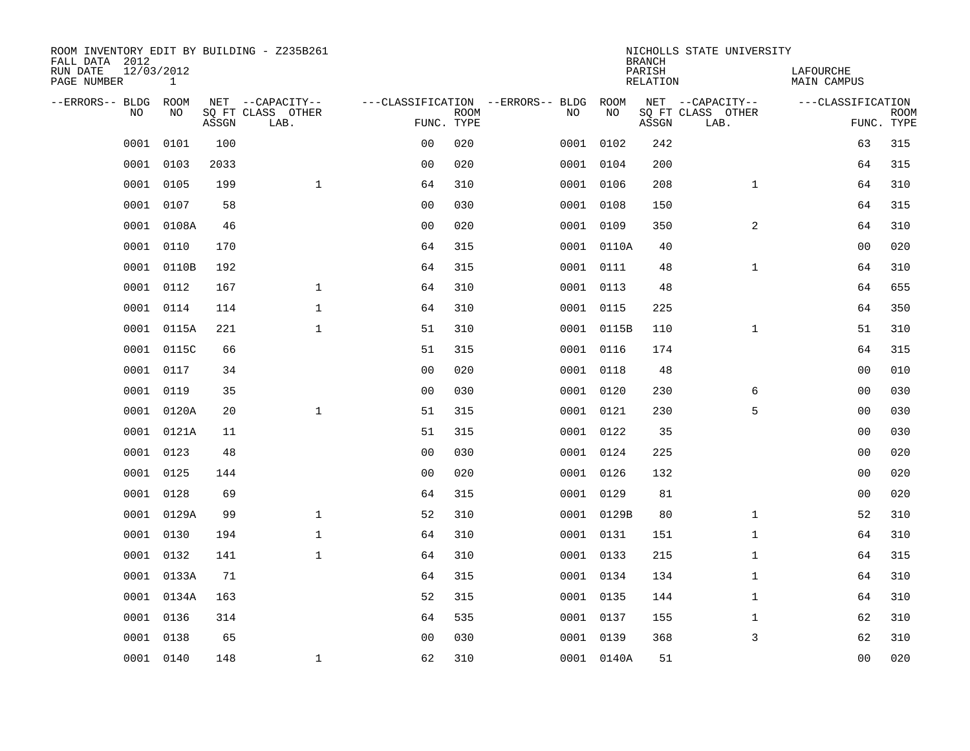| ROOM INVENTORY EDIT BY BUILDING - Z235B261<br>FALL DATA 2012<br>RUN DATE<br>PAGE NUMBER | 12/03/2012<br>$\mathbf{1}$ |       |                                               |                |             |                                              |            | <b>BRANCH</b><br>PARISH<br><b>RELATION</b> | NICHOLLS STATE UNIVERSITY                     | LAFOURCHE<br><b>MAIN CAMPUS</b> |                           |
|-----------------------------------------------------------------------------------------|----------------------------|-------|-----------------------------------------------|----------------|-------------|----------------------------------------------|------------|--------------------------------------------|-----------------------------------------------|---------------------------------|---------------------------|
|                                                                                         |                            |       |                                               |                |             |                                              |            |                                            |                                               |                                 |                           |
| --ERRORS-- BLDG<br>NO                                                                   | ROOM<br>NO                 | ASSGN | NET --CAPACITY--<br>SQ FT CLASS OTHER<br>LAB. | FUNC. TYPE     | <b>ROOM</b> | ---CLASSIFICATION --ERRORS-- BLDG ROOM<br>NO | NO         | ASSGN                                      | NET --CAPACITY--<br>SQ FT CLASS OTHER<br>LAB. | ---CLASSIFICATION               | <b>ROOM</b><br>FUNC. TYPE |
| 0001                                                                                    | 0101                       | 100   |                                               | 0 <sub>0</sub> | 020         |                                              | 0001 0102  | 242                                        |                                               | 63                              | 315                       |
| 0001                                                                                    | 0103                       | 2033  |                                               | 0 <sub>0</sub> | 020         |                                              | 0001 0104  | 200                                        |                                               | 64                              | 315                       |
| 0001                                                                                    | 0105                       | 199   | $\mathbf{1}$                                  | 64             | 310         |                                              | 0001 0106  | 208                                        | $\mathbf{1}$                                  | 64                              | 310                       |
| 0001                                                                                    | 0107                       | 58    |                                               | 0 <sub>0</sub> | 030         |                                              | 0001 0108  | 150                                        |                                               | 64                              | 315                       |
| 0001                                                                                    | 0108A                      | 46    |                                               | 0 <sub>0</sub> | 020         |                                              | 0001 0109  | 350                                        | $\overline{a}$                                | 64                              | 310                       |
| 0001                                                                                    | 0110                       | 170   |                                               | 64             | 315         |                                              | 0001 0110A | 40                                         |                                               | 0 <sub>0</sub>                  | 020                       |
| 0001                                                                                    | 0110B                      | 192   |                                               | 64             | 315         |                                              | 0001 0111  | 48                                         | $\mathbf{1}$                                  | 64                              | 310                       |
|                                                                                         | 0001 0112                  | 167   | $\mathbf{1}$                                  | 64             | 310         |                                              | 0001 0113  | 48                                         |                                               | 64                              | 655                       |
| 0001                                                                                    | 0114                       | 114   | $\mathbf{1}$                                  | 64             | 310         |                                              | 0001 0115  | 225                                        |                                               | 64                              | 350                       |
| 0001                                                                                    | 0115A                      | 221   | $\mathbf{1}$                                  | 51             | 310         |                                              | 0001 0115B | 110                                        | $\mathbf{1}$                                  | 51                              | 310                       |
| 0001                                                                                    | 0115C                      | 66    |                                               | 51             | 315         |                                              | 0001 0116  | 174                                        |                                               | 64                              | 315                       |
| 0001                                                                                    | 0117                       | 34    |                                               | 0 <sub>0</sub> | 020         |                                              | 0001 0118  | 48                                         |                                               | 0 <sub>0</sub>                  | 010                       |
| 0001                                                                                    | 0119                       | 35    |                                               | 0 <sub>0</sub> | 030         |                                              | 0001 0120  | 230                                        | 6                                             | 00                              | 030                       |
| 0001                                                                                    | 0120A                      | 20    | $\mathbf 1$                                   | 51             | 315         |                                              | 0001 0121  | 230                                        | 5                                             | 00                              | 030                       |
| 0001                                                                                    | 0121A                      | 11    |                                               | 51             | 315         |                                              | 0001 0122  | 35                                         |                                               | 00                              | 030                       |
| 0001                                                                                    | 0123                       | 48    |                                               | 0 <sub>0</sub> | 030         |                                              | 0001 0124  | 225                                        |                                               | 0 <sub>0</sub>                  | 020                       |
| 0001                                                                                    | 0125                       | 144   |                                               | 0 <sub>0</sub> | 020         |                                              | 0001 0126  | 132                                        |                                               | 0 <sub>0</sub>                  | 020                       |
| 0001                                                                                    | 0128                       | 69    |                                               | 64             | 315         |                                              | 0001 0129  | 81                                         |                                               | 0 <sub>0</sub>                  | 020                       |
| 0001                                                                                    | 0129A                      | 99    | $\mathbf{1}$                                  | 52             | 310         |                                              | 0001 0129B | 80                                         | $\mathbf{1}$                                  | 52                              | 310                       |
| 0001                                                                                    | 0130                       | 194   | $\mathbf 1$                                   | 64             | 310         |                                              | 0001 0131  | 151                                        | $\mathbf{1}$                                  | 64                              | 310                       |
| 0001                                                                                    | 0132                       | 141   | $\mathbf 1$                                   | 64             | 310         |                                              | 0001 0133  | 215                                        | $\mathbf{1}$                                  | 64                              | 315                       |
| 0001                                                                                    | 0133A                      | 71    |                                               | 64             | 315         |                                              | 0001 0134  | 134                                        | $\mathbf{1}$                                  | 64                              | 310                       |
| 0001                                                                                    | 0134A                      | 163   |                                               | 52             | 315         |                                              | 0001 0135  | 144                                        | $\mathbf{1}$                                  | 64                              | 310                       |
| 0001                                                                                    | 0136                       | 314   |                                               | 64             | 535         |                                              | 0001 0137  | 155                                        | $\mathbf{1}$                                  | 62                              | 310                       |
| 0001                                                                                    | 0138                       | 65    |                                               | 0 <sub>0</sub> | 030         |                                              | 0001 0139  | 368                                        | 3                                             | 62                              | 310                       |
|                                                                                         | 0001 0140                  | 148   | $\mathbf 1$                                   | 62             | 310         |                                              | 0001 0140A | 51                                         |                                               | 0 <sub>0</sub>                  | 020                       |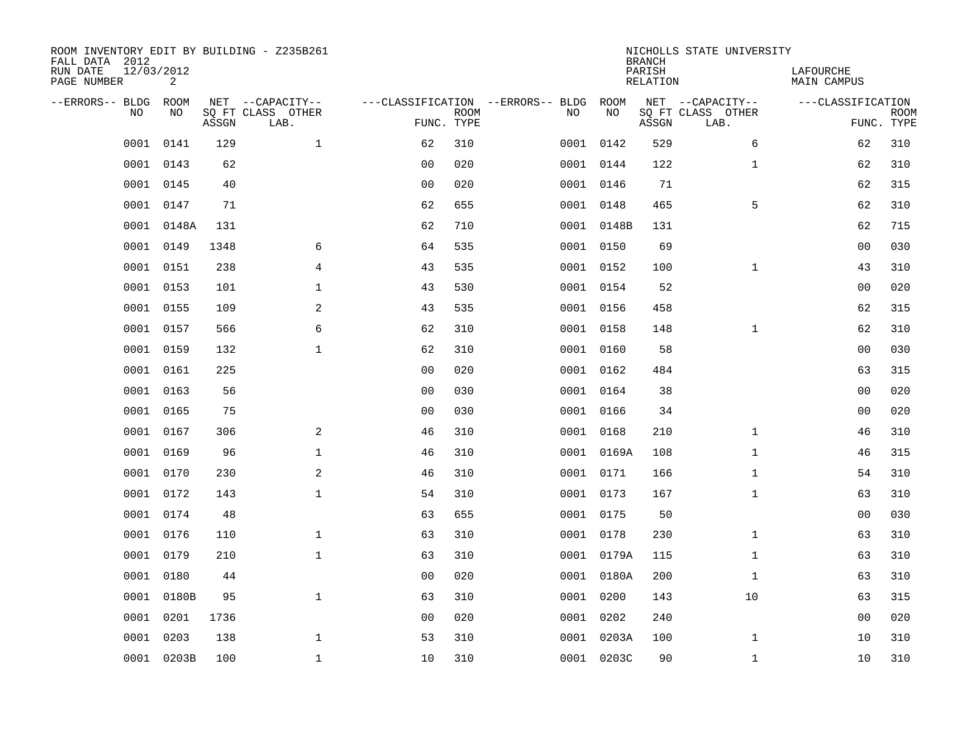| ROOM INVENTORY EDIT BY BUILDING - Z235B261<br>FALL DATA 2012<br>RUN DATE<br>PAGE NUMBER | 12/03/2012<br>2 |       |                                               |                |             |                                         |            | <b>BRANCH</b><br>PARISH<br><b>RELATION</b> | NICHOLLS STATE UNIVERSITY                     | LAFOURCHE<br><b>MAIN CAMPUS</b> |                           |
|-----------------------------------------------------------------------------------------|-----------------|-------|-----------------------------------------------|----------------|-------------|-----------------------------------------|------------|--------------------------------------------|-----------------------------------------------|---------------------------------|---------------------------|
| --ERRORS-- BLDG<br>NO                                                                   | ROOM<br>NO      | ASSGN | NET --CAPACITY--<br>SQ FT CLASS OTHER<br>LAB. | FUNC. TYPE     | <b>ROOM</b> | ---CLASSIFICATION --ERRORS-- BLDG<br>NO | ROOM<br>NO | ASSGN                                      | NET --CAPACITY--<br>SQ FT CLASS OTHER<br>LAB. | ---CLASSIFICATION               | <b>ROOM</b><br>FUNC. TYPE |
| 0001                                                                                    | 0141            | 129   | $\mathbf 1$                                   | 62             | 310         |                                         | 0001 0142  | 529                                        | 6                                             | 62                              | 310                       |
| 0001                                                                                    | 0143            | 62    |                                               | 0 <sub>0</sub> | 020         |                                         | 0001 0144  | 122                                        | $\mathbf{1}$                                  | 62                              | 310                       |
| 0001                                                                                    | 0145            | 40    |                                               | 0 <sub>0</sub> | 020         |                                         | 0001 0146  | 71                                         |                                               | 62                              | 315                       |
| 0001                                                                                    | 0147            | 71    |                                               | 62             | 655         |                                         | 0001 0148  | 465                                        | 5                                             | 62                              | 310                       |
| 0001                                                                                    | 0148A           | 131   |                                               | 62             | 710         |                                         | 0001 0148B | 131                                        |                                               | 62                              | 715                       |
| 0001                                                                                    | 0149            | 1348  | 6                                             | 64             | 535         |                                         | 0001 0150  | 69                                         |                                               | 0 <sub>0</sub>                  | 030                       |
| 0001                                                                                    | 0151            | 238   | 4                                             | 43             | 535         |                                         | 0001 0152  | 100                                        | $\mathbf{1}$                                  | 43                              | 310                       |
|                                                                                         | 0001 0153       | 101   | $\mathbf 1$                                   | 43             | 530         |                                         | 0001 0154  | 52                                         |                                               | 0 <sub>0</sub>                  | 020                       |
| 0001                                                                                    | 0155            | 109   | 2                                             | 43             | 535         |                                         | 0001 0156  | 458                                        |                                               | 62                              | 315                       |
| 0001                                                                                    | 0157            | 566   | 6                                             | 62             | 310         |                                         | 0001 0158  | 148                                        | $\mathbf{1}$                                  | 62                              | 310                       |
| 0001                                                                                    | 0159            | 132   | $\mathbf 1$                                   | 62             | 310         |                                         | 0001 0160  | 58                                         |                                               | 0 <sub>0</sub>                  | 030                       |
| 0001                                                                                    | 0161            | 225   |                                               | 0 <sub>0</sub> | 020         |                                         | 0001 0162  | 484                                        |                                               | 63                              | 315                       |
| 0001                                                                                    | 0163            | 56    |                                               | 0 <sub>0</sub> | 030         | 0001                                    | 0164       | 38                                         |                                               | 00                              | 020                       |
| 0001                                                                                    | 0165            | 75    |                                               | 0 <sub>0</sub> | 030         |                                         | 0001 0166  | 34                                         |                                               | 00                              | 020                       |
| 0001                                                                                    | 0167            | 306   | 2                                             | 46             | 310         | 0001                                    | 0168       | 210                                        | $\mathbf{1}$                                  | 46                              | 310                       |
| 0001                                                                                    | 0169            | 96    | $\mathbf{1}$                                  | 46             | 310         |                                         | 0001 0169A | 108                                        | $\mathbf{1}$                                  | 46                              | 315                       |
| 0001                                                                                    | 0170            | 230   | 2                                             | 46             | 310         |                                         | 0001 0171  | 166                                        | $\mathbf{1}$                                  | 54                              | 310                       |
| 0001                                                                                    | 0172            | 143   | $\mathbf{1}$                                  | 54             | 310         |                                         | 0001 0173  | 167                                        | $\mathbf{1}$                                  | 63                              | 310                       |
| 0001                                                                                    | 0174            | 48    |                                               | 63             | 655         |                                         | 0001 0175  | 50                                         |                                               | 0 <sub>0</sub>                  | 030                       |
| 0001                                                                                    | 0176            | 110   | $\mathbf 1$                                   | 63             | 310         |                                         | 0001 0178  | 230                                        | $\mathbf{1}$                                  | 63                              | 310                       |
| 0001                                                                                    | 0179            | 210   | $\mathbf 1$                                   | 63             | 310         |                                         | 0001 0179A | 115                                        | $\mathbf{1}$                                  | 63                              | 310                       |
| 0001                                                                                    | 0180            | 44    |                                               | 00             | 020         |                                         | 0001 0180A | 200                                        | $\mathbf{1}$                                  | 63                              | 310                       |
| 0001                                                                                    | 0180B           | 95    | $\mathbf{1}$                                  | 63             | 310         |                                         | 0001 0200  | 143                                        | 10                                            | 63                              | 315                       |
| 0001                                                                                    | 0201            | 1736  |                                               | 0 <sub>0</sub> | 020         |                                         | 0001 0202  | 240                                        |                                               | 0 <sub>0</sub>                  | 020                       |
| 0001                                                                                    | 0203            | 138   | $\mathbf 1$                                   | 53             | 310         |                                         | 0001 0203A | 100                                        | $\mathbf{1}$                                  | 10                              | 310                       |
|                                                                                         | 0001 0203B      | 100   | $\mathbf{1}$                                  | 10             | 310         |                                         | 0001 0203C | 90                                         | $\mathbf{1}$                                  | 10                              | 310                       |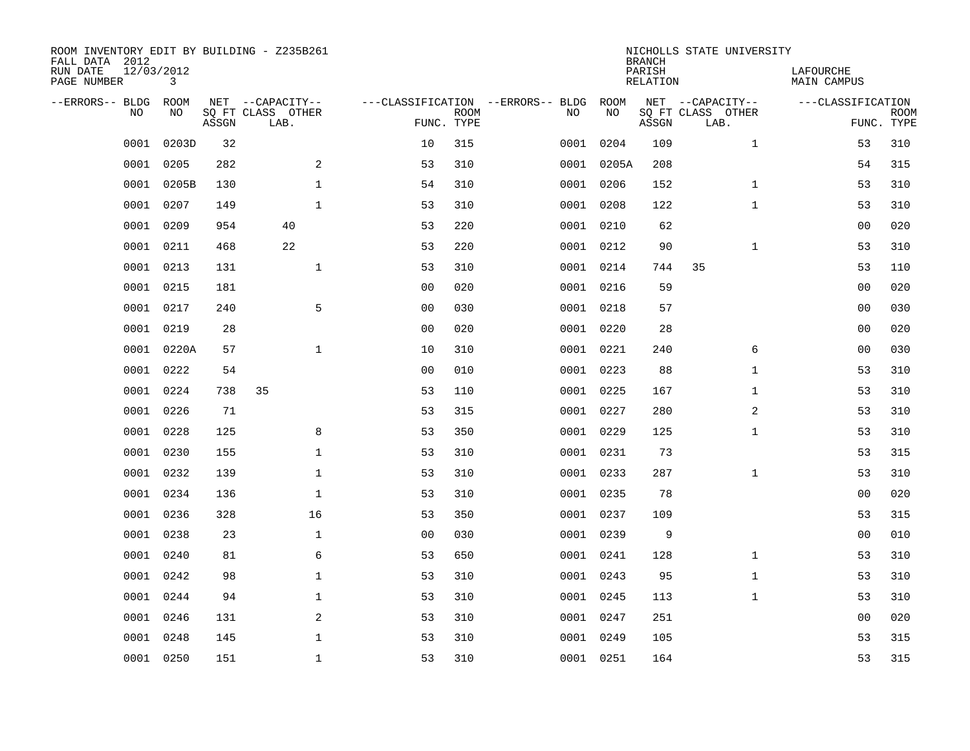| ROOM INVENTORY EDIT BY BUILDING - Z235B261<br>FALL DATA 2012<br>RUN DATE<br>PAGE NUMBER | 12/03/2012<br>3 |       |                           |                |             |                                   |            | <b>BRANCH</b><br>PARISH<br>RELATION | NICHOLLS STATE UNIVERSITY | LAFOURCHE<br><b>MAIN CAMPUS</b> |                           |
|-----------------------------------------------------------------------------------------|-----------------|-------|---------------------------|----------------|-------------|-----------------------------------|------------|-------------------------------------|---------------------------|---------------------------------|---------------------------|
| --ERRORS-- BLDG                                                                         | ROOM            |       | NET --CAPACITY--          |                |             | ---CLASSIFICATION --ERRORS-- BLDG | ROOM       |                                     | NET --CAPACITY--          | ---CLASSIFICATION               |                           |
| N <sub>O</sub>                                                                          | NO.             | ASSGN | SO FT CLASS OTHER<br>LAB. | FUNC. TYPE     | <b>ROOM</b> | NO.                               | NO         | ASSGN                               | SQ FT CLASS OTHER<br>LAB. |                                 | <b>ROOM</b><br>FUNC. TYPE |
| 0001                                                                                    | 0203D           | 32    |                           | 10             | 315         |                                   | 0001 0204  | 109                                 | $\mathbf{1}$              | 53                              | 310                       |
| 0001                                                                                    | 0205            | 282   | 2                         | 53             | 310         |                                   | 0001 0205A | 208                                 |                           | 54                              | 315                       |
| 0001                                                                                    | 0205B           | 130   | $\mathbf{1}$              | 54             | 310         |                                   | 0001 0206  | 152                                 | $\mathbf{1}$              | 53                              | 310                       |
| 0001                                                                                    | 0207            | 149   | $\mathbf{1}$              | 53             | 310         |                                   | 0001 0208  | 122                                 | $\mathbf{1}$              | 53                              | 310                       |
| 0001                                                                                    | 0209            | 954   | 40                        | 53             | 220         |                                   | 0001 0210  | 62                                  |                           | 00                              | 020                       |
| 0001                                                                                    | 0211            | 468   | 22                        | 53             | 220         |                                   | 0001 0212  | 90                                  | $\mathbf{1}$              | 53                              | 310                       |
| 0001                                                                                    | 0213            | 131   | $\mathbf{1}$              | 53             | 310         |                                   | 0001 0214  | 744                                 | 35                        | 53                              | 110                       |
| 0001                                                                                    | 0215            | 181   |                           | 0 <sub>0</sub> | 020         |                                   | 0001 0216  | 59                                  |                           | 0 <sub>0</sub>                  | 020                       |
| 0001                                                                                    | 0217            | 240   | 5                         | 0 <sub>0</sub> | 030         |                                   | 0001 0218  | 57                                  |                           | 0 <sub>0</sub>                  | 030                       |
| 0001                                                                                    | 0219            | 28    |                           | 0 <sub>0</sub> | 020         |                                   | 0001 0220  | 28                                  |                           | 00                              | 020                       |
| 0001                                                                                    | 0220A           | 57    | $\mathbf{1}$              | 10             | 310         |                                   | 0001 0221  | 240                                 | 6                         | 0 <sub>0</sub>                  | 030                       |
| 0001                                                                                    | 0222            | 54    |                           | 0 <sub>0</sub> | 010         |                                   | 0001 0223  | 88                                  | $\mathbf{1}$              | 53                              | 310                       |
| 0001                                                                                    | 0224            | 738   | 35                        | 53             | 110         |                                   | 0001 0225  | 167                                 | $\mathbf{1}$              | 53                              | 310                       |
| 0001                                                                                    | 0226            | 71    |                           | 53             | 315         |                                   | 0001 0227  | 280                                 | $\overline{a}$            | 53                              | 310                       |
| 0001                                                                                    | 0228            | 125   | 8                         | 53             | 350         |                                   | 0001 0229  | 125                                 | $\mathbf{1}$              | 53                              | 310                       |
| 0001                                                                                    | 0230            | 155   | $\mathbf 1$               | 53             | 310         |                                   | 0001 0231  | 73                                  |                           | 53                              | 315                       |
| 0001                                                                                    | 0232            | 139   | $\mathbf 1$               | 53             | 310         | 0001                              | 0233       | 287                                 | $\mathbf{1}$              | 53                              | 310                       |
| 0001                                                                                    | 0234            | 136   | $\mathbf 1$               | 53             | 310         |                                   | 0001 0235  | 78                                  |                           | 00                              | 020                       |
| 0001                                                                                    | 0236            | 328   | 16                        | 53             | 350         |                                   | 0001 0237  | 109                                 |                           | 53                              | 315                       |
| 0001                                                                                    | 0238            | 23    | $\mathbf{1}$              | 0 <sub>0</sub> | 030         |                                   | 0001 0239  | 9                                   |                           | 0 <sub>0</sub>                  | 010                       |
| 0001                                                                                    | 0240            | 81    | 6                         | 53             | 650         |                                   | 0001 0241  | 128                                 | $\mathbf{1}$              | 53                              | 310                       |
| 0001                                                                                    | 0242            | 98    | $\mathbf 1$               | 53             | 310         |                                   | 0001 0243  | 95                                  | $\mathbf{1}$              | 53                              | 310                       |
| 0001                                                                                    | 0244            | 94    | $\mathbf 1$               | 53             | 310         |                                   | 0001 0245  | 113                                 | $\mathbf{1}$              | 53                              | 310                       |
| 0001                                                                                    | 0246            | 131   | 2                         | 53             | 310         |                                   | 0001 0247  | 251                                 |                           | 00                              | 020                       |
| 0001                                                                                    | 0248            | 145   | $\mathbf{1}$              | 53             | 310         |                                   | 0001 0249  | 105                                 |                           | 53                              | 315                       |
|                                                                                         | 0001 0250       | 151   | $\mathbf{1}$              | 53             | 310         |                                   | 0001 0251  | 164                                 |                           | 53                              | 315                       |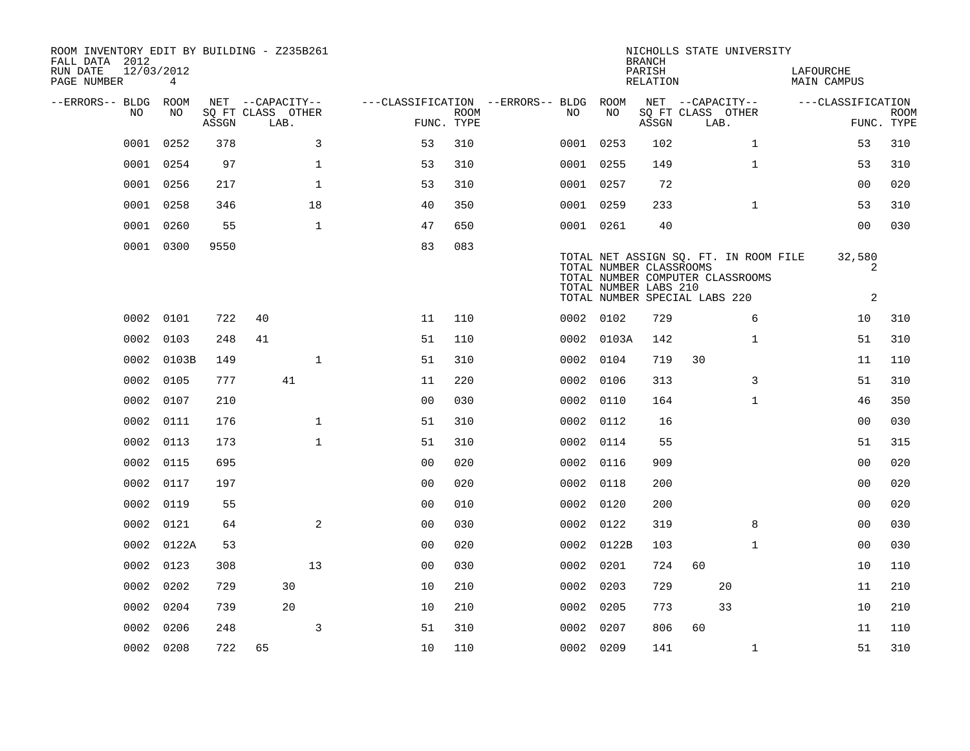| <b>RELATION</b><br>MAIN CAMPUS<br>--ERRORS-- BLDG ROOM<br>NET --CAPACITY--<br>---CLASSIFICATION --ERRORS-- BLDG ROOM<br>NET --CAPACITY--<br>---CLASSIFICATION<br>NO<br>NO<br>SQ FT CLASS OTHER<br><b>ROOM</b><br>NO.<br>NO<br>SQ FT CLASS OTHER<br>FUNC. TYPE<br>FUNC. TYPE<br>ASSGN<br>LAB.<br>ASSGN<br>LAB.<br>0252<br>378<br>3<br>310<br>0001 0253<br>$\mathbf{1}$<br>0001<br>53<br>102<br>53<br>310<br>0001<br>0254<br>97<br>$\mathbf{1}$<br>53<br>310<br>0001 0255<br>$\mathbf{1}$<br>53<br>310<br>149<br>0256<br>$\mathbf 1$<br>020<br>0001<br>217<br>53<br>310<br>0001 0257<br>72<br>00<br>0001<br>0258<br>18<br>350<br>$\mathbf{1}$<br>310<br>346<br>40<br>0001 0259<br>233<br>53<br>$\mathbf{1}$<br>0 <sub>0</sub><br>030<br>0001<br>0260<br>55<br>650<br>0001 0261<br>40<br>47<br>83<br>083<br>0001 0300<br>9550<br>32,580<br>TOTAL NET ASSIGN SQ. FT. IN ROOM FILE<br>TOTAL NUMBER CLASSROOMS<br>2<br>TOTAL NUMBER COMPUTER CLASSROOMS<br>TOTAL NUMBER LABS 210<br>2<br>TOTAL NUMBER SPECIAL LABS 220<br>0002 0101<br>110<br>729<br>6<br>722<br>40<br>11<br>0002 0102<br>10<br>310<br>0002<br>0103<br>248<br>41<br>51<br>110<br>0002 0103A<br>142<br>$\mathbf{1}$<br>51<br>310<br>0103B<br>$\mathbf{1}$<br>310<br>30<br>110<br>0002<br>149<br>51<br>0002 0104<br>719<br>11<br>0002<br>0105<br>777<br>41<br>220<br>0002 0106<br>313<br>3<br>51<br>310<br>11<br>0002<br>0107<br>210<br>0 <sub>0</sub><br>030<br>$\mathbf{1}$<br>46<br>350<br>0002<br>0110<br>164<br>030<br>0002<br>0111<br>176<br>$\mathbf{1}$<br>51<br>310<br>0002 0112<br>16<br>0 <sub>0</sub><br>$\mathbf{1}$<br>55<br>51<br>315<br>0002<br>0113<br>173<br>51<br>310<br>0002 0114<br>0 <sub>0</sub><br>020<br>0002<br>0115<br>695<br>0 <sub>0</sub><br>020<br>0002 0116<br>909<br>0002<br>0 <sub>0</sub><br>020<br>0 <sub>0</sub><br>020<br>0117<br>197<br>0002 0118<br>200<br>0002<br>0119<br>55<br>0 <sub>0</sub><br>010<br>0002 0120<br>200<br>0 <sub>0</sub><br>020<br>2<br>8<br>030<br>0002<br>0121<br>64<br>0 <sub>0</sub><br>030<br>0002 0122<br>319<br>00<br>0002<br>0122A<br>53<br>0 <sub>0</sub><br>020<br>0002 0122B<br>103<br>$\mathbf{1}$<br>0 <sub>0</sub><br>030<br>13<br>0002<br>0123<br>308<br>00<br>030<br>0002 0201<br>724<br>60<br>10<br>110<br>0002<br>0202<br>729<br>30<br>10<br>210<br>0002 0203<br>729<br>20<br>11<br>210<br>0204<br>20<br>210<br>33<br>210<br>0002<br>739<br>10<br>0002 0205<br>773<br>10<br>3<br>0002<br>0206<br>248<br>51<br>310<br>0002 0207<br>806<br>60<br>110<br>11<br>0002 0208<br>722<br>65<br>10<br>110<br>0002 0209<br>141<br>310<br>$\mathbf{1}$<br>51 | ROOM INVENTORY EDIT BY BUILDING - Z235B261<br>FALL DATA 2012<br>RUN DATE<br>PAGE NUMBER | 12/03/2012 | $\overline{4}$ |  |  |  |  | <b>BRANCH</b><br>PARISH | NICHOLLS STATE UNIVERSITY | LAFOURCHE |             |
|----------------------------------------------------------------------------------------------------------------------------------------------------------------------------------------------------------------------------------------------------------------------------------------------------------------------------------------------------------------------------------------------------------------------------------------------------------------------------------------------------------------------------------------------------------------------------------------------------------------------------------------------------------------------------------------------------------------------------------------------------------------------------------------------------------------------------------------------------------------------------------------------------------------------------------------------------------------------------------------------------------------------------------------------------------------------------------------------------------------------------------------------------------------------------------------------------------------------------------------------------------------------------------------------------------------------------------------------------------------------------------------------------------------------------------------------------------------------------------------------------------------------------------------------------------------------------------------------------------------------------------------------------------------------------------------------------------------------------------------------------------------------------------------------------------------------------------------------------------------------------------------------------------------------------------------------------------------------------------------------------------------------------------------------------------------------------------------------------------------------------------------------------------------------------------------------------------------------------------------------------------------------------------------------------------------------------------------------------------------------------------------------------------------------------------------------------------------------------------------------------------------------------------------------------------------------------------------|-----------------------------------------------------------------------------------------|------------|----------------|--|--|--|--|-------------------------|---------------------------|-----------|-------------|
|                                                                                                                                                                                                                                                                                                                                                                                                                                                                                                                                                                                                                                                                                                                                                                                                                                                                                                                                                                                                                                                                                                                                                                                                                                                                                                                                                                                                                                                                                                                                                                                                                                                                                                                                                                                                                                                                                                                                                                                                                                                                                                                                                                                                                                                                                                                                                                                                                                                                                                                                                                                        |                                                                                         |            |                |  |  |  |  |                         |                           |           |             |
|                                                                                                                                                                                                                                                                                                                                                                                                                                                                                                                                                                                                                                                                                                                                                                                                                                                                                                                                                                                                                                                                                                                                                                                                                                                                                                                                                                                                                                                                                                                                                                                                                                                                                                                                                                                                                                                                                                                                                                                                                                                                                                                                                                                                                                                                                                                                                                                                                                                                                                                                                                                        |                                                                                         |            |                |  |  |  |  |                         |                           |           | <b>ROOM</b> |
|                                                                                                                                                                                                                                                                                                                                                                                                                                                                                                                                                                                                                                                                                                                                                                                                                                                                                                                                                                                                                                                                                                                                                                                                                                                                                                                                                                                                                                                                                                                                                                                                                                                                                                                                                                                                                                                                                                                                                                                                                                                                                                                                                                                                                                                                                                                                                                                                                                                                                                                                                                                        |                                                                                         |            |                |  |  |  |  |                         |                           |           |             |
|                                                                                                                                                                                                                                                                                                                                                                                                                                                                                                                                                                                                                                                                                                                                                                                                                                                                                                                                                                                                                                                                                                                                                                                                                                                                                                                                                                                                                                                                                                                                                                                                                                                                                                                                                                                                                                                                                                                                                                                                                                                                                                                                                                                                                                                                                                                                                                                                                                                                                                                                                                                        |                                                                                         |            |                |  |  |  |  |                         |                           |           |             |
|                                                                                                                                                                                                                                                                                                                                                                                                                                                                                                                                                                                                                                                                                                                                                                                                                                                                                                                                                                                                                                                                                                                                                                                                                                                                                                                                                                                                                                                                                                                                                                                                                                                                                                                                                                                                                                                                                                                                                                                                                                                                                                                                                                                                                                                                                                                                                                                                                                                                                                                                                                                        |                                                                                         |            |                |  |  |  |  |                         |                           |           |             |
|                                                                                                                                                                                                                                                                                                                                                                                                                                                                                                                                                                                                                                                                                                                                                                                                                                                                                                                                                                                                                                                                                                                                                                                                                                                                                                                                                                                                                                                                                                                                                                                                                                                                                                                                                                                                                                                                                                                                                                                                                                                                                                                                                                                                                                                                                                                                                                                                                                                                                                                                                                                        |                                                                                         |            |                |  |  |  |  |                         |                           |           |             |
|                                                                                                                                                                                                                                                                                                                                                                                                                                                                                                                                                                                                                                                                                                                                                                                                                                                                                                                                                                                                                                                                                                                                                                                                                                                                                                                                                                                                                                                                                                                                                                                                                                                                                                                                                                                                                                                                                                                                                                                                                                                                                                                                                                                                                                                                                                                                                                                                                                                                                                                                                                                        |                                                                                         |            |                |  |  |  |  |                         |                           |           |             |
|                                                                                                                                                                                                                                                                                                                                                                                                                                                                                                                                                                                                                                                                                                                                                                                                                                                                                                                                                                                                                                                                                                                                                                                                                                                                                                                                                                                                                                                                                                                                                                                                                                                                                                                                                                                                                                                                                                                                                                                                                                                                                                                                                                                                                                                                                                                                                                                                                                                                                                                                                                                        |                                                                                         |            |                |  |  |  |  |                         |                           |           |             |
|                                                                                                                                                                                                                                                                                                                                                                                                                                                                                                                                                                                                                                                                                                                                                                                                                                                                                                                                                                                                                                                                                                                                                                                                                                                                                                                                                                                                                                                                                                                                                                                                                                                                                                                                                                                                                                                                                                                                                                                                                                                                                                                                                                                                                                                                                                                                                                                                                                                                                                                                                                                        |                                                                                         |            |                |  |  |  |  |                         |                           |           |             |
|                                                                                                                                                                                                                                                                                                                                                                                                                                                                                                                                                                                                                                                                                                                                                                                                                                                                                                                                                                                                                                                                                                                                                                                                                                                                                                                                                                                                                                                                                                                                                                                                                                                                                                                                                                                                                                                                                                                                                                                                                                                                                                                                                                                                                                                                                                                                                                                                                                                                                                                                                                                        |                                                                                         |            |                |  |  |  |  |                         |                           |           |             |
|                                                                                                                                                                                                                                                                                                                                                                                                                                                                                                                                                                                                                                                                                                                                                                                                                                                                                                                                                                                                                                                                                                                                                                                                                                                                                                                                                                                                                                                                                                                                                                                                                                                                                                                                                                                                                                                                                                                                                                                                                                                                                                                                                                                                                                                                                                                                                                                                                                                                                                                                                                                        |                                                                                         |            |                |  |  |  |  |                         |                           |           |             |
|                                                                                                                                                                                                                                                                                                                                                                                                                                                                                                                                                                                                                                                                                                                                                                                                                                                                                                                                                                                                                                                                                                                                                                                                                                                                                                                                                                                                                                                                                                                                                                                                                                                                                                                                                                                                                                                                                                                                                                                                                                                                                                                                                                                                                                                                                                                                                                                                                                                                                                                                                                                        |                                                                                         |            |                |  |  |  |  |                         |                           |           |             |
|                                                                                                                                                                                                                                                                                                                                                                                                                                                                                                                                                                                                                                                                                                                                                                                                                                                                                                                                                                                                                                                                                                                                                                                                                                                                                                                                                                                                                                                                                                                                                                                                                                                                                                                                                                                                                                                                                                                                                                                                                                                                                                                                                                                                                                                                                                                                                                                                                                                                                                                                                                                        |                                                                                         |            |                |  |  |  |  |                         |                           |           |             |
|                                                                                                                                                                                                                                                                                                                                                                                                                                                                                                                                                                                                                                                                                                                                                                                                                                                                                                                                                                                                                                                                                                                                                                                                                                                                                                                                                                                                                                                                                                                                                                                                                                                                                                                                                                                                                                                                                                                                                                                                                                                                                                                                                                                                                                                                                                                                                                                                                                                                                                                                                                                        |                                                                                         |            |                |  |  |  |  |                         |                           |           |             |
|                                                                                                                                                                                                                                                                                                                                                                                                                                                                                                                                                                                                                                                                                                                                                                                                                                                                                                                                                                                                                                                                                                                                                                                                                                                                                                                                                                                                                                                                                                                                                                                                                                                                                                                                                                                                                                                                                                                                                                                                                                                                                                                                                                                                                                                                                                                                                                                                                                                                                                                                                                                        |                                                                                         |            |                |  |  |  |  |                         |                           |           |             |
|                                                                                                                                                                                                                                                                                                                                                                                                                                                                                                                                                                                                                                                                                                                                                                                                                                                                                                                                                                                                                                                                                                                                                                                                                                                                                                                                                                                                                                                                                                                                                                                                                                                                                                                                                                                                                                                                                                                                                                                                                                                                                                                                                                                                                                                                                                                                                                                                                                                                                                                                                                                        |                                                                                         |            |                |  |  |  |  |                         |                           |           |             |
|                                                                                                                                                                                                                                                                                                                                                                                                                                                                                                                                                                                                                                                                                                                                                                                                                                                                                                                                                                                                                                                                                                                                                                                                                                                                                                                                                                                                                                                                                                                                                                                                                                                                                                                                                                                                                                                                                                                                                                                                                                                                                                                                                                                                                                                                                                                                                                                                                                                                                                                                                                                        |                                                                                         |            |                |  |  |  |  |                         |                           |           |             |
|                                                                                                                                                                                                                                                                                                                                                                                                                                                                                                                                                                                                                                                                                                                                                                                                                                                                                                                                                                                                                                                                                                                                                                                                                                                                                                                                                                                                                                                                                                                                                                                                                                                                                                                                                                                                                                                                                                                                                                                                                                                                                                                                                                                                                                                                                                                                                                                                                                                                                                                                                                                        |                                                                                         |            |                |  |  |  |  |                         |                           |           |             |
|                                                                                                                                                                                                                                                                                                                                                                                                                                                                                                                                                                                                                                                                                                                                                                                                                                                                                                                                                                                                                                                                                                                                                                                                                                                                                                                                                                                                                                                                                                                                                                                                                                                                                                                                                                                                                                                                                                                                                                                                                                                                                                                                                                                                                                                                                                                                                                                                                                                                                                                                                                                        |                                                                                         |            |                |  |  |  |  |                         |                           |           |             |
|                                                                                                                                                                                                                                                                                                                                                                                                                                                                                                                                                                                                                                                                                                                                                                                                                                                                                                                                                                                                                                                                                                                                                                                                                                                                                                                                                                                                                                                                                                                                                                                                                                                                                                                                                                                                                                                                                                                                                                                                                                                                                                                                                                                                                                                                                                                                                                                                                                                                                                                                                                                        |                                                                                         |            |                |  |  |  |  |                         |                           |           |             |
|                                                                                                                                                                                                                                                                                                                                                                                                                                                                                                                                                                                                                                                                                                                                                                                                                                                                                                                                                                                                                                                                                                                                                                                                                                                                                                                                                                                                                                                                                                                                                                                                                                                                                                                                                                                                                                                                                                                                                                                                                                                                                                                                                                                                                                                                                                                                                                                                                                                                                                                                                                                        |                                                                                         |            |                |  |  |  |  |                         |                           |           |             |
|                                                                                                                                                                                                                                                                                                                                                                                                                                                                                                                                                                                                                                                                                                                                                                                                                                                                                                                                                                                                                                                                                                                                                                                                                                                                                                                                                                                                                                                                                                                                                                                                                                                                                                                                                                                                                                                                                                                                                                                                                                                                                                                                                                                                                                                                                                                                                                                                                                                                                                                                                                                        |                                                                                         |            |                |  |  |  |  |                         |                           |           |             |
|                                                                                                                                                                                                                                                                                                                                                                                                                                                                                                                                                                                                                                                                                                                                                                                                                                                                                                                                                                                                                                                                                                                                                                                                                                                                                                                                                                                                                                                                                                                                                                                                                                                                                                                                                                                                                                                                                                                                                                                                                                                                                                                                                                                                                                                                                                                                                                                                                                                                                                                                                                                        |                                                                                         |            |                |  |  |  |  |                         |                           |           |             |
|                                                                                                                                                                                                                                                                                                                                                                                                                                                                                                                                                                                                                                                                                                                                                                                                                                                                                                                                                                                                                                                                                                                                                                                                                                                                                                                                                                                                                                                                                                                                                                                                                                                                                                                                                                                                                                                                                                                                                                                                                                                                                                                                                                                                                                                                                                                                                                                                                                                                                                                                                                                        |                                                                                         |            |                |  |  |  |  |                         |                           |           |             |
|                                                                                                                                                                                                                                                                                                                                                                                                                                                                                                                                                                                                                                                                                                                                                                                                                                                                                                                                                                                                                                                                                                                                                                                                                                                                                                                                                                                                                                                                                                                                                                                                                                                                                                                                                                                                                                                                                                                                                                                                                                                                                                                                                                                                                                                                                                                                                                                                                                                                                                                                                                                        |                                                                                         |            |                |  |  |  |  |                         |                           |           |             |
|                                                                                                                                                                                                                                                                                                                                                                                                                                                                                                                                                                                                                                                                                                                                                                                                                                                                                                                                                                                                                                                                                                                                                                                                                                                                                                                                                                                                                                                                                                                                                                                                                                                                                                                                                                                                                                                                                                                                                                                                                                                                                                                                                                                                                                                                                                                                                                                                                                                                                                                                                                                        |                                                                                         |            |                |  |  |  |  |                         |                           |           |             |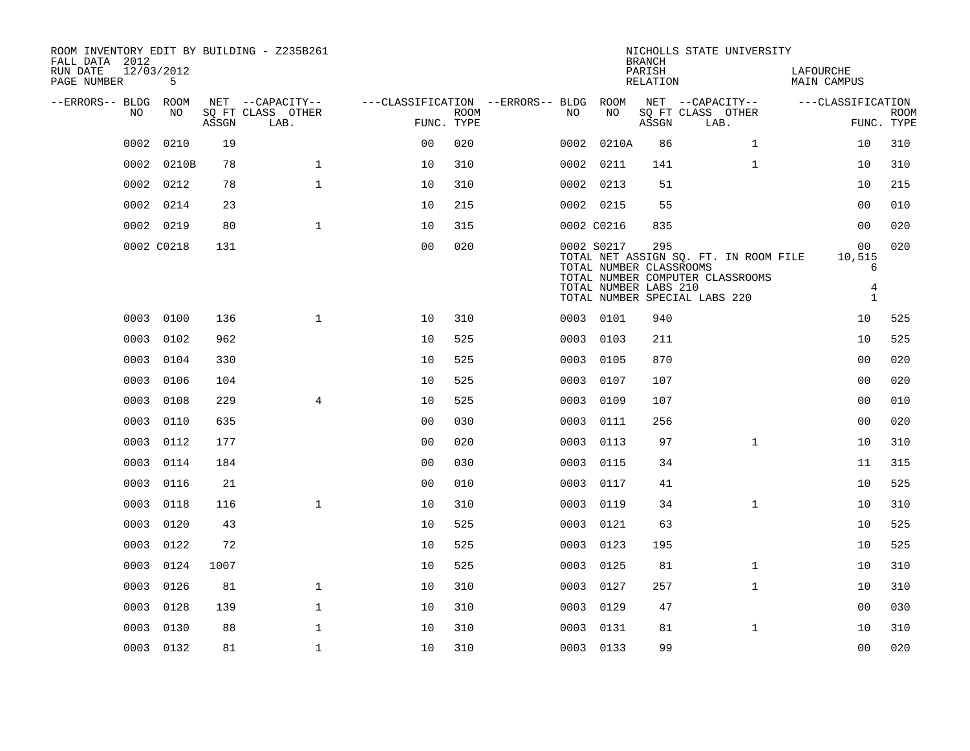| FALL DATA 2012<br>RUN DATE | 12/03/2012    |       | ROOM INVENTORY EDIT BY BUILDING - Z235B261 |                                        |             |      |                                                                                                 | <b>BRANCH</b><br>PARISH |                   | NICHOLLS STATE UNIVERSITY                                                 | LAFOURCHE          |                                        |                           |
|----------------------------|---------------|-------|--------------------------------------------|----------------------------------------|-------------|------|-------------------------------------------------------------------------------------------------|-------------------------|-------------------|---------------------------------------------------------------------------|--------------------|----------------------------------------|---------------------------|
| PAGE NUMBER                | 5             |       |                                            |                                        |             |      |                                                                                                 | RELATION                |                   |                                                                           | <b>MAIN CAMPUS</b> |                                        |                           |
| --ERRORS-- BLDG ROOM<br>NO | NO            |       | NET --CAPACITY--<br>SQ FT CLASS OTHER      | ---CLASSIFICATION --ERRORS-- BLDG ROOM | <b>ROOM</b> | NO   | NO                                                                                              |                         | SQ FT CLASS OTHER | NET --CAPACITY--                                                          |                    | ---CLASSIFICATION                      |                           |
|                            |               | ASSGN | LAB.                                       |                                        | FUNC. TYPE  |      |                                                                                                 | ASSGN                   | LAB.              |                                                                           |                    |                                        | <b>ROOM</b><br>FUNC. TYPE |
| 0002                       | 0210          | 19    |                                            | 0 <sup>0</sup>                         | 020         | 0002 | 0210A                                                                                           | 86                      |                   | $\mathbf{1}$                                                              |                    | 10                                     | 310                       |
|                            | 0210B<br>0002 | 78    | $\mathbf{1}$                               | 10                                     | 310         |      | 0002 0211                                                                                       | 141                     |                   | $\mathbf{1}$                                                              |                    | 10                                     | 310                       |
|                            | 0212<br>0002  | 78    | $\mathbf{1}$                               | 10                                     | 310         |      | 0002 0213                                                                                       | 51                      |                   |                                                                           |                    | 10                                     | 215                       |
|                            | 0002<br>0214  | 23    |                                            | 10                                     | 215         |      | 0002 0215                                                                                       | 55                      |                   |                                                                           |                    | 0 <sub>0</sub>                         | 010                       |
|                            | 0002 0219     | 80    | $\mathbf{1}$                               | 10                                     | 315         |      | 0002 C0216                                                                                      | 835                     |                   |                                                                           |                    | 0 <sub>0</sub>                         | 020                       |
|                            | 0002 C0218    | 131   |                                            | 0 <sub>0</sub>                         | 020         |      | 0002 S0217<br>TOTAL NUMBER CLASSROOMS<br>TOTAL NUMBER LABS 210<br>TOTAL NUMBER SPECIAL LABS 220 | 295                     |                   | TOTAL NET ASSIGN SQ. FT. IN ROOM FILE<br>TOTAL NUMBER COMPUTER CLASSROOMS |                    | 00<br>10,515<br>6<br>4<br>$\mathbf{1}$ | 020                       |
|                            | 0003 0100     | 136   | $\mathbf{1}$                               | 10                                     | 310         |      | 0003 0101                                                                                       | 940                     |                   |                                                                           |                    | 10                                     | 525                       |
|                            | 0003<br>0102  | 962   |                                            | 10                                     | 525         |      | 0003 0103                                                                                       | 211                     |                   |                                                                           |                    | 10                                     | 525                       |
|                            | 0003<br>0104  | 330   |                                            | 10                                     | 525         | 0003 | 0105                                                                                            | 870                     |                   |                                                                           |                    | 0 <sub>0</sub>                         | 020                       |
|                            | 0003<br>0106  | 104   |                                            | 10                                     | 525         |      | 0003 0107                                                                                       | 107                     |                   |                                                                           |                    | 0 <sub>0</sub>                         | 020                       |
|                            | 0003<br>0108  | 229   | $\overline{4}$                             | 10                                     | 525         | 0003 | 0109                                                                                            | 107                     |                   |                                                                           |                    | 0 <sub>0</sub>                         | 010                       |
|                            | 0110<br>0003  | 635   |                                            | 0 <sub>0</sub>                         | 030         |      | 0003 0111                                                                                       | 256                     |                   |                                                                           |                    | 0 <sub>0</sub>                         | 020                       |
|                            | 0003<br>0112  | 177   |                                            | 0 <sub>0</sub>                         | 020         | 0003 | 0113                                                                                            | 97                      |                   | $\mathbf{1}$                                                              |                    | 10                                     | 310                       |
|                            | 0114<br>0003  | 184   |                                            | 0 <sub>0</sub>                         | 030         |      | 0003 0115                                                                                       | 34                      |                   |                                                                           |                    | 11                                     | 315                       |
|                            | 0003<br>0116  | 21    |                                            | 0 <sub>0</sub>                         | 010         | 0003 | 0117                                                                                            | 41                      |                   |                                                                           |                    | 10                                     | 525                       |
|                            | 0003<br>0118  | 116   | $\mathbf{1}$                               | 10                                     | 310         | 0003 | 0119                                                                                            | 34                      |                   | $\mathbf{1}$                                                              |                    | 10                                     | 310                       |
|                            | 0003<br>0120  | 43    |                                            | 10                                     | 525         | 0003 | 0121                                                                                            | 63                      |                   |                                                                           |                    | 10                                     | 525                       |
|                            | 0003<br>0122  | 72    |                                            | 10                                     | 525         | 0003 | 0123                                                                                            | 195                     |                   |                                                                           |                    | 10                                     | 525                       |
|                            | 0124<br>0003  | 1007  |                                            | 10                                     | 525         | 0003 | 0125                                                                                            | 81                      |                   | $\mathbf{1}$                                                              |                    | 10                                     | 310                       |
|                            | 0003<br>0126  | 81    | $\mathbf 1$                                | 10                                     | 310         |      | 0003 0127                                                                                       | 257                     |                   | $\mathbf{1}$                                                              |                    | 10                                     | 310                       |
|                            | 0128<br>0003  | 139   | $\mathbf 1$                                | 10                                     | 310         | 0003 | 0129                                                                                            | 47                      |                   |                                                                           |                    | 00                                     | 030                       |
|                            | 0003<br>0130  | 88    | $\mathbf 1$                                | 10                                     | 310         | 0003 | 0131                                                                                            | 81                      |                   | $\mathbf{1}$                                                              |                    | 10                                     | 310                       |
|                            | 0003 0132     | 81    | $\mathbf{1}$                               | 10                                     | 310         |      | 0003 0133                                                                                       | 99                      |                   |                                                                           |                    | 0 <sub>0</sub>                         | 020                       |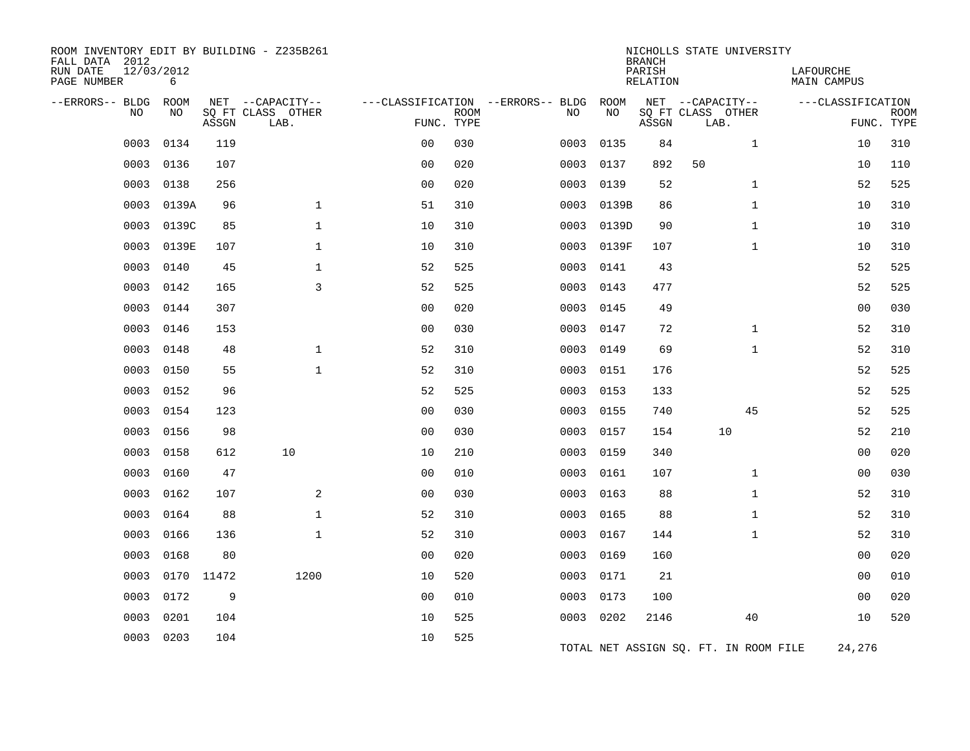| ROOM INVENTORY EDIT BY BUILDING - Z235B261<br>FALL DATA 2012<br>RUN DATE<br>PAGE NUMBER | 12/03/2012<br>6 |            |                           |                |             |                                   |           | <b>BRANCH</b><br>PARISH<br><b>RELATION</b> | NICHOLLS STATE UNIVERSITY             | LAFOURCHE<br><b>MAIN CAMPUS</b> |                           |
|-----------------------------------------------------------------------------------------|-----------------|------------|---------------------------|----------------|-------------|-----------------------------------|-----------|--------------------------------------------|---------------------------------------|---------------------------------|---------------------------|
| --ERRORS-- BLDG                                                                         | ROOM            |            | NET --CAPACITY--          |                |             | ---CLASSIFICATION --ERRORS-- BLDG | ROOM      |                                            | NET --CAPACITY--                      | ---CLASSIFICATION               |                           |
| <b>NO</b>                                                                               | NO              | ASSGN      | SQ FT CLASS OTHER<br>LAB. | FUNC. TYPE     | <b>ROOM</b> | NO                                | NO        | ASSGN                                      | SQ FT CLASS OTHER<br>LAB.             |                                 | <b>ROOM</b><br>FUNC. TYPE |
| 0003                                                                                    | 0134            | 119        |                           | 0 <sub>0</sub> | 030         | 0003                              | 0135      | 84                                         | $\mathbf{1}$                          | 10                              | 310                       |
| 0003                                                                                    | 0136            | 107        |                           | 0 <sub>0</sub> | 020         | 0003                              | 0137      | 892                                        | 50                                    | 10                              | 110                       |
| 0003                                                                                    | 0138            | 256        |                           | 0 <sub>0</sub> | 020         | 0003                              | 0139      | 52                                         | $\mathbf{1}$                          | 52                              | 525                       |
| 0003                                                                                    | 0139A           | 96         | $\mathbf{1}$              | 51             | 310         | 0003                              | 0139B     | 86                                         | $\mathbf{1}$                          | 10                              | 310                       |
| 0003                                                                                    | 0139C           | 85         | $\mathbf{1}$              | 10             | 310         | 0003                              | 0139D     | 90                                         | $\mathbf{1}$                          | 10                              | 310                       |
| 0003                                                                                    | 0139E           | 107        | $\mathbf{1}$              | 10             | 310         | 0003                              | 0139F     | 107                                        | $\mathbf{1}$                          | 10                              | 310                       |
| 0003                                                                                    | 0140            | 45         | $\mathbf{1}$              | 52             | 525         | 0003                              | 0141      | 43                                         |                                       | 52                              | 525                       |
| 0003                                                                                    | 0142            | 165        | 3                         | 52             | 525         | 0003                              | 0143      | 477                                        |                                       | 52                              | 525                       |
| 0003                                                                                    | 0144            | 307        |                           | 0 <sub>0</sub> | 020         | 0003                              | 0145      | 49                                         |                                       | 0 <sub>0</sub>                  | 030                       |
| 0003                                                                                    | 0146            | 153        |                           | 0 <sub>0</sub> | 030         | 0003                              | 0147      | 72                                         | $\mathbf{1}$                          | 52                              | 310                       |
| 0003                                                                                    | 0148            | 48         | $\mathbf 1$               | 52             | 310         | 0003                              | 0149      | 69                                         | $\mathbf{1}$                          | 52                              | 310                       |
| 0003                                                                                    | 0150            | 55         | $\mathbf{1}$              | 52             | 310         | 0003                              | 0151      | 176                                        |                                       | 52                              | 525                       |
| 0003                                                                                    | 0152            | 96         |                           | 52             | 525         | 0003                              | 0153      | 133                                        |                                       | 52                              | 525                       |
| 0003                                                                                    | 0154            | 123        |                           | 00             | 030         | 0003                              | 0155      | 740                                        | 45                                    | 52                              | 525                       |
| 0003                                                                                    | 0156            | 98         |                           | 0 <sub>0</sub> | 030         | 0003                              | 0157      | 154                                        | 10                                    | 52                              | 210                       |
| 0003                                                                                    | 0158            | 612        | 10                        | 10             | 210         | 0003                              | 0159      | 340                                        |                                       | 0 <sub>0</sub>                  | 020                       |
| 0003                                                                                    | 0160            | 47         |                           | 0 <sub>0</sub> | 010         | 0003                              | 0161      | 107                                        | $\mathbf{1}$                          | 00                              | 030                       |
| 0003                                                                                    | 0162            | 107        | 2                         | 0 <sub>0</sub> | 030         | 0003                              | 0163      | 88                                         | $\mathbf{1}$                          | 52                              | 310                       |
| 0003                                                                                    | 0164            | 88         | $\mathbf{1}$              | 52             | 310         | 0003                              | 0165      | 88                                         | $\mathbf{1}$                          | 52                              | 310                       |
| 0003                                                                                    | 0166            | 136        | $\mathbf 1$               | 52             | 310         | 0003                              | 0167      | 144                                        | $\mathbf{1}$                          | 52                              | 310                       |
| 0003                                                                                    | 0168            | 80         |                           | 0 <sub>0</sub> | 020         | 0003                              | 0169      | 160                                        |                                       | 0 <sub>0</sub>                  | 020                       |
| 0003                                                                                    |                 | 0170 11472 | 1200                      | 10             | 520         | 0003                              | 0171      | 21                                         |                                       | 0 <sub>0</sub>                  | 010                       |
| 0003                                                                                    | 0172            | 9          |                           | 0 <sub>0</sub> | 010         | 0003                              | 0173      | 100                                        |                                       | 0 <sub>0</sub>                  | 020                       |
| 0003                                                                                    | 0201            | 104        |                           | 10             | 525         |                                   | 0003 0202 | 2146                                       | 40                                    | 10                              | 520                       |
| 0003                                                                                    | 0203            | 104        |                           | 10             | 525         |                                   |           |                                            | TOTAL NET ASSIGN SQ. FT. IN ROOM FILE | 24,276                          |                           |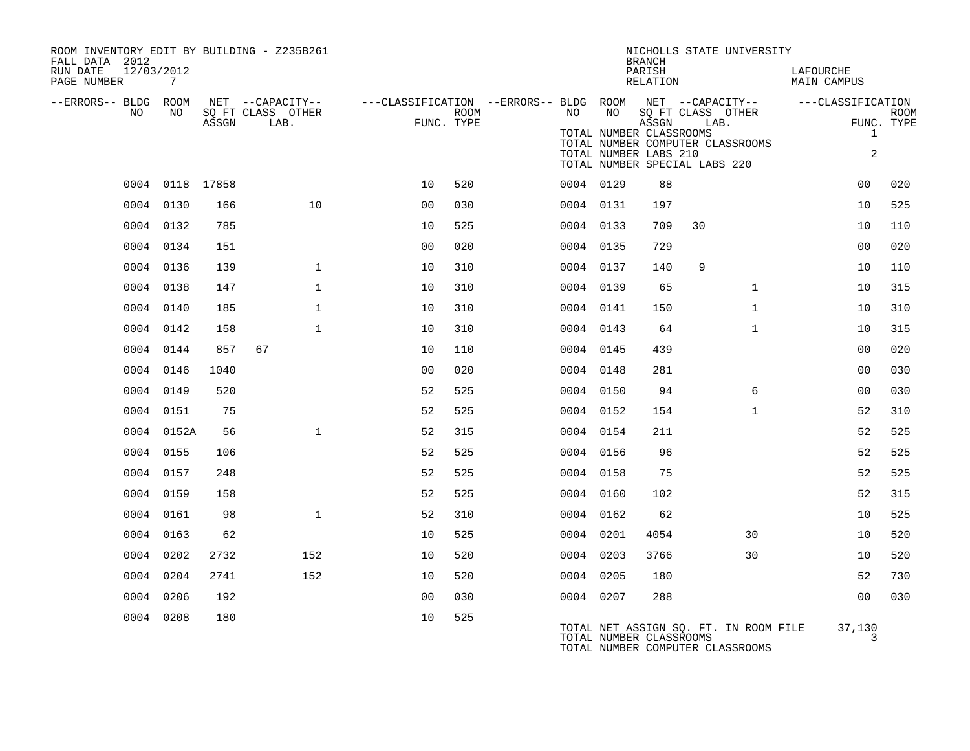| ROOM INVENTORY EDIT BY BUILDING - Z235B261<br>FALL DATA 2012 |                 |       |                                       |                                                         |      |    |           | <b>BRANCH</b>                                             | NICHOLLS STATE UNIVERSITY                                                 |                          |             |
|--------------------------------------------------------------|-----------------|-------|---------------------------------------|---------------------------------------------------------|------|----|-----------|-----------------------------------------------------------|---------------------------------------------------------------------------|--------------------------|-------------|
| 12/03/2012<br>RUN DATE<br>PAGE NUMBER                        | 7               |       |                                       |                                                         |      |    |           | PARISH<br>RELATION                                        |                                                                           | LAFOURCHE<br>MAIN CAMPUS |             |
| --ERRORS-- BLDG ROOM<br>NO                                   | NO              |       | NET --CAPACITY--<br>SQ FT CLASS OTHER | ---CLASSIFICATION --ERRORS-- BLDG ROOM NET --CAPACITY-- | ROOM | NO | NO        |                                                           | SQ FT CLASS OTHER                                                         | ---CLASSIFICATION        | <b>ROOM</b> |
|                                                              |                 | ASSGN | LAB.                                  | FUNC. TYPE                                              |      |    |           | ASSGN<br>TOTAL NUMBER CLASSROOMS<br>TOTAL NUMBER LABS 210 | LAB.<br>TOTAL NUMBER COMPUTER CLASSROOMS<br>TOTAL NUMBER SPECIAL LABS 220 | $\mathbf{1}$<br>2        | FUNC. TYPE  |
|                                                              | 0004 0118 17858 |       |                                       | 10                                                      | 520  |    | 0004 0129 | 88                                                        |                                                                           | 0 <sub>0</sub>           | 020         |
|                                                              | 0004 0130       | 166   | 10                                    | 0 <sub>0</sub>                                          | 030  |    | 0004 0131 | 197                                                       |                                                                           | 10                       | 525         |
|                                                              | 0004 0132       | 785   |                                       | 10                                                      | 525  |    | 0004 0133 | 709                                                       | 30                                                                        | 10                       | 110         |
|                                                              | 0004 0134       | 151   |                                       | 0 <sub>0</sub>                                          | 020  |    | 0004 0135 | 729                                                       |                                                                           | 0 <sub>0</sub>           | 020         |
|                                                              | 0004 0136       | 139   | $\mathbf{1}$                          | 10                                                      | 310  |    | 0004 0137 | 140                                                       | 9                                                                         | 10                       | 110         |
|                                                              | 0004 0138       | 147   | $\mathbf{1}$                          | 10                                                      | 310  |    | 0004 0139 | 65                                                        | $\mathbf{1}$                                                              | 10                       | 315         |
|                                                              | 0004 0140       | 185   | $\mathbf 1$                           | 10                                                      | 310  |    | 0004 0141 | 150                                                       | $\mathbf{1}$                                                              | 10                       | 310         |
|                                                              | 0004 0142       | 158   | $\mathbf{1}$                          | 10                                                      | 310  |    | 0004 0143 | 64                                                        | $\mathbf{1}$                                                              | 10                       | 315         |
|                                                              | 0004 0144       | 857   | 67                                    | 10                                                      | 110  |    | 0004 0145 | 439                                                       |                                                                           | 0 <sub>0</sub>           | 020         |
|                                                              | 0004 0146       | 1040  |                                       | 0 <sub>0</sub>                                          | 020  |    | 0004 0148 | 281                                                       |                                                                           | 0 <sub>0</sub>           | 030         |
|                                                              | 0004 0149       | 520   |                                       | 52                                                      | 525  |    | 0004 0150 | 94                                                        | 6                                                                         | 00                       | 030         |
|                                                              | 0004 0151       | 75    |                                       | 52                                                      | 525  |    | 0004 0152 | 154                                                       | $\mathbf{1}$                                                              | 52                       | 310         |
|                                                              | 0004 0152A      | 56    | $\mathbf{1}$                          | 52                                                      | 315  |    | 0004 0154 | 211                                                       |                                                                           | 52                       | 525         |
|                                                              | 0004 0155       | 106   |                                       | 52                                                      | 525  |    | 0004 0156 | 96                                                        |                                                                           | 52                       | 525         |
|                                                              | 0004 0157       | 248   |                                       | 52                                                      | 525  |    | 0004 0158 | 75                                                        |                                                                           | 52                       | 525         |
|                                                              | 0004 0159       | 158   |                                       | 52                                                      | 525  |    | 0004 0160 | 102                                                       |                                                                           | 52                       | 315         |
|                                                              | 0004 0161       | 98    | $\mathbf{1}$                          | 52                                                      | 310  |    | 0004 0162 | 62                                                        |                                                                           | 10                       | 525         |
|                                                              | 0004 0163       | 62    |                                       | 10                                                      | 525  |    | 0004 0201 | 4054                                                      | 30                                                                        | 10                       | 520         |
|                                                              | 0004 0202       | 2732  | 152                                   | 10                                                      | 520  |    | 0004 0203 | 3766                                                      | 30                                                                        | 10                       | 520         |
|                                                              | 0004 0204       | 2741  | 152                                   | 10                                                      | 520  |    | 0004 0205 | 180                                                       |                                                                           | 52                       | 730         |
|                                                              | 0004 0206       | 192   |                                       | 0 <sub>0</sub>                                          | 030  |    | 0004 0207 | 288                                                       |                                                                           | 0 <sub>0</sub>           | 030         |
|                                                              | 0004 0208       | 180   |                                       | 10                                                      | 525  |    |           | TOTAL NUMBER CLASSROOMS                                   | TOTAL NET ASSIGN SQ. FT. IN ROOM FILE<br>TOTAL NUMBER COMPUTER CLASSROOMS | 37,130<br>3              |             |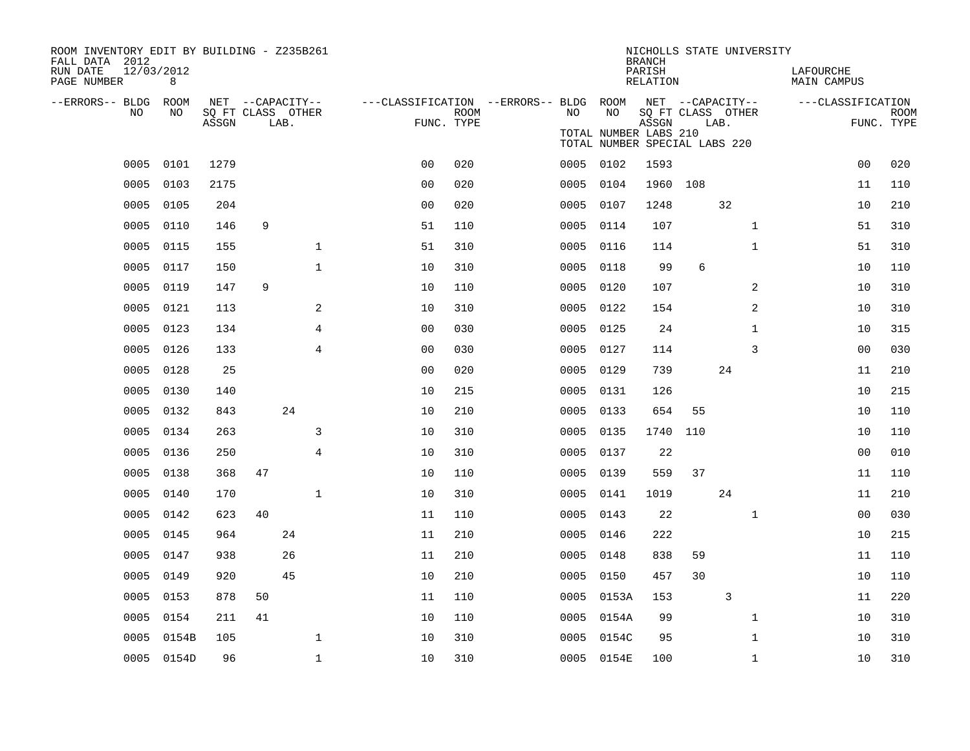| ROOM INVENTORY EDIT BY BUILDING - Z235B261<br>FALL DATA 2012 |            |                            |    |                  |                |                                        |      |      |                                                        | NICHOLLS STATE UNIVERSITY<br><b>BRANCH</b> |                   |      |              |                          |                |                    |
|--------------------------------------------------------------|------------|----------------------------|----|------------------|----------------|----------------------------------------|------|------|--------------------------------------------------------|--------------------------------------------|-------------------|------|--------------|--------------------------|----------------|--------------------|
| 12/03/2012<br>RUN DATE<br>PAGE NUMBER                        | 8          |                            |    |                  |                |                                        |      |      |                                                        | PARISH<br>RELATION                         |                   |      |              | LAFOURCHE<br>MAIN CAMPUS |                |                    |
| --ERRORS-- BLDG ROOM<br>NO.                                  | NO.        |                            |    | NET --CAPACITY-- |                | ---CLASSIFICATION --ERRORS-- BLDG ROOM |      | NO.  | NO                                                     | NET --CAPACITY--                           |                   |      |              | ---CLASSIFICATION        |                |                    |
|                                                              |            | SQ FT CLASS OTHER<br>ASSGN |    | LAB.             |                | FUNC. TYPE                             | ROOM |      | TOTAL NUMBER LABS 210<br>TOTAL NUMBER SPECIAL LABS 220 | ASSGN                                      | SQ FT CLASS OTHER | LAB. |              |                          |                | ROOM<br>FUNC. TYPE |
|                                                              | 0005 0101  | 1279                       |    |                  |                | 0 <sub>0</sub>                         | 020  |      | 0005 0102                                              | 1593                                       |                   |      |              |                          | 0 <sub>0</sub> | 020                |
| 0005                                                         | 0103       | 2175                       |    |                  |                | 0 <sub>0</sub>                         | 020  | 0005 | 0104                                                   |                                            | 1960 108          |      |              |                          | 11             | 110                |
| 0005                                                         | 0105       | 204                        |    |                  |                | 0 <sub>0</sub>                         | 020  |      | 0005 0107                                              | 1248                                       |                   | 32   |              |                          | 10             | 210                |
| 0005                                                         | 0110       | 146                        | 9  |                  |                | 51                                     | 110  | 0005 | 0114                                                   | 107                                        |                   |      | $\mathbf{1}$ |                          | 51             | 310                |
| 0005                                                         | 0115       | 155                        |    |                  | $\mathbf 1$    | 51                                     | 310  |      | 0005 0116                                              | 114                                        |                   |      | $\mathbf{1}$ |                          | 51             | 310                |
| 0005                                                         | 0117       | 150                        |    |                  | $\mathbf{1}$   | 10                                     | 310  | 0005 | 0118                                                   | 99                                         | 6                 |      |              |                          | 10             | 110                |
| 0005                                                         | 0119       | 147                        | 9  |                  |                | 10                                     | 110  |      | 0005 0120                                              | 107                                        |                   |      | 2            |                          | 10             | 310                |
| 0005                                                         | 0121       | 113                        |    |                  | 2              | 10                                     | 310  | 0005 | 0122                                                   | 154                                        |                   |      | 2            |                          | 10             | 310                |
| 0005                                                         | 0123       | 134                        |    |                  | $\overline{4}$ | 0 <sub>0</sub>                         | 030  |      | 0005 0125                                              | 24                                         |                   |      | $\mathbf{1}$ |                          | 10             | 315                |
| 0005                                                         | 0126       | 133                        |    |                  | $\overline{4}$ | 0 <sub>0</sub>                         | 030  |      | 0005 0127                                              | 114                                        |                   |      | 3            |                          | 0 <sub>0</sub> | 030                |
| 0005                                                         | 0128       | 25                         |    |                  |                | 0 <sub>0</sub>                         | 020  |      | 0005 0129                                              | 739                                        |                   | 24   |              |                          | 11             | 210                |
| 0005                                                         | 0130       | 140                        |    |                  |                | 10                                     | 215  | 0005 | 0131                                                   | 126                                        |                   |      |              |                          | 10             | 215                |
| 0005                                                         | 0132       | 843                        |    | 24               |                | 10                                     | 210  |      | 0005 0133                                              | 654                                        | 55                |      |              |                          | 10             | 110                |
| 0005                                                         | 0134       | 263                        |    |                  | 3              | 10                                     | 310  | 0005 | 0135                                                   | 1740                                       | 110               |      |              |                          | 10             | 110                |
| 0005                                                         | 0136       | 250                        |    |                  | $\overline{4}$ | 10                                     | 310  | 0005 | 0137                                                   | 22                                         |                   |      |              |                          | 0 <sub>0</sub> | 010                |
| 0005                                                         | 0138       | 368                        | 47 |                  |                | 10                                     | 110  | 0005 | 0139                                                   | 559                                        | 37                |      |              |                          | 11             | 110                |
| 0005                                                         | 0140       | 170                        |    |                  | $\mathbf 1$    | 10                                     | 310  | 0005 | 0141                                                   | 1019                                       |                   | 24   |              |                          | 11             | 210                |
| 0005                                                         | 0142       | 623                        | 40 |                  |                | 11                                     | 110  |      | 0005 0143                                              | 22                                         |                   |      | $\mathbf{1}$ |                          | 00             | 030                |
| 0005                                                         | 0145       | 964                        |    | 24               |                | 11                                     | 210  |      | 0005 0146                                              | 222                                        |                   |      |              |                          | 10             | 215                |
| 0005                                                         | 0147       | 938                        |    | 26               |                | 11                                     | 210  |      | 0005 0148                                              | 838                                        | 59                |      |              |                          | 11             | 110                |
| 0005                                                         | 0149       | 920                        |    | 45               |                | 10                                     | 210  | 0005 | 0150                                                   | 457                                        | 30                |      |              |                          | 10             | 110                |
| 0005                                                         | 0153       | 878                        | 50 |                  |                | 11                                     | 110  |      | 0005 0153A                                             | 153                                        |                   | 3    |              |                          | 11             | 220                |
| 0005                                                         | 0154       | 211                        | 41 |                  |                | 10                                     | 110  |      | 0005 0154A                                             | 99                                         |                   |      | $\mathbf{1}$ |                          | 10             | 310                |
| 0005                                                         | 0154B      | 105                        |    |                  | 1              | 10                                     | 310  | 0005 | 0154C                                                  | 95                                         |                   |      | $\mathbf{1}$ |                          | 10             | 310                |
|                                                              | 0005 0154D | 96                         |    |                  | $\mathbf{1}$   | 10                                     | 310  |      | 0005 0154E                                             | 100                                        |                   |      | $\mathbf{1}$ |                          | 10             | 310                |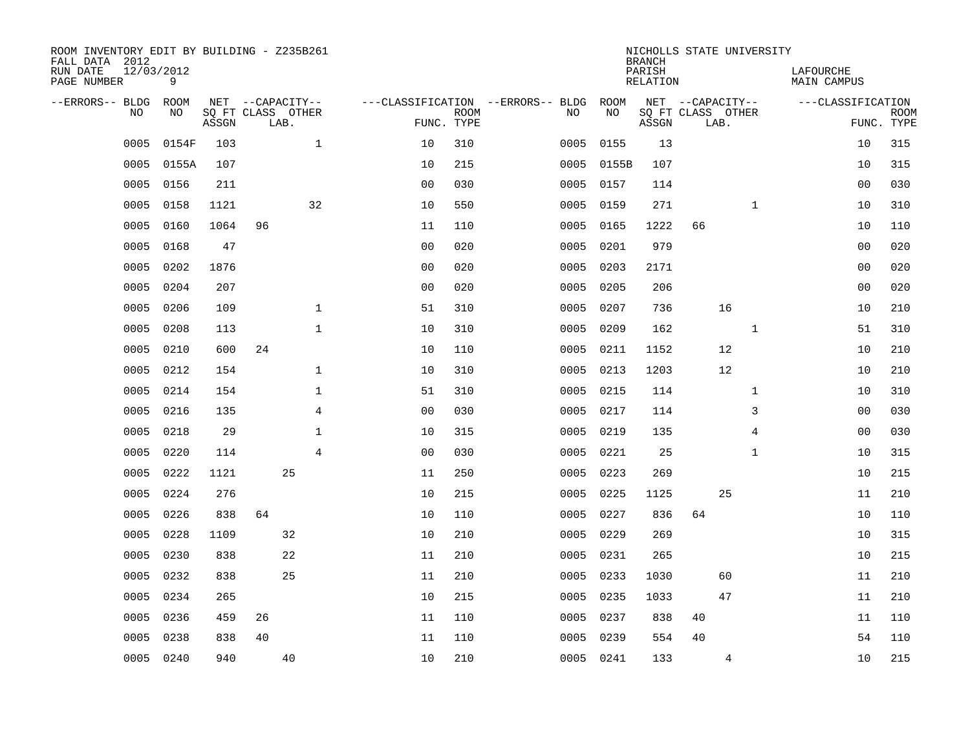| ROOM INVENTORY EDIT BY BUILDING - Z235B261<br>FALL DATA 2012 |                 |       |                           |                                  |                           |                                        |            | <b>BRANCH</b>      | NICHOLLS STATE UNIVERSITY |                |                          |                           |
|--------------------------------------------------------------|-----------------|-------|---------------------------|----------------------------------|---------------------------|----------------------------------------|------------|--------------------|---------------------------|----------------|--------------------------|---------------------------|
| RUN DATE<br>PAGE NUMBER                                      | 12/03/2012<br>9 |       |                           |                                  |                           |                                        |            | PARISH<br>RELATION |                           |                | LAFOURCHE<br>MAIN CAMPUS |                           |
| --ERRORS-- BLDG ROOM                                         |                 |       | NET --CAPACITY--          |                                  |                           | ---CLASSIFICATION --ERRORS-- BLDG ROOM |            |                    | NET --CAPACITY--          |                | ---CLASSIFICATION        |                           |
| NO.                                                          | NO.             | ASSGN | SQ FT CLASS OTHER<br>LAB. |                                  | <b>ROOM</b><br>FUNC. TYPE | NO.                                    | NO         | ASSGN              | SQ FT CLASS OTHER<br>LAB. |                |                          | <b>ROOM</b><br>FUNC. TYPE |
| 0005                                                         | 0154F           | 103   |                           | $\mathbf{1}$<br>10               | 310                       | 0005                                   | 0155       | 13                 |                           |                | 10                       | 315                       |
| 0005                                                         | 0155A           | 107   |                           | 10                               | 215                       |                                        | 0005 0155B | 107                |                           |                | 10                       | 315                       |
| 0005                                                         | 0156            | 211   |                           | 0 <sub>0</sub>                   | 030                       |                                        | 0005 0157  | 114                |                           |                | 00                       | 030                       |
| 0005                                                         | 0158            | 1121  |                           | 32<br>10                         | 550                       |                                        | 0005 0159  | 271                |                           | $\mathbf{1}$   | 10                       | 310                       |
| 0005                                                         | 0160            | 1064  | 96                        | 11                               | 110                       | 0005                                   | 0165       | 1222               | 66                        |                | 10                       | 110                       |
| 0005                                                         | 0168            | 47    |                           | 0 <sub>0</sub>                   | 020                       | 0005                                   | 0201       | 979                |                           |                | 0 <sub>0</sub>           | 020                       |
| 0005                                                         | 0202            | 1876  |                           | 0 <sub>0</sub>                   | 020                       | 0005                                   | 0203       | 2171               |                           |                | 0 <sub>0</sub>           | 020                       |
| 0005                                                         | 0204            | 207   |                           | 0 <sub>0</sub>                   | 020                       | 0005                                   | 0205       | 206                |                           |                | 00                       | 020                       |
| 0005                                                         | 0206            | 109   |                           | $\mathbf{1}$<br>51               | 310                       | 0005                                   | 0207       | 736                |                           | 16             | 10                       | 210                       |
| 0005                                                         | 0208            | 113   |                           | $\mathbf{1}$<br>10               | 310                       | 0005                                   | 0209       | 162                |                           | $\mathbf{1}$   | 51                       | 310                       |
| 0005                                                         | 0210            | 600   | 24                        | 10                               | 110                       | 0005                                   | 0211       | 1152               |                           | 12             | 10                       | 210                       |
| 0005                                                         | 0212            | 154   |                           | $\mathbf 1$<br>10                | 310                       |                                        | 0005 0213  | 1203               |                           | 12             | 10                       | 210                       |
| 0005                                                         | 0214            | 154   |                           | $\mathbf 1$<br>51                | 310                       | 0005                                   | 0215       | 114                |                           | $\mathbf{1}$   | 10                       | 310                       |
| 0005                                                         | 0216            | 135   |                           | 4<br>0 <sub>0</sub>              | 030                       | 0005                                   | 0217       | 114                |                           | 3              | 00                       | 030                       |
| 0005                                                         | 0218            | 29    |                           | $\mathbf 1$<br>10                | 315                       | 0005                                   | 0219       | 135                |                           | 4              | 00                       | 030                       |
| 0005                                                         | 0220            | 114   |                           | $\overline{4}$<br>0 <sub>0</sub> | 030                       | 0005                                   | 0221       | 25                 |                           | $\mathbf{1}$   | 10                       | 315                       |
| 0005                                                         | 0222            | 1121  | 25                        | 11                               | 250                       | 0005                                   | 0223       | 269                |                           |                | 10                       | 215                       |
| 0005                                                         | 0224            | 276   |                           | 10                               | 215                       | 0005                                   | 0225       | 1125               |                           | 25             | 11                       | 210                       |
| 0005                                                         | 0226            | 838   | 64                        | 10                               | 110                       |                                        | 0005 0227  | 836                | 64                        |                | 10                       | 110                       |
| 0005                                                         | 0228            | 1109  | 32                        | 10                               | 210                       |                                        | 0005 0229  | 269                |                           |                | 10                       | 315                       |
| 0005                                                         | 0230            | 838   | 22                        | 11                               | 210                       |                                        | 0005 0231  | 265                |                           |                | 10                       | 215                       |
| 0005                                                         | 0232            | 838   | 25                        | 11                               | 210                       | 0005                                   | 0233       | 1030               |                           | 60             | 11                       | 210                       |
| 0005                                                         | 0234            | 265   |                           | 10                               | 215                       |                                        | 0005 0235  | 1033               |                           | 47             | 11                       | 210                       |
| 0005                                                         | 0236            | 459   | 26                        | 11                               | 110                       | 0005                                   | 0237       | 838                | 40                        |                | 11                       | 110                       |
| 0005                                                         | 0238            | 838   | 40                        | 11                               | 110                       | 0005                                   | 0239       | 554                | 40                        |                | 54                       | 110                       |
|                                                              | 0005 0240       | 940   | 40                        | 10                               | 210                       |                                        | 0005 0241  | 133                |                           | $\overline{4}$ | 10                       | 215                       |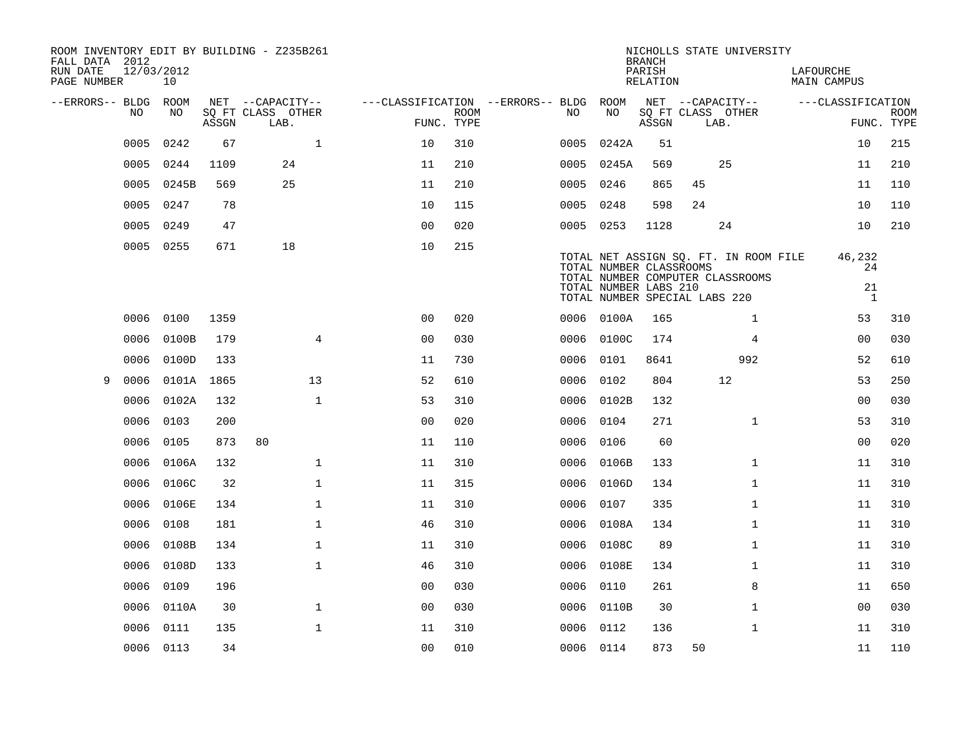| FALL DATA 2012<br>RUN DATE | 12/03/2012 |            |       | ROOM INVENTORY EDIT BY BUILDING - Z235B261    |                                                      |             |           |                                                  | <b>BRANCH</b><br>PARISH | NICHOLLS STATE UNIVERSITY                                                                                  | LAFOURCHE                          |                           |
|----------------------------|------------|------------|-------|-----------------------------------------------|------------------------------------------------------|-------------|-----------|--------------------------------------------------|-------------------------|------------------------------------------------------------------------------------------------------------|------------------------------------|---------------------------|
| PAGE NUMBER                |            | 10         |       |                                               |                                                      |             |           |                                                  | RELATION                |                                                                                                            | MAIN CAMPUS                        |                           |
| --ERRORS-- BLDG ROOM       | NO.        | NO.        | ASSGN | NET --CAPACITY--<br>SQ FT CLASS OTHER<br>LAB. | ---CLASSIFICATION --ERRORS-- BLDG ROOM<br>FUNC. TYPE | <b>ROOM</b> | NO.       | NO                                               | ASSGN                   | NET --CAPACITY--<br>SQ FT CLASS OTHER<br>LAB.                                                              | ---CLASSIFICATION                  | <b>ROOM</b><br>FUNC. TYPE |
|                            | 0005       | 0242       | 67    | $\mathbf{1}$                                  | 10                                                   | 310         | 0005      | 0242A                                            | 51                      |                                                                                                            | 10                                 | 215                       |
|                            | 0005       | 0244       | 1109  | 24                                            | 11                                                   | 210         | 0005      | 0245A                                            | 569                     | 25                                                                                                         | 11                                 | 210                       |
|                            | 0005       | 0245B      | 569   | 25                                            | 11                                                   | 210         | 0005      | 0246                                             | 865                     | 45                                                                                                         | 11                                 | 110                       |
|                            | 0005       | 0247       | 78    |                                               | 10                                                   | 115         | 0005      | 0248                                             | 598                     | 24                                                                                                         | 10                                 | 110                       |
|                            | 0005       | 0249       | 47    |                                               | 0 <sub>0</sub>                                       | 020         | 0005 0253 |                                                  | 1128                    | 24                                                                                                         | 10                                 | 210                       |
|                            | 0005 0255  |            | 671   | 18                                            | 10                                                   | 215         |           | TOTAL NUMBER CLASSROOMS<br>TOTAL NUMBER LABS 210 |                         | TOTAL NET ASSIGN SQ. FT. IN ROOM FILE<br>TOTAL NUMBER COMPUTER CLASSROOMS<br>TOTAL NUMBER SPECIAL LABS 220 | 46,232<br>24<br>21<br><sup>1</sup> |                           |
|                            | 0006       | 0100       | 1359  |                                               | 0 <sub>0</sub>                                       | 020         |           | 0006 0100A                                       | 165                     | $\mathbf{1}$                                                                                               | 53                                 | 310                       |
|                            | 0006       | 0100B      | 179   | $\overline{4}$                                | 0 <sub>0</sub>                                       | 030         |           | 0006 0100C                                       | 174                     | 4                                                                                                          | 0 <sub>0</sub>                     | 030                       |
|                            | 0006       | 0100D      | 133   |                                               | 11                                                   | 730         | 0006      | 0101                                             | 8641                    | 992                                                                                                        | 52                                 | 610                       |
| 9                          | 0006       | 0101A 1865 |       | 13                                            | 52                                                   | 610         | 0006 0102 |                                                  | 804                     | 12                                                                                                         | 53                                 | 250                       |
|                            | 0006       | 0102A      | 132   | $\mathbf{1}$                                  | 53                                                   | 310         | 0006      | 0102B                                            | 132                     |                                                                                                            | 0 <sub>0</sub>                     | 030                       |
|                            | 0006       | 0103       | 200   |                                               | 0 <sub>0</sub>                                       | 020         | 0006 0104 |                                                  | 271                     | $\mathbf{1}$                                                                                               | 53                                 | 310                       |
|                            | 0006       | 0105       | 873   | 80                                            | 11                                                   | 110         | 0006      | 0106                                             | 60                      |                                                                                                            | 0 <sub>0</sub>                     | 020                       |
|                            | 0006       | 0106A      | 132   | $\mathbf 1$                                   | 11                                                   | 310         | 0006      | 0106B                                            | 133                     | $\mathbf{1}$                                                                                               | 11                                 | 310                       |
|                            | 0006       | 0106C      | 32    | $\mathbf 1$                                   | 11                                                   | 315         | 0006      | 0106D                                            | 134                     | $\mathbf{1}$                                                                                               | 11                                 | 310                       |
|                            | 0006       | 0106E      | 134   | $\mathbf{1}$                                  | 11                                                   | 310         | 0006      | 0107                                             | 335                     | $\mathbf{1}$                                                                                               | 11                                 | 310                       |
|                            | 0006       | 0108       | 181   | $\mathbf 1$                                   | 46                                                   | 310         | 0006      | 0108A                                            | 134                     | $\mathbf{1}$                                                                                               | 11                                 | 310                       |
|                            | 0006       | 0108B      | 134   | $\mathbf 1$                                   | 11                                                   | 310         | 0006      | 0108C                                            | 89                      | $\mathbf{1}$                                                                                               | 11                                 | 310                       |
|                            | 0006       | 0108D      | 133   | $\mathbf 1$                                   | 46                                                   | 310         | 0006      | 0108E                                            | 134                     | $\mathbf{1}$                                                                                               | 11                                 | 310                       |
|                            | 0006       | 0109       | 196   |                                               | 0 <sub>0</sub>                                       | 030         | 0006      | 0110                                             | 261                     | 8                                                                                                          | 11                                 | 650                       |
|                            | 0006       | 0110A      | 30    | $\mathbf 1$                                   | 0 <sub>0</sub>                                       | 030         |           | 0006 0110B                                       | 30                      | $\mathbf{1}$                                                                                               | 0 <sub>0</sub>                     | 030                       |
|                            | 0006       | 0111       | 135   | $\mathbf{1}$                                  | 11                                                   | 310         | 0006      | 0112                                             | 136                     | $\mathbf{1}$                                                                                               | 11                                 | 310                       |
|                            | 0006 0113  |            | 34    |                                               | 0 <sub>0</sub>                                       | 010         | 0006 0114 |                                                  | 873                     | 50                                                                                                         | 11                                 | 110                       |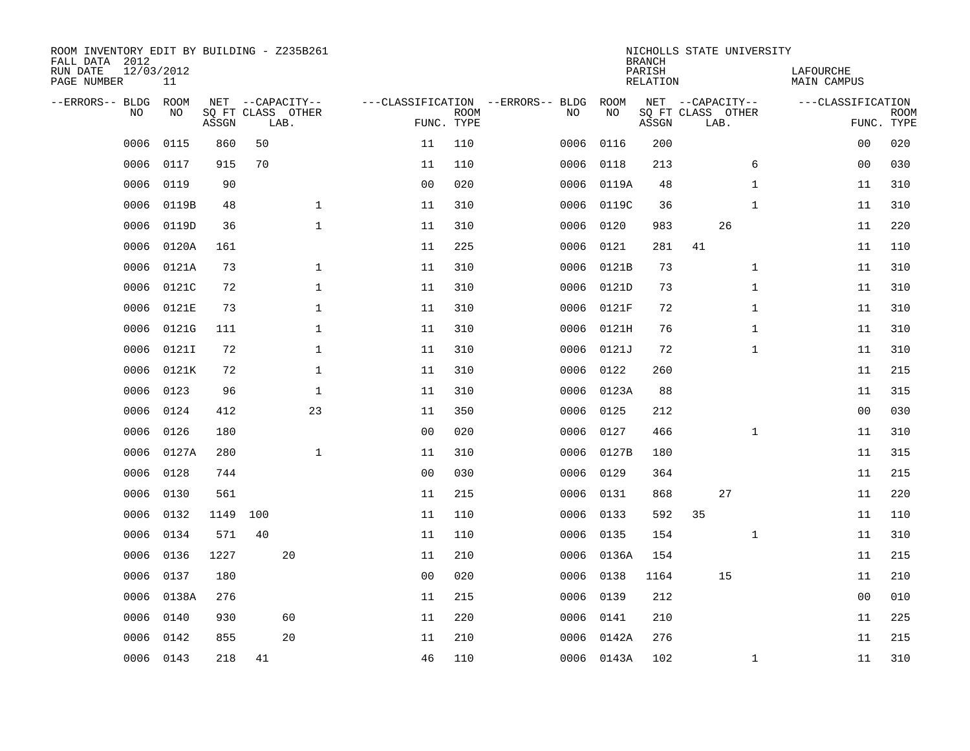| ROOM INVENTORY EDIT BY BUILDING - Z235B261<br>FALL DATA 2012<br>RUN DATE<br>PAGE NUMBER | 12/03/2012<br>11 |       |     |                                               |                |                           |                                         |            | <b>BRANCH</b><br>PARISH<br><b>RELATION</b> | NICHOLLS STATE UNIVERSITY                     |              | LAFOURCHE<br><b>MAIN CAMPUS</b> |                           |
|-----------------------------------------------------------------------------------------|------------------|-------|-----|-----------------------------------------------|----------------|---------------------------|-----------------------------------------|------------|--------------------------------------------|-----------------------------------------------|--------------|---------------------------------|---------------------------|
| --ERRORS-- BLDG<br>NO                                                                   | ROOM<br>NO       | ASSGN |     | NET --CAPACITY--<br>SQ FT CLASS OTHER<br>LAB. |                | <b>ROOM</b><br>FUNC. TYPE | ---CLASSIFICATION --ERRORS-- BLDG<br>NO | ROOM<br>NO | ASSGN                                      | NET --CAPACITY--<br>SQ FT CLASS OTHER<br>LAB. |              | ---CLASSIFICATION               | <b>ROOM</b><br>FUNC. TYPE |
| 0006                                                                                    | 0115             | 860   | 50  |                                               | 11             | 110                       | 0006                                    | 0116       | 200                                        |                                               |              | 0 <sub>0</sub>                  | 020                       |
| 0006                                                                                    | 0117             | 915   | 70  |                                               | 11             | 110                       | 0006                                    | 0118       | 213                                        |                                               | 6            | 0 <sub>0</sub>                  | 030                       |
| 0006                                                                                    | 0119             | 90    |     |                                               | 0 <sub>0</sub> | 020                       | 0006                                    | 0119A      | 48                                         |                                               | $\mathbf{1}$ | 11                              | 310                       |
| 0006                                                                                    | 0119B            | 48    |     | $\mathbf{1}$                                  | 11             | 310                       | 0006                                    | 0119C      | 36                                         |                                               | $\mathbf{1}$ | 11                              | 310                       |
| 0006                                                                                    | 0119D            | 36    |     | $\mathbf{1}$                                  | 11             | 310                       | 0006                                    | 0120       | 983                                        | 26                                            |              | 11                              | 220                       |
| 0006                                                                                    | 0120A            | 161   |     |                                               | 11             | 225                       | 0006                                    | 0121       | 281                                        | 41                                            |              | 11                              | 110                       |
| 0006                                                                                    | 0121A            | 73    |     | $\mathbf{1}$                                  | 11             | 310                       | 0006                                    | 0121B      | 73                                         |                                               | $\mathbf{1}$ | 11                              | 310                       |
| 0006                                                                                    | 0121C            | 72    |     | $\mathbf{1}$                                  | 11             | 310                       | 0006                                    | 0121D      | 73                                         |                                               | $\mathbf{1}$ | 11                              | 310                       |
| 0006                                                                                    | 0121E            | 73    |     | $\mathbf{1}$                                  | 11             | 310                       | 0006                                    | 0121F      | 72                                         |                                               | $\mathbf{1}$ | 11                              | 310                       |
| 0006                                                                                    | 0121G            | 111   |     | $\mathbf{1}$                                  | 11             | 310                       | 0006                                    | 0121H      | 76                                         |                                               | $\mathbf{1}$ | 11                              | 310                       |
| 0006                                                                                    | 0121I            | 72    |     | $\mathbf 1$                                   | 11             | 310                       | 0006                                    | 0121J      | 72                                         |                                               | $\mathbf{1}$ | 11                              | 310                       |
| 0006                                                                                    | 0121K            | 72    |     | $\mathbf 1$                                   | 11             | 310                       | 0006                                    | 0122       | 260                                        |                                               |              | 11                              | 215                       |
| 0006                                                                                    | 0123             | 96    |     | $\mathbf 1$                                   | 11             | 310                       | 0006                                    | 0123A      | 88                                         |                                               |              | 11                              | 315                       |
| 0006                                                                                    | 0124             | 412   |     | 23                                            | 11             | 350                       | 0006                                    | 0125       | 212                                        |                                               |              | 00                              | 030                       |
| 0006                                                                                    | 0126             | 180   |     |                                               | 0 <sub>0</sub> | 020                       | 0006                                    | 0127       | 466                                        |                                               | $\mathbf{1}$ | 11                              | 310                       |
| 0006                                                                                    | 0127A            | 280   |     | 1                                             | 11             | 310                       | 0006                                    | 0127B      | 180                                        |                                               |              | 11                              | 315                       |
| 0006                                                                                    | 0128             | 744   |     |                                               | 0 <sub>0</sub> | 030                       | 0006                                    | 0129       | 364                                        |                                               |              | 11                              | 215                       |
| 0006                                                                                    | 0130             | 561   |     |                                               | 11             | 215                       | 0006                                    | 0131       | 868                                        | 27                                            |              | 11                              | 220                       |
| 0006                                                                                    | 0132             | 1149  | 100 |                                               | 11             | 110                       | 0006                                    | 0133       | 592                                        | 35                                            |              | 11                              | 110                       |
| 0006                                                                                    | 0134             | 571   | 40  |                                               | 11             | 110                       | 0006                                    | 0135       | 154                                        |                                               | $\mathbf{1}$ | 11                              | 310                       |
| 0006                                                                                    | 0136             | 1227  |     | 20                                            | 11             | 210                       |                                         | 0006 0136A | 154                                        |                                               |              | 11                              | 215                       |
| 0006                                                                                    | 0137             | 180   |     |                                               | 0 <sub>0</sub> | 020                       | 0006                                    | 0138       | 1164                                       | 15                                            |              | 11                              | 210                       |
| 0006                                                                                    | 0138A            | 276   |     |                                               | 11             | 215                       |                                         | 0006 0139  | 212                                        |                                               |              | 0 <sub>0</sub>                  | 010                       |
| 0006                                                                                    | 0140             | 930   |     | 60                                            | 11             | 220                       | 0006                                    | 0141       | 210                                        |                                               |              | 11                              | 225                       |
| 0006                                                                                    | 0142             | 855   |     | 20                                            | 11             | 210                       | 0006                                    | 0142A      | 276                                        |                                               |              | 11                              | 215                       |
|                                                                                         | 0006 0143        | 218   | 41  |                                               | 46             | 110                       |                                         | 0006 0143A | 102                                        |                                               | $\mathbf{1}$ | 11                              | 310                       |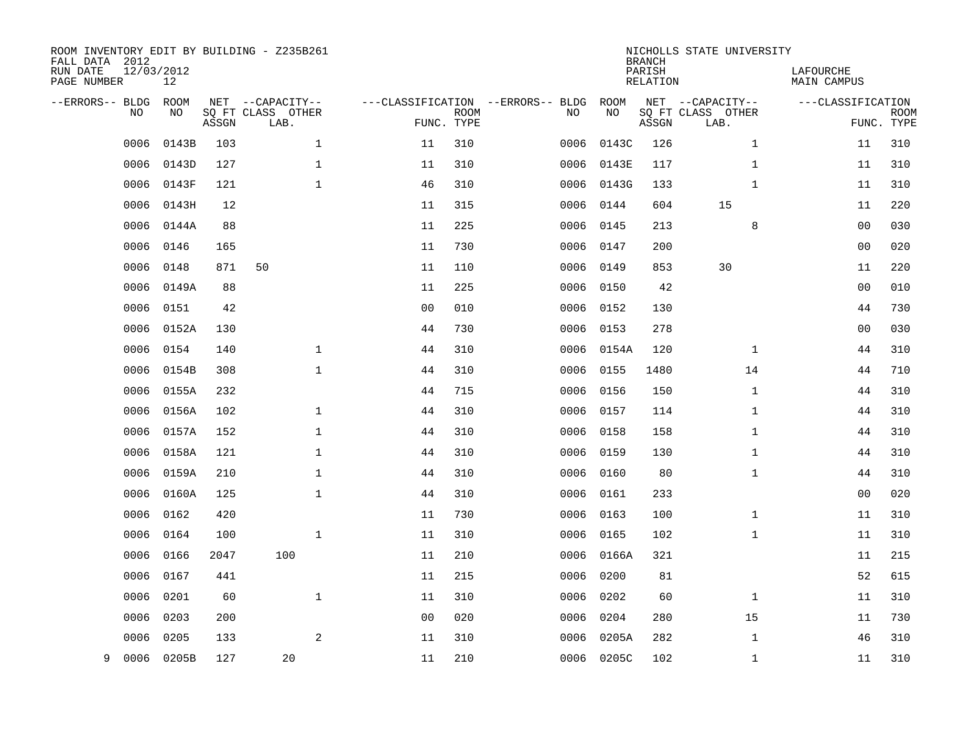| ROOM INVENTORY EDIT BY BUILDING - Z235B261<br>FALL DATA 2012<br>RUN DATE<br>PAGE NUMBER | 12/03/2012<br>12 |       |                                       |                |             |                                          |            | <b>BRANCH</b><br>PARISH<br><b>RELATION</b> | NICHOLLS STATE UNIVERSITY             | LAFOURCHE<br><b>MAIN CAMPUS</b> |             |
|-----------------------------------------------------------------------------------------|------------------|-------|---------------------------------------|----------------|-------------|------------------------------------------|------------|--------------------------------------------|---------------------------------------|---------------------------------|-------------|
| --ERRORS-- BLDG<br><b>NO</b>                                                            | ROOM<br>NO.      |       | NET --CAPACITY--<br>SQ FT CLASS OTHER |                | <b>ROOM</b> | ---CLASSIFICATION --ERRORS-- BLDG<br>NO. | ROOM<br>NO |                                            | NET --CAPACITY--<br>SQ FT CLASS OTHER | ---CLASSIFICATION               | <b>ROOM</b> |
|                                                                                         |                  | ASSGN | LAB.                                  |                | FUNC. TYPE  |                                          |            | ASSGN                                      | LAB.                                  |                                 | FUNC. TYPE  |
| 0006                                                                                    | 0143B            | 103   | $\mathbf{1}$                          | 11             | 310         | 0006                                     | 0143C      | 126                                        | $\mathbf{1}$                          | 11                              | 310         |
| 0006                                                                                    | 0143D            | 127   | $\mathbf 1$                           | 11             | 310         | 0006                                     | 0143E      | 117                                        | $\mathbf{1}$                          | 11                              | 310         |
| 0006                                                                                    | 0143F            | 121   | $\mathbf{1}$                          | 46             | 310         | 0006                                     | 0143G      | 133                                        | $\mathbf{1}$                          | 11                              | 310         |
| 0006                                                                                    | 0143H            | 12    |                                       | 11             | 315         | 0006                                     | 0144       | 604                                        | 15                                    | 11                              | 220         |
| 0006                                                                                    | 0144A            | 88    |                                       | 11             | 225         | 0006                                     | 0145       | 213                                        | 8                                     | 0 <sub>0</sub>                  | 030         |
| 0006                                                                                    | 0146             | 165   |                                       | 11             | 730         | 0006                                     | 0147       | 200                                        |                                       | 0 <sub>0</sub>                  | 020         |
| 0006                                                                                    | 0148             | 871   | 50                                    | 11             | 110         | 0006                                     | 0149       | 853                                        | 30                                    | 11                              | 220         |
| 0006                                                                                    | 0149A            | 88    |                                       | 11             | 225         | 0006                                     | 0150       | 42                                         |                                       | 0 <sub>0</sub>                  | 010         |
| 0006                                                                                    | 0151             | 42    |                                       | 0 <sub>0</sub> | 010         | 0006                                     | 0152       | 130                                        |                                       | 44                              | 730         |
| 0006                                                                                    | 0152A            | 130   |                                       | 44             | 730         |                                          | 0006 0153  | 278                                        |                                       | 0 <sub>0</sub>                  | 030         |
| 0006                                                                                    | 0154             | 140   | $\mathbf{1}$                          | 44             | 310         | 0006                                     | 0154A      | 120                                        | $\mathbf{1}$                          | 44                              | 310         |
| 0006                                                                                    | 0154B            | 308   | $\mathbf{1}$                          | 44             | 310         | 0006                                     | 0155       | 1480                                       | 14                                    | 44                              | 710         |
| 0006                                                                                    | 0155A            | 232   |                                       | 44             | 715         | 0006                                     | 0156       | 150                                        | $1\,$                                 | 44                              | 310         |
| 0006                                                                                    | 0156A            | 102   | $\mathbf{1}$                          | 44             | 310         |                                          | 0006 0157  | 114                                        | $\mathbf{1}$                          | 44                              | 310         |
| 0006                                                                                    | 0157A            | 152   | $\mathbf 1$                           | 44             | 310         | 0006                                     | 0158       | 158                                        | $\mathbf{1}$                          | 44                              | 310         |
| 0006                                                                                    | 0158A            | 121   | 1                                     | 44             | 310         |                                          | 0006 0159  | 130                                        | $\mathbf{1}$                          | 44                              | 310         |
| 0006                                                                                    | 0159A            | 210   | $\mathbf{1}$                          | 44             | 310         | 0006                                     | 0160       | 80                                         | $\mathbf{1}$                          | 44                              | 310         |
| 0006                                                                                    | 0160A            | 125   | $\mathbf{1}$                          | 44             | 310         | 0006                                     | 0161       | 233                                        |                                       | 0 <sub>0</sub>                  | 020         |
| 0006                                                                                    | 0162             | 420   |                                       | 11             | 730         | 0006                                     | 0163       | 100                                        | $\mathbf{1}$                          | 11                              | 310         |
| 0006                                                                                    | 0164             | 100   | $\mathbf 1$                           | 11             | 310         | 0006                                     | 0165       | 102                                        | $\mathbf{1}$                          | 11                              | 310         |
| 0006                                                                                    | 0166             | 2047  | 100                                   | 11             | 210         | 0006                                     | 0166A      | 321                                        |                                       | 11                              | 215         |
| 0006                                                                                    | 0167             | 441   |                                       | 11             | 215         | 0006                                     | 0200       | 81                                         |                                       | 52                              | 615         |
| 0006                                                                                    | 0201             | 60    | $\mathbf 1$                           | 11             | 310         | 0006                                     | 0202       | 60                                         | $\mathbf{1}$                          | 11                              | 310         |
| 0006                                                                                    | 0203             | 200   |                                       | 0 <sub>0</sub> | 020         | 0006                                     | 0204       | 280                                        | 15                                    | 11                              | 730         |
| 0006                                                                                    | 0205             | 133   | 2                                     | 11             | 310         | 0006                                     | 0205A      | 282                                        | $\mathbf{1}$                          | 46                              | 310         |
| 9                                                                                       | 0006 0205B       | 127   | 20                                    | 11             | 210         |                                          | 0006 0205C | 102                                        | $\mathbf{1}$                          | 11                              | 310         |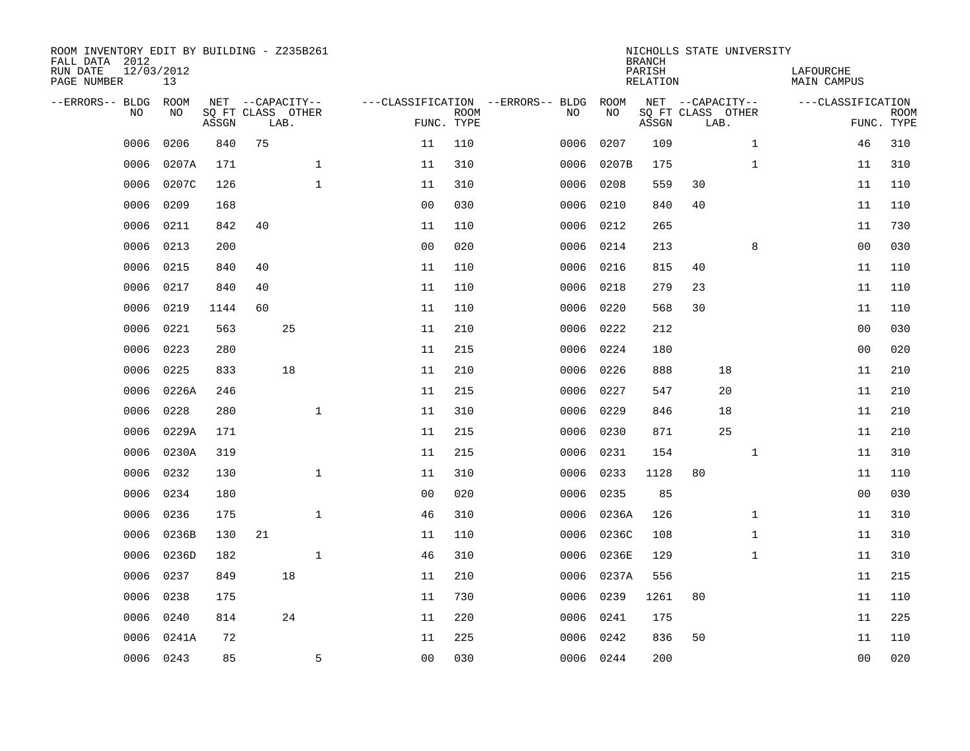| ROOM INVENTORY EDIT BY BUILDING - Z235B261<br>FALL DATA 2012<br>RUN DATE<br>PAGE NUMBER | 12/03/2012<br>13 |       |      |                                       |                |                           |                                         |            | <b>BRANCH</b><br>PARISH<br><b>RELATION</b> |      | NICHOLLS STATE UNIVERSITY             | LAFOURCHE<br><b>MAIN CAMPUS</b> |                           |
|-----------------------------------------------------------------------------------------|------------------|-------|------|---------------------------------------|----------------|---------------------------|-----------------------------------------|------------|--------------------------------------------|------|---------------------------------------|---------------------------------|---------------------------|
| --ERRORS-- BLDG<br>NO                                                                   | ROOM<br>NO       | ASSGN | LAB. | NET --CAPACITY--<br>SQ FT CLASS OTHER |                | <b>ROOM</b><br>FUNC. TYPE | ---CLASSIFICATION --ERRORS-- BLDG<br>NO | ROOM<br>NO | ASSGN                                      | LAB. | NET --CAPACITY--<br>SQ FT CLASS OTHER | ---CLASSIFICATION               | <b>ROOM</b><br>FUNC. TYPE |
| 0006                                                                                    | 0206             | 840   | 75   |                                       | 11             | 110                       | 0006                                    | 0207       | 109                                        |      | $\mathbf{1}$                          | 46                              | 310                       |
| 0006                                                                                    | 0207A            | 171   |      | $\mathbf 1$                           | 11             | 310                       | 0006                                    | 0207B      | 175                                        |      | $\mathbf{1}$                          | 11                              | 310                       |
| 0006                                                                                    | 0207C            | 126   |      | $\mathbf{1}$                          | 11             | 310                       | 0006                                    | 0208       | 559                                        | 30   |                                       | 11                              | 110                       |
| 0006                                                                                    | 0209             | 168   |      |                                       | 0 <sub>0</sub> | 030                       | 0006                                    | 0210       | 840                                        | 40   |                                       | 11                              | 110                       |
| 0006                                                                                    | 0211             | 842   | 40   |                                       | 11             | 110                       | 0006                                    | 0212       | 265                                        |      |                                       | 11                              | 730                       |
| 0006                                                                                    | 0213             | 200   |      |                                       | 0 <sub>0</sub> | 020                       | 0006                                    | 0214       | 213                                        |      | 8                                     | 0 <sub>0</sub>                  | 030                       |
| 0006                                                                                    | 0215             | 840   | 40   |                                       | 11             | 110                       | 0006                                    | 0216       | 815                                        | 40   |                                       | 11                              | 110                       |
| 0006                                                                                    | 0217             | 840   | 40   |                                       | 11             | 110                       | 0006                                    | 0218       | 279                                        | 23   |                                       | 11                              | 110                       |
| 0006                                                                                    | 0219             | 1144  | 60   |                                       | 11             | 110                       | 0006                                    | 0220       | 568                                        | 30   |                                       | 11                              | 110                       |
| 0006                                                                                    | 0221             | 563   |      | 25                                    | 11             | 210                       | 0006                                    | 0222       | 212                                        |      |                                       | 00                              | 030                       |
| 0006                                                                                    | 0223             | 280   |      |                                       | 11             | 215                       | 0006                                    | 0224       | 180                                        |      |                                       | 0 <sub>0</sub>                  | 020                       |
| 0006                                                                                    | 0225             | 833   |      | 18                                    | 11             | 210                       | 0006                                    | 0226       | 888                                        |      | 18                                    | 11                              | 210                       |
| 0006                                                                                    | 0226A            | 246   |      |                                       | 11             | 215                       | 0006                                    | 0227       | 547                                        |      | 20                                    | 11                              | 210                       |
| 0006                                                                                    | 0228             | 280   |      | $\mathbf{1}$                          | 11             | 310                       | 0006                                    | 0229       | 846                                        |      | 18                                    | 11                              | 210                       |
| 0006                                                                                    | 0229A            | 171   |      |                                       | 11             | 215                       | 0006                                    | 0230       | 871                                        |      | 25                                    | 11                              | 210                       |
| 0006                                                                                    | 0230A            | 319   |      |                                       | 11             | 215                       | 0006                                    | 0231       | 154                                        |      | $\mathbf{1}$                          | 11                              | 310                       |
| 0006                                                                                    | 0232             | 130   |      | $\mathbf{1}$                          | 11             | 310                       | 0006                                    | 0233       | 1128                                       | 80   |                                       | 11                              | 110                       |
| 0006                                                                                    | 0234             | 180   |      |                                       | 0 <sub>0</sub> | 020                       | 0006                                    | 0235       | 85                                         |      |                                       | 00                              | 030                       |
| 0006                                                                                    | 0236             | 175   |      | $\mathbf 1$                           | 46             | 310                       | 0006                                    | 0236A      | 126                                        |      | $\mathbf{1}$                          | 11                              | 310                       |
| 0006                                                                                    | 0236B            | 130   | 21   |                                       | 11             | 110                       | 0006                                    | 0236C      | 108                                        |      | $\mathbf{1}$                          | 11                              | 310                       |
| 0006                                                                                    | 0236D            | 182   |      | $\mathbf{1}$                          | 46             | 310                       | 0006                                    | 0236E      | 129                                        |      | $\mathbf{1}$                          | 11                              | 310                       |
| 0006                                                                                    | 0237             | 849   |      | 18                                    | 11             | 210                       | 0006                                    | 0237A      | 556                                        |      |                                       | 11                              | 215                       |
| 0006                                                                                    | 0238             | 175   |      |                                       | 11             | 730                       | 0006                                    | 0239       | 1261                                       | 80   |                                       | 11                              | 110                       |
| 0006                                                                                    | 0240             | 814   |      | 24                                    | 11             | 220                       | 0006                                    | 0241       | 175                                        |      |                                       | 11                              | 225                       |
| 0006                                                                                    | 0241A            | 72    |      |                                       | 11             | 225                       | 0006                                    | 0242       | 836                                        | 50   |                                       | 11                              | 110                       |
|                                                                                         | 0006 0243        | 85    |      | 5                                     | 0 <sub>0</sub> | 030                       |                                         | 0006 0244  | 200                                        |      |                                       | 0 <sub>0</sub>                  | 020                       |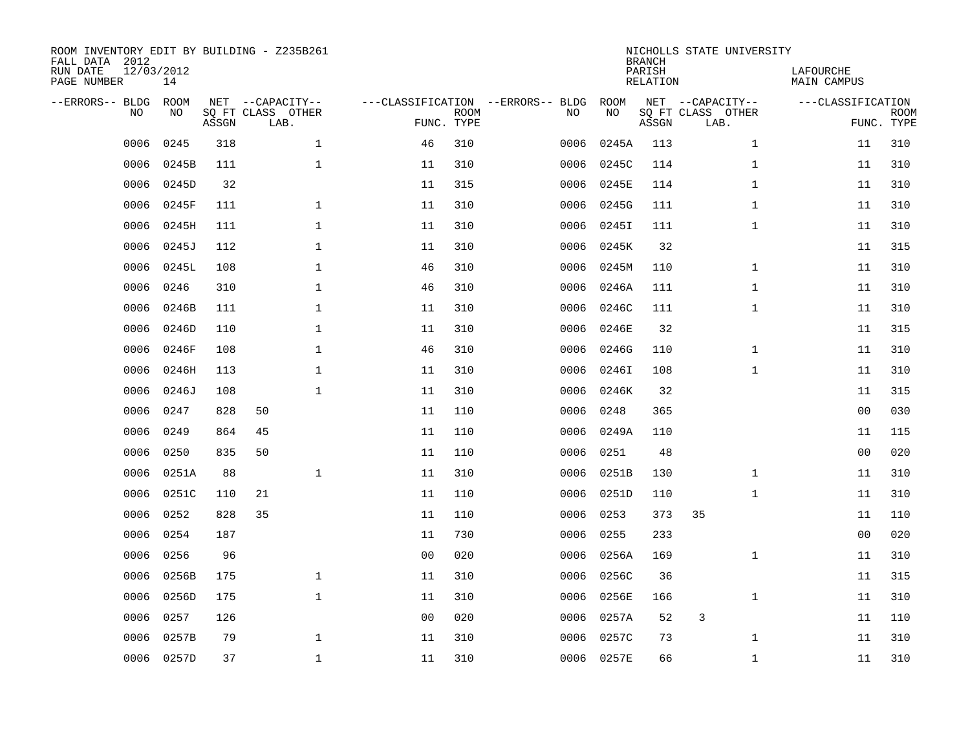| ROOM INVENTORY EDIT BY BUILDING - Z235B261<br>FALL DATA 2012<br>RUN DATE<br>PAGE NUMBER | 12/03/2012<br>14 |       |                                               |                |                           |                                         |            | <b>BRANCH</b><br>PARISH<br><b>RELATION</b> | NICHOLLS STATE UNIVERSITY                     | LAFOURCHE<br><b>MAIN CAMPUS</b> |                           |
|-----------------------------------------------------------------------------------------|------------------|-------|-----------------------------------------------|----------------|---------------------------|-----------------------------------------|------------|--------------------------------------------|-----------------------------------------------|---------------------------------|---------------------------|
| --ERRORS-- BLDG<br>NO.                                                                  | ROOM<br>NO       | ASSGN | NET --CAPACITY--<br>SQ FT CLASS OTHER<br>LAB. |                | <b>ROOM</b><br>FUNC. TYPE | ---CLASSIFICATION --ERRORS-- BLDG<br>NO | ROOM<br>NO | ASSGN                                      | NET --CAPACITY--<br>SQ FT CLASS OTHER<br>LAB. | ---CLASSIFICATION               | <b>ROOM</b><br>FUNC. TYPE |
| 0006                                                                                    | 0245             | 318   | $\mathbf{1}$                                  | 46             | 310                       | 0006                                    | 0245A      | 113                                        | $\mathbf{1}$                                  | 11                              | 310                       |
| 0006                                                                                    | 0245B            | 111   | $\mathbf{1}$                                  | 11             | 310                       | 0006                                    | 0245C      | 114                                        | $\mathbf{1}$                                  | 11                              | 310                       |
| 0006                                                                                    | 0245D            | 32    |                                               | 11             | 315                       | 0006                                    | 0245E      | 114                                        | $\mathbf{1}$                                  | 11                              | 310                       |
| 0006                                                                                    | 0245F            | 111   | $\mathbf 1$                                   | 11             | 310                       | 0006                                    | 0245G      | 111                                        | $\mathbf{1}$                                  | 11                              | 310                       |
| 0006                                                                                    | 0245H            | 111   | $\mathbf{1}$                                  | 11             | 310                       | 0006                                    | 0245I      | 111                                        | $\mathbf{1}$                                  | 11                              | 310                       |
| 0006                                                                                    | 0245J            | 112   | $\mathbf 1$                                   | 11             | 310                       | 0006                                    | 0245K      | 32                                         |                                               | 11                              | 315                       |
| 0006                                                                                    | 0245L            | 108   | $\mathbf{1}$                                  | 46             | 310                       | 0006                                    | 0245M      | 110                                        | $\mathbf{1}$                                  | 11                              | 310                       |
| 0006                                                                                    | 0246             | 310   | $\mathbf{1}$                                  | 46             | 310                       | 0006                                    | 0246A      | 111                                        | $\mathbf{1}$                                  | 11                              | 310                       |
| 0006                                                                                    | 0246B            | 111   | $\mathbf 1$                                   | 11             | 310                       | 0006                                    | 0246C      | 111                                        | $\mathbf{1}$                                  | 11                              | 310                       |
| 0006                                                                                    | 0246D            | 110   | $\mathbf 1$                                   | 11             | 310                       | 0006                                    | 0246E      | 32                                         |                                               | 11                              | 315                       |
| 0006                                                                                    | 0246F            | 108   | $\mathbf 1$                                   | 46             | 310                       | 0006                                    | 0246G      | 110                                        | $\mathbf{1}$                                  | 11                              | 310                       |
| 0006                                                                                    | 0246H            | 113   | $\mathbf 1$                                   | 11             | 310                       | 0006                                    | 0246I      | 108                                        | $\mathbf{1}$                                  | 11                              | 310                       |
| 0006                                                                                    | 0246J            | 108   | $\mathbf{1}$                                  | 11             | 310                       | 0006                                    | 0246K      | 32                                         |                                               | 11                              | 315                       |
| 0006                                                                                    | 0247             | 828   | 50                                            | 11             | 110                       | 0006                                    | 0248       | 365                                        |                                               | 0 <sub>0</sub>                  | 030                       |
| 0006                                                                                    | 0249             | 864   | 45                                            | 11             | 110                       | 0006                                    | 0249A      | 110                                        |                                               | 11                              | 115                       |
| 0006                                                                                    | 0250             | 835   | 50                                            | 11             | 110                       | 0006                                    | 0251       | 48                                         |                                               | 0 <sub>0</sub>                  | 020                       |
| 0006                                                                                    | 0251A            | 88    | $\mathbf{1}$                                  | 11             | 310                       | 0006                                    | 0251B      | 130                                        | $\mathbf{1}$                                  | 11                              | 310                       |
| 0006                                                                                    | 0251C            | 110   | 21                                            | 11             | 110                       | 0006                                    | 0251D      | 110                                        | $\mathbf{1}$                                  | 11                              | 310                       |
| 0006                                                                                    | 0252             | 828   | 35                                            | 11             | 110                       | 0006                                    | 0253       | 373                                        | 35                                            | 11                              | 110                       |
| 0006                                                                                    | 0254             | 187   |                                               | 11             | 730                       | 0006                                    | 0255       | 233                                        |                                               | 00                              | 020                       |
| 0006                                                                                    | 0256             | 96    |                                               | 0 <sub>0</sub> | 020                       | 0006                                    | 0256A      | 169                                        | $\mathbf{1}$                                  | 11                              | 310                       |
| 0006                                                                                    | 0256B            | 175   | $\mathbf{1}$                                  | 11             | 310                       | 0006                                    | 0256C      | 36                                         |                                               | 11                              | 315                       |
| 0006                                                                                    | 0256D            | 175   | $\mathbf{1}$                                  | 11             | 310                       | 0006                                    | 0256E      | 166                                        | $\mathbf{1}$                                  | 11                              | 310                       |
| 0006                                                                                    | 0257             | 126   |                                               | 0 <sub>0</sub> | 020                       | 0006                                    | 0257A      | 52                                         | 3                                             | 11                              | 110                       |
| 0006                                                                                    | 0257B            | 79    | $\mathbf 1$                                   | 11             | 310                       | 0006                                    | 0257C      | 73                                         | $\mathbf{1}$                                  | 11                              | 310                       |
|                                                                                         | 0006 0257D       | 37    | $\mathbf{1}$                                  | 11             | 310                       |                                         | 0006 0257E | 66                                         | $\mathbf{1}$                                  | 11                              | 310                       |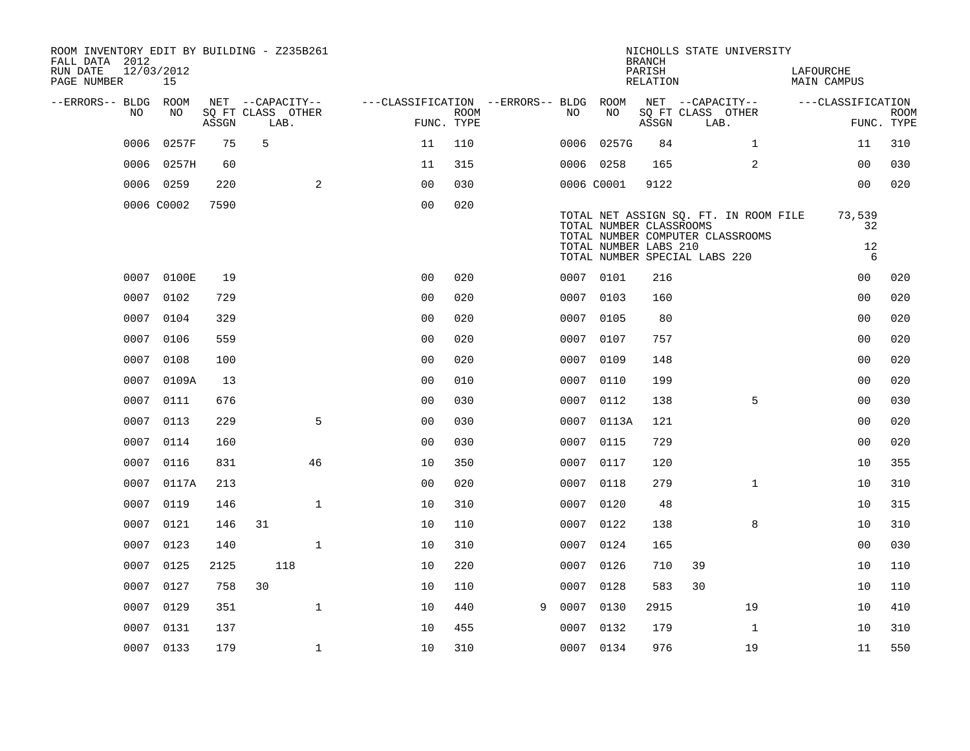| ROOM INVENTORY EDIT BY BUILDING - Z235B261<br>FALL DATA 2012<br>RUN DATE |      | 12/03/2012 |       |    |                                               |                                                      |             |   |           |                         | <b>BRANCH</b><br>PARISH |                                               | NICHOLLS STATE UNIVERSITY                                                 | LAFOURCHE         |                           |
|--------------------------------------------------------------------------|------|------------|-------|----|-----------------------------------------------|------------------------------------------------------|-------------|---|-----------|-------------------------|-------------------------|-----------------------------------------------|---------------------------------------------------------------------------|-------------------|---------------------------|
| PAGE NUMBER                                                              |      | 15         |       |    |                                               |                                                      |             |   |           |                         | RELATION                |                                               |                                                                           | MAIN CAMPUS       |                           |
| --ERRORS-- BLDG ROOM                                                     | NO   | NO         | ASSGN |    | NET --CAPACITY--<br>SQ FT CLASS OTHER<br>LAB. | ---CLASSIFICATION --ERRORS-- BLDG ROOM<br>FUNC. TYPE | <b>ROOM</b> |   | NO        | NO                      | ASSGN                   | NET --CAPACITY--<br>SQ FT CLASS OTHER<br>LAB. |                                                                           | ---CLASSIFICATION | <b>ROOM</b><br>FUNC. TYPE |
|                                                                          | 0006 | 0257F      | 75    | 5  |                                               | 11                                                   | 110         |   |           | 0006 0257G              | 84                      |                                               | $\mathbf{1}$                                                              | 11                | 310                       |
|                                                                          | 0006 | 0257H      | 60    |    |                                               | 11                                                   | 315         |   | 0006 0258 |                         | 165                     |                                               | $\overline{a}$                                                            | 0 <sub>0</sub>    | 030                       |
|                                                                          |      | 0006 0259  | 220   |    | 2                                             | 0 <sub>0</sub>                                       | 030         |   |           | 0006 C0001              | 9122                    |                                               |                                                                           | 00                | 020                       |
|                                                                          |      | 0006 C0002 | 7590  |    |                                               | 0 <sub>0</sub>                                       | 020         |   |           |                         |                         |                                               |                                                                           |                   |                           |
|                                                                          |      |            |       |    |                                               |                                                      |             |   |           | TOTAL NUMBER CLASSROOMS |                         |                                               | TOTAL NET ASSIGN SQ. FT. IN ROOM FILE<br>TOTAL NUMBER COMPUTER CLASSROOMS | 73,539<br>32      |                           |
|                                                                          |      |            |       |    |                                               |                                                      |             |   |           | TOTAL NUMBER LABS 210   |                         | TOTAL NUMBER SPECIAL LABS 220                 |                                                                           | 12<br>6           |                           |
|                                                                          |      | 0007 0100E | 19    |    |                                               | 0 <sub>0</sub>                                       | 020         |   | 0007 0101 |                         | 216                     |                                               |                                                                           | 00                | 020                       |
|                                                                          |      | 0007 0102  | 729   |    |                                               | 0 <sub>0</sub>                                       | 020         |   |           | 0007 0103               | 160                     |                                               |                                                                           | 0 <sub>0</sub>    | 020                       |
|                                                                          | 0007 | 0104       | 329   |    |                                               | 0 <sub>0</sub>                                       | 020         |   | 0007      | 0105                    | 80                      |                                               |                                                                           | 0 <sub>0</sub>    | 020                       |
|                                                                          | 0007 | 0106       | 559   |    |                                               | 0 <sub>0</sub>                                       | 020         |   |           | 0007 0107               | 757                     |                                               |                                                                           | 0 <sub>0</sub>    | 020                       |
|                                                                          | 0007 | 0108       | 100   |    |                                               | 0 <sub>0</sub>                                       | 020         |   | 0007      | 0109                    | 148                     |                                               |                                                                           | 0 <sub>0</sub>    | 020                       |
|                                                                          | 0007 | 0109A      | 13    |    |                                               | 0 <sub>0</sub>                                       | 010         |   |           | 0007 0110               | 199                     |                                               |                                                                           | 0 <sub>0</sub>    | 020                       |
|                                                                          | 0007 | 0111       | 676   |    |                                               | 00                                                   | 030         |   | 0007      | 0112                    | 138                     |                                               | 5                                                                         | 0 <sub>0</sub>    | 030                       |
|                                                                          |      | 0007 0113  | 229   |    | 5                                             | 0 <sub>0</sub>                                       | 030         |   |           | 0007 0113A              | 121                     |                                               |                                                                           | 00                | 020                       |
|                                                                          | 0007 | 0114       | 160   |    |                                               | 00                                                   | 030         |   | 0007 0115 |                         | 729                     |                                               |                                                                           | 0 <sub>0</sub>    | 020                       |
|                                                                          | 0007 | 0116       | 831   |    | 46                                            | 10                                                   | 350         |   |           | 0007 0117               | 120                     |                                               |                                                                           | 10                | 355                       |
|                                                                          | 0007 | 0117A      | 213   |    |                                               | 00                                                   | 020         |   |           | 0007 0118               | 279                     |                                               | $\mathbf{1}$                                                              | 10                | 310                       |
|                                                                          | 0007 | 0119       | 146   |    | $\mathbf{1}$                                  | 10                                                   | 310         |   | 0007 0120 |                         | 48                      |                                               |                                                                           | 10                | 315                       |
|                                                                          | 0007 | 0121       | 146   | 31 |                                               | 10                                                   | 110         |   | 0007 0122 |                         | 138                     |                                               | 8                                                                         | 10                | 310                       |
|                                                                          | 0007 | 0123       | 140   |    | $\mathbf{1}$                                  | 10                                                   | 310         |   | 0007 0124 |                         | 165                     |                                               |                                                                           | 0 <sub>0</sub>    | 030                       |
|                                                                          | 0007 | 0125       | 2125  |    | 118                                           | 10                                                   | 220         |   |           | 0007 0126               | 710                     | 39                                            |                                                                           | 10                | 110                       |
|                                                                          | 0007 | 0127       | 758   | 30 |                                               | 10                                                   | 110         |   | 0007 0128 |                         | 583                     | 30                                            |                                                                           | 10                | 110                       |
|                                                                          | 0007 | 0129       | 351   |    | $\mathbf{1}$                                  | 10                                                   | 440         | 9 | 0007      | 0130                    | 2915                    |                                               | 19                                                                        | 10                | 410                       |
|                                                                          | 0007 | 0131       | 137   |    |                                               | 10                                                   | 455         |   | 0007      | 0132                    | 179                     |                                               | $\mathbf{1}$                                                              | 10                | 310                       |
|                                                                          |      | 0007 0133  | 179   |    | 1                                             | 10                                                   | 310         |   | 0007 0134 |                         | 976                     |                                               | 19                                                                        | 11                | 550                       |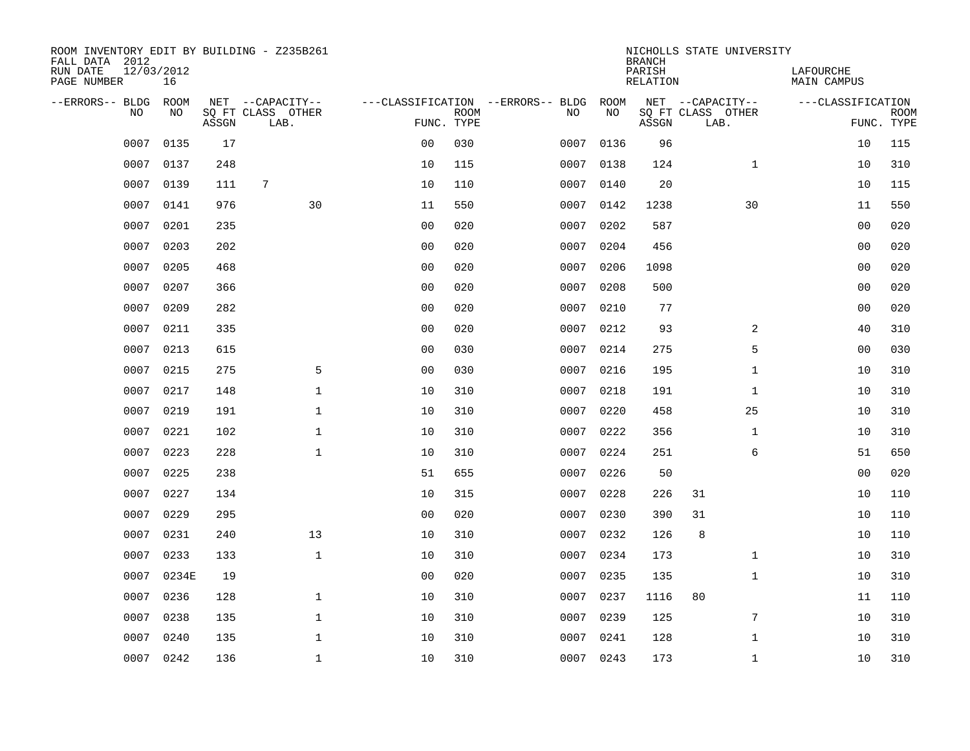| ROOM INVENTORY EDIT BY BUILDING - Z235B261<br>FALL DATA 2012<br>RUN DATE<br>PAGE NUMBER | 12/03/2012<br>16 |       |                                               |                |                           |                                         |            | <b>BRANCH</b><br>PARISH<br><b>RELATION</b> | NICHOLLS STATE UNIVERSITY                     | LAFOURCHE<br><b>MAIN CAMPUS</b> |                           |
|-----------------------------------------------------------------------------------------|------------------|-------|-----------------------------------------------|----------------|---------------------------|-----------------------------------------|------------|--------------------------------------------|-----------------------------------------------|---------------------------------|---------------------------|
| --ERRORS-- BLDG<br>NO                                                                   | ROOM<br>NO       | ASSGN | NET --CAPACITY--<br>SQ FT CLASS OTHER<br>LAB. |                | <b>ROOM</b><br>FUNC. TYPE | ---CLASSIFICATION --ERRORS-- BLDG<br>NO | ROOM<br>NO | ASSGN                                      | NET --CAPACITY--<br>SQ FT CLASS OTHER<br>LAB. | ---CLASSIFICATION               | <b>ROOM</b><br>FUNC. TYPE |
| 0007                                                                                    | 0135             | 17    |                                               | 0 <sub>0</sub> | 030                       | 0007                                    | 0136       | 96                                         |                                               | 10                              | 115                       |
| 0007                                                                                    | 0137             | 248   |                                               | 10             | 115                       | 0007                                    | 0138       | 124                                        | $\mathbf{1}$                                  | 10                              | 310                       |
| 0007                                                                                    | 0139             | 111   | 7                                             | 10             | 110                       | 0007                                    | 0140       | 20                                         |                                               | 10                              | 115                       |
| 0007                                                                                    | 0141             | 976   | 30                                            | 11             | 550                       | 0007                                    | 0142       | 1238                                       | 30                                            | 11                              | 550                       |
| 0007                                                                                    | 0201             | 235   |                                               | 0 <sub>0</sub> | 020                       | 0007                                    | 0202       | 587                                        |                                               | 0 <sub>0</sub>                  | 020                       |
| 0007                                                                                    | 0203             | 202   |                                               | 0 <sub>0</sub> | 020                       | 0007                                    | 0204       | 456                                        |                                               | 0 <sub>0</sub>                  | 020                       |
| 0007                                                                                    | 0205             | 468   |                                               | 0 <sub>0</sub> | 020                       | 0007                                    | 0206       | 1098                                       |                                               | 00                              | 020                       |
| 0007                                                                                    | 0207             | 366   |                                               | 0 <sub>0</sub> | 020                       | 0007                                    | 0208       | 500                                        |                                               | 0 <sub>0</sub>                  | 020                       |
| 0007                                                                                    | 0209             | 282   |                                               | 0 <sub>0</sub> | 020                       | 0007                                    | 0210       | 77                                         |                                               | 0 <sub>0</sub>                  | 020                       |
| 0007                                                                                    | 0211             | 335   |                                               | 0 <sub>0</sub> | 020                       | 0007                                    | 0212       | 93                                         | 2                                             | 40                              | 310                       |
| 0007                                                                                    | 0213             | 615   |                                               | 0 <sub>0</sub> | 030                       | 0007                                    | 0214       | 275                                        | 5                                             | 0 <sub>0</sub>                  | 030                       |
| 0007                                                                                    | 0215             | 275   | 5                                             | 0 <sub>0</sub> | 030                       | 0007                                    | 0216       | 195                                        | $\mathbf{1}$                                  | 10                              | 310                       |
| 0007                                                                                    | 0217             | 148   | $\mathbf{1}$                                  | 10             | 310                       | 0007                                    | 0218       | 191                                        | $\mathbf{1}$                                  | 10                              | 310                       |
| 0007                                                                                    | 0219             | 191   | $\mathbf 1$                                   | 10             | 310                       | 0007                                    | 0220       | 458                                        | 25                                            | 10                              | 310                       |
| 0007                                                                                    | 0221             | 102   | 1                                             | 10             | 310                       | 0007                                    | 0222       | 356                                        | $\mathbf{1}$                                  | 10                              | 310                       |
| 0007                                                                                    | 0223             | 228   | $\mathbf{1}$                                  | 10             | 310                       | 0007                                    | 0224       | 251                                        | 6                                             | 51                              | 650                       |
| 0007                                                                                    | 0225             | 238   |                                               | 51             | 655                       | 0007                                    | 0226       | 50                                         |                                               | 0 <sub>0</sub>                  | 020                       |
| 0007                                                                                    | 0227             | 134   |                                               | 10             | 315                       | 0007                                    | 0228       | 226                                        | 31                                            | 10                              | 110                       |
| 0007                                                                                    | 0229             | 295   |                                               | 0 <sub>0</sub> | 020                       | 0007                                    | 0230       | 390                                        | 31                                            | 10                              | 110                       |
| 0007                                                                                    | 0231             | 240   | 13                                            | 10             | 310                       | 0007                                    | 0232       | 126                                        | 8                                             | 10                              | 110                       |
| 0007                                                                                    | 0233             | 133   | $\mathbf{1}$                                  | 10             | 310                       | 0007                                    | 0234       | 173                                        | $\mathbf{1}$                                  | 10                              | 310                       |
| 0007                                                                                    | 0234E            | 19    |                                               | 0 <sub>0</sub> | 020                       | 0007                                    | 0235       | 135                                        | $\mathbf{1}$                                  | 10                              | 310                       |
| 0007                                                                                    | 0236             | 128   | $\mathbf 1$                                   | 10             | 310                       | 0007                                    | 0237       | 1116                                       | 80                                            | 11                              | 110                       |
| 0007                                                                                    | 0238             | 135   | $\mathbf{1}$                                  | 10             | 310                       | 0007                                    | 0239       | 125                                        | 7                                             | 10                              | 310                       |
| 0007                                                                                    | 0240             | 135   | $\mathbf 1$                                   | 10             | 310                       | 0007                                    | 0241       | 128                                        | $\mathbf{1}$                                  | 10                              | 310                       |
| 0007                                                                                    | 0242             | 136   | $\mathbf{1}$                                  | 10             | 310                       |                                         | 0007 0243  | 173                                        | $\mathbf{1}$                                  | 10                              | 310                       |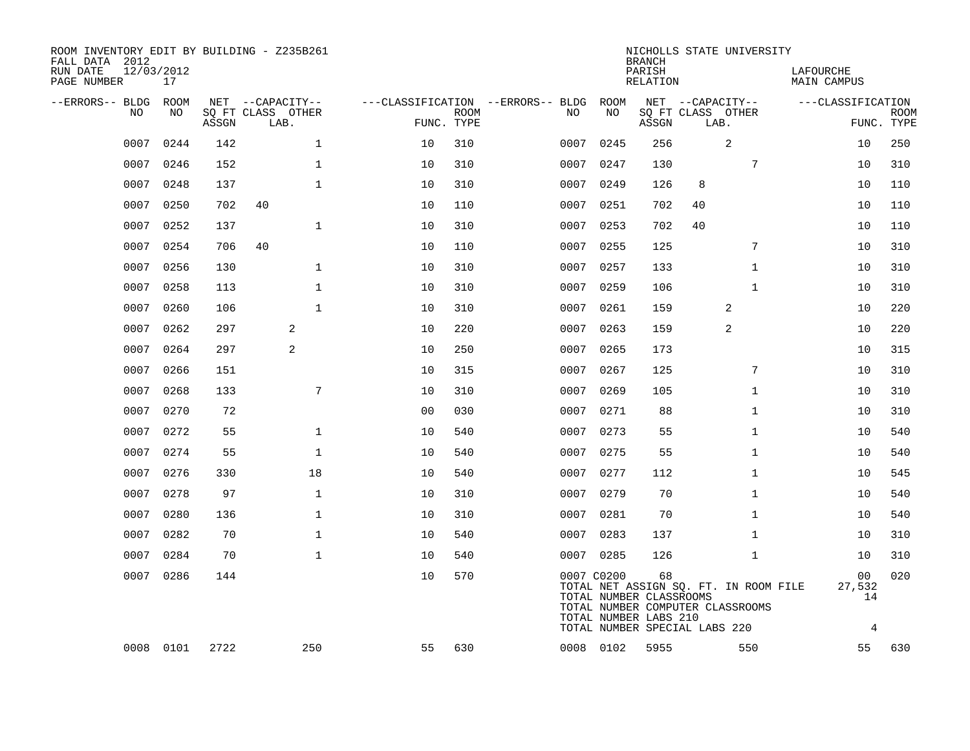| ROOM INVENTORY EDIT BY BUILDING - Z235B261<br>FALL DATA 2012<br>RUN DATE<br>PAGE NUMBER | 12/03/2012<br>17 |       |                           |                |             |                                        |            | <b>BRANCH</b><br>PARISH<br>RELATION                    |                               | NICHOLLS STATE UNIVERSITY                                                 | LAFOURCHE<br>MAIN CAMPUS |                           |
|-----------------------------------------------------------------------------------------|------------------|-------|---------------------------|----------------|-------------|----------------------------------------|------------|--------------------------------------------------------|-------------------------------|---------------------------------------------------------------------------|--------------------------|---------------------------|
| --ERRORS-- BLDG ROOM                                                                    |                  |       | NET --CAPACITY--          |                |             | ---CLASSIFICATION --ERRORS-- BLDG ROOM |            |                                                        | NET --CAPACITY--              |                                                                           | ---CLASSIFICATION        |                           |
| NO                                                                                      | NO               | ASSGN | SQ FT CLASS OTHER<br>LAB. | FUNC. TYPE     | <b>ROOM</b> | NO.                                    | NO         | ASSGN                                                  | SQ FT CLASS OTHER<br>LAB.     |                                                                           |                          | <b>ROOM</b><br>FUNC. TYPE |
| 0007                                                                                    | 0244             | 142   | $\mathbf{1}$              | 10             | 310         | 0007                                   | 0245       | 256                                                    |                               | 2                                                                         | 10                       | 250                       |
| 0007                                                                                    | 0246             | 152   | $\mathbf{1}$              | 10             | 310         | 0007                                   | 0247       | 130                                                    |                               | 7                                                                         | 10                       | 310                       |
|                                                                                         | 0007 0248        | 137   | $\mathbf 1$               | 10             | 310         |                                        | 0007 0249  | 126                                                    | 8                             |                                                                           | 10                       | 110                       |
| 0007                                                                                    | 0250             | 702   | 40                        | 10             | 110         | 0007                                   | 0251       | 702                                                    | 40                            |                                                                           | 10                       | 110                       |
| 0007                                                                                    | 0252             | 137   | $\mathbf{1}$              | 10             | 310         |                                        | 0007 0253  | 702                                                    | 40                            |                                                                           | 10                       | 110                       |
| 0007                                                                                    | 0254             | 706   | 40                        | 10             | 110         | 0007                                   | 0255       | 125                                                    |                               | 7                                                                         | 10                       | 310                       |
| 0007                                                                                    | 0256             | 130   | $\mathbf{1}$              | 10             | 310         |                                        | 0007 0257  | 133                                                    |                               | $\mathbf{1}$                                                              | 10                       | 310                       |
| 0007                                                                                    | 0258             | 113   | $\mathbf{1}$              | 10             | 310         | 0007                                   | 0259       | 106                                                    |                               | $\mathbf{1}$                                                              | 10                       | 310                       |
| 0007                                                                                    | 0260             | 106   | $\mathbf{1}$              | 10             | 310         | 0007                                   | 0261       | 159                                                    |                               | 2                                                                         | 10                       | 220                       |
| 0007                                                                                    | 0262             | 297   | 2                         | 10             | 220         | 0007                                   | 0263       | 159                                                    |                               | 2                                                                         | 10                       | 220                       |
| 0007                                                                                    | 0264             | 297   | 2                         | 10             | 250         | 0007                                   | 0265       | 173                                                    |                               |                                                                           | 10                       | 315                       |
| 0007                                                                                    | 0266             | 151   |                           | 10             | 315         | 0007                                   | 0267       | 125                                                    |                               | 7                                                                         | 10                       | 310                       |
| 0007                                                                                    | 0268             | 133   | 7                         | 10             | 310         | 0007                                   | 0269       | 105                                                    |                               | $\mathbf{1}$                                                              | 10                       | 310                       |
| 0007                                                                                    | 0270             | 72    |                           | 0 <sub>0</sub> | 030         | 0007                                   | 0271       | 88                                                     |                               | $\mathbf{1}$                                                              | 10                       | 310                       |
| 0007                                                                                    | 0272             | 55    | $\mathbf 1$               | 10             | 540         |                                        | 0007 0273  | 55                                                     |                               | $\mathbf{1}$                                                              | 10                       | 540                       |
| 0007                                                                                    | 0274             | 55    | $\mathbf{1}$              | 10             | 540         | 0007                                   | 0275       | 55                                                     |                               | $\mathbf{1}$                                                              | 10                       | 540                       |
| 0007                                                                                    | 0276             | 330   | 18                        | 10             | 540         |                                        | 0007 0277  | 112                                                    |                               | $\mathbf{1}$                                                              | 10                       | 545                       |
| 0007                                                                                    | 0278             | 97    | $\mathbf 1$               | 10             | 310         | 0007                                   | 0279       | 70                                                     |                               | $\mathbf{1}$                                                              | 10                       | 540                       |
| 0007                                                                                    | 0280             | 136   | $\mathbf{1}$              | 10             | 310         |                                        | 0007 0281  | 70                                                     |                               | $\mathbf{1}$                                                              | 10                       | 540                       |
| 0007                                                                                    | 0282             | 70    | $\mathbf{1}$              | 10             | 540         | 0007                                   | 0283       | 137                                                    |                               | $\mathbf{1}$                                                              | 10                       | 310                       |
| 0007                                                                                    | 0284             | 70    | $\mathbf 1$               | 10             | 540         |                                        | 0007 0285  | 126                                                    |                               | $\mathbf{1}$                                                              | 10                       | 310                       |
|                                                                                         | 0007 0286        | 144   |                           | 10             | 570         |                                        | 0007 C0200 | 68<br>TOTAL NUMBER CLASSROOMS<br>TOTAL NUMBER LABS 210 |                               | TOTAL NET ASSIGN SQ. FT. IN ROOM FILE<br>TOTAL NUMBER COMPUTER CLASSROOMS | 00<br>27,532<br>14       | 020                       |
|                                                                                         |                  |       |                           |                |             |                                        |            |                                                        | TOTAL NUMBER SPECIAL LABS 220 |                                                                           | 4                        |                           |
|                                                                                         | 0008 0101        | 2722  | 250                       | 55             | 630         |                                        | 0008 0102  | 5955                                                   |                               | 550                                                                       | 55                       | 630                       |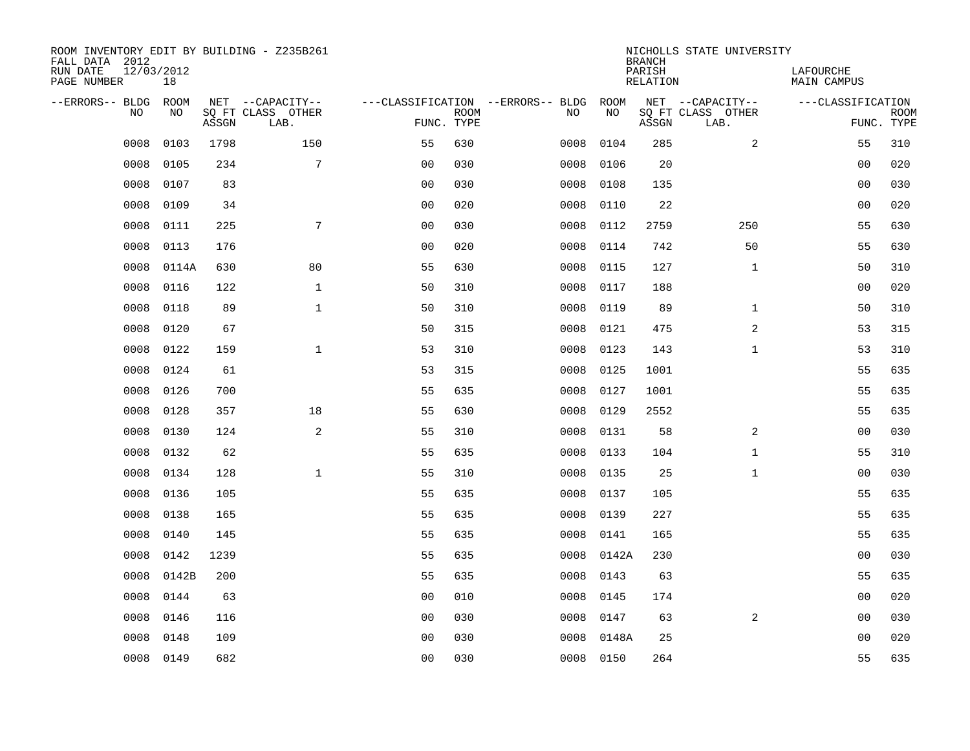| ROOM INVENTORY EDIT BY BUILDING - Z235B261<br>FALL DATA 2012<br>RUN DATE<br>PAGE NUMBER | 12/03/2012<br>18 |       |                                               |                |             |                                         |            | <b>BRANCH</b><br>PARISH<br>RELATION | NICHOLLS STATE UNIVERSITY                     | LAFOURCHE<br><b>MAIN CAMPUS</b> |                           |
|-----------------------------------------------------------------------------------------|------------------|-------|-----------------------------------------------|----------------|-------------|-----------------------------------------|------------|-------------------------------------|-----------------------------------------------|---------------------------------|---------------------------|
| --ERRORS-- BLDG<br>NO                                                                   | ROOM<br>NO       | ASSGN | NET --CAPACITY--<br>SQ FT CLASS OTHER<br>LAB. | FUNC. TYPE     | <b>ROOM</b> | ---CLASSIFICATION --ERRORS-- BLDG<br>NO | ROOM<br>NO | ASSGN                               | NET --CAPACITY--<br>SQ FT CLASS OTHER<br>LAB. | ---CLASSIFICATION               | <b>ROOM</b><br>FUNC. TYPE |
| 0008                                                                                    | 0103             | 1798  | 150                                           | 55             | 630         | 0008                                    | 0104       | 285                                 | 2                                             | 55                              | 310                       |
| 0008                                                                                    | 0105             | 234   | 7                                             | 0 <sub>0</sub> | 030         | 0008                                    | 0106       | 20                                  |                                               | 00                              | 020                       |
| 0008                                                                                    | 0107             | 83    |                                               | 0 <sub>0</sub> | 030         | 0008                                    | 0108       | 135                                 |                                               | 00                              | 030                       |
| 0008                                                                                    | 0109             | 34    |                                               | 0 <sub>0</sub> | 020         | 0008                                    | 0110       | 22                                  |                                               | 0 <sub>0</sub>                  | 020                       |
| 0008                                                                                    | 0111             | 225   | 7                                             | 0 <sub>0</sub> | 030         | 0008                                    | 0112       | 2759                                | 250                                           | 55                              | 630                       |
| 0008                                                                                    | 0113             | 176   |                                               | 0 <sub>0</sub> | 020         | 0008                                    | 0114       | 742                                 | 50                                            | 55                              | 630                       |
| 0008                                                                                    | 0114A            | 630   | 80                                            | 55             | 630         | 0008                                    | 0115       | 127                                 | $\mathbf{1}$                                  | 50                              | 310                       |
| 0008                                                                                    | 0116             | 122   | $\mathbf{1}$                                  | 50             | 310         | 0008                                    | 0117       | 188                                 |                                               | 0 <sub>0</sub>                  | 020                       |
| 0008                                                                                    | 0118             | 89    | $\mathbf{1}$                                  | 50             | 310         | 0008                                    | 0119       | 89                                  | $\mathbf{1}$                                  | 50                              | 310                       |
| 0008                                                                                    | 0120             | 67    |                                               | 50             | 315         | 0008                                    | 0121       | 475                                 | 2                                             | 53                              | 315                       |
| 0008                                                                                    | 0122             | 159   | $\mathbf 1$                                   | 53             | 310         | 0008                                    | 0123       | 143                                 | $\mathbf{1}$                                  | 53                              | 310                       |
| 0008                                                                                    | 0124             | 61    |                                               | 53             | 315         | 0008                                    | 0125       | 1001                                |                                               | 55                              | 635                       |
| 0008                                                                                    | 0126             | 700   |                                               | 55             | 635         | 0008                                    | 0127       | 1001                                |                                               | 55                              | 635                       |
| 0008                                                                                    | 0128             | 357   | 18                                            | 55             | 630         | 0008                                    | 0129       | 2552                                |                                               | 55                              | 635                       |
| 0008                                                                                    | 0130             | 124   | 2                                             | 55             | 310         | 0008                                    | 0131       | 58                                  | 2                                             | 00                              | 030                       |
| 0008                                                                                    | 0132             | 62    |                                               | 55             | 635         | 0008                                    | 0133       | 104                                 | $\mathbf{1}$                                  | 55                              | 310                       |
| 0008                                                                                    | 0134             | 128   | $\mathbf{1}$                                  | 55             | 310         | 0008                                    | 0135       | 25                                  | $\mathbf{1}$                                  | 0 <sub>0</sub>                  | 030                       |
| 0008                                                                                    | 0136             | 105   |                                               | 55             | 635         | 0008                                    | 0137       | 105                                 |                                               | 55                              | 635                       |
| 0008                                                                                    | 0138             | 165   |                                               | 55             | 635         | 0008                                    | 0139       | 227                                 |                                               | 55                              | 635                       |
| 0008                                                                                    | 0140             | 145   |                                               | 55             | 635         | 0008                                    | 0141       | 165                                 |                                               | 55                              | 635                       |
| 0008                                                                                    | 0142             | 1239  |                                               | 55             | 635         | 0008                                    | 0142A      | 230                                 |                                               | 0 <sub>0</sub>                  | 030                       |
| 0008                                                                                    | 0142B            | 200   |                                               | 55             | 635         | 0008                                    | 0143       | 63                                  |                                               | 55                              | 635                       |
| 0008                                                                                    | 0144             | 63    |                                               | 0 <sub>0</sub> | 010         | 0008                                    | 0145       | 174                                 |                                               | 0 <sub>0</sub>                  | 020                       |
| 0008                                                                                    | 0146             | 116   |                                               | 0 <sub>0</sub> | 030         | 0008                                    | 0147       | 63                                  | 2                                             | 00                              | 030                       |
| 0008                                                                                    | 0148             | 109   |                                               | 0 <sub>0</sub> | 030         | 0008                                    | 0148A      | 25                                  |                                               | 0 <sub>0</sub>                  | 020                       |
| 0008                                                                                    | 0149             | 682   |                                               | 0 <sub>0</sub> | 030         |                                         | 0008 0150  | 264                                 |                                               | 55                              | 635                       |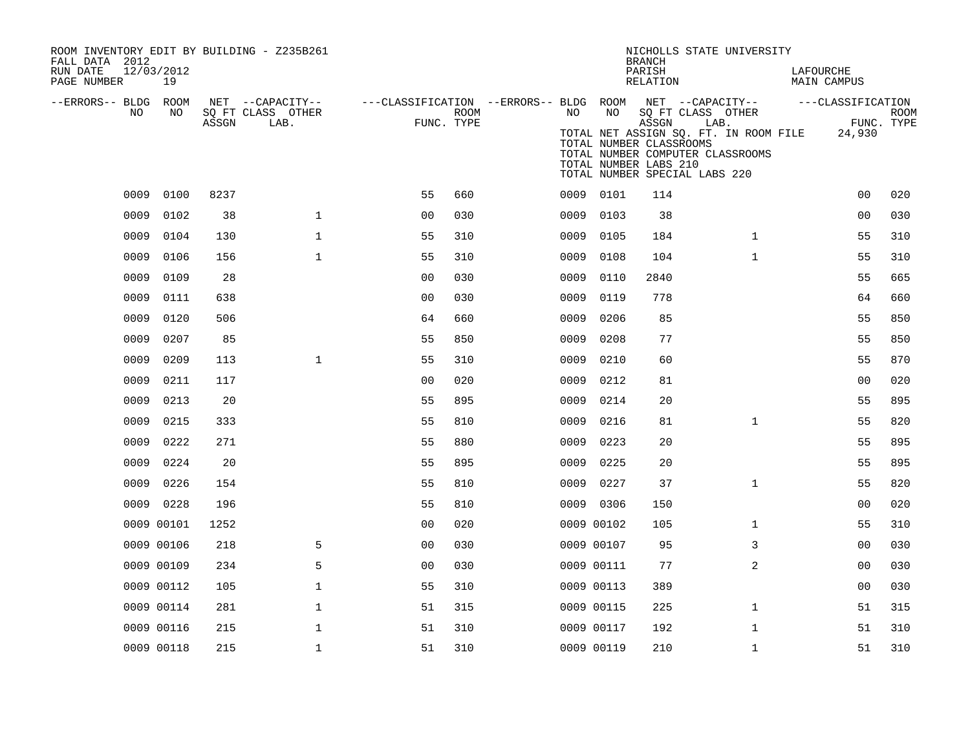| ROOM INVENTORY EDIT BY BUILDING - Z235B261<br>FALL DATA 2012 |                  |       |                                               |                                                                       |      |      |            | <b>BRANCH</b>                                             | NICHOLLS STATE UNIVERSITY                                                                                                               |                             |                           |
|--------------------------------------------------------------|------------------|-------|-----------------------------------------------|-----------------------------------------------------------------------|------|------|------------|-----------------------------------------------------------|-----------------------------------------------------------------------------------------------------------------------------------------|-----------------------------|---------------------------|
| RUN DATE<br>PAGE NUMBER                                      | 12/03/2012<br>19 |       |                                               |                                                                       |      |      |            | PARISH<br>RELATION                                        |                                                                                                                                         | LAFOURCHE<br>MAIN CAMPUS    |                           |
| --ERRORS-- BLDG ROOM<br>NO                                   | NO               | ASSGN | NET --CAPACITY--<br>SQ FT CLASS OTHER<br>LAB. | ---CLASSIFICATION --ERRORS-- BLDG ROOM NET --CAPACITY--<br>FUNC. TYPE | ROOM | NO   | NO         | ASSGN<br>TOTAL NUMBER CLASSROOMS<br>TOTAL NUMBER LABS 210 | SQ FT CLASS OTHER<br>LAB.<br>TOTAL NET ASSIGN SQ. FT. IN ROOM FILE<br>TOTAL NUMBER COMPUTER CLASSROOMS<br>TOTAL NUMBER SPECIAL LABS 220 | ---CLASSIFICATION<br>24,930 | <b>ROOM</b><br>FUNC. TYPE |
| 0009                                                         | 0100             | 8237  |                                               | 55                                                                    | 660  |      | 0009 0101  | 114                                                       |                                                                                                                                         | 0 <sub>0</sub>              | 020                       |
| 0009                                                         | 0102             | 38    | $\mathbf 1$                                   | 0 <sub>0</sub>                                                        | 030  | 0009 | 0103       | 38                                                        |                                                                                                                                         | 00                          | 030                       |
| 0009                                                         | 0104             | 130   | $\mathbf{1}$                                  | 55                                                                    | 310  | 0009 | 0105       | 184                                                       | $\mathbf{1}$                                                                                                                            | 55                          | 310                       |
| 0009                                                         | 0106             | 156   | $\mathbf{1}$                                  | 55                                                                    | 310  | 0009 | 0108       | 104                                                       | $\mathbf{1}$                                                                                                                            | 55                          | 310                       |
| 0009                                                         | 0109             | 28    |                                               | 0 <sub>0</sub>                                                        | 030  | 0009 | 0110       | 2840                                                      |                                                                                                                                         | 55                          | 665                       |
| 0009                                                         | 0111             | 638   |                                               | 0 <sub>0</sub>                                                        | 030  | 0009 | 0119       | 778                                                       |                                                                                                                                         | 64                          | 660                       |
| 0009                                                         | 0120             | 506   |                                               | 64                                                                    | 660  | 0009 | 0206       | 85                                                        |                                                                                                                                         | 55                          | 850                       |
| 0009                                                         | 0207             | 85    |                                               | 55                                                                    | 850  | 0009 | 0208       | 77                                                        |                                                                                                                                         | 55                          | 850                       |
| 0009                                                         | 0209             | 113   | $\mathbf{1}$                                  | 55                                                                    | 310  | 0009 | 0210       | 60                                                        |                                                                                                                                         | 55                          | 870                       |
| 0009                                                         | 0211             | 117   |                                               | 00                                                                    | 020  | 0009 | 0212       | 81                                                        |                                                                                                                                         | 00                          | 020                       |
| 0009                                                         | 0213             | 20    |                                               | 55                                                                    | 895  | 0009 | 0214       | 20                                                        |                                                                                                                                         | 55                          | 895                       |
| 0009                                                         | 0215             | 333   |                                               | 55                                                                    | 810  | 0009 | 0216       | 81                                                        | $\mathbf{1}$                                                                                                                            | 55                          | 820                       |
| 0009                                                         | 0222             | 271   |                                               | 55                                                                    | 880  | 0009 | 0223       | 20                                                        |                                                                                                                                         | 55                          | 895                       |
| 0009                                                         | 0224             | 20    |                                               | 55                                                                    | 895  | 0009 | 0225       | 20                                                        |                                                                                                                                         | 55                          | 895                       |
| 0009                                                         | 0226             | 154   |                                               | 55                                                                    | 810  | 0009 | 0227       | 37                                                        | $\mathbf{1}$                                                                                                                            | 55                          | 820                       |
|                                                              | 0009 0228        | 196   |                                               | 55                                                                    | 810  |      | 0009 0306  | 150                                                       |                                                                                                                                         | 00                          | 020                       |
|                                                              | 0009 00101       | 1252  |                                               | 0 <sub>0</sub>                                                        | 020  |      | 0009 00102 | 105                                                       | $\mathbf{1}$                                                                                                                            | 55                          | 310                       |
|                                                              | 0009 00106       | 218   | 5                                             | 0 <sub>0</sub>                                                        | 030  |      | 0009 00107 | 95                                                        | 3                                                                                                                                       | 0 <sub>0</sub>              | 030                       |
|                                                              | 0009 00109       | 234   | 5                                             | 0 <sub>0</sub>                                                        | 030  |      | 0009 00111 | 77                                                        | 2                                                                                                                                       | 0 <sub>0</sub>              | 030                       |
|                                                              | 0009 00112       | 105   | $\mathbf 1$                                   | 55                                                                    | 310  |      | 0009 00113 | 389                                                       |                                                                                                                                         | 0 <sub>0</sub>              | 030                       |
|                                                              | 0009 00114       | 281   | $\mathbf 1$                                   | 51                                                                    | 315  |      | 0009 00115 | 225                                                       | $\mathbf{1}$                                                                                                                            | 51                          | 315                       |
|                                                              | 0009 00116       | 215   | $\mathbf 1$                                   | 51                                                                    | 310  |      | 0009 00117 | 192                                                       | $\mathbf{1}$                                                                                                                            | 51                          | 310                       |
|                                                              | 0009 00118       | 215   | $\mathbf 1$                                   | 51                                                                    | 310  |      | 0009 00119 | 210                                                       | $\mathbf{1}$                                                                                                                            | 51                          | 310                       |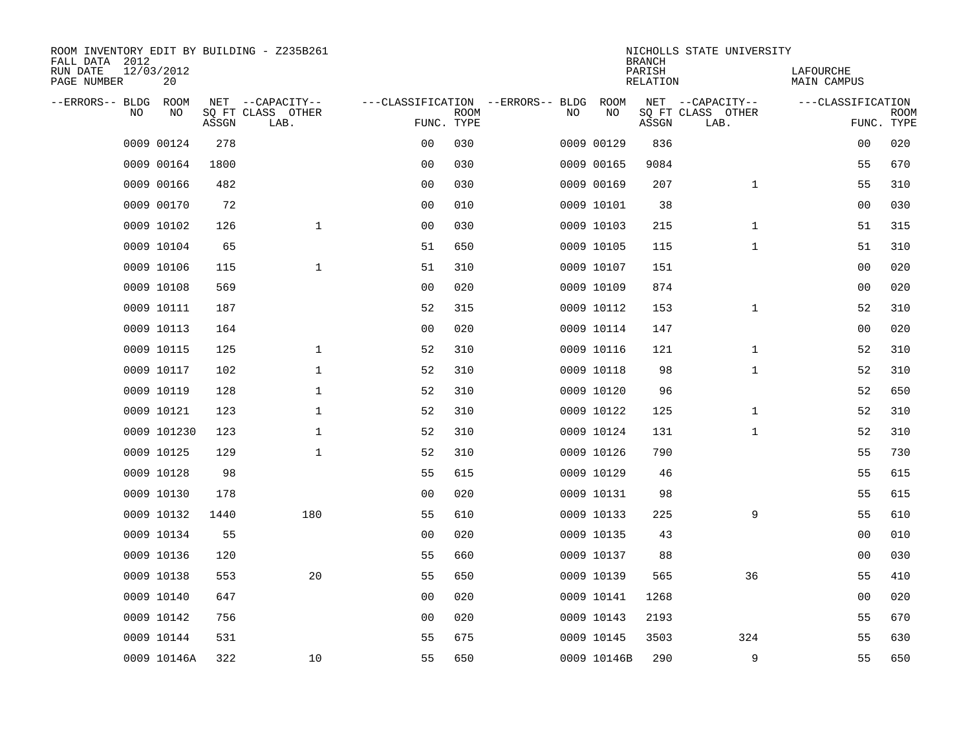| ROOM INVENTORY EDIT BY BUILDING - Z235B261<br>FALL DATA 2012 |                  |       |                           |                |             |                                   |             | <b>BRANCH</b>             | NICHOLLS STATE UNIVERSITY |                                 |                           |
|--------------------------------------------------------------|------------------|-------|---------------------------|----------------|-------------|-----------------------------------|-------------|---------------------------|---------------------------|---------------------------------|---------------------------|
| RUN DATE<br>PAGE NUMBER                                      | 12/03/2012<br>20 |       |                           |                |             |                                   |             | PARISH<br><b>RELATION</b> |                           | LAFOURCHE<br><b>MAIN CAMPUS</b> |                           |
| --ERRORS-- BLDG                                              | ROOM             |       | NET --CAPACITY--          |                |             | ---CLASSIFICATION --ERRORS-- BLDG | ROOM        |                           | NET --CAPACITY--          | ---CLASSIFICATION               |                           |
| NO                                                           | NO               | ASSGN | SQ FT CLASS OTHER<br>LAB. | FUNC. TYPE     | <b>ROOM</b> | NO                                | NO          | ASSGN                     | SQ FT CLASS OTHER<br>LAB. |                                 | <b>ROOM</b><br>FUNC. TYPE |
|                                                              | 0009 00124       | 278   |                           | 0 <sub>0</sub> | 030         |                                   | 0009 00129  | 836                       |                           | 00                              | 020                       |
|                                                              | 0009 00164       | 1800  |                           | 0 <sub>0</sub> | 030         |                                   | 0009 00165  | 9084                      |                           | 55                              | 670                       |
|                                                              | 0009 00166       | 482   |                           | 0 <sub>0</sub> | 030         |                                   | 0009 00169  | 207                       | $\mathbf{1}$              | 55                              | 310                       |
|                                                              | 0009 00170       | 72    |                           | 0 <sub>0</sub> | 010         |                                   | 0009 10101  | 38                        |                           | 00                              | 030                       |
|                                                              | 0009 10102       | 126   | $\mathbf{1}$              | 0 <sub>0</sub> | 030         |                                   | 0009 10103  | 215                       | $\mathbf{1}$              | 51                              | 315                       |
|                                                              | 0009 10104       | 65    |                           | 51             | 650         |                                   | 0009 10105  | 115                       | $\mathbf{1}$              | 51                              | 310                       |
|                                                              | 0009 10106       | 115   | $\mathbf{1}$              | 51             | 310         |                                   | 0009 10107  | 151                       |                           | 00                              | 020                       |
|                                                              | 0009 10108       | 569   |                           | 0 <sub>0</sub> | 020         |                                   | 0009 10109  | 874                       |                           | 00                              | 020                       |
|                                                              | 0009 10111       | 187   |                           | 52             | 315         |                                   | 0009 10112  | 153                       | $\mathbf{1}$              | 52                              | 310                       |
|                                                              | 0009 10113       | 164   |                           | 0 <sub>0</sub> | 020         |                                   | 0009 10114  | 147                       |                           | 00                              | 020                       |
|                                                              | 0009 10115       | 125   | $\mathbf 1$               | 52             | 310         |                                   | 0009 10116  | 121                       | $\mathbf{1}$              | 52                              | 310                       |
|                                                              | 0009 10117       | 102   | $\mathbf{1}$              | 52             | 310         |                                   | 0009 10118  | 98                        | $\mathbf{1}$              | 52                              | 310                       |
|                                                              | 0009 10119       | 128   | $\mathbf 1$               | 52             | 310         |                                   | 0009 10120  | 96                        |                           | 52                              | 650                       |
|                                                              | 0009 10121       | 123   | $\mathbf 1$               | 52             | 310         |                                   | 0009 10122  | 125                       | $\mathbf{1}$              | 52                              | 310                       |
|                                                              | 0009 101230      | 123   | 1                         | 52             | 310         |                                   | 0009 10124  | 131                       | $\mathbf{1}$              | 52                              | 310                       |
|                                                              | 0009 10125       | 129   | $\mathbf 1$               | 52             | 310         |                                   | 0009 10126  | 790                       |                           | 55                              | 730                       |
|                                                              | 0009 10128       | 98    |                           | 55             | 615         |                                   | 0009 10129  | 46                        |                           | 55                              | 615                       |
|                                                              | 0009 10130       | 178   |                           | 0 <sub>0</sub> | 020         |                                   | 0009 10131  | 98                        |                           | 55                              | 615                       |
|                                                              | 0009 10132       | 1440  | 180                       | 55             | 610         |                                   | 0009 10133  | 225                       | 9                         | 55                              | 610                       |
|                                                              | 0009 10134       | 55    |                           | 0 <sub>0</sub> | 020         |                                   | 0009 10135  | 43                        |                           | 00                              | 010                       |
|                                                              | 0009 10136       | 120   |                           | 55             | 660         |                                   | 0009 10137  | 88                        |                           | 00                              | 030                       |
|                                                              | 0009 10138       | 553   | 20                        | 55             | 650         |                                   | 0009 10139  | 565                       | 36                        | 55                              | 410                       |
|                                                              | 0009 10140       | 647   |                           | 0 <sub>0</sub> | 020         |                                   | 0009 10141  | 1268                      |                           | 00                              | 020                       |
|                                                              | 0009 10142       | 756   |                           | 00             | 020         |                                   | 0009 10143  | 2193                      |                           | 55                              | 670                       |
|                                                              | 0009 10144       | 531   |                           | 55             | 675         |                                   | 0009 10145  | 3503                      | 324                       | 55                              | 630                       |
|                                                              | 0009 10146A      | 322   | 10                        | 55             | 650         |                                   | 0009 10146B | 290                       | 9                         | 55                              | 650                       |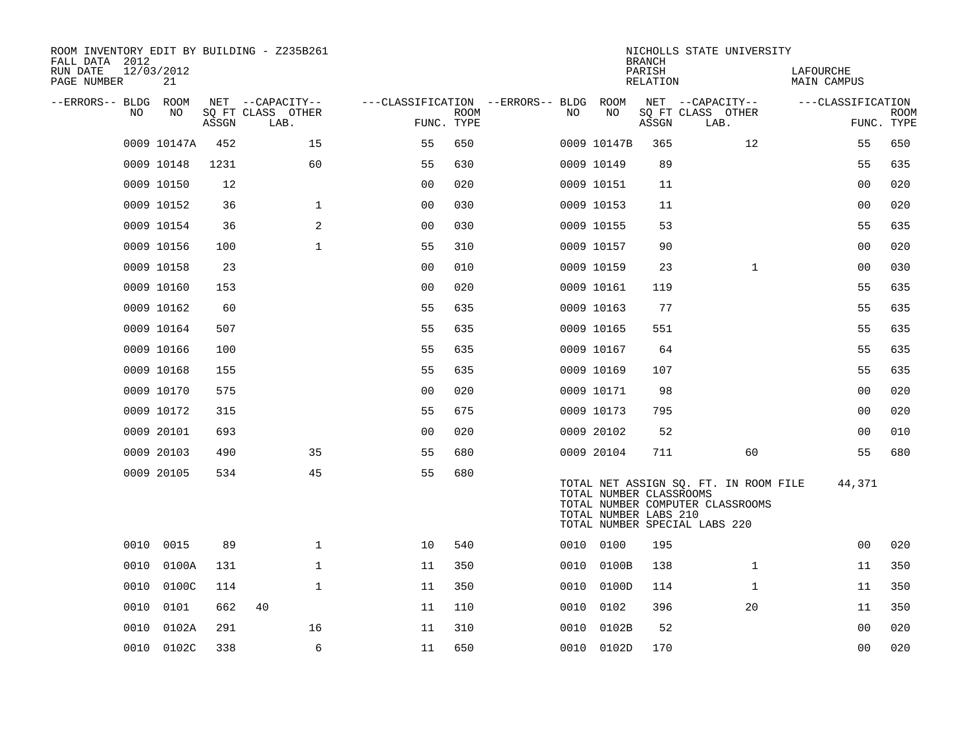| ROOM INVENTORY EDIT BY BUILDING - Z235B261<br>FALL DATA 2012 |                  |       |                           |                |             |                                        |                                                                                   | <b>BRANCH</b>      |      | NICHOLLS STATE UNIVERSITY                                                 |                          |                   |             |
|--------------------------------------------------------------|------------------|-------|---------------------------|----------------|-------------|----------------------------------------|-----------------------------------------------------------------------------------|--------------------|------|---------------------------------------------------------------------------|--------------------------|-------------------|-------------|
| RUN DATE<br>PAGE NUMBER                                      | 12/03/2012<br>21 |       |                           |                |             |                                        |                                                                                   | PARISH<br>RELATION |      |                                                                           | LAFOURCHE<br>MAIN CAMPUS |                   |             |
| --ERRORS-- BLDG ROOM                                         |                  |       | NET --CAPACITY--          |                |             | ---CLASSIFICATION --ERRORS-- BLDG ROOM |                                                                                   |                    |      | NET --CAPACITY--                                                          |                          | ---CLASSIFICATION |             |
| NO.                                                          | NO               | ASSGN | SQ FT CLASS OTHER<br>LAB. | FUNC. TYPE     | <b>ROOM</b> | NO.                                    | NO                                                                                | ASSGN              | LAB. | SQ FT CLASS OTHER                                                         |                          | FUNC. TYPE        | <b>ROOM</b> |
|                                                              | 0009 10147A      | 452   | 15                        | 55             | 650         |                                        | 0009 10147B                                                                       | 365                |      | 12                                                                        |                          | 55                | 650         |
|                                                              | 0009 10148       | 1231  | 60                        | 55             | 630         |                                        | 0009 10149                                                                        | 89                 |      |                                                                           |                          | 55                | 635         |
|                                                              | 0009 10150       | 12    |                           | 0 <sub>0</sub> | 020         |                                        | 0009 10151                                                                        | 11                 |      |                                                                           |                          | 0 <sub>0</sub>    | 020         |
|                                                              | 0009 10152       | 36    | $\mathbf{1}$              | 0 <sub>0</sub> | 030         |                                        | 0009 10153                                                                        | 11                 |      |                                                                           |                          | 0 <sub>0</sub>    | 020         |
|                                                              | 0009 10154       | 36    | 2                         | 0 <sub>0</sub> | 030         |                                        | 0009 10155                                                                        | 53                 |      |                                                                           |                          | 55                | 635         |
|                                                              | 0009 10156       | 100   | $\mathbf{1}$              | 55             | 310         |                                        | 0009 10157                                                                        | 90                 |      |                                                                           |                          | 00                | 020         |
|                                                              | 0009 10158       | 23    |                           | 0 <sub>0</sub> | 010         |                                        | 0009 10159                                                                        | 23                 |      | $\mathbf{1}$                                                              |                          | 0 <sub>0</sub>    | 030         |
|                                                              | 0009 10160       | 153   |                           | 00             | 020         |                                        | 0009 10161                                                                        | 119                |      |                                                                           |                          | 55                | 635         |
|                                                              | 0009 10162       | 60    |                           | 55             | 635         |                                        | 0009 10163                                                                        | 77                 |      |                                                                           |                          | 55                | 635         |
|                                                              | 0009 10164       | 507   |                           | 55             | 635         |                                        | 0009 10165                                                                        | 551                |      |                                                                           |                          | 55                | 635         |
|                                                              | 0009 10166       | 100   |                           | 55             | 635         |                                        | 0009 10167                                                                        | 64                 |      |                                                                           |                          | 55                | 635         |
|                                                              | 0009 10168       | 155   |                           | 55             | 635         |                                        | 0009 10169                                                                        | 107                |      |                                                                           |                          | 55                | 635         |
|                                                              | 0009 10170       | 575   |                           | 0 <sub>0</sub> | 020         |                                        | 0009 10171                                                                        | 98                 |      |                                                                           |                          | 00                | 020         |
|                                                              | 0009 10172       | 315   |                           | 55             | 675         |                                        | 0009 10173                                                                        | 795                |      |                                                                           |                          | 0 <sub>0</sub>    | 020         |
|                                                              | 0009 20101       | 693   |                           | 0 <sub>0</sub> | 020         |                                        | 0009 20102                                                                        | 52                 |      |                                                                           |                          | 00                | 010         |
|                                                              | 0009 20103       | 490   | 35                        | 55             | 680         |                                        | 0009 20104                                                                        | 711                |      | 60                                                                        |                          | 55                | 680         |
|                                                              | 0009 20105       | 534   | 45                        | 55             | 680         |                                        | TOTAL NUMBER CLASSROOMS<br>TOTAL NUMBER LABS 210<br>TOTAL NUMBER SPECIAL LABS 220 |                    |      | TOTAL NET ASSIGN SQ. FT. IN ROOM FILE<br>TOTAL NUMBER COMPUTER CLASSROOMS |                          | 44,371            |             |
|                                                              | 0010 0015        | 89    | $\mathbf{1}$              | 10             | 540         |                                        | 0010 0100                                                                         | 195                |      |                                                                           |                          | 0 <sub>0</sub>    | 020         |
| 0010                                                         | 0100A            | 131   | $\mathbf{1}$              | 11             | 350         | 0010                                   | 0100B                                                                             | 138                |      | $\mathbf{1}$                                                              |                          | 11                | 350         |
| 0010                                                         | 0100C            | 114   | $\mathbf{1}$              | 11             | 350         |                                        | 0010 0100D                                                                        | 114                |      | $\mathbf{1}$                                                              |                          | 11                | 350         |
| 0010                                                         | 0101             | 662   | 40                        | 11             | 110         | 0010                                   | 0102                                                                              | 396                |      | 20                                                                        |                          | 11                | 350         |
| 0010                                                         | 0102A            | 291   | 16                        | 11             | 310         | 0010                                   | 0102B                                                                             | 52                 |      |                                                                           |                          | 0 <sub>0</sub>    | 020         |
|                                                              | 0010 0102C       | 338   | 6                         | 11             | 650         |                                        | 0010 0102D                                                                        | 170                |      |                                                                           |                          | 0 <sub>0</sub>    | 020         |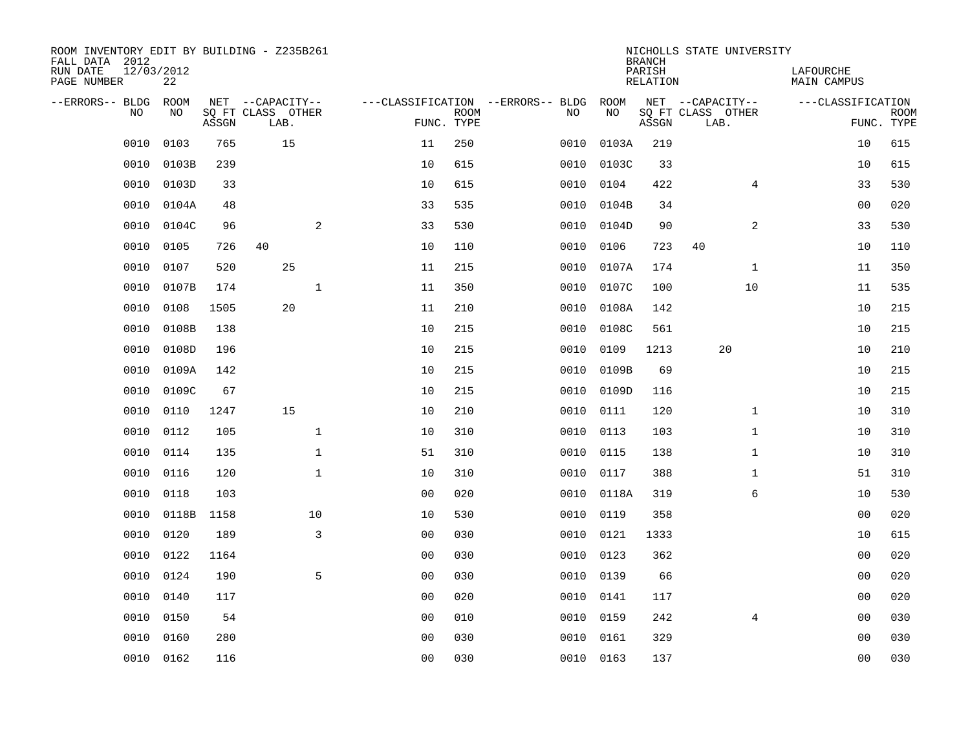| ROOM INVENTORY EDIT BY BUILDING - Z235B261<br>FALL DATA 2012<br>RUN DATE | 12/03/2012 |       |                                       |                |             |                                          |            | <b>BRANCH</b><br>PARISH | NICHOLLS STATE UNIVERSITY             | LAFOURCHE         |             |
|--------------------------------------------------------------------------|------------|-------|---------------------------------------|----------------|-------------|------------------------------------------|------------|-------------------------|---------------------------------------|-------------------|-------------|
| PAGE NUMBER                                                              | 22         |       |                                       |                |             |                                          |            | RELATION                |                                       | MAIN CAMPUS       |             |
| --ERRORS-- BLDG ROOM<br>NO.                                              | NO.        |       | NET --CAPACITY--<br>SQ FT CLASS OTHER |                | <b>ROOM</b> | ---CLASSIFICATION --ERRORS-- BLDG<br>NO. | ROOM<br>NO |                         | NET --CAPACITY--<br>SQ FT CLASS OTHER | ---CLASSIFICATION | <b>ROOM</b> |
|                                                                          |            | ASSGN | LAB.                                  | FUNC. TYPE     |             |                                          |            | ASSGN                   | LAB.                                  |                   | FUNC. TYPE  |
| 0010                                                                     | 0103       | 765   | 15                                    | 11             | 250         | 0010                                     | 0103A      | 219                     |                                       | 10                | 615         |
| 0010                                                                     | 0103B      | 239   |                                       | 10             | 615         | 0010                                     | 0103C      | 33                      |                                       | 10                | 615         |
| 0010                                                                     | 0103D      | 33    |                                       | 10             | 615         | 0010                                     | 0104       | 422                     | $\overline{4}$                        | 33                | 530         |
| 0010                                                                     | 0104A      | 48    |                                       | 33             | 535         | 0010                                     | 0104B      | 34                      |                                       | 0 <sub>0</sub>    | 020         |
| 0010                                                                     | 0104C      | 96    | 2                                     | 33             | 530         | 0010                                     | 0104D      | 90                      | 2                                     | 33                | 530         |
| 0010                                                                     | 0105       | 726   | 40                                    | 10             | 110         | 0010                                     | 0106       | 723                     | 40                                    | 10                | 110         |
| 0010                                                                     | 0107       | 520   | 25                                    | 11             | 215         | 0010                                     | 0107A      | 174                     | $\mathbf{1}$                          | 11                | 350         |
| 0010                                                                     | 0107B      | 174   | $\mathbf{1}$                          | 11             | 350         | 0010                                     | 0107C      | 100                     | 10                                    | 11                | 535         |
| 0010                                                                     | 0108       | 1505  | 20                                    | 11             | 210         | 0010                                     | 0108A      | 142                     |                                       | 10                | 215         |
| 0010                                                                     | 0108B      | 138   |                                       | 10             | 215         | 0010                                     | 0108C      | 561                     |                                       | 10                | 215         |
| 0010                                                                     | 0108D      | 196   |                                       | 10             | 215         | 0010                                     | 0109       | 1213                    | 20                                    | 10                | 210         |
| 0010                                                                     | 0109A      | 142   |                                       | 10             | 215         | 0010                                     | 0109B      | 69                      |                                       | 10                | 215         |
| 0010                                                                     | 0109C      | 67    |                                       | 10             | 215         | 0010                                     | 0109D      | 116                     |                                       | 10                | 215         |
| 0010                                                                     | 0110       | 1247  | 15                                    | 10             | 210         | 0010                                     | 0111       | 120                     | $\mathbf{1}$                          | 10                | 310         |
| 0010                                                                     | 0112       | 105   | $\mathbf 1$                           | 10             | 310         | 0010                                     | 0113       | 103                     | $\mathbf{1}$                          | 10                | 310         |
| 0010                                                                     | 0114       | 135   | $\mathbf 1$                           | 51             | 310         | 0010                                     | 0115       | 138                     | $\mathbf{1}$                          | 10                | 310         |
| 0010                                                                     | 0116       | 120   | $\mathbf{1}$                          | 10             | 310         | 0010                                     | 0117       | 388                     | $\mathbf{1}$                          | 51                | 310         |
| 0010                                                                     | 0118       | 103   |                                       | 0 <sub>0</sub> | 020         | 0010                                     | 0118A      | 319                     | 6                                     | 10                | 530         |
| 0010                                                                     | 0118B      | 1158  | 10                                    | 10             | 530         | 0010                                     | 0119       | 358                     |                                       | 0 <sub>0</sub>    | 020         |
| 0010                                                                     | 0120       | 189   | 3                                     | 0 <sub>0</sub> | 030         | 0010                                     | 0121       | 1333                    |                                       | 10                | 615         |
| 0010                                                                     | 0122       | 1164  |                                       | 0 <sub>0</sub> | 030         | 0010                                     | 0123       | 362                     |                                       | 0 <sub>0</sub>    | 020         |
| 0010                                                                     | 0124       | 190   | 5                                     | 0 <sub>0</sub> | 030         | 0010                                     | 0139       | 66                      |                                       | 00                | 020         |
| 0010                                                                     | 0140       | 117   |                                       | 0 <sub>0</sub> | 020         |                                          | 0010 0141  | 117                     |                                       | 0 <sub>0</sub>    | 020         |
| 0010                                                                     | 0150       | 54    |                                       | 00             | 010         | 0010                                     | 0159       | 242                     | $\overline{4}$                        | 00                | 030         |
| 0010                                                                     | 0160       | 280   |                                       | 0 <sub>0</sub> | 030         | 0010                                     | 0161       | 329                     |                                       | 0 <sub>0</sub>    | 030         |
|                                                                          | 0010 0162  | 116   |                                       | 00             | 030         |                                          | 0010 0163  | 137                     |                                       | 0 <sub>0</sub>    | 030         |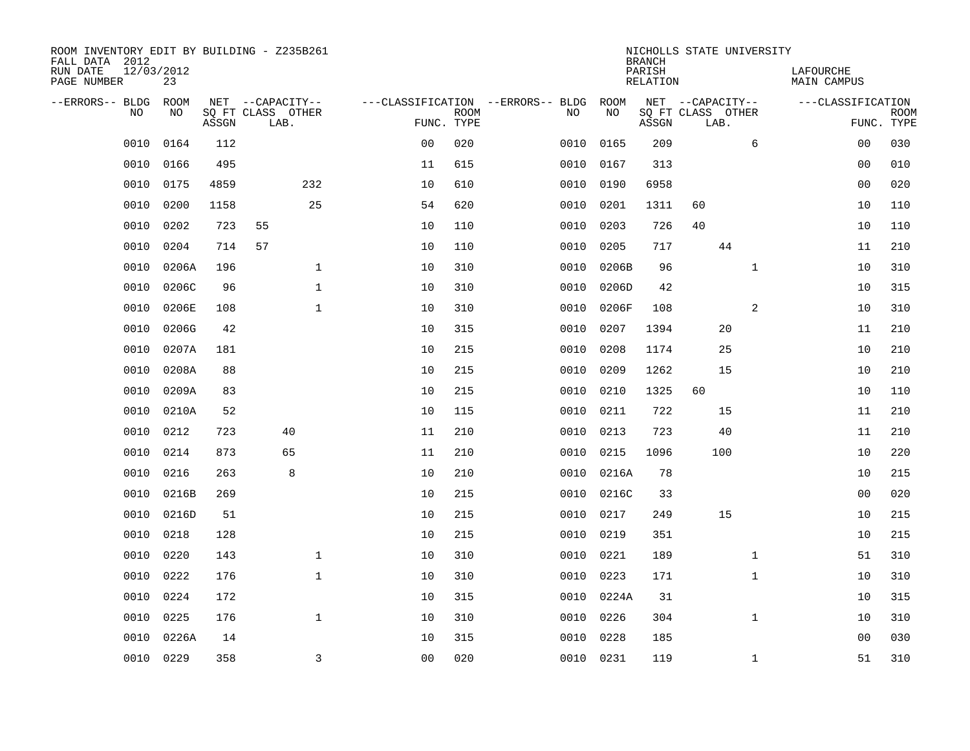| ROOM INVENTORY EDIT BY BUILDING - Z235B261<br>FALL DATA 2012 |                  |       |                           |                |             |                                   |            | <b>BRANCH</b>      | NICHOLLS STATE UNIVERSITY |                |                          |             |
|--------------------------------------------------------------|------------------|-------|---------------------------|----------------|-------------|-----------------------------------|------------|--------------------|---------------------------|----------------|--------------------------|-------------|
| RUN DATE<br>PAGE NUMBER                                      | 12/03/2012<br>23 |       |                           |                |             |                                   |            | PARISH<br>RELATION |                           |                | LAFOURCHE<br>MAIN CAMPUS |             |
| --ERRORS-- BLDG ROOM                                         |                  |       | NET --CAPACITY--          |                |             | ---CLASSIFICATION --ERRORS-- BLDG | ROOM       |                    | NET --CAPACITY--          |                | ---CLASSIFICATION        |             |
| NO                                                           | NO               | ASSGN | SQ FT CLASS OTHER<br>LAB. | FUNC. TYPE     | <b>ROOM</b> | NO                                | NO         | ASSGN              | SQ FT CLASS OTHER<br>LAB. |                | FUNC. TYPE               | <b>ROOM</b> |
| 0010                                                         | 0164             | 112   |                           | 0 <sub>0</sub> | 020         | 0010                              | 0165       | 209                |                           | 6              | 0 <sub>0</sub>           | 030         |
| 0010                                                         | 0166             | 495   |                           | 11             | 615         | 0010                              | 0167       | 313                |                           |                | 00                       | 010         |
| 0010                                                         | 0175             | 4859  | 232                       | 10             | 610         | 0010                              | 0190       | 6958               |                           |                | 0 <sub>0</sub>           | 020         |
| 0010                                                         | 0200             | 1158  | 25                        | 54             | 620         | 0010                              | 0201       | 1311               | 60                        |                | 10                       | 110         |
| 0010                                                         | 0202             | 723   | 55                        | 10             | 110         | 0010                              | 0203       | 726                | 40                        |                | 10                       | 110         |
| 0010                                                         | 0204             | 714   | 57                        | 10             | 110         | 0010                              | 0205       | 717                | 44                        |                | 11                       | 210         |
| 0010                                                         | 0206A            | 196   | $\mathbf{1}$              | 10             | 310         | 0010                              | 0206B      | 96                 |                           | $\mathbf{1}$   | 10                       | 310         |
| 0010                                                         | 0206C            | 96    | $\mathbf 1$               | 10             | 310         | 0010                              | 0206D      | 42                 |                           |                | 10                       | 315         |
| 0010                                                         | 0206E            | 108   | $\mathbf{1}$              | 10             | 310         | 0010                              | 0206F      | 108                |                           | $\overline{a}$ | 10                       | 310         |
| 0010                                                         | 0206G            | 42    |                           | 10             | 315         | 0010                              | 0207       | 1394               | 20                        |                | 11                       | 210         |
| 0010                                                         | 0207A            | 181   |                           | 10             | 215         | 0010                              | 0208       | 1174               | 25                        |                | 10                       | 210         |
| 0010                                                         | 0208A            | 88    |                           | 10             | 215         | 0010                              | 0209       | 1262               | 15                        |                | 10                       | 210         |
| 0010                                                         | 0209A            | 83    |                           | 10             | 215         | 0010                              | 0210       | 1325               | 60                        |                | 10                       | 110         |
| 0010                                                         | 0210A            | 52    |                           | 10             | 115         | 0010                              | 0211       | 722                | 15                        |                | 11                       | 210         |
| 0010                                                         | 0212             | 723   | 40                        | 11             | 210         | 0010                              | 0213       | 723                | 40                        |                | 11                       | 210         |
| 0010                                                         | 0214             | 873   | 65                        | 11             | 210         | 0010                              | 0215       | 1096               | 100                       |                | 10                       | 220         |
| 0010                                                         | 0216             | 263   | 8                         | 10             | 210         | 0010                              | 0216A      | 78                 |                           |                | 10                       | 215         |
| 0010                                                         | 0216B            | 269   |                           | 10             | 215         | 0010                              | 0216C      | 33                 |                           |                | 0 <sub>0</sub>           | 020         |
| 0010                                                         | 0216D            | 51    |                           | 10             | 215         | 0010                              | 0217       | 249                | 15                        |                | 10                       | 215         |
| 0010                                                         | 0218             | 128   |                           | 10             | 215         | 0010                              | 0219       | 351                |                           |                | 10                       | 215         |
| 0010                                                         | 0220             | 143   | $\mathbf 1$               | 10             | 310         | 0010                              | 0221       | 189                |                           | $\mathbf{1}$   | 51                       | 310         |
| 0010                                                         | 0222             | 176   | $\mathbf 1$               | 10             | 310         | 0010                              | 0223       | 171                |                           | $\mathbf{1}$   | 10                       | 310         |
| 0010                                                         | 0224             | 172   |                           | 10             | 315         |                                   | 0010 0224A | 31                 |                           |                | 10                       | 315         |
| 0010                                                         | 0225             | 176   | $\mathbf{1}$              | 10             | 310         | 0010                              | 0226       | 304                |                           | $\mathbf{1}$   | 10                       | 310         |
| 0010                                                         | 0226A            | 14    |                           | 10             | 315         | 0010                              | 0228       | 185                |                           |                | 0 <sub>0</sub>           | 030         |
|                                                              | 0010 0229        | 358   | 3                         | 0 <sub>0</sub> | 020         |                                   | 0010 0231  | 119                |                           | $\mathbf{1}$   | 51                       | 310         |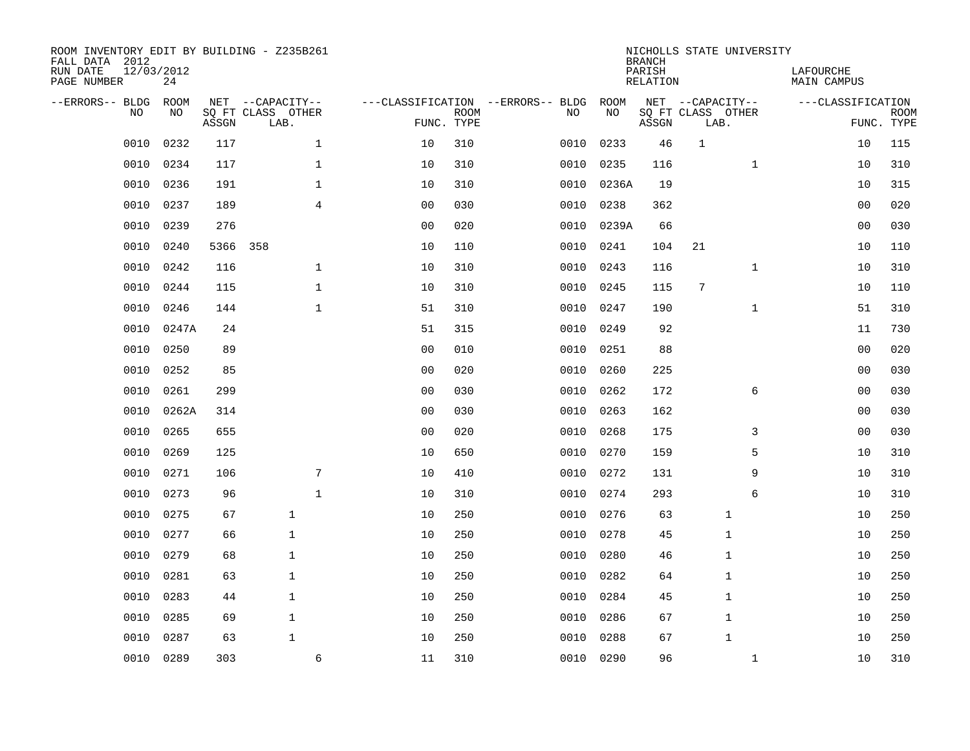| ROOM INVENTORY EDIT BY BUILDING - Z235B261<br>FALL DATA 2012<br>RUN DATE<br>PAGE NUMBER | 12/03/2012<br>24 |          |                                               |                |                           |                                         |            | <b>BRANCH</b><br>PARISH<br><b>RELATION</b> | NICHOLLS STATE UNIVERSITY                     |              | LAFOURCHE<br><b>MAIN CAMPUS</b> |                           |
|-----------------------------------------------------------------------------------------|------------------|----------|-----------------------------------------------|----------------|---------------------------|-----------------------------------------|------------|--------------------------------------------|-----------------------------------------------|--------------|---------------------------------|---------------------------|
| --ERRORS-- BLDG<br>NO                                                                   | ROOM<br>NO       | ASSGN    | NET --CAPACITY--<br>SQ FT CLASS OTHER<br>LAB. |                | <b>ROOM</b><br>FUNC. TYPE | ---CLASSIFICATION --ERRORS-- BLDG<br>NO | ROOM<br>NO | ASSGN                                      | NET --CAPACITY--<br>SQ FT CLASS OTHER<br>LAB. |              | ---CLASSIFICATION               | <b>ROOM</b><br>FUNC. TYPE |
| 0010                                                                                    | 0232             | 117      | $\mathbf 1$                                   | 10             | 310                       | 0010                                    | 0233       | 46                                         | $\mathbf{1}$                                  |              | 10                              | 115                       |
| 0010                                                                                    | 0234             | 117      | $\mathbf 1$                                   | 10             | 310                       | 0010                                    | 0235       | 116                                        |                                               | $\mathbf{1}$ | 10                              | 310                       |
| 0010                                                                                    | 0236             | 191      | $\mathbf{1}$                                  | 10             | 310                       | 0010                                    | 0236A      | 19                                         |                                               |              | 10                              | 315                       |
| 0010                                                                                    | 0237             | 189      | 4                                             | 0 <sub>0</sub> | 030                       | 0010                                    | 0238       | 362                                        |                                               |              | 00                              | 020                       |
| 0010                                                                                    | 0239             | 276      |                                               | 0 <sub>0</sub> | 020                       | 0010                                    | 0239A      | 66                                         |                                               |              | 0 <sub>0</sub>                  | 030                       |
| 0010                                                                                    | 0240             | 5366 358 |                                               | 10             | 110                       |                                         | 0010 0241  | 104                                        | 21                                            |              | 10                              | 110                       |
| 0010                                                                                    | 0242             | 116      | $\mathbf{1}$                                  | 10             | 310                       | 0010                                    | 0243       | 116                                        |                                               | $\mathbf{1}$ | 10                              | 310                       |
| 0010                                                                                    | 0244             | 115      | $\mathbf{1}$                                  | 10             | 310                       |                                         | 0010 0245  | 115                                        | $7\phantom{.0}$                               |              | 10                              | 110                       |
| 0010                                                                                    | 0246             | 144      | $\mathbf 1$                                   | 51             | 310                       | 0010                                    | 0247       | 190                                        |                                               | $\mathbf{1}$ | 51                              | 310                       |
| 0010                                                                                    | 0247A            | 24       |                                               | 51             | 315                       | 0010                                    | 0249       | 92                                         |                                               |              | 11                              | 730                       |
| 0010                                                                                    | 0250             | 89       |                                               | 0 <sub>0</sub> | 010                       | 0010                                    | 0251       | 88                                         |                                               |              | 0 <sub>0</sub>                  | 020                       |
| 0010                                                                                    | 0252             | 85       |                                               | 0 <sub>0</sub> | 020                       | 0010                                    | 0260       | 225                                        |                                               |              | 00                              | 030                       |
| 0010                                                                                    | 0261             | 299      |                                               | 0 <sub>0</sub> | 030                       | 0010                                    | 0262       | 172                                        |                                               | 6            | 00                              | 030                       |
| 0010                                                                                    | 0262A            | 314      |                                               | 0 <sub>0</sub> | 030                       | 0010                                    | 0263       | 162                                        |                                               |              | 00                              | 030                       |
| 0010                                                                                    | 0265             | 655      |                                               | 0 <sub>0</sub> | 020                       | 0010                                    | 0268       | 175                                        |                                               | 3            | 0 <sub>0</sub>                  | 030                       |
| 0010                                                                                    | 0269             | 125      |                                               | 10             | 650                       | 0010                                    | 0270       | 159                                        |                                               | 5            | 10                              | 310                       |
| 0010                                                                                    | 0271             | 106      | 7                                             | 10             | 410                       | 0010                                    | 0272       | 131                                        |                                               | 9            | 10                              | 310                       |
| 0010                                                                                    | 0273             | 96       | $\mathbf{1}$                                  | 10             | 310                       | 0010                                    | 0274       | 293                                        |                                               | 6            | 10                              | 310                       |
| 0010                                                                                    | 0275             | 67       | $\mathbf{1}$                                  | 10             | 250                       | 0010                                    | 0276       | 63                                         | $\mathbf 1$                                   |              | 10                              | 250                       |
| 0010                                                                                    | 0277             | 66       | $\mathbf{1}$                                  | 10             | 250                       | 0010                                    | 0278       | 45                                         | 1                                             |              | 10                              | 250                       |
| 0010                                                                                    | 0279             | 68       | $\mathbf{1}$                                  | 10             | 250                       | 0010                                    | 0280       | 46                                         | 1                                             |              | 10                              | 250                       |
| 0010                                                                                    | 0281             | 63       | $\mathbf{1}$                                  | 10             | 250                       | 0010                                    | 0282       | 64                                         | 1                                             |              | 10                              | 250                       |
| 0010                                                                                    | 0283             | 44       | 1                                             | 10             | 250                       | 0010                                    | 0284       | 45                                         | 1                                             |              | 10                              | 250                       |
| 0010                                                                                    | 0285             | 69       | $\mathbf{1}$                                  | 10             | 250                       | 0010                                    | 0286       | 67                                         | $\mathbf{1}$                                  |              | 10                              | 250                       |
| 0010                                                                                    | 0287             | 63       | $\mathbf{1}$                                  | 10             | 250                       | 0010                                    | 0288       | 67                                         | $\mathbf{1}$                                  |              | 10                              | 250                       |
|                                                                                         | 0010 0289        | 303      | 6                                             | 11             | 310                       |                                         | 0010 0290  | 96                                         |                                               | $\mathbf{1}$ | 10                              | 310                       |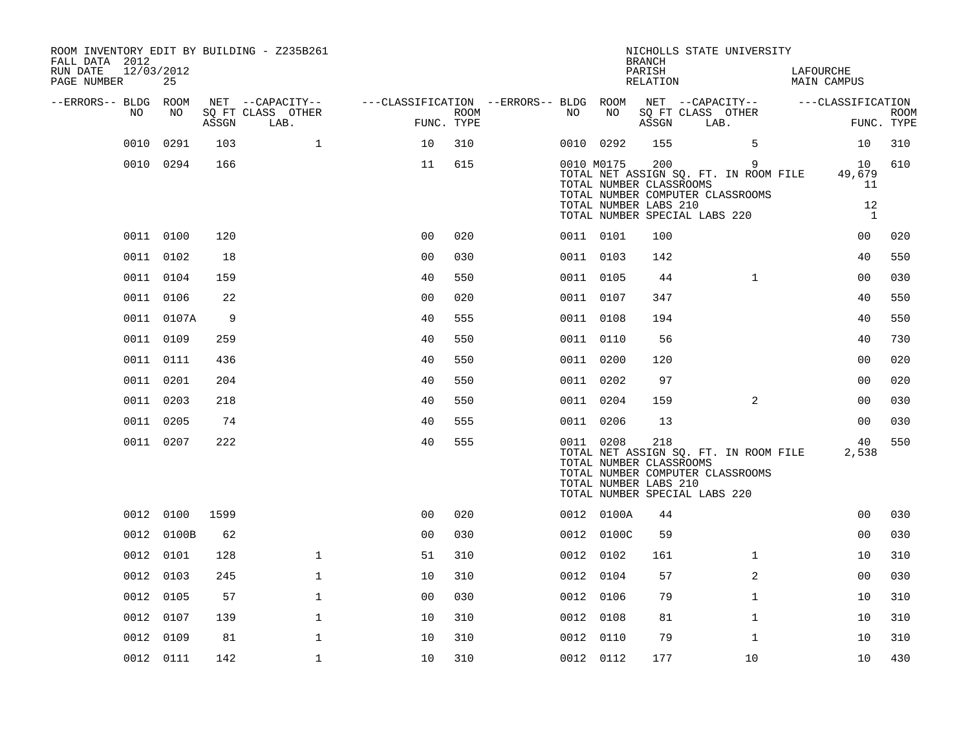| ROOM INVENTORY EDIT BY BUILDING - Z235B261<br>FALL DATA 2012<br>RUN DATE<br>12/03/2012<br>PAGE NUMBER | 25         |       |                           |                                        |                    |           |                                                                                   | <b>BRANCH</b><br>PARISH<br>RELATION |      | NICHOLLS STATE UNIVERSITY                                                      | LAFOURCHE<br>MAIN CAMPUS |                           |
|-------------------------------------------------------------------------------------------------------|------------|-------|---------------------------|----------------------------------------|--------------------|-----------|-----------------------------------------------------------------------------------|-------------------------------------|------|--------------------------------------------------------------------------------|--------------------------|---------------------------|
| --ERRORS-- BLDG ROOM                                                                                  |            |       | NET --CAPACITY--          | ---CLASSIFICATION --ERRORS-- BLDG ROOM |                    |           |                                                                                   |                                     |      | NET --CAPACITY--                                                               | ---CLASSIFICATION        |                           |
| NO                                                                                                    | NO         | ASSGN | SQ FT CLASS OTHER<br>LAB. |                                        | ROOM<br>FUNC. TYPE | NO        | NO                                                                                | ASSGN                               | LAB. | SQ FT CLASS OTHER                                                              |                          | <b>ROOM</b><br>FUNC. TYPE |
| 0010                                                                                                  | 0291       | 103   | $\mathbf{1}$              | 10                                     | 310                |           | 0010 0292                                                                         | 155                                 |      | 5                                                                              | 10                       | 310                       |
|                                                                                                       | 0010 0294  | 166   |                           | 11                                     | 615                |           | 0010 M0175<br>TOTAL NUMBER CLASSROOMS                                             | 200                                 |      | 9<br>TOTAL NET ASSIGN SQ. FT. IN ROOM FILE<br>TOTAL NUMBER COMPUTER CLASSROOMS | 10<br>49,679<br>11       | 610                       |
|                                                                                                       |            |       |                           |                                        |                    |           | TOTAL NUMBER LABS 210<br>TOTAL NUMBER SPECIAL LABS 220                            |                                     |      |                                                                                | 12<br>$\mathbf{1}$       |                           |
|                                                                                                       | 0011 0100  | 120   |                           | 0 <sup>0</sup>                         | 020                | 0011 0101 |                                                                                   | 100                                 |      |                                                                                | 0 <sub>0</sub>           | 020                       |
|                                                                                                       | 0011 0102  | 18    |                           | 0 <sub>0</sub>                         | 030                | 0011 0103 |                                                                                   | 142                                 |      |                                                                                | 40                       | 550                       |
|                                                                                                       | 0011 0104  | 159   |                           | 40                                     | 550                | 0011 0105 |                                                                                   | 44                                  |      | $\mathbf{1}$                                                                   | 00                       | 030                       |
|                                                                                                       | 0011 0106  | 22    |                           | 0 <sub>0</sub>                         | 020                | 0011 0107 |                                                                                   | 347                                 |      |                                                                                | 40                       | 550                       |
|                                                                                                       | 0011 0107A | 9     |                           | 40                                     | 555                | 0011 0108 |                                                                                   | 194                                 |      |                                                                                | 40                       | 550                       |
|                                                                                                       | 0011 0109  | 259   |                           | 40                                     | 550                |           | 0011 0110                                                                         | 56                                  |      |                                                                                | 40                       | 730                       |
|                                                                                                       | 0011 0111  | 436   |                           | 40                                     | 550                | 0011 0200 |                                                                                   | 120                                 |      |                                                                                | 0 <sub>0</sub>           | 020                       |
|                                                                                                       | 0011 0201  | 204   |                           | 40                                     | 550                |           | 0011 0202                                                                         | 97                                  |      |                                                                                | 0 <sub>0</sub>           | 020                       |
|                                                                                                       | 0011 0203  | 218   |                           | 40                                     | 550                | 0011 0204 |                                                                                   | 159                                 |      | 2                                                                              | 0 <sub>0</sub>           | 030                       |
|                                                                                                       | 0011 0205  | 74    |                           | 40                                     | 555                |           | 0011 0206                                                                         | 13                                  |      |                                                                                | 0 <sub>0</sub>           | 030                       |
|                                                                                                       | 0011 0207  | 222   |                           | 40                                     | 555                | 0011 0208 | TOTAL NUMBER CLASSROOMS<br>TOTAL NUMBER LABS 210<br>TOTAL NUMBER SPECIAL LABS 220 | 218                                 |      | TOTAL NET ASSIGN SQ. FT. IN ROOM FILE<br>TOTAL NUMBER COMPUTER CLASSROOMS      | 40<br>2,538              | 550                       |
|                                                                                                       | 0012 0100  | 1599  |                           | 0 <sub>0</sub>                         | 020                |           | 0012 0100A                                                                        | 44                                  |      |                                                                                | 0 <sub>0</sub>           | 030                       |
|                                                                                                       | 0012 0100B | 62    |                           | 0 <sub>0</sub>                         | 030                |           | 0012 0100C                                                                        | 59                                  |      |                                                                                | 00                       | 030                       |
|                                                                                                       | 0012 0101  | 128   | $\mathbf{1}$              | 51                                     | 310                | 0012 0102 |                                                                                   | 161                                 |      | $\mathbf{1}$                                                                   | 10                       | 310                       |
|                                                                                                       | 0012 0103  | 245   | $\mathbf{1}$              | 10                                     | 310                | 0012 0104 |                                                                                   | 57                                  |      | 2                                                                              | 0 <sub>0</sub>           | 030                       |
|                                                                                                       | 0012 0105  | 57    | $\mathbf{1}$              | 0 <sub>0</sub>                         | 030                |           | 0012 0106                                                                         | 79                                  |      | $\mathbf{1}$                                                                   | 10                       | 310                       |
|                                                                                                       | 0012 0107  | 139   | $\mathbf 1$               | 10                                     | 310                | 0012 0108 |                                                                                   | 81                                  |      | $\mathbf{1}$                                                                   | 10                       | 310                       |
|                                                                                                       | 0012 0109  | 81    | 1                         | 10                                     | 310                | 0012 0110 |                                                                                   | 79                                  |      | 1                                                                              | 10                       | 310                       |
|                                                                                                       | 0012 0111  | 142   | $\mathbf 1$               | 10                                     | 310                | 0012 0112 |                                                                                   | 177                                 |      | 10                                                                             | 10                       | 430                       |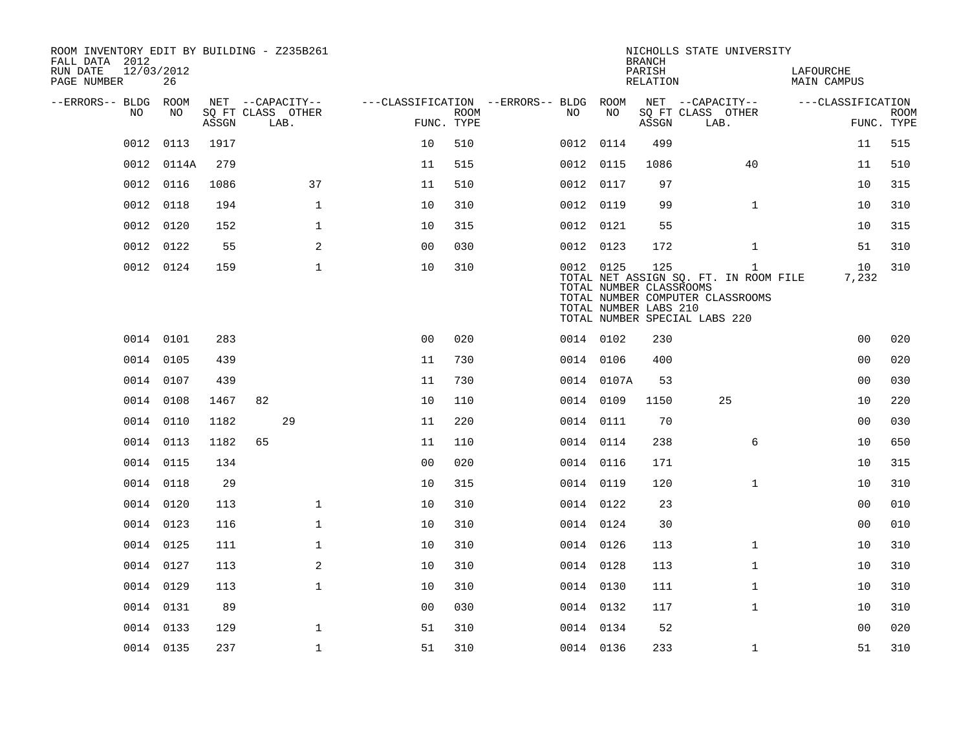| ROOM INVENTORY EDIT BY BUILDING - Z235B261<br>FALL DATA 2012 |                  |       |                           |              |                                        |             |           |            | <b>BRANCH</b>                                           | NICHOLLS STATE UNIVERSITY                                                                                  |              |                                 |                   |                           |
|--------------------------------------------------------------|------------------|-------|---------------------------|--------------|----------------------------------------|-------------|-----------|------------|---------------------------------------------------------|------------------------------------------------------------------------------------------------------------|--------------|---------------------------------|-------------------|---------------------------|
| RUN DATE<br>PAGE NUMBER                                      | 12/03/2012<br>26 |       |                           |              |                                        |             |           |            | PARISH<br>RELATION                                      |                                                                                                            |              | LAFOURCHE<br><b>MAIN CAMPUS</b> |                   |                           |
| --ERRORS-- BLDG ROOM                                         |                  |       | NET --CAPACITY--          |              | ---CLASSIFICATION --ERRORS-- BLDG ROOM |             |           |            |                                                         | NET --CAPACITY--                                                                                           |              |                                 | ---CLASSIFICATION |                           |
| NO                                                           | NO               | ASSGN | SQ FT CLASS OTHER<br>LAB. |              | FUNC. TYPE                             | <b>ROOM</b> | NO        | NO         | ASSGN                                                   | SQ FT CLASS OTHER<br>LAB.                                                                                  |              |                                 |                   | <b>ROOM</b><br>FUNC. TYPE |
| 0012                                                         | 0113             | 1917  |                           |              | 10                                     | 510         | 0012 0114 |            | 499                                                     |                                                                                                            |              |                                 | 11                | 515                       |
| 0012                                                         | 0114A            | 279   |                           |              | 11                                     | 515         | 0012 0115 |            | 1086                                                    |                                                                                                            | 40           |                                 | 11                | 510                       |
|                                                              | 0012 0116        | 1086  |                           | 37           | 11                                     | 510         | 0012 0117 |            | 97                                                      |                                                                                                            |              |                                 | 10                | 315                       |
| 0012                                                         | 0118             | 194   |                           | $\mathbf{1}$ | 10                                     | 310         | 0012 0119 |            | 99                                                      |                                                                                                            | $\mathbf{1}$ |                                 | 10                | 310                       |
|                                                              | 0012 0120        | 152   |                           | $\mathbf{1}$ | 10                                     | 315         | 0012 0121 |            | 55                                                      |                                                                                                            |              |                                 | 10                | 315                       |
| 0012                                                         | 0122             | 55    |                           | 2            | 0 <sub>0</sub>                         | 030         | 0012 0123 |            | 172                                                     |                                                                                                            | $\mathbf{1}$ |                                 | 51                | 310                       |
|                                                              | 0012 0124        | 159   |                           | $\mathbf 1$  | 10                                     | 310         | 0012 0125 |            | 125<br>TOTAL NUMBER CLASSROOMS<br>TOTAL NUMBER LABS 210 | TOTAL NET ASSIGN SQ. FT. IN ROOM FILE<br>TOTAL NUMBER COMPUTER CLASSROOMS<br>TOTAL NUMBER SPECIAL LABS 220 | $\mathbf{1}$ |                                 | 10<br>7,232       | 310                       |
|                                                              | 0014 0101        | 283   |                           |              | 0 <sub>0</sub>                         | 020         | 0014 0102 |            | 230                                                     |                                                                                                            |              |                                 | 00                | 020                       |
|                                                              | 0014 0105        | 439   |                           |              | 11                                     | 730         | 0014 0106 |            | 400                                                     |                                                                                                            |              |                                 | 0 <sub>0</sub>    | 020                       |
|                                                              | 0014 0107        | 439   |                           |              | 11                                     | 730         |           | 0014 0107A | 53                                                      |                                                                                                            |              |                                 | 00                | 030                       |
|                                                              | 0014 0108        | 1467  | 82                        |              | 10                                     | 110         | 0014 0109 |            | 1150                                                    |                                                                                                            | 25           |                                 | 10                | 220                       |
|                                                              | 0014 0110        | 1182  | 29                        |              | 11                                     | 220         | 0014 0111 |            | 70                                                      |                                                                                                            |              |                                 | 0 <sub>0</sub>    | 030                       |
|                                                              | 0014 0113        | 1182  | 65                        |              | 11                                     | 110         | 0014 0114 |            | 238                                                     |                                                                                                            | 6            |                                 | 10                | 650                       |
|                                                              | 0014 0115        | 134   |                           |              | 0 <sub>0</sub>                         | 020         | 0014 0116 |            | 171                                                     |                                                                                                            |              |                                 | 10                | 315                       |
|                                                              | 0014 0118        | 29    |                           |              | 10                                     | 315         | 0014 0119 |            | 120                                                     |                                                                                                            | $\mathbf{1}$ |                                 | 10                | 310                       |
|                                                              | 0014 0120        | 113   |                           | $\mathbf{1}$ | 10                                     | 310         | 0014 0122 |            | 23                                                      |                                                                                                            |              |                                 | 0 <sub>0</sub>    | 010                       |
|                                                              | 0014 0123        | 116   |                           | $\mathbf{1}$ | 10                                     | 310         | 0014 0124 |            | 30                                                      |                                                                                                            |              |                                 | 0 <sub>0</sub>    | 010                       |
|                                                              | 0014 0125        | 111   |                           | $\mathbf{1}$ | 10                                     | 310         | 0014 0126 |            | 113                                                     |                                                                                                            | $\mathbf{1}$ |                                 | 10                | 310                       |
|                                                              | 0014 0127        | 113   |                           | 2            | 10                                     | 310         | 0014 0128 |            | 113                                                     |                                                                                                            | $\mathbf{1}$ |                                 | 10                | 310                       |
|                                                              | 0014 0129        | 113   |                           | $\mathbf{1}$ | 10                                     | 310         | 0014 0130 |            | 111                                                     |                                                                                                            | $\mathbf{1}$ |                                 | 10                | 310                       |
|                                                              | 0014 0131        | 89    |                           |              | 0 <sub>0</sub>                         | 030         | 0014 0132 |            | 117                                                     |                                                                                                            | $\mathbf{1}$ |                                 | 10                | 310                       |
|                                                              | 0014 0133        | 129   |                           | $\mathbf{1}$ | 51                                     | 310         | 0014 0134 |            | 52                                                      |                                                                                                            |              |                                 | 00                | 020                       |
|                                                              | 0014 0135        | 237   |                           | $\mathbf 1$  | 51                                     | 310         | 0014 0136 |            | 233                                                     |                                                                                                            | $\mathbf{1}$ |                                 | 51                | 310                       |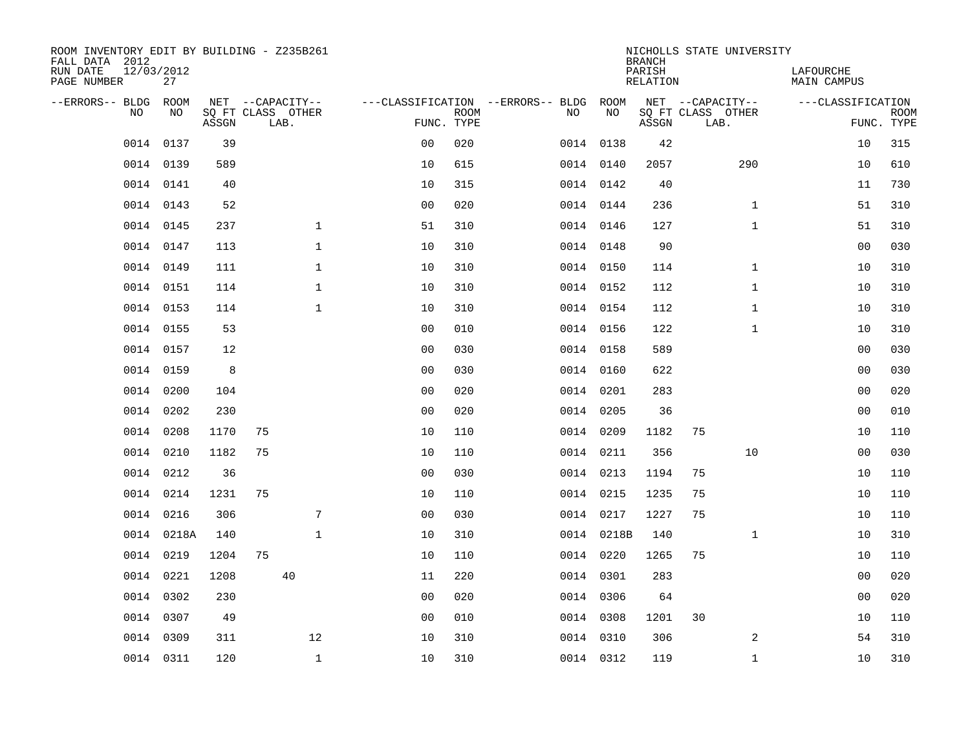| ROOM<br>NET --CAPACITY--<br>--ERRORS-- BLDG<br>NET --CAPACITY--<br>---CLASSIFICATION --ERRORS-- BLDG<br>ROOM<br>---CLASSIFICATION<br>SQ FT CLASS OTHER<br>N <sub>O</sub><br>NO.<br>SO FT CLASS OTHER<br><b>ROOM</b><br>NO.<br>NO<br><b>ROOM</b><br>ASSGN<br>FUNC. TYPE<br>ASSGN<br>FUNC. TYPE<br>LAB.<br>LAB.<br>0137<br>315<br>0014<br>39<br>0 <sub>0</sub><br>020<br>0014 0138<br>42<br>10<br>0014 0139<br>589<br>10<br>615<br>0014 0140<br>2057<br>290<br>610<br>10<br>0014 0141<br>10<br>315<br>0014 0142<br>730<br>40<br>40<br>11<br>0014<br>0143<br>52<br>0 <sub>0</sub><br>020<br>0014 0144<br>51<br>310<br>236<br>$\mathbf{1}$<br>$\mathbf{1}$<br>$\mathbf{1}$<br>0014<br>0145<br>237<br>310<br>127<br>51<br>310<br>51<br>0014 0146<br>$\mathbf 1$<br>030<br>0014<br>0147<br>10<br>310<br>0014 0148<br>90<br>00<br>113<br>$\mathbf{1}$<br>$\mathbf{1}$<br>310<br>0014<br>0149<br>111<br>10<br>310<br>0014 0150<br>114<br>10<br>0014 0151<br>$\mathbf{1}$<br>310<br>0014 0152<br>112<br>$\mathbf{1}$<br>310<br>114<br>10<br>10<br>0014 0153<br>$\mathbf{1}$<br>10<br>310<br>112<br>$\mathbf{1}$<br>10<br>310<br>114<br>0014 0154<br>0014 0155<br>53<br>0 <sub>0</sub><br>010<br>0014 0156<br>122<br>$\mathbf{1}$<br>10<br>310<br>030<br>0014 0157<br>12<br>0 <sub>0</sub><br>030<br>0014 0158<br>589<br>0 <sub>0</sub><br>0014 0159<br>8<br>0 <sub>0</sub><br>622<br>0 <sub>0</sub><br>030<br>030<br>0014 0160<br>0014<br>0200<br>0 <sub>0</sub><br>020<br>283<br>0 <sub>0</sub><br>020<br>104<br>0014 0201<br>0202<br>0 <sub>0</sub><br>020<br>010<br>0014<br>230<br>0014 0205<br>36<br>00<br>0208<br>75<br>75<br>0014<br>1170<br>10<br>110<br>0014 0209<br>1182<br>10<br>110<br>75<br>0014<br>0210<br>1182<br>10<br>110<br>0014 0211<br>356<br>10<br>0 <sub>0</sub><br>030<br>0212<br>75<br>0014<br>36<br>0 <sub>0</sub><br>030<br>0014 0213<br>1194<br>10<br>110<br>0214<br>1231<br>75<br>0014 0215<br>75<br>110<br>0014<br>10<br>110<br>1235<br>10<br>0216<br>306<br>7<br>0 <sub>0</sub><br>030<br>0014 0217<br>75<br>110<br>0014<br>1227<br>10<br>0014<br>0218A<br>$\mathbf{1}$<br>10<br>310<br>0014 0218B<br>140<br>$\mathbf{1}$<br>310<br>140<br>10<br>0014 0219<br>1204<br>75<br>10<br>110<br>0014 0220<br>1265<br>75<br>10<br>110<br>0221<br>020<br>0014<br>1208<br>40<br>11<br>220<br>0014 0301<br>283<br>00<br>0014<br>0302<br>230<br>020<br>020<br>0 <sub>0</sub><br>0014 0306<br>64<br>00<br>0014<br>0307<br>49<br>0 <sub>0</sub><br>010<br>0014 0308<br>1201<br>30<br>10<br>110<br>12<br>2<br>0014<br>0309<br>311<br>10<br>310<br>0014 0310<br>306<br>54<br>310<br>0014 0311<br>0014 0312 | ROOM INVENTORY EDIT BY BUILDING - Z235B261<br>FALL DATA 2012<br>RUN DATE<br>PAGE NUMBER | 12/03/2012<br>27 |     |              |    |     |  | <b>BRANCH</b><br>PARISH<br>RELATION | NICHOLLS STATE UNIVERSITY | LAFOURCHE<br><b>MAIN CAMPUS</b> |     |
|----------------------------------------------------------------------------------------------------------------------------------------------------------------------------------------------------------------------------------------------------------------------------------------------------------------------------------------------------------------------------------------------------------------------------------------------------------------------------------------------------------------------------------------------------------------------------------------------------------------------------------------------------------------------------------------------------------------------------------------------------------------------------------------------------------------------------------------------------------------------------------------------------------------------------------------------------------------------------------------------------------------------------------------------------------------------------------------------------------------------------------------------------------------------------------------------------------------------------------------------------------------------------------------------------------------------------------------------------------------------------------------------------------------------------------------------------------------------------------------------------------------------------------------------------------------------------------------------------------------------------------------------------------------------------------------------------------------------------------------------------------------------------------------------------------------------------------------------------------------------------------------------------------------------------------------------------------------------------------------------------------------------------------------------------------------------------------------------------------------------------------------------------------------------------------------------------------------------------------------------------------------------------------------------------------------------------------------------------------------------------------------------------------------------------------------------------------------------------------------------------------------------------------------------------------------------------------------------------------------|-----------------------------------------------------------------------------------------|------------------|-----|--------------|----|-----|--|-------------------------------------|---------------------------|---------------------------------|-----|
|                                                                                                                                                                                                                                                                                                                                                                                                                                                                                                                                                                                                                                                                                                                                                                                                                                                                                                                                                                                                                                                                                                                                                                                                                                                                                                                                                                                                                                                                                                                                                                                                                                                                                                                                                                                                                                                                                                                                                                                                                                                                                                                                                                                                                                                                                                                                                                                                                                                                                                                                                                                                                |                                                                                         |                  |     |              |    |     |  |                                     |                           |                                 |     |
|                                                                                                                                                                                                                                                                                                                                                                                                                                                                                                                                                                                                                                                                                                                                                                                                                                                                                                                                                                                                                                                                                                                                                                                                                                                                                                                                                                                                                                                                                                                                                                                                                                                                                                                                                                                                                                                                                                                                                                                                                                                                                                                                                                                                                                                                                                                                                                                                                                                                                                                                                                                                                |                                                                                         |                  |     |              |    |     |  |                                     |                           |                                 |     |
|                                                                                                                                                                                                                                                                                                                                                                                                                                                                                                                                                                                                                                                                                                                                                                                                                                                                                                                                                                                                                                                                                                                                                                                                                                                                                                                                                                                                                                                                                                                                                                                                                                                                                                                                                                                                                                                                                                                                                                                                                                                                                                                                                                                                                                                                                                                                                                                                                                                                                                                                                                                                                |                                                                                         |                  |     |              |    |     |  |                                     |                           |                                 |     |
|                                                                                                                                                                                                                                                                                                                                                                                                                                                                                                                                                                                                                                                                                                                                                                                                                                                                                                                                                                                                                                                                                                                                                                                                                                                                                                                                                                                                                                                                                                                                                                                                                                                                                                                                                                                                                                                                                                                                                                                                                                                                                                                                                                                                                                                                                                                                                                                                                                                                                                                                                                                                                |                                                                                         |                  |     |              |    |     |  |                                     |                           |                                 |     |
|                                                                                                                                                                                                                                                                                                                                                                                                                                                                                                                                                                                                                                                                                                                                                                                                                                                                                                                                                                                                                                                                                                                                                                                                                                                                                                                                                                                                                                                                                                                                                                                                                                                                                                                                                                                                                                                                                                                                                                                                                                                                                                                                                                                                                                                                                                                                                                                                                                                                                                                                                                                                                |                                                                                         |                  |     |              |    |     |  |                                     |                           |                                 |     |
|                                                                                                                                                                                                                                                                                                                                                                                                                                                                                                                                                                                                                                                                                                                                                                                                                                                                                                                                                                                                                                                                                                                                                                                                                                                                                                                                                                                                                                                                                                                                                                                                                                                                                                                                                                                                                                                                                                                                                                                                                                                                                                                                                                                                                                                                                                                                                                                                                                                                                                                                                                                                                |                                                                                         |                  |     |              |    |     |  |                                     |                           |                                 |     |
|                                                                                                                                                                                                                                                                                                                                                                                                                                                                                                                                                                                                                                                                                                                                                                                                                                                                                                                                                                                                                                                                                                                                                                                                                                                                                                                                                                                                                                                                                                                                                                                                                                                                                                                                                                                                                                                                                                                                                                                                                                                                                                                                                                                                                                                                                                                                                                                                                                                                                                                                                                                                                |                                                                                         |                  |     |              |    |     |  |                                     |                           |                                 |     |
|                                                                                                                                                                                                                                                                                                                                                                                                                                                                                                                                                                                                                                                                                                                                                                                                                                                                                                                                                                                                                                                                                                                                                                                                                                                                                                                                                                                                                                                                                                                                                                                                                                                                                                                                                                                                                                                                                                                                                                                                                                                                                                                                                                                                                                                                                                                                                                                                                                                                                                                                                                                                                |                                                                                         |                  |     |              |    |     |  |                                     |                           |                                 |     |
|                                                                                                                                                                                                                                                                                                                                                                                                                                                                                                                                                                                                                                                                                                                                                                                                                                                                                                                                                                                                                                                                                                                                                                                                                                                                                                                                                                                                                                                                                                                                                                                                                                                                                                                                                                                                                                                                                                                                                                                                                                                                                                                                                                                                                                                                                                                                                                                                                                                                                                                                                                                                                |                                                                                         |                  |     |              |    |     |  |                                     |                           |                                 |     |
|                                                                                                                                                                                                                                                                                                                                                                                                                                                                                                                                                                                                                                                                                                                                                                                                                                                                                                                                                                                                                                                                                                                                                                                                                                                                                                                                                                                                                                                                                                                                                                                                                                                                                                                                                                                                                                                                                                                                                                                                                                                                                                                                                                                                                                                                                                                                                                                                                                                                                                                                                                                                                |                                                                                         |                  |     |              |    |     |  |                                     |                           |                                 |     |
|                                                                                                                                                                                                                                                                                                                                                                                                                                                                                                                                                                                                                                                                                                                                                                                                                                                                                                                                                                                                                                                                                                                                                                                                                                                                                                                                                                                                                                                                                                                                                                                                                                                                                                                                                                                                                                                                                                                                                                                                                                                                                                                                                                                                                                                                                                                                                                                                                                                                                                                                                                                                                |                                                                                         |                  |     |              |    |     |  |                                     |                           |                                 |     |
|                                                                                                                                                                                                                                                                                                                                                                                                                                                                                                                                                                                                                                                                                                                                                                                                                                                                                                                                                                                                                                                                                                                                                                                                                                                                                                                                                                                                                                                                                                                                                                                                                                                                                                                                                                                                                                                                                                                                                                                                                                                                                                                                                                                                                                                                                                                                                                                                                                                                                                                                                                                                                |                                                                                         |                  |     |              |    |     |  |                                     |                           |                                 |     |
|                                                                                                                                                                                                                                                                                                                                                                                                                                                                                                                                                                                                                                                                                                                                                                                                                                                                                                                                                                                                                                                                                                                                                                                                                                                                                                                                                                                                                                                                                                                                                                                                                                                                                                                                                                                                                                                                                                                                                                                                                                                                                                                                                                                                                                                                                                                                                                                                                                                                                                                                                                                                                |                                                                                         |                  |     |              |    |     |  |                                     |                           |                                 |     |
|                                                                                                                                                                                                                                                                                                                                                                                                                                                                                                                                                                                                                                                                                                                                                                                                                                                                                                                                                                                                                                                                                                                                                                                                                                                                                                                                                                                                                                                                                                                                                                                                                                                                                                                                                                                                                                                                                                                                                                                                                                                                                                                                                                                                                                                                                                                                                                                                                                                                                                                                                                                                                |                                                                                         |                  |     |              |    |     |  |                                     |                           |                                 |     |
|                                                                                                                                                                                                                                                                                                                                                                                                                                                                                                                                                                                                                                                                                                                                                                                                                                                                                                                                                                                                                                                                                                                                                                                                                                                                                                                                                                                                                                                                                                                                                                                                                                                                                                                                                                                                                                                                                                                                                                                                                                                                                                                                                                                                                                                                                                                                                                                                                                                                                                                                                                                                                |                                                                                         |                  |     |              |    |     |  |                                     |                           |                                 |     |
|                                                                                                                                                                                                                                                                                                                                                                                                                                                                                                                                                                                                                                                                                                                                                                                                                                                                                                                                                                                                                                                                                                                                                                                                                                                                                                                                                                                                                                                                                                                                                                                                                                                                                                                                                                                                                                                                                                                                                                                                                                                                                                                                                                                                                                                                                                                                                                                                                                                                                                                                                                                                                |                                                                                         |                  |     |              |    |     |  |                                     |                           |                                 |     |
|                                                                                                                                                                                                                                                                                                                                                                                                                                                                                                                                                                                                                                                                                                                                                                                                                                                                                                                                                                                                                                                                                                                                                                                                                                                                                                                                                                                                                                                                                                                                                                                                                                                                                                                                                                                                                                                                                                                                                                                                                                                                                                                                                                                                                                                                                                                                                                                                                                                                                                                                                                                                                |                                                                                         |                  |     |              |    |     |  |                                     |                           |                                 |     |
|                                                                                                                                                                                                                                                                                                                                                                                                                                                                                                                                                                                                                                                                                                                                                                                                                                                                                                                                                                                                                                                                                                                                                                                                                                                                                                                                                                                                                                                                                                                                                                                                                                                                                                                                                                                                                                                                                                                                                                                                                                                                                                                                                                                                                                                                                                                                                                                                                                                                                                                                                                                                                |                                                                                         |                  |     |              |    |     |  |                                     |                           |                                 |     |
|                                                                                                                                                                                                                                                                                                                                                                                                                                                                                                                                                                                                                                                                                                                                                                                                                                                                                                                                                                                                                                                                                                                                                                                                                                                                                                                                                                                                                                                                                                                                                                                                                                                                                                                                                                                                                                                                                                                                                                                                                                                                                                                                                                                                                                                                                                                                                                                                                                                                                                                                                                                                                |                                                                                         |                  |     |              |    |     |  |                                     |                           |                                 |     |
|                                                                                                                                                                                                                                                                                                                                                                                                                                                                                                                                                                                                                                                                                                                                                                                                                                                                                                                                                                                                                                                                                                                                                                                                                                                                                                                                                                                                                                                                                                                                                                                                                                                                                                                                                                                                                                                                                                                                                                                                                                                                                                                                                                                                                                                                                                                                                                                                                                                                                                                                                                                                                |                                                                                         |                  |     |              |    |     |  |                                     |                           |                                 |     |
|                                                                                                                                                                                                                                                                                                                                                                                                                                                                                                                                                                                                                                                                                                                                                                                                                                                                                                                                                                                                                                                                                                                                                                                                                                                                                                                                                                                                                                                                                                                                                                                                                                                                                                                                                                                                                                                                                                                                                                                                                                                                                                                                                                                                                                                                                                                                                                                                                                                                                                                                                                                                                |                                                                                         |                  |     |              |    |     |  |                                     |                           |                                 |     |
|                                                                                                                                                                                                                                                                                                                                                                                                                                                                                                                                                                                                                                                                                                                                                                                                                                                                                                                                                                                                                                                                                                                                                                                                                                                                                                                                                                                                                                                                                                                                                                                                                                                                                                                                                                                                                                                                                                                                                                                                                                                                                                                                                                                                                                                                                                                                                                                                                                                                                                                                                                                                                |                                                                                         |                  |     |              |    |     |  |                                     |                           |                                 |     |
|                                                                                                                                                                                                                                                                                                                                                                                                                                                                                                                                                                                                                                                                                                                                                                                                                                                                                                                                                                                                                                                                                                                                                                                                                                                                                                                                                                                                                                                                                                                                                                                                                                                                                                                                                                                                                                                                                                                                                                                                                                                                                                                                                                                                                                                                                                                                                                                                                                                                                                                                                                                                                |                                                                                         |                  |     |              |    |     |  |                                     |                           |                                 |     |
|                                                                                                                                                                                                                                                                                                                                                                                                                                                                                                                                                                                                                                                                                                                                                                                                                                                                                                                                                                                                                                                                                                                                                                                                                                                                                                                                                                                                                                                                                                                                                                                                                                                                                                                                                                                                                                                                                                                                                                                                                                                                                                                                                                                                                                                                                                                                                                                                                                                                                                                                                                                                                |                                                                                         |                  |     |              |    |     |  |                                     |                           |                                 |     |
|                                                                                                                                                                                                                                                                                                                                                                                                                                                                                                                                                                                                                                                                                                                                                                                                                                                                                                                                                                                                                                                                                                                                                                                                                                                                                                                                                                                                                                                                                                                                                                                                                                                                                                                                                                                                                                                                                                                                                                                                                                                                                                                                                                                                                                                                                                                                                                                                                                                                                                                                                                                                                |                                                                                         |                  |     |              |    |     |  |                                     |                           |                                 |     |
|                                                                                                                                                                                                                                                                                                                                                                                                                                                                                                                                                                                                                                                                                                                                                                                                                                                                                                                                                                                                                                                                                                                                                                                                                                                                                                                                                                                                                                                                                                                                                                                                                                                                                                                                                                                                                                                                                                                                                                                                                                                                                                                                                                                                                                                                                                                                                                                                                                                                                                                                                                                                                |                                                                                         |                  |     |              |    |     |  |                                     |                           |                                 |     |
|                                                                                                                                                                                                                                                                                                                                                                                                                                                                                                                                                                                                                                                                                                                                                                                                                                                                                                                                                                                                                                                                                                                                                                                                                                                                                                                                                                                                                                                                                                                                                                                                                                                                                                                                                                                                                                                                                                                                                                                                                                                                                                                                                                                                                                                                                                                                                                                                                                                                                                                                                                                                                |                                                                                         |                  |     |              |    |     |  |                                     |                           |                                 |     |
|                                                                                                                                                                                                                                                                                                                                                                                                                                                                                                                                                                                                                                                                                                                                                                                                                                                                                                                                                                                                                                                                                                                                                                                                                                                                                                                                                                                                                                                                                                                                                                                                                                                                                                                                                                                                                                                                                                                                                                                                                                                                                                                                                                                                                                                                                                                                                                                                                                                                                                                                                                                                                |                                                                                         |                  | 120 | $\mathbf{1}$ | 10 | 310 |  | 119                                 | $\mathbf{1}$              | 10                              | 310 |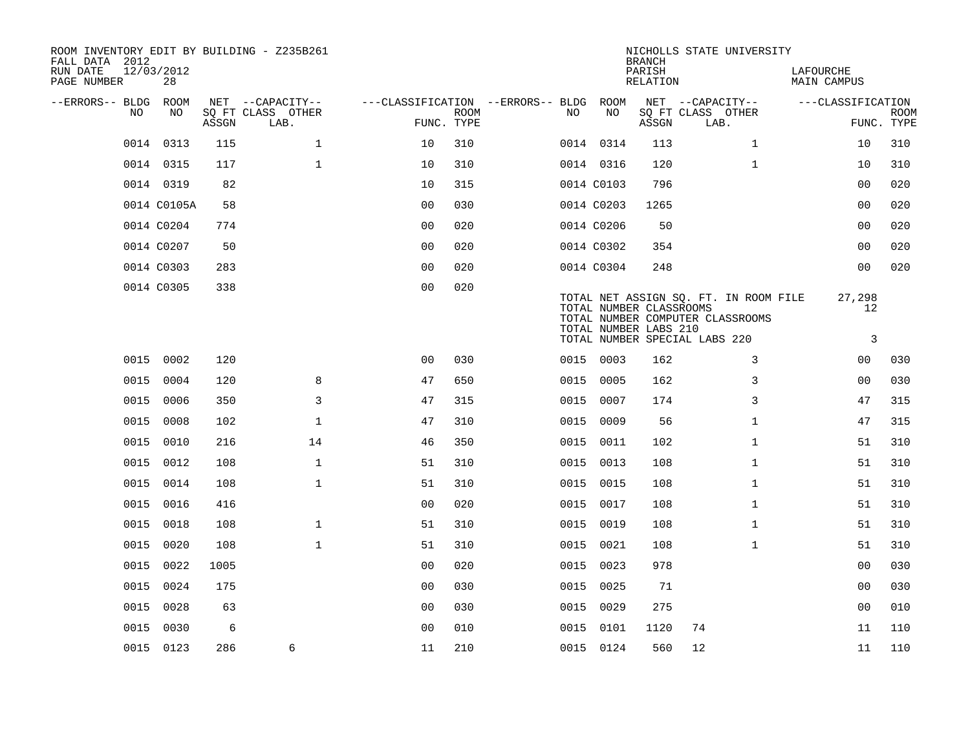| ROOM INVENTORY EDIT BY BUILDING - Z235B261<br>FALL DATA 2012<br>RUN DATE<br>PAGE NUMBER | 12/03/2012<br>28 |       |                                               |                                                      |             |      |            | <b>BRANCH</b><br>PARISH<br><b>RELATION</b>       | NICHOLLS STATE UNIVERSITY                                                                                  | LAFOURCHE<br><b>MAIN CAMPUS</b> |                           |
|-----------------------------------------------------------------------------------------|------------------|-------|-----------------------------------------------|------------------------------------------------------|-------------|------|------------|--------------------------------------------------|------------------------------------------------------------------------------------------------------------|---------------------------------|---------------------------|
| --ERRORS-- BLDG<br>NO.                                                                  | ROOM<br>NO.      | ASSGN | NET --CAPACITY--<br>SQ FT CLASS OTHER<br>LAB. | ---CLASSIFICATION --ERRORS-- BLDG ROOM<br>FUNC. TYPE | <b>ROOM</b> | NO.  | NO         | ASSGN                                            | NET --CAPACITY--<br>SQ FT CLASS OTHER<br>LAB.                                                              | ---CLASSIFICATION               | <b>ROOM</b><br>FUNC. TYPE |
|                                                                                         | 0014 0313        | 115   | $\mathbf{1}$                                  | 10                                                   | 310         |      | 0014 0314  | 113                                              | $\mathbf{1}$                                                                                               | 10                              | 310                       |
|                                                                                         | 0014 0315        | 117   | $\mathbf{1}$                                  | 10                                                   | 310         |      | 0014 0316  | 120                                              | $\mathbf{1}$                                                                                               | 10                              | 310                       |
|                                                                                         | 0014 0319        | 82    |                                               | 10                                                   | 315         |      | 0014 C0103 | 796                                              |                                                                                                            | 00                              | 020                       |
|                                                                                         | 0014 C0105A      | 58    |                                               | 0 <sub>0</sub>                                       | 030         |      | 0014 C0203 | 1265                                             |                                                                                                            | 0 <sub>0</sub>                  | 020                       |
|                                                                                         | 0014 C0204       | 774   |                                               | 0 <sub>0</sub>                                       | 020         |      | 0014 C0206 | 50                                               |                                                                                                            | 0 <sub>0</sub>                  | 020                       |
|                                                                                         | 0014 C0207       | 50    |                                               | 0 <sub>0</sub>                                       | 020         |      | 0014 C0302 | 354                                              |                                                                                                            | 0 <sub>0</sub>                  | 020                       |
|                                                                                         | 0014 C0303       | 283   |                                               | 0 <sub>0</sub>                                       | 020         |      | 0014 C0304 | 248                                              |                                                                                                            | 0 <sub>0</sub>                  | 020                       |
|                                                                                         | 0014 C0305       | 338   |                                               | 00                                                   | 020         |      |            | TOTAL NUMBER CLASSROOMS<br>TOTAL NUMBER LABS 210 | TOTAL NET ASSIGN SQ. FT. IN ROOM FILE<br>TOTAL NUMBER COMPUTER CLASSROOMS<br>TOTAL NUMBER SPECIAL LABS 220 | 27,298<br>12<br>3               |                           |
| 0015                                                                                    | 0002             | 120   |                                               | 0 <sup>0</sup>                                       | 030         |      | 0015 0003  | 162                                              | 3                                                                                                          | 00                              | 030                       |
| 0015                                                                                    | 0004             | 120   | 8                                             | 47                                                   | 650         |      | 0015 0005  | 162                                              | 3                                                                                                          | 00                              | 030                       |
| 0015                                                                                    | 0006             | 350   | 3                                             | 47                                                   | 315         | 0015 | 0007       | 174                                              | 3                                                                                                          | 47                              | 315                       |
| 0015                                                                                    | 0008             | 102   | $\mathbf 1$                                   | 47                                                   | 310         |      | 0015 0009  | 56                                               | $\mathbf{1}$                                                                                               | 47                              | 315                       |
| 0015                                                                                    | 0010             | 216   | 14                                            | 46                                                   | 350         |      | 0015 0011  | 102                                              | $\mathbf{1}$                                                                                               | 51                              | 310                       |
| 0015                                                                                    | 0012             | 108   | $\mathbf{1}$                                  | 51                                                   | 310         |      | 0015 0013  | 108                                              | $\mathbf{1}$                                                                                               | 51                              | 310                       |
| 0015                                                                                    | 0014             | 108   | $\mathbf{1}$                                  | 51                                                   | 310         | 0015 | 0015       | 108                                              | $\mathbf{1}$                                                                                               | 51                              | 310                       |
| 0015                                                                                    | 0016             | 416   |                                               | 0 <sub>0</sub>                                       | 020         |      | 0015 0017  | 108                                              | $\mathbf{1}$                                                                                               | 51                              | 310                       |
| 0015                                                                                    | 0018             | 108   | $\mathbf 1$                                   | 51                                                   | 310         | 0015 | 0019       | 108                                              | $\mathbf{1}$                                                                                               | 51                              | 310                       |
| 0015                                                                                    | 0020             | 108   | $\mathbf{1}$                                  | 51                                                   | 310         |      | 0015 0021  | 108                                              | $\mathbf{1}$                                                                                               | 51                              | 310                       |
| 0015                                                                                    | 0022             | 1005  |                                               | 00                                                   | 020         | 0015 | 0023       | 978                                              |                                                                                                            | 00                              | 030                       |
| 0015                                                                                    | 0024             | 175   |                                               | 0 <sub>0</sub>                                       | 030         |      | 0015 0025  | 71                                               |                                                                                                            | 0 <sub>0</sub>                  | 030                       |
| 0015                                                                                    | 0028             | 63    |                                               | 00                                                   | 030         | 0015 | 0029       | 275                                              |                                                                                                            | 00                              | 010                       |
| 0015                                                                                    | 0030             | 6     |                                               | 0 <sub>0</sub>                                       | 010         |      | 0015 0101  | 1120                                             | 74                                                                                                         | 11                              | 110                       |
|                                                                                         | 0015 0123        | 286   | 6                                             | 11                                                   | 210         |      | 0015 0124  | 560                                              | 12                                                                                                         | 11                              | 110                       |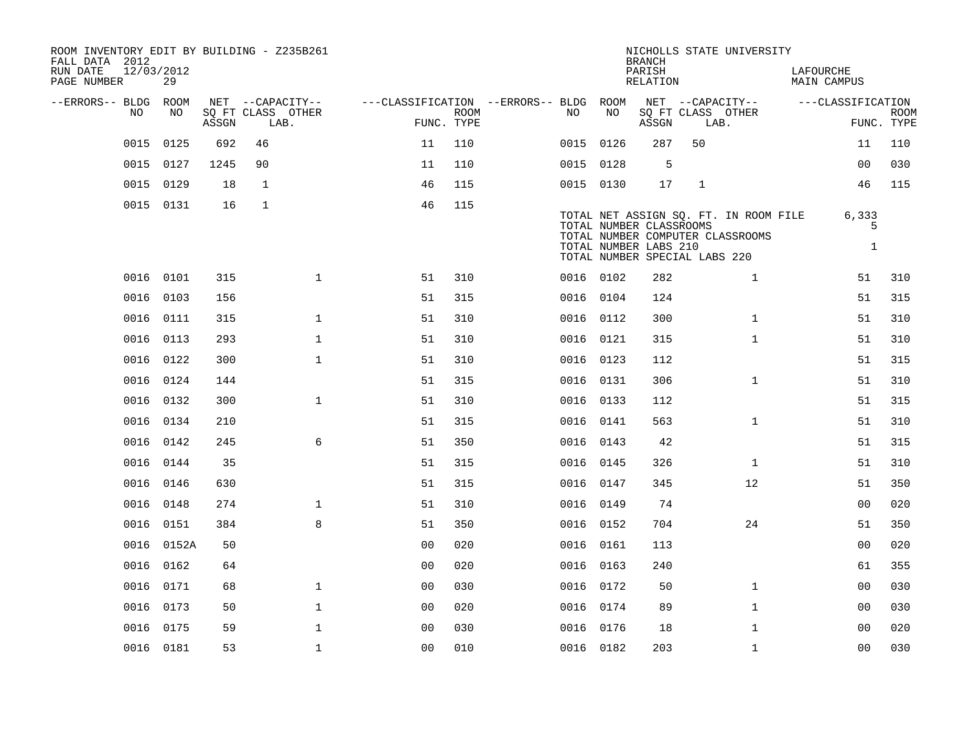| ROOM INVENTORY EDIT BY BUILDING - Z235B261<br>FALL DATA 2012<br>RUN DATE<br>PAGE NUMBER | 12/03/2012 | 29         |                                 |             |                           |                                        |             |           |                                                                                   | <b>BRANCH</b><br>PARISH<br>RELATION |              | NICHOLLS STATE UNIVERSITY                                                 | LAFOURCHE<br><b>MAIN CAMPUS</b> |                           |
|-----------------------------------------------------------------------------------------|------------|------------|---------------------------------|-------------|---------------------------|----------------------------------------|-------------|-----------|-----------------------------------------------------------------------------------|-------------------------------------|--------------|---------------------------------------------------------------------------|---------------------------------|---------------------------|
| --ERRORS-- BLDG ROOM                                                                    |            |            |                                 |             | NET --CAPACITY--          | ---CLASSIFICATION --ERRORS-- BLDG ROOM |             |           |                                                                                   |                                     |              | NET --CAPACITY--                                                          | ---CLASSIFICATION               |                           |
|                                                                                         | NO         | NO         | $\operatorname{\mathsf{ASSGN}}$ |             | SQ FT CLASS OTHER<br>LAB. | FUNC. TYPE                             | <b>ROOM</b> | NO.       | NO                                                                                | ASSGN                               | LAB.         | SQ FT CLASS OTHER                                                         |                                 | <b>ROOM</b><br>FUNC. TYPE |
|                                                                                         | 0015       | 0125       | 692                             | 46          |                           | 11                                     | 110         | 0015 0126 |                                                                                   | 287                                 | 50           |                                                                           | 11                              | 110                       |
|                                                                                         | 0015       | 0127       | 1245                            | 90          |                           | 11                                     | 110         | 0015 0128 |                                                                                   | 5                                   |              |                                                                           | 0 <sub>0</sub>                  | 030                       |
|                                                                                         | 0015       | 0129       | 18                              | 1           |                           | 46                                     | 115         | 0015 0130 |                                                                                   | 17                                  | $\mathbf{1}$ |                                                                           | 46                              | 115                       |
|                                                                                         | 0015 0131  |            | 16                              | $\mathbf 1$ |                           | 46                                     | 115         |           | TOTAL NUMBER CLASSROOMS<br>TOTAL NUMBER LABS 210<br>TOTAL NUMBER SPECIAL LABS 220 |                                     |              | TOTAL NET ASSIGN SQ. FT. IN ROOM FILE<br>TOTAL NUMBER COMPUTER CLASSROOMS | 6,333<br>5<br>$\mathbf{1}$      |                           |
|                                                                                         | 0016 0101  |            | 315                             |             | $\mathbf{1}$              | 51                                     | 310         | 0016 0102 |                                                                                   | 282                                 |              | $\mathbf{1}$                                                              | 51                              | 310                       |
|                                                                                         | 0016 0103  |            | 156                             |             |                           | 51                                     | 315         | 0016 0104 |                                                                                   | 124                                 |              |                                                                           | 51                              | 315                       |
|                                                                                         | 0016       | 0111       | 315                             |             | $\mathbf{1}$              | 51                                     | 310         | 0016 0112 |                                                                                   | 300                                 |              | $\mathbf{1}$                                                              | 51                              | 310                       |
|                                                                                         | 0016 0113  |            | 293                             |             | $\mathbf 1$               | 51                                     | 310         | 0016 0121 |                                                                                   | 315                                 |              | $\mathbf{1}$                                                              | 51                              | 310                       |
|                                                                                         | 0016 0122  |            | 300                             |             | $\mathbf{1}$              | 51                                     | 310         | 0016 0123 |                                                                                   | 112                                 |              |                                                                           | 51                              | 315                       |
|                                                                                         | 0016 0124  |            | 144                             |             |                           | 51                                     | 315         | 0016 0131 |                                                                                   | 306                                 |              | $\mathbf{1}$                                                              | 51                              | 310                       |
|                                                                                         | 0016       | 0132       | 300                             |             | $\mathbf{1}$              | 51                                     | 310         | 0016 0133 |                                                                                   | 112                                 |              |                                                                           | 51                              | 315                       |
|                                                                                         | 0016 0134  |            | 210                             |             |                           | 51                                     | 315         | 0016 0141 |                                                                                   | 563                                 |              | $\mathbf{1}$                                                              | 51                              | 310                       |
|                                                                                         | 0016       | 0142       | 245                             |             | 6                         | 51                                     | 350         | 0016 0143 |                                                                                   | 42                                  |              |                                                                           | 51                              | 315                       |
|                                                                                         | 0016       | 0144       | 35                              |             |                           | 51                                     | 315         | 0016 0145 |                                                                                   | 326                                 |              | $\mathbf{1}$                                                              | 51                              | 310                       |
|                                                                                         | 0016       | 0146       | 630                             |             |                           | 51                                     | 315         | 0016 0147 |                                                                                   | 345                                 |              | 12                                                                        | 51                              | 350                       |
|                                                                                         | 0016 0148  |            | 274                             |             | $\mathbf 1$               | 51                                     | 310         | 0016 0149 |                                                                                   | 74                                  |              |                                                                           | 00                              | 020                       |
|                                                                                         | 0016 0151  |            | 384                             |             | 8                         | 51                                     | 350         | 0016 0152 |                                                                                   | 704                                 |              | 24                                                                        | 51                              | 350                       |
|                                                                                         |            | 0016 0152A | 50                              |             |                           | 0 <sub>0</sub>                         | 020         | 0016 0161 |                                                                                   | 113                                 |              |                                                                           | 00                              | 020                       |
|                                                                                         | 0016       | 0162       | 64                              |             |                           | 0 <sub>0</sub>                         | 020         | 0016 0163 |                                                                                   | 240                                 |              |                                                                           | 61                              | 355                       |
|                                                                                         | 0016 0171  |            | 68                              |             | $\mathbf 1$               | 0 <sub>0</sub>                         | 030         | 0016 0172 |                                                                                   | 50                                  |              | $\mathbf{1}$                                                              | 00                              | 030                       |
|                                                                                         | 0016 0173  |            | 50                              |             | $\mathbf{1}$              | 0 <sub>0</sub>                         | 020         | 0016 0174 |                                                                                   | 89                                  |              | $\mathbf{1}$                                                              | 00                              | 030                       |
|                                                                                         | 0016 0175  |            | 59                              |             | $\mathbf{1}$              | 0 <sub>0</sub>                         | 030         | 0016 0176 |                                                                                   | 18                                  |              | $\mathbf{1}$                                                              | 00                              | 020                       |
|                                                                                         | 0016 0181  |            | 53                              |             | $\mathbf{1}$              | 0 <sub>0</sub>                         | 010         | 0016 0182 |                                                                                   | 203                                 |              | $\mathbf{1}$                                                              | 0 <sub>0</sub>                  | 030                       |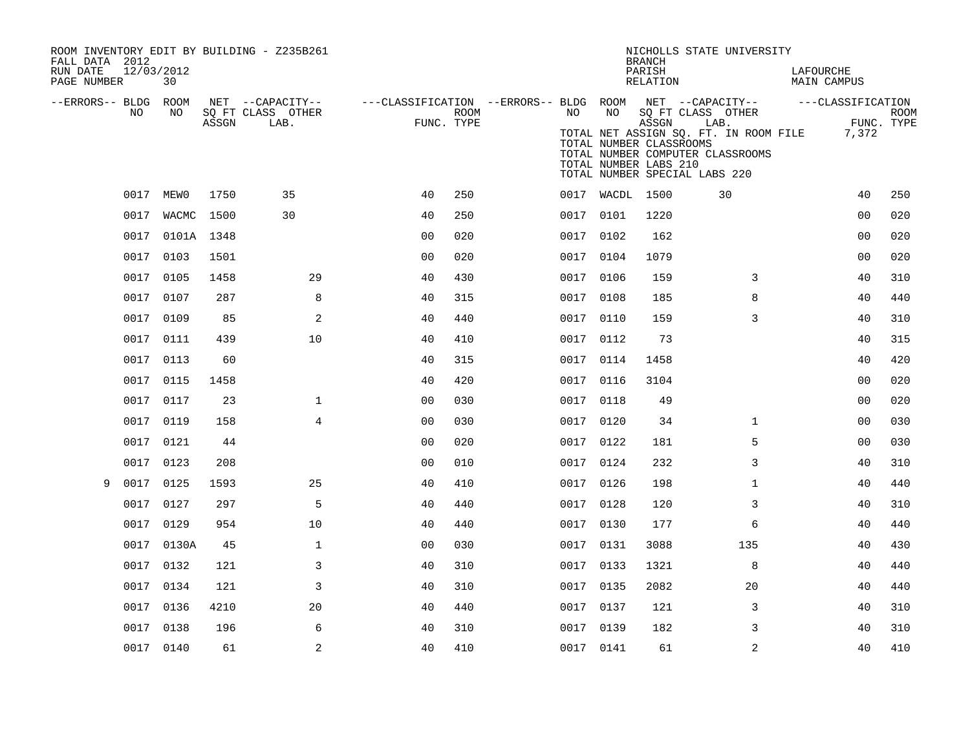| FALL DATA 2012<br>RUN DATE<br>PAGE NUMBER | 12/03/2012 | 30         |       | ROOM INVENTORY EDIT BY BUILDING - Z235B261 |                |             |      |           | <b>BRANCH</b><br>PARISH<br>RELATION                       | NICHOLLS STATE UNIVERSITY                                                                                                               | LAFOURCHE<br><b>MAIN CAMPUS</b> |                           |
|-------------------------------------------|------------|------------|-------|--------------------------------------------|----------------|-------------|------|-----------|-----------------------------------------------------------|-----------------------------------------------------------------------------------------------------------------------------------------|---------------------------------|---------------------------|
| --ERRORS-- BLDG ROOM                      |            |            |       | NET --CAPACITY--                           |                |             |      |           |                                                           | ---CLASSIFICATION --ERRORS-- BLDG ROOM NET --CAPACITY--                                                                                 | ---CLASSIFICATION               |                           |
|                                           | NO.        | NO.        | ASSGN | SQ FT CLASS OTHER<br>LAB.                  | FUNC. TYPE     | <b>ROOM</b> | NO . | NO        | ASSGN<br>TOTAL NUMBER CLASSROOMS<br>TOTAL NUMBER LABS 210 | SQ FT CLASS OTHER<br>LAB.<br>TOTAL NET ASSIGN SQ. FT. IN ROOM FILE<br>TOTAL NUMBER COMPUTER CLASSROOMS<br>TOTAL NUMBER SPECIAL LABS 220 | 7,372                           | <b>ROOM</b><br>FUNC. TYPE |
|                                           |            | 0017 MEW0  | 1750  | 35                                         | 40             | 250         |      |           | 0017 WACDL 1500                                           | 30                                                                                                                                      | 40                              | 250                       |
|                                           | 0017       | WACMC 1500 |       | 30                                         | 40             | 250         |      | 0017 0101 | 1220                                                      |                                                                                                                                         | 0 <sub>0</sub>                  | 020                       |
|                                           | 0017       | 0101A 1348 |       |                                            | 0 <sub>0</sub> | 020         |      | 0017 0102 | 162                                                       |                                                                                                                                         | 0 <sub>0</sub>                  | 020                       |
|                                           | 0017       | 0103       | 1501  |                                            | 0 <sub>0</sub> | 020         |      | 0017 0104 | 1079                                                      |                                                                                                                                         | 0 <sub>0</sub>                  | 020                       |
|                                           | 0017 0105  |            | 1458  | 29                                         | 40             | 430         |      | 0017 0106 | 159                                                       | 3                                                                                                                                       | 40                              | 310                       |
|                                           | 0017 0107  |            | 287   | 8                                          | 40             | 315         |      | 0017 0108 | 185                                                       | 8                                                                                                                                       | 40                              | 440                       |
|                                           | 0017       | 0109       | 85    | 2                                          | 40             | 440         | 0017 | 0110      | 159                                                       | 3                                                                                                                                       | 40                              | 310                       |
|                                           | 0017       | 0111       | 439   | 10                                         | 40             | 410         |      | 0017 0112 | 73                                                        |                                                                                                                                         | 40                              | 315                       |
|                                           | 0017       | 0113       | 60    |                                            | 40             | 315         | 0017 | 0114      | 1458                                                      |                                                                                                                                         | 40                              | 420                       |
|                                           |            | 0017 0115  | 1458  |                                            | 40             | 420         |      | 0017 0116 | 3104                                                      |                                                                                                                                         | 0 <sub>0</sub>                  | 020                       |
|                                           | 0017       | 0117       | 23    | $\mathbf 1$                                | 0 <sub>0</sub> | 030         | 0017 | 0118      | 49                                                        |                                                                                                                                         | 00                              | 020                       |
|                                           | 0017 0119  |            | 158   | $\overline{4}$                             | 00             | 030         |      | 0017 0120 | 34                                                        | $\mathbf{1}$                                                                                                                            | 00                              | 030                       |
|                                           | 0017 0121  |            | 44    |                                            | 0 <sub>0</sub> | 020         |      | 0017 0122 | 181                                                       | 5                                                                                                                                       | 0 <sub>0</sub>                  | 030                       |
|                                           | 0017       | 0123       | 208   |                                            | 0 <sub>0</sub> | 010         |      | 0017 0124 | 232                                                       | 3                                                                                                                                       | 40                              | 310                       |
| 9                                         | 0017       | 0125       | 1593  | 25                                         | 40             | 410         |      | 0017 0126 | 198                                                       | $\mathbf{1}$                                                                                                                            | 40                              | 440                       |
|                                           | 0017       | 0127       | 297   | 5                                          | 40             | 440         |      | 0017 0128 | 120                                                       | 3                                                                                                                                       | 40                              | 310                       |
|                                           | 0017       | 0129       | 954   | 10                                         | 40             | 440         |      | 0017 0130 | 177                                                       | 6                                                                                                                                       | 40                              | 440                       |
|                                           |            | 0017 0130A | 45    | $\mathbf{1}$                               | 0 <sub>0</sub> | 030         |      | 0017 0131 | 3088                                                      | 135                                                                                                                                     | 40                              | 430                       |
|                                           |            | 0017 0132  | 121   | 3                                          | 40             | 310         |      | 0017 0133 | 1321                                                      | 8                                                                                                                                       | 40                              | 440                       |
|                                           | 0017 0134  |            | 121   | 3                                          | 40             | 310         |      | 0017 0135 | 2082                                                      | 20                                                                                                                                      | 40                              | 440                       |
|                                           | 0017 0136  |            | 4210  | 20                                         | 40             | 440         |      | 0017 0137 | 121                                                       | 3                                                                                                                                       | 40                              | 310                       |
|                                           | 0017 0138  |            | 196   | 6                                          | 40             | 310         |      | 0017 0139 | 182                                                       | 3                                                                                                                                       | 40                              | 310                       |
|                                           | 0017 0140  |            | 61    | $\overline{a}$                             | 40             | 410         |      | 0017 0141 | 61                                                        | 2                                                                                                                                       | 40                              | 410                       |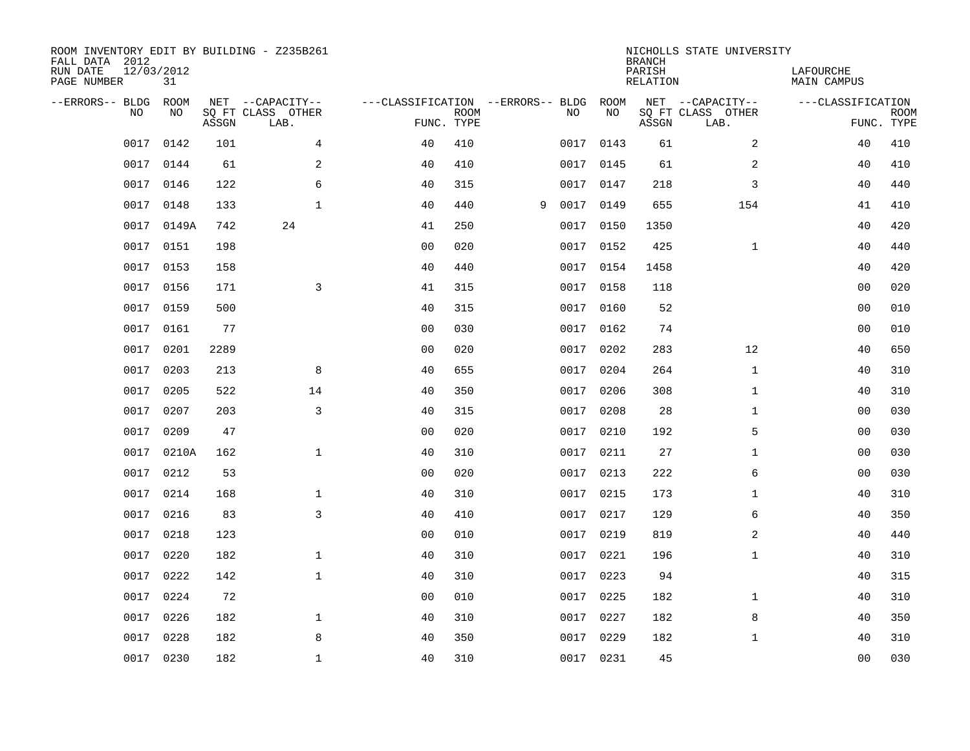| ROOM INVENTORY EDIT BY BUILDING - Z235B261<br>FALL DATA 2012<br>RUN DATE<br>PAGE NUMBER | 12/03/2012<br>31 |       |                                               |                                                      |             |   |           |           | <b>BRANCH</b><br>PARISH<br><b>RELATION</b> | NICHOLLS STATE UNIVERSITY                     | LAFOURCHE<br><b>MAIN CAMPUS</b> |                           |
|-----------------------------------------------------------------------------------------|------------------|-------|-----------------------------------------------|------------------------------------------------------|-------------|---|-----------|-----------|--------------------------------------------|-----------------------------------------------|---------------------------------|---------------------------|
| --ERRORS-- BLDG<br>NO                                                                   | ROOM<br>NO       | ASSGN | NET --CAPACITY--<br>SQ FT CLASS OTHER<br>LAB. | ---CLASSIFICATION --ERRORS-- BLDG ROOM<br>FUNC. TYPE | <b>ROOM</b> |   | NO        | NO        | ASSGN                                      | NET --CAPACITY--<br>SQ FT CLASS OTHER<br>LAB. | ---CLASSIFICATION               | <b>ROOM</b><br>FUNC. TYPE |
| 0017                                                                                    | 0142             | 101   | 4                                             | 40                                                   | 410         |   | 0017      | 0143      | 61                                         | $\overline{a}$                                | 40                              | 410                       |
| 0017                                                                                    | 0144             | 61    | 2                                             | 40                                                   | 410         |   |           | 0017 0145 | 61                                         | 2                                             | 40                              | 410                       |
| 0017                                                                                    | 0146             | 122   | 6                                             | 40                                                   | 315         |   | 0017      | 0147      | 218                                        | 3                                             | 40                              | 440                       |
| 0017                                                                                    | 0148             | 133   | $\mathbf{1}$                                  | 40                                                   | 440         | 9 | 0017 0149 |           | 655                                        | 154                                           | 41                              | 410                       |
| 0017                                                                                    | 0149A            | 742   | 24                                            | 41                                                   | 250         |   | 0017      | 0150      | 1350                                       |                                               | 40                              | 420                       |
| 0017                                                                                    | 0151             | 198   |                                               | 0 <sub>0</sub>                                       | 020         |   |           | 0017 0152 | 425                                        | $\mathbf{1}$                                  | 40                              | 440                       |
| 0017                                                                                    | 0153             | 158   |                                               | 40                                                   | 440         |   | 0017      | 0154      | 1458                                       |                                               | 40                              | 420                       |
| 0017                                                                                    | 0156             | 171   | 3                                             | 41                                                   | 315         |   |           | 0017 0158 | 118                                        |                                               | 0 <sub>0</sub>                  | 020                       |
| 0017                                                                                    | 0159             | 500   |                                               | 40                                                   | 315         |   | 0017      | 0160      | 52                                         |                                               | 0 <sub>0</sub>                  | 010                       |
| 0017                                                                                    | 0161             | 77    |                                               | 0 <sub>0</sub>                                       | 030         |   |           | 0017 0162 | 74                                         |                                               | 0 <sub>0</sub>                  | 010                       |
| 0017                                                                                    | 0201             | 2289  |                                               | 0 <sub>0</sub>                                       | 020         |   | 0017      | 0202      | 283                                        | 12                                            | 40                              | 650                       |
| 0017                                                                                    | 0203             | 213   | 8                                             | 40                                                   | 655         |   |           | 0017 0204 | 264                                        | $\mathbf{1}$                                  | 40                              | 310                       |
| 0017                                                                                    | 0205             | 522   | 14                                            | 40                                                   | 350         |   | 0017      | 0206      | 308                                        | $\mathbf{1}$                                  | 40                              | 310                       |
| 0017                                                                                    | 0207             | 203   | 3                                             | 40                                                   | 315         |   | 0017      | 0208      | 28                                         | $\mathbf{1}$                                  | 00                              | 030                       |
| 0017                                                                                    | 0209             | 47    |                                               | 0 <sub>0</sub>                                       | 020         |   | 0017      | 0210      | 192                                        | 5                                             | 00                              | 030                       |
| 0017                                                                                    | 0210A            | 162   | $\mathbf{1}$                                  | 40                                                   | 310         |   | 0017      | 0211      | 27                                         | $\mathbf{1}$                                  | 00                              | 030                       |
| 0017                                                                                    | 0212             | 53    |                                               | 0 <sub>0</sub>                                       | 020         |   | 0017      | 0213      | 222                                        | 6                                             | 00                              | 030                       |
| 0017                                                                                    | 0214             | 168   | $\mathbf{1}$                                  | 40                                                   | 310         |   | 0017      | 0215      | 173                                        | $\mathbf{1}$                                  | 40                              | 310                       |
| 0017                                                                                    | 0216             | 83    | $\overline{3}$                                | 40                                                   | 410         |   |           | 0017 0217 | 129                                        | 6                                             | 40                              | 350                       |
| 0017                                                                                    | 0218             | 123   |                                               | 0 <sub>0</sub>                                       | 010         |   | 0017      | 0219      | 819                                        | 2                                             | 40                              | 440                       |
| 0017                                                                                    | 0220             | 182   | $\mathbf 1$                                   | 40                                                   | 310         |   |           | 0017 0221 | 196                                        | $\mathbf{1}$                                  | 40                              | 310                       |
| 0017                                                                                    | 0222             | 142   | $\mathbf{1}$                                  | 40                                                   | 310         |   | 0017      | 0223      | 94                                         |                                               | 40                              | 315                       |
| 0017                                                                                    | 0224             | 72    |                                               | 0 <sub>0</sub>                                       | 010         |   |           | 0017 0225 | 182                                        | $\mathbf{1}$                                  | 40                              | 310                       |
| 0017                                                                                    | 0226             | 182   | $\mathbf{1}$                                  | 40                                                   | 310         |   | 0017      | 0227      | 182                                        | 8                                             | 40                              | 350                       |
| 0017                                                                                    | 0228             | 182   | 8                                             | 40                                                   | 350         |   |           | 0017 0229 | 182                                        | $\mathbf{1}$                                  | 40                              | 310                       |
|                                                                                         | 0017 0230        | 182   | $\mathbf{1}$                                  | 40                                                   | 310         |   |           | 0017 0231 | 45                                         |                                               | 0 <sub>0</sub>                  | 030                       |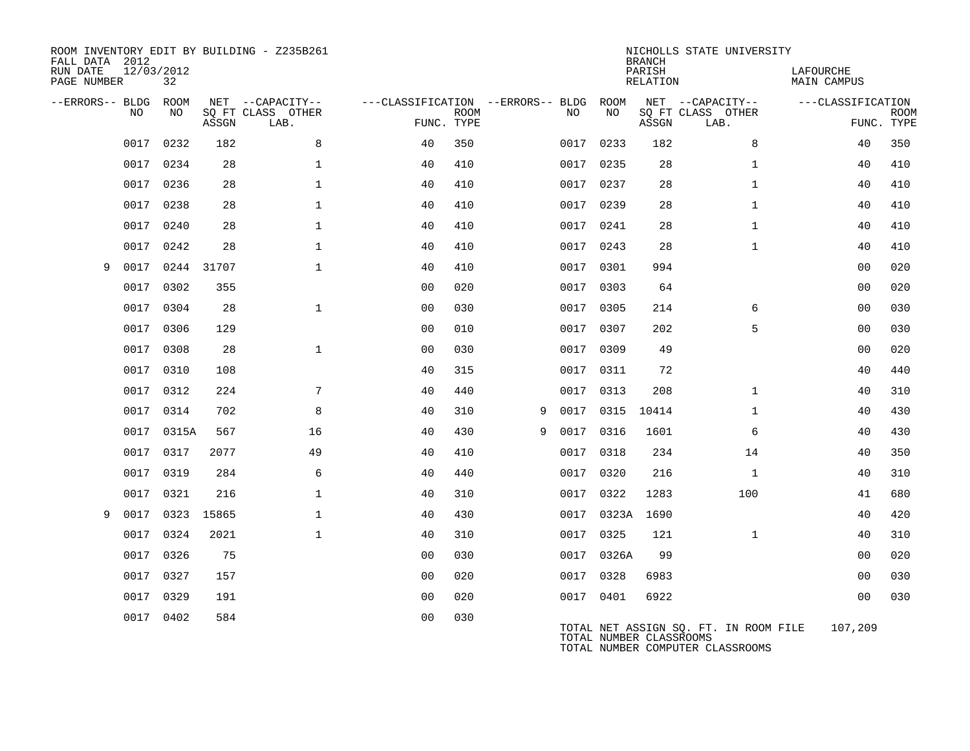| FALL DATA 2012<br>RUN DATE<br>PAGE NUMBER |      | 12/03/2012<br>32 |       | ROOM INVENTORY EDIT BY BUILDING - Z235B261    |                                                      |             |   |      |            | <b>BRANCH</b><br>PARISH<br><b>RELATION</b> | NICHOLLS STATE UNIVERSITY                                                 | LAFOURCHE<br><b>MAIN CAMPUS</b> |                           |
|-------------------------------------------|------|------------------|-------|-----------------------------------------------|------------------------------------------------------|-------------|---|------|------------|--------------------------------------------|---------------------------------------------------------------------------|---------------------------------|---------------------------|
| --ERRORS-- BLDG                           | NO.  | ROOM<br>NO       | ASSGN | NET --CAPACITY--<br>SQ FT CLASS OTHER<br>LAB. | ---CLASSIFICATION --ERRORS-- BLDG ROOM<br>FUNC. TYPE | <b>ROOM</b> |   | NO   | NΟ         | ASSGN                                      | NET --CAPACITY--<br>SQ FT CLASS OTHER<br>LAB.                             | ---CLASSIFICATION               | <b>ROOM</b><br>FUNC. TYPE |
|                                           | 0017 | 0232             | 182   | 8                                             | 40                                                   | 350         |   | 0017 | 0233       | 182                                        | 8                                                                         | 40                              | 350                       |
|                                           | 0017 | 0234             | 28    | $\mathbf{1}$                                  | 40                                                   | 410         |   | 0017 | 0235       | 28                                         | $\mathbf{1}$                                                              | 40                              | 410                       |
|                                           |      | 0017 0236        | 28    | $\mathbf 1$                                   | 40                                                   | 410         |   |      | 0017 0237  | 28                                         | $\mathbf{1}$                                                              | 40                              | 410                       |
|                                           | 0017 | 0238             | 28    | $\mathbf 1$                                   | 40                                                   | 410         |   | 0017 | 0239       | 28                                         | $\mathbf{1}$                                                              | 40                              | 410                       |
|                                           | 0017 | 0240             | 28    | $\mathbf 1$                                   | 40                                                   | 410         |   |      | 0017 0241  | 28                                         | $\mathbf{1}$                                                              | 40                              | 410                       |
|                                           | 0017 | 0242             | 28    | $\mathbf{1}$                                  | 40                                                   | 410         |   | 0017 | 0243       | 28                                         | $\mathbf{1}$                                                              | 40                              | 410                       |
| 9                                         | 0017 | 0244 31707       |       | $\mathbf{1}$                                  | 40                                                   | 410         |   |      | 0017 0301  | 994                                        |                                                                           | 0 <sub>0</sub>                  | 020                       |
|                                           | 0017 | 0302             | 355   |                                               | 00                                                   | 020         |   | 0017 | 0303       | 64                                         |                                                                           | 0 <sub>0</sub>                  | 020                       |
|                                           | 0017 | 0304             | 28    | $\mathbf{1}$                                  | 0 <sub>0</sub>                                       | 030         |   |      | 0017 0305  | 214                                        | 6                                                                         | 0 <sub>0</sub>                  | 030                       |
|                                           | 0017 | 0306             | 129   |                                               | 0 <sub>0</sub>                                       | 010         |   | 0017 | 0307       | 202                                        | 5                                                                         | 0 <sub>0</sub>                  | 030                       |
|                                           | 0017 | 0308             | 28    | $\mathbf{1}$                                  | 00                                                   | 030         |   |      | 0017 0309  | 49                                         |                                                                           | 0 <sub>0</sub>                  | 020                       |
|                                           | 0017 | 0310             | 108   |                                               | 40                                                   | 315         |   | 0017 | 0311       | 72                                         |                                                                           | 40                              | 440                       |
|                                           | 0017 | 0312             | 224   | 7                                             | 40                                                   | 440         |   |      | 0017 0313  | 208                                        | $\mathbf{1}$                                                              | 40                              | 310                       |
|                                           | 0017 | 0314             | 702   | 8                                             | 40                                                   | 310         | 9 | 0017 | 0315       | 10414                                      | $\mathbf{1}$                                                              | 40                              | 430                       |
|                                           | 0017 | 0315A            | 567   | 16                                            | 40                                                   | 430         | 9 | 0017 | 0316       | 1601                                       | 6                                                                         | 40                              | 430                       |
|                                           | 0017 | 0317             | 2077  | 49                                            | 40                                                   | 410         |   | 0017 | 0318       | 234                                        | 14                                                                        | 40                              | 350                       |
|                                           | 0017 | 0319             | 284   | 6                                             | 40                                                   | 440         |   | 0017 | 0320       | 216                                        | $\mathbf{1}$                                                              | 40                              | 310                       |
|                                           | 0017 | 0321             | 216   | $\mathbf 1$                                   | 40                                                   | 310         |   |      | 0017 0322  | 1283                                       | 100                                                                       | 41                              | 680                       |
| 9                                         | 0017 | 0323             | 15865 | $\mathbf 1$                                   | 40                                                   | 430         |   |      | 0017 0323A | 1690                                       |                                                                           | 40                              | 420                       |
|                                           | 0017 | 0324             | 2021  | $\mathbf{1}$                                  | 40                                                   | 310         |   |      | 0017 0325  | 121                                        | $\mathbf{1}$                                                              | 40                              | 310                       |
|                                           | 0017 | 0326             | 75    |                                               | 0 <sub>0</sub>                                       | 030         |   |      | 0017 0326A | 99                                         |                                                                           | 0 <sub>0</sub>                  | 020                       |
|                                           | 0017 | 0327             | 157   |                                               | 0 <sub>0</sub>                                       | 020         |   |      | 0017 0328  | 6983                                       |                                                                           | 0 <sub>0</sub>                  | 030                       |
|                                           | 0017 | 0329             | 191   |                                               | 0 <sub>0</sub>                                       | 020         |   |      | 0017 0401  | 6922                                       |                                                                           | 0 <sub>0</sub>                  | 030                       |
|                                           |      | 0017 0402        | 584   |                                               | 0 <sub>0</sub>                                       | 030         |   |      |            | TOTAL NUMBER CLASSROOMS                    | TOTAL NET ASSIGN SQ. FT. IN ROOM FILE<br>TOTAL NUMBER COMPUTER CLASSROOMS | 107,209                         |                           |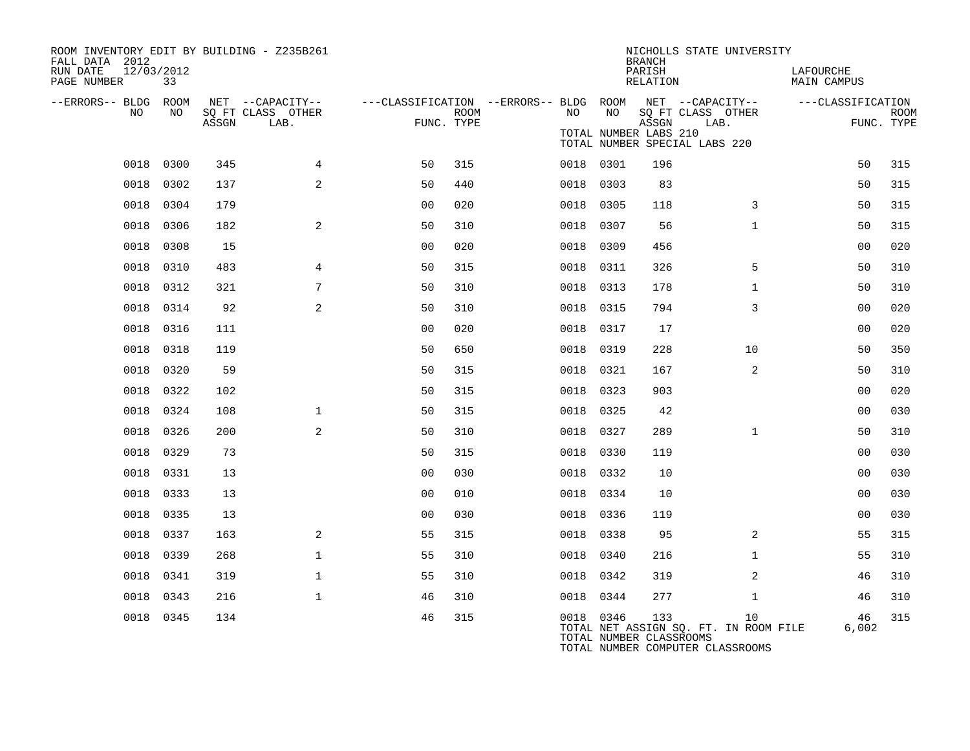| ROOM INVENTORY EDIT BY BUILDING - Z235B261<br>FALL DATA 2012 |           |       |                                       |                |      |      |           | <b>BRANCH</b>                  | NICHOLLS STATE UNIVERSITY                                                       |                          |             |
|--------------------------------------------------------------|-----------|-------|---------------------------------------|----------------|------|------|-----------|--------------------------------|---------------------------------------------------------------------------------|--------------------------|-------------|
| RUN DATE<br>12/03/2012<br>PAGE NUMBER                        | 33        |       |                                       |                |      |      |           | PARISH<br>RELATION             |                                                                                 | LAFOURCHE<br>MAIN CAMPUS |             |
| --ERRORS-- BLDG ROOM<br>NO.                                  | NO.       |       | NET --CAPACITY--<br>SQ FT CLASS OTHER |                | ROOM | NO   | NO        |                                | ---CLASSIFICATION --ERRORS-- BLDG ROOM NET --CAPACITY--<br>SQ FT CLASS OTHER    | ---CLASSIFICATION        | <b>ROOM</b> |
|                                                              |           | ASSGN | LAB.                                  | FUNC. TYPE     |      |      |           | ASSGN<br>TOTAL NUMBER LABS 210 | LAB.<br>TOTAL NUMBER SPECIAL LABS 220                                           |                          | FUNC. TYPE  |
|                                                              | 0018 0300 | 345   | $\overline{4}$                        | 50             | 315  |      | 0018 0301 | 196                            |                                                                                 | 50                       | 315         |
| 0018                                                         | 0302      | 137   | 2                                     | 50             | 440  |      | 0018 0303 | 83                             |                                                                                 | 50                       | 315         |
| 0018                                                         | 0304      | 179   |                                       | 0 <sub>0</sub> | 020  | 0018 | 0305      | 118                            | 3                                                                               | 50                       | 315         |
| 0018                                                         | 0306      | 182   | $\overline{a}$                        | 50             | 310  |      | 0018 0307 | 56                             | $\mathbf{1}$                                                                    | 50                       | 315         |
| 0018                                                         | 0308      | 15    |                                       | 0 <sub>0</sub> | 020  |      | 0018 0309 | 456                            |                                                                                 | 00                       | 020         |
| 0018                                                         | 0310      | 483   | $\overline{4}$                        | 50             | 315  |      | 0018 0311 | 326                            | 5                                                                               | 50                       | 310         |
| 0018                                                         | 0312      | 321   | 7                                     | 50             | 310  |      | 0018 0313 | 178                            | $\mathbf{1}$                                                                    | 50                       | 310         |
|                                                              | 0018 0314 | 92    | 2                                     | 50             | 310  |      | 0018 0315 | 794                            | 3                                                                               | 0 <sub>0</sub>           | 020         |
|                                                              | 0018 0316 | 111   |                                       | 0 <sub>0</sub> | 020  |      | 0018 0317 | 17                             |                                                                                 | 00                       | 020         |
| 0018                                                         | 0318      | 119   |                                       | 50             | 650  | 0018 | 0319      | 228                            | 10                                                                              | 50                       | 350         |
| 0018                                                         | 0320      | 59    |                                       | 50             | 315  |      | 0018 0321 | 167                            | 2                                                                               | 50                       | 310         |
|                                                              | 0018 0322 | 102   |                                       | 50             | 315  |      | 0018 0323 | 903                            |                                                                                 | 0 <sub>0</sub>           | 020         |
|                                                              | 0018 0324 | 108   | $\mathbf 1$                           | 50             | 315  |      | 0018 0325 | 42                             |                                                                                 | 0 <sub>0</sub>           | 030         |
| 0018                                                         | 0326      | 200   | 2                                     | 50             | 310  | 0018 | 0327      | 289                            | $\mathbf{1}$                                                                    | 50                       | 310         |
|                                                              | 0018 0329 | 73    |                                       | 50             | 315  |      | 0018 0330 | 119                            |                                                                                 | 0 <sub>0</sub>           | 030         |
| 0018                                                         | 0331      | 13    |                                       | 0 <sub>0</sub> | 030  |      | 0018 0332 | 10                             |                                                                                 | 0 <sub>0</sub>           | 030         |
| 0018                                                         | 0333      | 13    |                                       | 0 <sub>0</sub> | 010  |      | 0018 0334 | 10                             |                                                                                 | 0 <sub>0</sub>           | 030         |
| 0018                                                         | 0335      | 13    |                                       | 00             | 030  |      | 0018 0336 | 119                            |                                                                                 | 0 <sub>0</sub>           | 030         |
| 0018                                                         | 0337      | 163   | 2                                     | 55             | 315  |      | 0018 0338 | 95                             | 2                                                                               | 55                       | 315         |
|                                                              | 0018 0339 | 268   | $\mathbf{1}$                          | 55             | 310  |      | 0018 0340 | 216                            | $\mathbf{1}$                                                                    | 55                       | 310         |
|                                                              | 0018 0341 | 319   | $\mathbf{1}$                          | 55             | 310  |      | 0018 0342 | 319                            | 2                                                                               | 46                       | 310         |
| 0018                                                         | 0343      | 216   | $\mathbf{1}$                          | 46             | 310  |      | 0018 0344 | 277                            | $\mathbf{1}$                                                                    | 46                       | 310         |
|                                                              | 0018 0345 | 134   |                                       | 46             | 315  |      | 0018 0346 | 133<br>TOTAL NUMBER CLASSROOMS | 10<br>TOTAL NET ASSIGN SQ. FT. IN ROOM FILE<br>TOTAL NUMBER COMPUTER CLASSROOMS | 46<br>6,002              | 315         |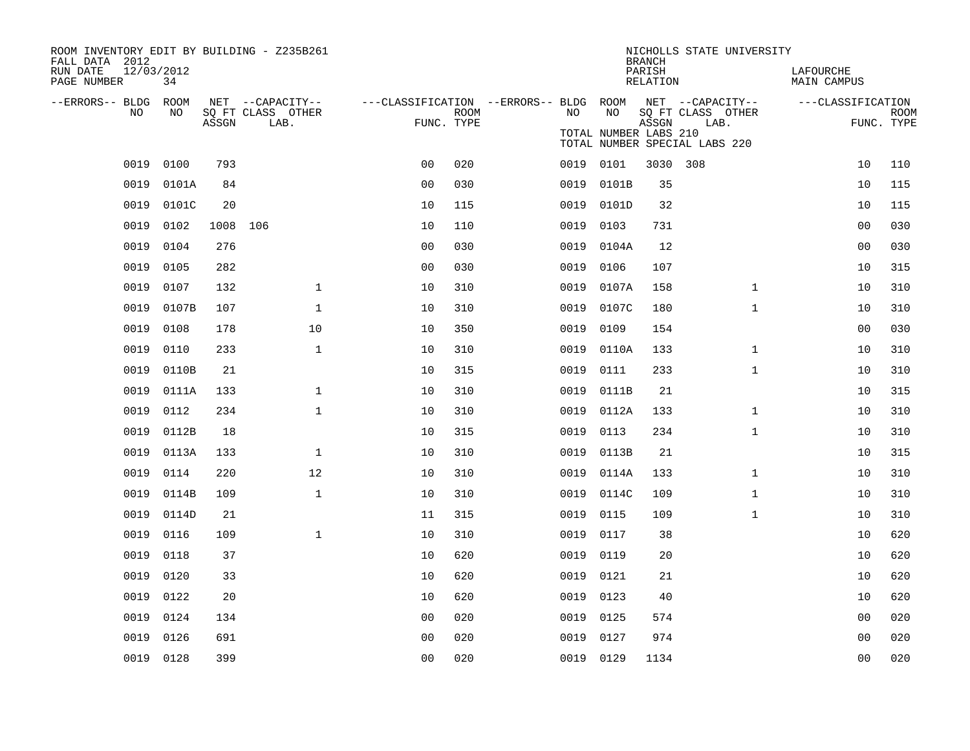| ROOM INVENTORY EDIT BY BUILDING - Z235B261<br>FALL DATA 2012 |           |          |                           |                                                         |      |           |                                                        | <b>BRANCH</b>      |          | NICHOLLS STATE UNIVERSITY |                          |                |                           |
|--------------------------------------------------------------|-----------|----------|---------------------------|---------------------------------------------------------|------|-----------|--------------------------------------------------------|--------------------|----------|---------------------------|--------------------------|----------------|---------------------------|
| 12/03/2012<br>RUN DATE<br>PAGE NUMBER                        | 34        |          |                           |                                                         |      |           |                                                        | PARISH<br>RELATION |          |                           | LAFOURCHE<br>MAIN CAMPUS |                |                           |
| --ERRORS-- BLDG ROOM<br>NO.                                  | NO.       |          | NET --CAPACITY--          | ---CLASSIFICATION --ERRORS-- BLDG ROOM NET --CAPACITY-- |      | NO.       | NO                                                     |                    |          |                           | ---CLASSIFICATION        |                |                           |
|                                                              |           | ASSGN    | SQ FT CLASS OTHER<br>LAB. | FUNC. TYPE                                              | ROOM |           | TOTAL NUMBER LABS 210<br>TOTAL NUMBER SPECIAL LABS 220 | ASSGN              | LAB.     | SQ FT CLASS OTHER         |                          |                | <b>ROOM</b><br>FUNC. TYPE |
| 0019                                                         | 0100      | 793      |                           | 0 <sub>0</sub>                                          | 020  |           | 0019 0101                                              |                    | 3030 308 |                           |                          | 10             | 110                       |
| 0019                                                         | 0101A     | 84       |                           | 0 <sub>0</sub>                                          | 030  | 0019      | 0101B                                                  | 35                 |          |                           |                          | 10             | 115                       |
| 0019                                                         | 0101C     | 20       |                           | 10                                                      | 115  |           | 0019 0101D                                             | 32                 |          |                           |                          | 10             | 115                       |
| 0019                                                         | 0102      | 1008 106 |                           | 10                                                      | 110  | 0019      | 0103                                                   | 731                |          |                           |                          | 00             | 030                       |
| 0019                                                         | 0104      | 276      |                           | 0 <sub>0</sub>                                          | 030  |           | 0019 0104A                                             | 12                 |          |                           |                          | 0 <sub>0</sub> | 030                       |
| 0019                                                         | 0105      | 282      |                           | 0 <sub>0</sub>                                          | 030  | 0019      | 0106                                                   | 107                |          |                           |                          | 10             | 315                       |
| 0019                                                         | 0107      | 132      | $\mathbf 1$               | 10                                                      | 310  | 0019      | 0107A                                                  | 158                |          | $\mathbf{1}$              |                          | 10             | 310                       |
| 0019                                                         | 0107B     | 107      | $\mathbf{1}$              | 10                                                      | 310  | 0019      | 0107C                                                  | 180                |          | $\mathbf{1}$              |                          | 10             | 310                       |
| 0019                                                         | 0108      | 178      | 10                        | 10                                                      | 350  | 0019      | 0109                                                   | 154                |          |                           |                          | 0 <sub>0</sub> | 030                       |
| 0019                                                         | 0110      | 233      | $\mathbf{1}$              | 10                                                      | 310  | 0019      | 0110A                                                  | 133                |          | $\mathbf{1}$              |                          | 10             | 310                       |
| 0019                                                         | 0110B     | 21       |                           | 10                                                      | 315  | 0019      | 0111                                                   | 233                |          | $\mathbf{1}$              |                          | 10             | 310                       |
| 0019                                                         | 0111A     | 133      | $\mathbf{1}$              | 10                                                      | 310  | 0019      | 0111B                                                  | 21                 |          |                           |                          | 10             | 315                       |
| 0019                                                         | 0112      | 234      | $\mathbf{1}$              | 10                                                      | 310  | 0019      | 0112A                                                  | 133                |          | $\mathbf{1}$              |                          | 10             | 310                       |
| 0019                                                         | 0112B     | 18       |                           | 10                                                      | 315  | 0019      | 0113                                                   | 234                |          | $\mathbf{1}$              |                          | 10             | 310                       |
| 0019                                                         | 0113A     | 133      | $\mathbf{1}$              | 10                                                      | 310  | 0019      | 0113B                                                  | 21                 |          |                           |                          | 10             | 315                       |
| 0019                                                         | 0114      | 220      | 12                        | 10                                                      | 310  | 0019      | 0114A                                                  | 133                |          | $\mathbf{1}$              |                          | 10             | 310                       |
| 0019                                                         | 0114B     | 109      | $\mathbf{1}$              | 10                                                      | 310  | 0019      | 0114C                                                  | 109                |          | $\mathbf{1}$              |                          | 10             | 310                       |
| 0019                                                         | 0114D     | 21       |                           | 11                                                      | 315  | 0019      | 0115                                                   | 109                |          | $\mathbf{1}$              |                          | 10             | 310                       |
| 0019                                                         | 0116      | 109      | $\mathbf{1}$              | 10                                                      | 310  | 0019      | 0117                                                   | 38                 |          |                           |                          | 10             | 620                       |
| 0019                                                         | 0118      | 37       |                           | 10                                                      | 620  | 0019      | 0119                                                   | 20                 |          |                           |                          | 10             | 620                       |
| 0019                                                         | 0120      | 33       |                           | 10                                                      | 620  | 0019      | 0121                                                   | 21                 |          |                           |                          | 10             | 620                       |
| 0019                                                         | 0122      | 20       |                           | 10                                                      | 620  | 0019      | 0123                                                   | 40                 |          |                           |                          | 10             | 620                       |
| 0019                                                         | 0124      | 134      |                           | 0 <sub>0</sub>                                          | 020  | 0019      | 0125                                                   | 574                |          |                           |                          | 0 <sub>0</sub> | 020                       |
| 0019                                                         | 0126      | 691      |                           | 0 <sub>0</sub>                                          | 020  | 0019      | 0127                                                   | 974                |          |                           |                          | 00             | 020                       |
|                                                              | 0019 0128 | 399      |                           | 0 <sub>0</sub>                                          | 020  | 0019 0129 |                                                        | 1134               |          |                           |                          | 0 <sub>0</sub> | 020                       |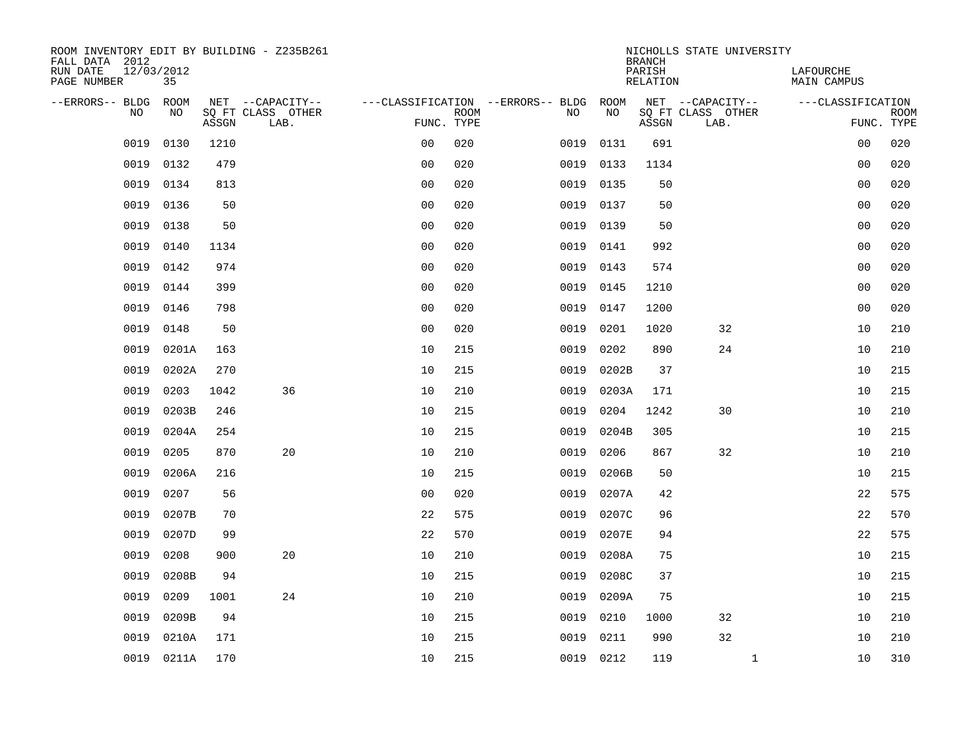| ROOM INVENTORY EDIT BY BUILDING - Z235B261<br>FALL DATA 2012 |                  |       |                                       |                |             |                                              |           | <b>BRANCH</b>             | NICHOLLS STATE UNIVERSITY             |                                 |             |
|--------------------------------------------------------------|------------------|-------|---------------------------------------|----------------|-------------|----------------------------------------------|-----------|---------------------------|---------------------------------------|---------------------------------|-------------|
| RUN DATE<br>PAGE NUMBER                                      | 12/03/2012<br>35 |       |                                       |                |             |                                              |           | PARISH<br><b>RELATION</b> |                                       | LAFOURCHE<br><b>MAIN CAMPUS</b> |             |
| --ERRORS-- BLDG<br>NO                                        | ROOM<br>NO       |       | NET --CAPACITY--<br>SQ FT CLASS OTHER |                | <b>ROOM</b> | ---CLASSIFICATION --ERRORS-- BLDG ROOM<br>NO | NO        |                           | NET --CAPACITY--<br>SQ FT CLASS OTHER | ---CLASSIFICATION               | <b>ROOM</b> |
|                                                              |                  | ASSGN | LAB.                                  | FUNC. TYPE     |             |                                              |           | ASSGN                     | LAB.                                  |                                 | FUNC. TYPE  |
| 0019                                                         | 0130             | 1210  |                                       | 0 <sub>0</sub> | 020         | 0019                                         | 0131      | 691                       |                                       | 00                              | 020         |
| 0019                                                         | 0132             | 479   |                                       | 0 <sub>0</sub> | 020         | 0019                                         | 0133      | 1134                      |                                       | 0 <sub>0</sub>                  | 020         |
| 0019                                                         | 0134             | 813   |                                       | 0 <sub>0</sub> | 020         | 0019                                         | 0135      | 50                        |                                       | 0 <sub>0</sub>                  | 020         |
| 0019                                                         | 0136             | 50    |                                       | 0 <sub>0</sub> | 020         | 0019                                         | 0137      | 50                        |                                       | 00                              | 020         |
| 0019                                                         | 0138             | 50    |                                       | 0 <sub>0</sub> | 020         | 0019                                         | 0139      | 50                        |                                       | 0 <sub>0</sub>                  | 020         |
| 0019                                                         | 0140             | 1134  |                                       | 0 <sub>0</sub> | 020         | 0019                                         | 0141      | 992                       |                                       | 0 <sub>0</sub>                  | 020         |
| 0019                                                         | 0142             | 974   |                                       | 0 <sub>0</sub> | 020         | 0019                                         | 0143      | 574                       |                                       | 0 <sub>0</sub>                  | 020         |
| 0019                                                         | 0144             | 399   |                                       | 0 <sub>0</sub> | 020         | 0019                                         | 0145      | 1210                      |                                       | 0 <sub>0</sub>                  | 020         |
| 0019                                                         | 0146             | 798   |                                       | 0 <sub>0</sub> | 020         | 0019                                         | 0147      | 1200                      |                                       | 00                              | 020         |
| 0019                                                         | 0148             | 50    |                                       | 0 <sub>0</sub> | 020         | 0019                                         | 0201      | 1020                      | 32                                    | 10                              | 210         |
| 0019                                                         | 0201A            | 163   |                                       | 10             | 215         | 0019                                         | 0202      | 890                       | 24                                    | 10                              | 210         |
| 0019                                                         | 0202A            | 270   |                                       | 10             | 215         | 0019                                         | 0202B     | 37                        |                                       | 10                              | 215         |
| 0019                                                         | 0203             | 1042  | 36                                    | 10             | 210         | 0019                                         | 0203A     | 171                       |                                       | 10                              | 215         |
| 0019                                                         | 0203B            | 246   |                                       | 10             | 215         | 0019                                         | 0204      | 1242                      | 30                                    | 10                              | 210         |
| 0019                                                         | 0204A            | 254   |                                       | 10             | 215         | 0019                                         | 0204B     | 305                       |                                       | 10                              | 215         |
| 0019                                                         | 0205             | 870   | 20                                    | 10             | 210         | 0019                                         | 0206      | 867                       | 32                                    | 10                              | 210         |
| 0019                                                         | 0206A            | 216   |                                       | 10             | 215         | 0019                                         | 0206B     | 50                        |                                       | 10                              | 215         |
| 0019                                                         | 0207             | 56    |                                       | 0 <sub>0</sub> | 020         | 0019                                         | 0207A     | 42                        |                                       | 22                              | 575         |
| 0019                                                         | 0207B            | 70    |                                       | 22             | 575         | 0019                                         | 0207C     | 96                        |                                       | 22                              | 570         |
| 0019                                                         | 0207D            | 99    |                                       | 22             | 570         | 0019                                         | 0207E     | 94                        |                                       | 22                              | 575         |
| 0019                                                         | 0208             | 900   | 20                                    | 10             | 210         | 0019                                         | 0208A     | 75                        |                                       | 10                              | 215         |
| 0019                                                         | 0208B            | 94    |                                       | 10             | 215         | 0019                                         | 0208C     | 37                        |                                       | 10                              | 215         |
| 0019                                                         | 0209             | 1001  | 24                                    | 10             | 210         | 0019                                         | 0209A     | 75                        |                                       | 10                              | 215         |
| 0019                                                         | 0209B            | 94    |                                       | 10             | 215         | 0019                                         | 0210      | 1000                      | 32                                    | 10                              | 210         |
| 0019                                                         | 0210A            | 171   |                                       | 10             | 215         | 0019                                         | 0211      | 990                       | 32                                    | 10                              | 210         |
|                                                              | 0019 0211A       | 170   |                                       | 10             | 215         |                                              | 0019 0212 | 119                       | $\mathbf{1}$                          | 10                              | 310         |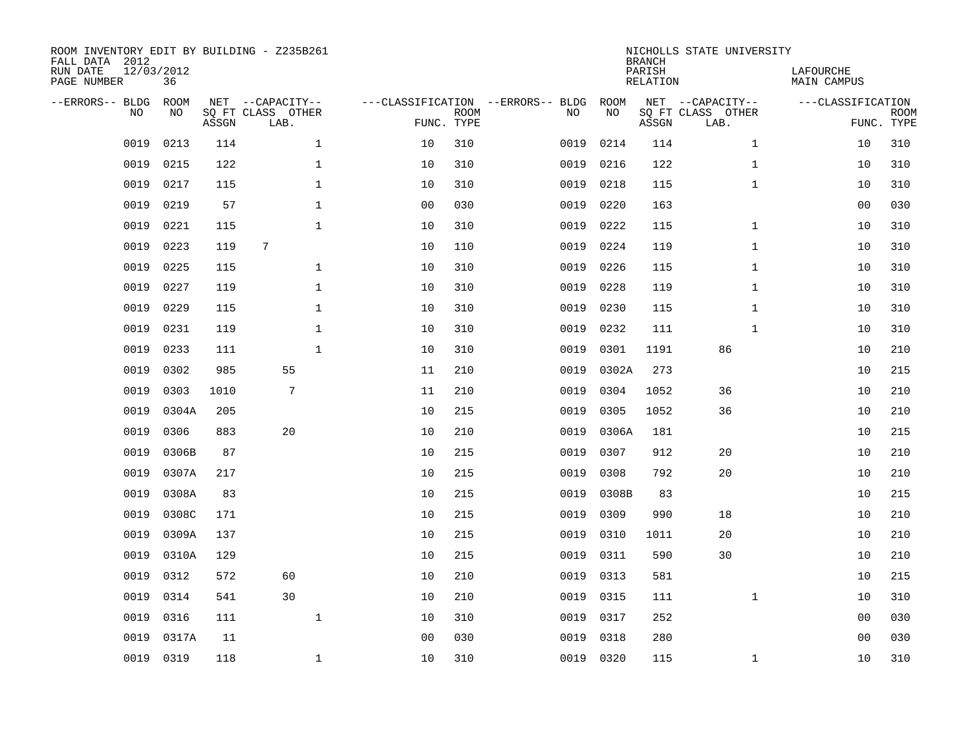| FALL DATA 2012<br>RUN DATE<br>PAGE NUMBER | 12/03/2012 | 36          |       | ROOM INVENTORY EDIT BY BUILDING - Z235B261    |                                   |                           |      |            | <b>BRANCH</b><br>PARISH<br>RELATION | NICHOLLS STATE UNIVERSITY                     | LAFOURCHE<br>MAIN CAMPUS |                           |
|-------------------------------------------|------------|-------------|-------|-----------------------------------------------|-----------------------------------|---------------------------|------|------------|-------------------------------------|-----------------------------------------------|--------------------------|---------------------------|
| --ERRORS-- BLDG                           | <b>NO</b>  | ROOM<br>NO. | ASSGN | NET --CAPACITY--<br>SQ FT CLASS OTHER<br>LAB. | ---CLASSIFICATION --ERRORS-- BLDG | <b>ROOM</b><br>FUNC. TYPE | NO   | ROOM<br>NO | ASSGN                               | NET --CAPACITY--<br>SQ FT CLASS OTHER<br>LAB. | ---CLASSIFICATION        | <b>ROOM</b><br>FUNC. TYPE |
|                                           | 0019       | 0213        | 114   | $\mathbf{1}$                                  | 10                                | 310                       | 0019 | 0214       | 114                                 | $\mathbf{1}$                                  | 10                       | 310                       |
|                                           | 0019       | 0215        | 122   | $\mathbf 1$                                   | 10                                | 310                       | 0019 | 0216       | 122                                 | $\mathbf{1}$                                  | 10                       | 310                       |
|                                           | 0019       | 0217        | 115   | $\mathbf{1}$                                  | 10                                | 310                       | 0019 | 0218       | 115                                 | $\mathbf{1}$                                  | 10                       | 310                       |
|                                           | 0019       | 0219        | 57    | $\mathbf{1}$                                  | 0 <sub>0</sub>                    | 030                       | 0019 | 0220       | 163                                 |                                               | 0 <sub>0</sub>           | 030                       |
|                                           | 0019       | 0221        | 115   | $\mathbf{1}$                                  | 10                                | 310                       | 0019 | 0222       | 115                                 | $\mathbf{1}$                                  | 10                       | 310                       |
|                                           | 0019       | 0223        | 119   | 7                                             | 10                                | 110                       | 0019 | 0224       | 119                                 | $\mathbf{1}$                                  | 10                       | 310                       |
|                                           | 0019       | 0225        | 115   | $\mathbf 1$                                   | 10                                | 310                       | 0019 | 0226       | 115                                 | $\mathbf{1}$                                  | 10                       | 310                       |
|                                           | 0019       | 0227        | 119   | $\mathbf{1}$                                  | 10                                | 310                       | 0019 | 0228       | 119                                 | $\mathbf{1}$                                  | 10                       | 310                       |
|                                           | 0019       | 0229        | 115   | $\mathbf 1$                                   | 10                                | 310                       | 0019 | 0230       | 115                                 | $\mathbf{1}$                                  | 10                       | 310                       |
|                                           | 0019       | 0231        | 119   | $\mathbf{1}$                                  | 10                                | 310                       | 0019 | 0232       | 111                                 | $\mathbf{1}$                                  | 10                       | 310                       |
|                                           | 0019       | 0233        | 111   | $\mathbf 1$                                   | 10                                | 310                       | 0019 | 0301       | 1191                                | 86                                            | 10                       | 210                       |
|                                           | 0019       | 0302        | 985   | 55                                            | 11                                | 210                       | 0019 | 0302A      | 273                                 |                                               | 10                       | 215                       |
|                                           | 0019       | 0303        | 1010  | 7                                             | 11                                | 210                       | 0019 | 0304       | 1052                                | 36                                            | 10                       | 210                       |
|                                           | 0019       | 0304A       | 205   |                                               | 10                                | 215                       | 0019 | 0305       | 1052                                | 36                                            | 10                       | 210                       |
|                                           | 0019       | 0306        | 883   | 20                                            | 10                                | 210                       | 0019 | 0306A      | 181                                 |                                               | 10                       | 215                       |
|                                           | 0019       | 0306B       | 87    |                                               | 10                                | 215                       | 0019 | 0307       | 912                                 | 20                                            | 10                       | 210                       |
|                                           | 0019       | 0307A       | 217   |                                               | 10                                | 215                       | 0019 | 0308       | 792                                 | 20                                            | 10                       | 210                       |
|                                           | 0019       | 0308A       | 83    |                                               | 10                                | 215                       | 0019 | 0308B      | 83                                  |                                               | 10                       | 215                       |
|                                           | 0019       | 0308C       | 171   |                                               | 10                                | 215                       | 0019 | 0309       | 990                                 | 18                                            | 10                       | 210                       |
|                                           | 0019       | 0309A       | 137   |                                               | 10                                | 215                       | 0019 | 0310       | 1011                                | 20                                            | 10                       | 210                       |
|                                           | 0019       | 0310A       | 129   |                                               | 10                                | 215                       | 0019 | 0311       | 590                                 | 30                                            | 10                       | 210                       |
|                                           | 0019       | 0312        | 572   | 60                                            | 10                                | 210                       | 0019 | 0313       | 581                                 |                                               | 10                       | 215                       |
|                                           | 0019       | 0314        | 541   | 30                                            | 10                                | 210                       | 0019 | 0315       | 111                                 | $\mathbf{1}$                                  | 10                       | 310                       |
|                                           | 0019       | 0316        | 111   | $\mathbf{1}$                                  | 10                                | 310                       | 0019 | 0317       | 252                                 |                                               | 0 <sub>0</sub>           | 030                       |
|                                           | 0019       | 0317A       | 11    |                                               | 0 <sub>0</sub>                    | 030                       | 0019 | 0318       | 280                                 |                                               | 0 <sub>0</sub>           | 030                       |
|                                           | 0019       | 0319        | 118   | $\mathbf{1}$                                  | 10                                | 310                       |      | 0019 0320  | 115                                 | $\mathbf{1}$                                  | 10                       | 310                       |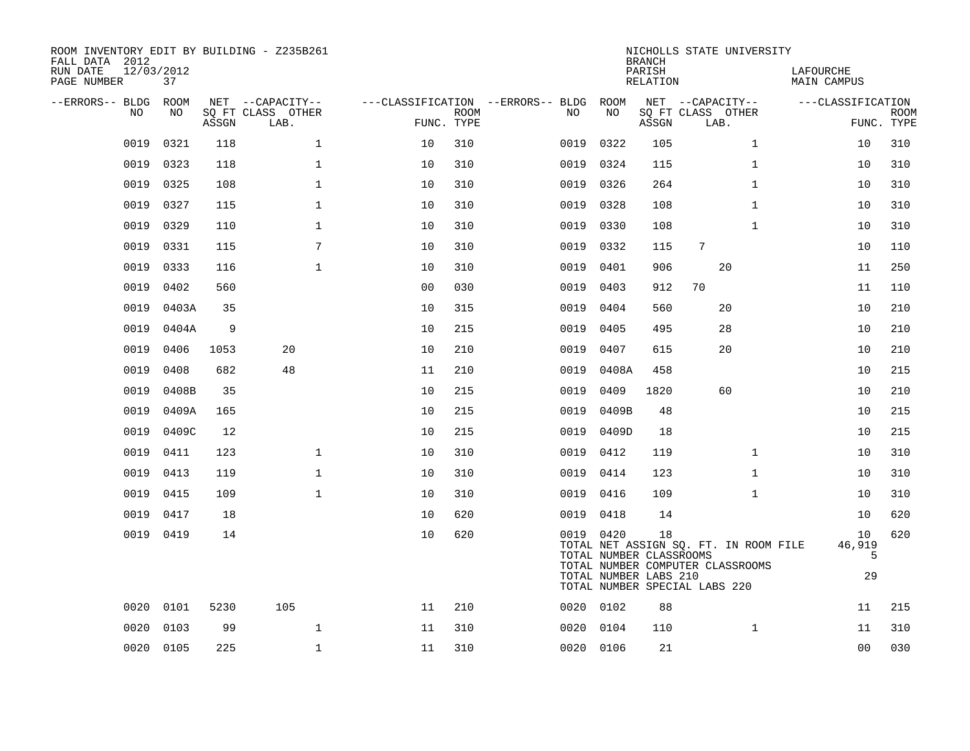| ROOM INVENTORY EDIT BY BUILDING - Z235B261<br>FALL DATA 2012<br>12/03/2012<br>RUN DATE<br>PAGE NUMBER | 37        |       |                           |                |             |                                        |           | <b>BRANCH</b><br>PARISH<br>RELATION                                                                                                                                  |                           | NICHOLLS STATE UNIVERSITY | LAFOURCHE<br><b>MAIN CAMPUS</b> |                           |
|-------------------------------------------------------------------------------------------------------|-----------|-------|---------------------------|----------------|-------------|----------------------------------------|-----------|----------------------------------------------------------------------------------------------------------------------------------------------------------------------|---------------------------|---------------------------|---------------------------------|---------------------------|
| --ERRORS-- BLDG ROOM                                                                                  |           |       | NET --CAPACITY--          |                |             | ---CLASSIFICATION --ERRORS-- BLDG ROOM |           |                                                                                                                                                                      | NET --CAPACITY--          |                           | ---CLASSIFICATION               |                           |
| NO.                                                                                                   | NO        | ASSGN | SQ FT CLASS OTHER<br>LAB. | FUNC. TYPE     | <b>ROOM</b> | NO.                                    | NO        | ASSGN                                                                                                                                                                | SQ FT CLASS OTHER<br>LAB. |                           |                                 | <b>ROOM</b><br>FUNC. TYPE |
| 0019                                                                                                  | 0321      | 118   | $\mathbf 1$               | 10             | 310         | 0019                                   | 0322      | 105                                                                                                                                                                  |                           | $\mathbf{1}$              | 10                              | 310                       |
| 0019                                                                                                  | 0323      | 118   | $\mathbf 1$               | 10             | 310         | 0019                                   | 0324      | 115                                                                                                                                                                  |                           | $\mathbf{1}$              | 10                              | 310                       |
| 0019                                                                                                  | 0325      | 108   | $\mathbf 1$               | 10             | 310         | 0019                                   | 0326      | 264                                                                                                                                                                  |                           | $\mathbf{1}$              | 10                              | 310                       |
| 0019                                                                                                  | 0327      | 115   | $\mathbf 1$               | 10             | 310         | 0019                                   | 0328      | 108                                                                                                                                                                  |                           | $\mathbf{1}$              | 10                              | 310                       |
| 0019                                                                                                  | 0329      | 110   | $\mathbf 1$               | 10             | 310         | 0019                                   | 0330      | 108                                                                                                                                                                  |                           | $\mathbf{1}$              | 10                              | 310                       |
| 0019                                                                                                  | 0331      | 115   | 7                         | 10             | 310         | 0019                                   | 0332      | 115                                                                                                                                                                  | 7                         |                           | 10                              | 110                       |
| 0019                                                                                                  | 0333      | 116   | $\mathbf{1}$              | 10             | 310         | 0019                                   | 0401      | 906                                                                                                                                                                  |                           | 20                        | 11                              | 250                       |
| 0019                                                                                                  | 0402      | 560   |                           | 0 <sub>0</sub> | 030         | 0019                                   | 0403      | 912                                                                                                                                                                  | 70                        |                           | 11                              | 110                       |
| 0019                                                                                                  | 0403A     | 35    |                           | 10             | 315         | 0019                                   | 0404      | 560                                                                                                                                                                  |                           | 20                        | 10                              | 210                       |
| 0019                                                                                                  | 0404A     | 9     |                           | 10             | 215         | 0019                                   | 0405      | 495                                                                                                                                                                  |                           | 28                        | 10                              | 210                       |
| 0019                                                                                                  | 0406      | 1053  | 20                        | 10             | 210         | 0019                                   | 0407      | 615                                                                                                                                                                  |                           | 20                        | 10                              | 210                       |
| 0019                                                                                                  | 0408      | 682   | 48                        | 11             | 210         | 0019                                   | 0408A     | 458                                                                                                                                                                  |                           |                           | 10                              | 215                       |
| 0019                                                                                                  | 0408B     | 35    |                           | 10             | 215         | 0019                                   | 0409      | 1820                                                                                                                                                                 |                           | 60                        | 10                              | 210                       |
| 0019                                                                                                  | 0409A     | 165   |                           | 10             | 215         | 0019                                   | 0409B     | 48                                                                                                                                                                   |                           |                           | 10                              | 215                       |
| 0019                                                                                                  | 0409C     | 12    |                           | 10             | 215         | 0019                                   | 0409D     | 18                                                                                                                                                                   |                           |                           | 10                              | 215                       |
| 0019                                                                                                  | 0411      | 123   | $\mathbf{1}$              | 10             | 310         | 0019                                   | 0412      | 119                                                                                                                                                                  |                           | $\mathbf{1}$              | 10                              | 310                       |
| 0019                                                                                                  | 0413      | 119   | $\mathbf{1}$              | 10             | 310         |                                        | 0019 0414 | 123                                                                                                                                                                  |                           | $\mathbf{1}$              | 10                              | 310                       |
| 0019                                                                                                  | 0415      | 109   | $\mathbf{1}$              | 10             | 310         | 0019                                   | 0416      | 109                                                                                                                                                                  |                           | $\mathbf{1}$              | 10                              | 310                       |
| 0019                                                                                                  | 0417      | 18    |                           | 10             | 620         |                                        | 0019 0418 | 14                                                                                                                                                                   |                           |                           | 10                              | 620                       |
| 0019                                                                                                  | 0419      | 14    |                           | 10             | 620         |                                        | 0019 0420 | 18<br>TOTAL NET ASSIGN SQ. FT. IN ROOM FILE<br>TOTAL NUMBER CLASSROOMS<br>TOTAL NUMBER COMPUTER CLASSROOMS<br>TOTAL NUMBER LABS 210<br>TOTAL NUMBER SPECIAL LABS 220 |                           |                           | 10<br>46,919                    | 620<br>5<br>29            |
| 0020                                                                                                  | 0101      | 5230  | 105                       | 11             | 210         |                                        | 0020 0102 | 88                                                                                                                                                                   |                           |                           | 11                              | 215                       |
| 0020                                                                                                  | 0103      | 99    | $\mathbf 1$               | 11             | 310         | 0020                                   | 0104      | 110                                                                                                                                                                  |                           | $\mathbf{1}$              | 11                              | 310                       |
|                                                                                                       | 0020 0105 | 225   | $\mathbf 1$               | 11             | 310         |                                        | 0020 0106 | 21                                                                                                                                                                   |                           |                           | 0 <sub>0</sub>                  | 030                       |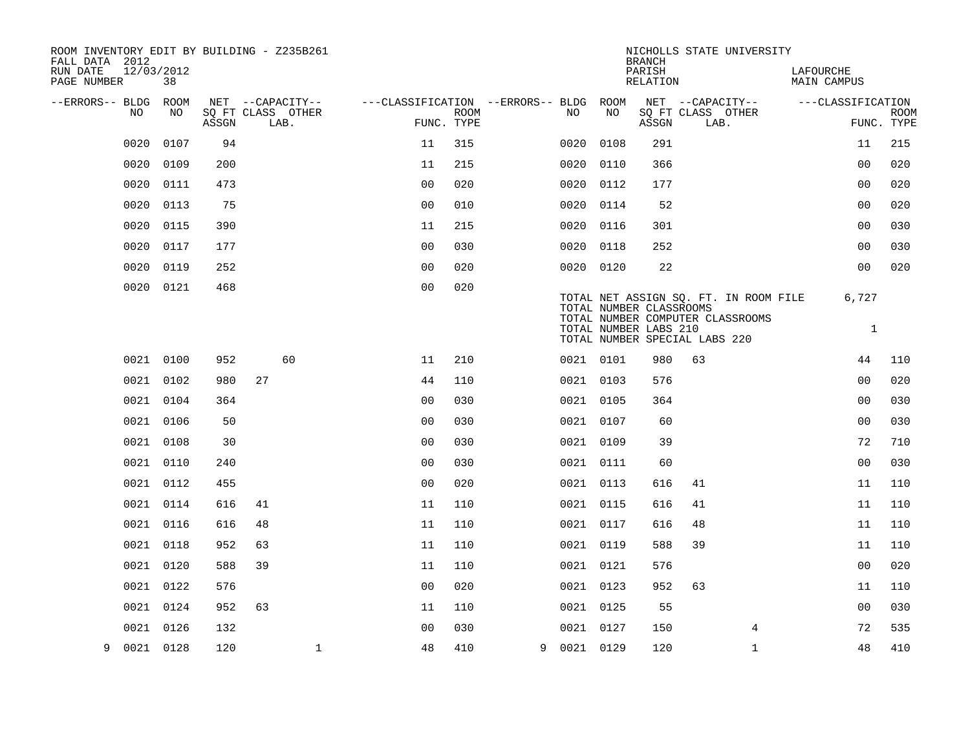| ROOM INVENTORY EDIT BY BUILDING - Z235B261<br>FALL DATA 2012 |                  |       |    |                           |                                        |                           |             |      | <b>BRANCH</b>           |                               | NICHOLLS STATE UNIVERSITY             |                          |                |             |
|--------------------------------------------------------------|------------------|-------|----|---------------------------|----------------------------------------|---------------------------|-------------|------|-------------------------|-------------------------------|---------------------------------------|--------------------------|----------------|-------------|
| RUN DATE<br>PAGE NUMBER                                      | 12/03/2012<br>38 |       |    |                           |                                        |                           |             |      | PARISH<br>RELATION      |                               |                                       | LAFOURCHE<br>MAIN CAMPUS |                |             |
| --ERRORS-- BLDG ROOM                                         |                  |       |    | NET --CAPACITY--          | ---CLASSIFICATION --ERRORS-- BLDG ROOM |                           |             |      |                         |                               | NET --CAPACITY--                      | ---CLASSIFICATION        |                |             |
| NO                                                           | NO               | ASSGN |    | SQ FT CLASS OTHER<br>LAB. |                                        | <b>ROOM</b><br>FUNC. TYPE | NO          | NO   | ASSGN                   | SQ FT CLASS OTHER<br>LAB.     |                                       |                          | FUNC. TYPE     | <b>ROOM</b> |
| 0020                                                         | 0107             | 94    |    |                           | 11                                     | 315                       | 0020        | 0108 | 291                     |                               |                                       |                          | 11             | 215         |
| 0020                                                         | 0109             | 200   |    |                           | 11                                     | 215                       | 0020        | 0110 | 366                     |                               |                                       |                          | 0 <sub>0</sub> | 020         |
| 0020                                                         | 0111             | 473   |    |                           | 0 <sub>0</sub>                         | 020                       | 0020 0112   |      | 177                     |                               |                                       |                          | 0 <sub>0</sub> | 020         |
| 0020                                                         | 0113             | 75    |    |                           | 0 <sub>0</sub>                         | 010                       | 0020        | 0114 | 52                      |                               |                                       |                          | 0 <sub>0</sub> | 020         |
| 0020                                                         | 0115             | 390   |    |                           | 11                                     | 215                       | 0020 0116   |      | 301                     |                               |                                       |                          | 0 <sub>0</sub> | 030         |
| 0020                                                         | 0117             | 177   |    |                           | 0 <sub>0</sub>                         | 030                       | 0020 0118   |      | 252                     |                               |                                       |                          | 0 <sub>0</sub> | 030         |
| 0020                                                         | 0119             | 252   |    |                           | 0 <sub>0</sub>                         | 020                       | 0020 0120   |      | 22                      |                               |                                       |                          | 0 <sub>0</sub> | 020         |
| 0020                                                         | 0121             | 468   |    |                           | 0 <sub>0</sub>                         | 020                       |             |      | TOTAL NUMBER CLASSROOMS |                               | TOTAL NET ASSIGN SQ. FT. IN ROOM FILE |                          | 6,727          |             |
|                                                              |                  |       |    |                           |                                        |                           |             |      | TOTAL NUMBER LABS 210   | TOTAL NUMBER SPECIAL LABS 220 | TOTAL NUMBER COMPUTER CLASSROOMS      |                          | $\mathbf{1}$   |             |
|                                                              | 0021 0100        | 952   |    | 60                        | 11                                     | 210                       | 0021 0101   |      | 980                     | 63                            |                                       |                          | 44             | 110         |
|                                                              | 0021 0102        | 980   | 27 |                           | 44                                     | 110                       | 0021 0103   |      | 576                     |                               |                                       |                          | 0 <sub>0</sub> | 020         |
|                                                              | 0021 0104        | 364   |    |                           | 0 <sub>0</sub>                         | 030                       | 0021 0105   |      | 364                     |                               |                                       |                          | 0 <sub>0</sub> | 030         |
|                                                              | 0021 0106        | 50    |    |                           | 0 <sub>0</sub>                         | 030                       | 0021 0107   |      | 60                      |                               |                                       |                          | 00             | 030         |
|                                                              | 0021 0108        | 30    |    |                           | 0 <sub>0</sub>                         | 030                       | 0021 0109   |      | 39                      |                               |                                       |                          | 72             | 710         |
|                                                              | 0021 0110        | 240   |    |                           | 0 <sub>0</sub>                         | 030                       | 0021 0111   |      | 60                      |                               |                                       |                          | 0 <sub>0</sub> | 030         |
|                                                              | 0021 0112        | 455   |    |                           | 0 <sub>0</sub>                         | 020                       | 0021 0113   |      | 616                     | 41                            |                                       |                          | 11             | 110         |
|                                                              | 0021 0114        | 616   | 41 |                           | 11                                     | 110                       | 0021 0115   |      | 616                     | 41                            |                                       |                          | 11             | 110         |
|                                                              | 0021 0116        | 616   | 48 |                           | 11                                     | 110                       | 0021 0117   |      | 616                     | 48                            |                                       |                          | 11             | 110         |
|                                                              | 0021 0118        | 952   | 63 |                           | 11                                     | 110                       | 0021 0119   |      | 588                     | 39                            |                                       |                          | 11             | 110         |
| 0021                                                         | 0120             | 588   | 39 |                           | 11                                     | 110                       | 0021 0121   |      | 576                     |                               |                                       |                          | 0 <sub>0</sub> | 020         |
|                                                              | 0021 0122        | 576   |    |                           | 0 <sup>0</sup>                         | 020                       | 0021 0123   |      | 952                     | 63                            |                                       |                          | 11             | 110         |
|                                                              | 0021 0124        | 952   | 63 |                           | 11                                     | 110                       | 0021 0125   |      | 55                      |                               |                                       |                          | 00             | 030         |
| 0021                                                         | 0126             | 132   |    |                           | 0 <sub>0</sub>                         | 030                       | 0021 0127   |      | 150                     |                               | 4                                     |                          | 72             | 535         |
| 9                                                            | 0021 0128        | 120   |    | $\mathbf 1$               | 48                                     | 410                       | 9 0021 0129 |      | 120                     |                               | $\mathbf{1}$                          |                          | 48             | 410         |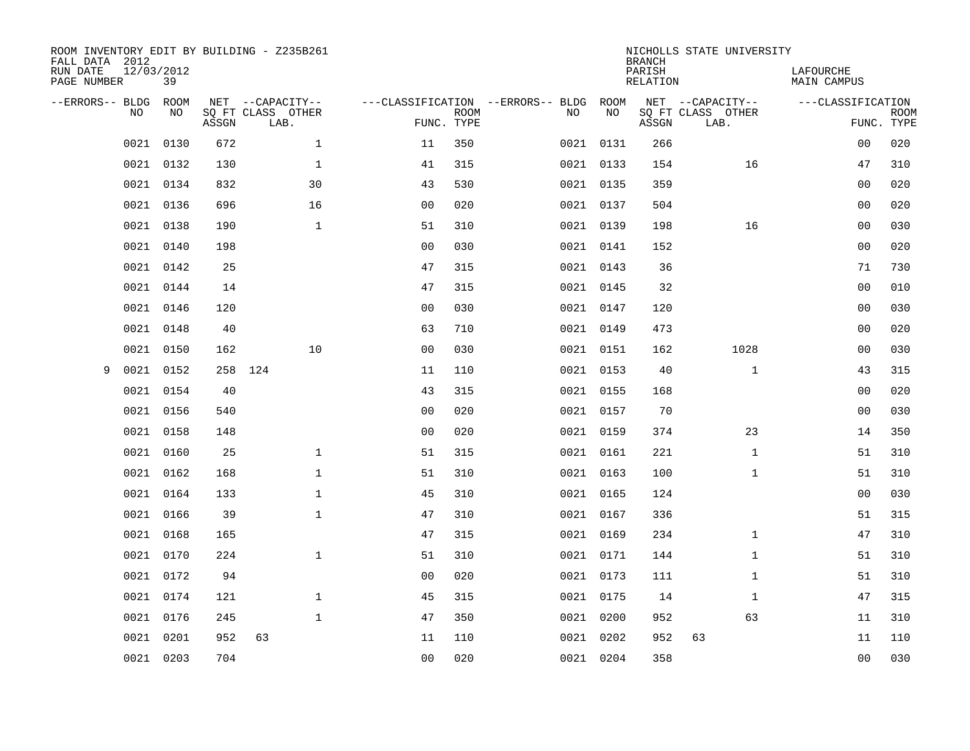| ROOM INVENTORY EDIT BY BUILDING - Z235B261<br>FALL DATA 2012<br>RUN DATE<br>PAGE NUMBER | 12/03/2012<br>39 |       |                                               |                |                           |                                         |            | <b>BRANCH</b><br>PARISH<br><b>RELATION</b> | NICHOLLS STATE UNIVERSITY                     | LAFOURCHE<br><b>MAIN CAMPUS</b> |                           |
|-----------------------------------------------------------------------------------------|------------------|-------|-----------------------------------------------|----------------|---------------------------|-----------------------------------------|------------|--------------------------------------------|-----------------------------------------------|---------------------------------|---------------------------|
| --ERRORS-- BLDG<br>NO                                                                   | ROOM<br>NO       | ASSGN | NET --CAPACITY--<br>SQ FT CLASS OTHER<br>LAB. |                | <b>ROOM</b><br>FUNC. TYPE | ---CLASSIFICATION --ERRORS-- BLDG<br>NO | ROOM<br>NO | ASSGN                                      | NET --CAPACITY--<br>SQ FT CLASS OTHER<br>LAB. | ---CLASSIFICATION               | <b>ROOM</b><br>FUNC. TYPE |
| 0021                                                                                    | 0130             | 672   | $\mathbf{1}$                                  | 11             | 350                       |                                         | 0021 0131  | 266                                        |                                               | 0 <sub>0</sub>                  | 020                       |
| 0021                                                                                    | 0132             | 130   | $\mathbf 1$                                   | 41             | 315                       |                                         | 0021 0133  | 154                                        | 16                                            | 47                              | 310                       |
| 0021                                                                                    | 0134             | 832   | 30                                            | 43             | 530                       |                                         | 0021 0135  | 359                                        |                                               | 0 <sub>0</sub>                  | 020                       |
|                                                                                         | 0021 0136        | 696   | 16                                            | 0 <sub>0</sub> | 020                       |                                         | 0021 0137  | 504                                        |                                               | 0 <sub>0</sub>                  | 020                       |
| 0021                                                                                    | 0138             | 190   | $\mathbf{1}$                                  | 51             | 310                       |                                         | 0021 0139  | 198                                        | 16                                            | 00                              | 030                       |
|                                                                                         | 0021 0140        | 198   |                                               | 0 <sub>0</sub> | 030                       |                                         | 0021 0141  | 152                                        |                                               | 0 <sub>0</sub>                  | 020                       |
| 0021                                                                                    | 0142             | 25    |                                               | 47             | 315                       |                                         | 0021 0143  | 36                                         |                                               | 71                              | 730                       |
|                                                                                         | 0021 0144        | 14    |                                               | 47             | 315                       |                                         | 0021 0145  | 32                                         |                                               | 0 <sub>0</sub>                  | 010                       |
| 0021                                                                                    | 0146             | 120   |                                               | 0 <sub>0</sub> | 030                       |                                         | 0021 0147  | 120                                        |                                               | 0 <sub>0</sub>                  | 030                       |
| 0021                                                                                    | 0148             | 40    |                                               | 63             | 710                       |                                         | 0021 0149  | 473                                        |                                               | 0 <sub>0</sub>                  | 020                       |
| 0021                                                                                    | 0150             | 162   | 10                                            | 0 <sub>0</sub> | 030                       |                                         | 0021 0151  | 162                                        | 1028                                          | 0 <sub>0</sub>                  | 030                       |
| 0021<br>9                                                                               | 0152             |       | 258 124                                       | 11             | 110                       |                                         | 0021 0153  | 40                                         | $\mathbf{1}$                                  | 43                              | 315                       |
| 0021                                                                                    | 0154             | 40    |                                               | 43             | 315                       |                                         | 0021 0155  | 168                                        |                                               | 0 <sub>0</sub>                  | 020                       |
| 0021                                                                                    | 0156             | 540   |                                               | 00             | 020                       |                                         | 0021 0157  | 70                                         |                                               | 0 <sub>0</sub>                  | 030                       |
| 0021                                                                                    | 0158             | 148   |                                               | 0 <sub>0</sub> | 020                       |                                         | 0021 0159  | 374                                        | 23                                            | 14                              | 350                       |
| 0021                                                                                    | 0160             | 25    | $\mathbf 1$                                   | 51             | 315                       |                                         | 0021 0161  | 221                                        | $\mathbf{1}$                                  | 51                              | 310                       |
| 0021                                                                                    | 0162             | 168   | $\mathbf 1$                                   | 51             | 310                       |                                         | 0021 0163  | 100                                        | $\mathbf{1}$                                  | 51                              | 310                       |
| 0021                                                                                    | 0164             | 133   | $\mathbf 1$                                   | 45             | 310                       |                                         | 0021 0165  | 124                                        |                                               | 00                              | 030                       |
| 0021                                                                                    | 0166             | 39    | $\mathbf{1}$                                  | 47             | 310                       |                                         | 0021 0167  | 336                                        |                                               | 51                              | 315                       |
| 0021                                                                                    | 0168             | 165   |                                               | 47             | 315                       |                                         | 0021 0169  | 234                                        | $\mathbf{1}$                                  | 47                              | 310                       |
| 0021                                                                                    | 0170             | 224   | $\mathbf{1}$                                  | 51             | 310                       |                                         | 0021 0171  | 144                                        | $\mathbf{1}$                                  | 51                              | 310                       |
| 0021                                                                                    | 0172             | 94    |                                               | 0 <sub>0</sub> | 020                       |                                         | 0021 0173  | 111                                        | $\mathbf{1}$                                  | 51                              | 310                       |
|                                                                                         | 0021 0174        | 121   | $\mathbf{1}$                                  | 45             | 315                       |                                         | 0021 0175  | 14                                         | $\mathbf{1}$                                  | 47                              | 315                       |
| 0021                                                                                    | 0176             | 245   | $\mathbf{1}$                                  | 47             | 350                       |                                         | 0021 0200  | 952                                        | 63                                            | 11                              | 310                       |
| 0021                                                                                    | 0201             | 952   | 63                                            | 11             | 110                       |                                         | 0021 0202  | 952                                        | 63                                            | 11                              | 110                       |
|                                                                                         | 0021 0203        | 704   |                                               | 0 <sub>0</sub> | 020                       |                                         | 0021 0204  | 358                                        |                                               | 00                              | 030                       |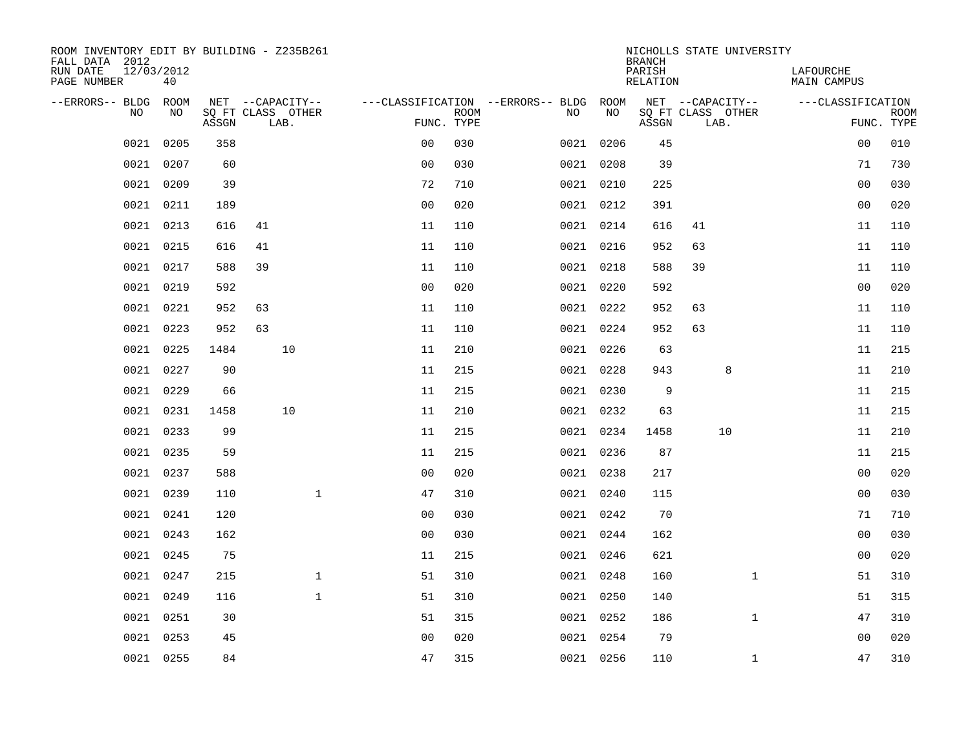| ROOM INVENTORY EDIT BY BUILDING - Z235B261<br>FALL DATA 2012 |                  |       |                           |                |                           |                                   |           | <b>BRANCH</b>      | NICHOLLS STATE UNIVERSITY |                                 |                           |
|--------------------------------------------------------------|------------------|-------|---------------------------|----------------|---------------------------|-----------------------------------|-----------|--------------------|---------------------------|---------------------------------|---------------------------|
| RUN DATE<br>PAGE NUMBER                                      | 12/03/2012<br>40 |       |                           |                |                           |                                   |           | PARISH<br>RELATION |                           | LAFOURCHE<br><b>MAIN CAMPUS</b> |                           |
| --ERRORS-- BLDG                                              | ROOM             |       | NET --CAPACITY--          |                |                           | ---CLASSIFICATION --ERRORS-- BLDG | ROOM      |                    | NET --CAPACITY--          | ---CLASSIFICATION               |                           |
| N <sub>O</sub>                                               | NO.              | ASSGN | SO FT CLASS OTHER<br>LAB. |                | <b>ROOM</b><br>FUNC. TYPE | NO.                               | NO        | ASSGN              | SQ FT CLASS OTHER<br>LAB. |                                 | <b>ROOM</b><br>FUNC. TYPE |
| 0021                                                         | 0205             | 358   |                           | 0 <sub>0</sub> | 030                       |                                   | 0021 0206 | 45                 |                           | 00                              | 010                       |
| 0021                                                         | 0207             | 60    |                           | 0 <sub>0</sub> | 030                       |                                   | 0021 0208 | 39                 |                           | 71                              | 730                       |
| 0021                                                         | 0209             | 39    |                           | 72             | 710                       |                                   | 0021 0210 | 225                |                           | 0 <sub>0</sub>                  | 030                       |
| 0021                                                         | 0211             | 189   |                           | 0 <sub>0</sub> | 020                       |                                   | 0021 0212 | 391                |                           | 0 <sub>0</sub>                  | 020                       |
| 0021                                                         | 0213             | 616   | 41                        | 11             | 110                       |                                   | 0021 0214 | 616                | 41                        | 11                              | 110                       |
| 0021                                                         | 0215             | 616   | 41                        | 11             | 110                       |                                   | 0021 0216 | 952                | 63                        | 11                              | 110                       |
| 0021                                                         | 0217             | 588   | 39                        | 11             | 110                       |                                   | 0021 0218 | 588                | 39                        | 11                              | 110                       |
| 0021                                                         | 0219             | 592   |                           | 0 <sub>0</sub> | 020                       |                                   | 0021 0220 | 592                |                           | 0 <sub>0</sub>                  | 020                       |
| 0021                                                         | 0221             | 952   | 63                        | 11             | 110                       |                                   | 0021 0222 | 952                | 63                        | 11                              | 110                       |
| 0021                                                         | 0223             | 952   | 63                        | 11             | 110                       |                                   | 0021 0224 | 952                | 63                        | 11                              | 110                       |
| 0021                                                         | 0225             | 1484  | 10                        | 11             | 210                       |                                   | 0021 0226 | 63                 |                           | 11                              | 215                       |
| 0021                                                         | 0227             | 90    |                           | 11             | 215                       |                                   | 0021 0228 | 943                | 8                         | 11                              | 210                       |
| 0021                                                         | 0229             | 66    |                           | 11             | 215                       |                                   | 0021 0230 | 9                  |                           | 11                              | 215                       |
| 0021                                                         | 0231             | 1458  | 10                        | 11             | 210                       |                                   | 0021 0232 | 63                 |                           | 11                              | 215                       |
| 0021                                                         | 0233             | 99    |                           | 11             | 215                       |                                   | 0021 0234 | 1458               | 10                        | 11                              | 210                       |
| 0021                                                         | 0235             | 59    |                           | 11             | 215                       |                                   | 0021 0236 | 87                 |                           | 11                              | 215                       |
| 0021                                                         | 0237             | 588   |                           | 0 <sub>0</sub> | 020                       |                                   | 0021 0238 | 217                |                           | 00                              | 020                       |
| 0021                                                         | 0239             | 110   | $\mathbf{1}$              | 47             | 310                       |                                   | 0021 0240 | 115                |                           | 00                              | 030                       |
| 0021                                                         | 0241             | 120   |                           | 0 <sup>0</sup> | 030                       |                                   | 0021 0242 | 70                 |                           | 71                              | 710                       |
| 0021                                                         | 0243             | 162   |                           | 0 <sub>0</sub> | 030                       |                                   | 0021 0244 | 162                |                           | 0 <sub>0</sub>                  | 030                       |
| 0021                                                         | 0245             | 75    |                           | 11             | 215                       |                                   | 0021 0246 | 621                |                           | 00                              | 020                       |
| 0021                                                         | 0247             | 215   | $\mathbf{1}$              | 51             | 310                       |                                   | 0021 0248 | 160                | $\mathbf{1}$              | 51                              | 310                       |
| 0021                                                         | 0249             | 116   | $\mathbf{1}$              | 51             | 310                       |                                   | 0021 0250 | 140                |                           | 51                              | 315                       |
| 0021                                                         | 0251             | 30    |                           | 51             | 315                       |                                   | 0021 0252 | 186                | $\mathbf{1}$              | 47                              | 310                       |
| 0021                                                         | 0253             | 45    |                           | 0 <sub>0</sub> | 020                       |                                   | 0021 0254 | 79                 |                           | 0 <sub>0</sub>                  | 020                       |
|                                                              | 0021 0255        | 84    |                           | 47             | 315                       |                                   | 0021 0256 | 110                | $\mathbf{1}$              | 47                              | 310                       |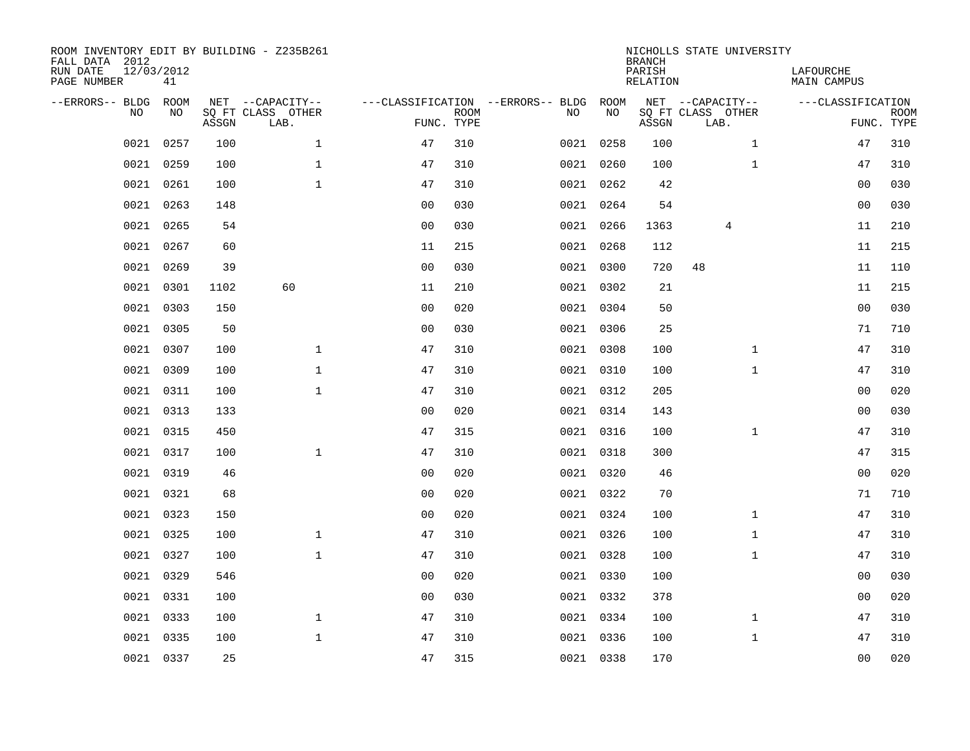| ROOM INVENTORY EDIT BY BUILDING - Z235B261<br>FALL DATA 2012<br>RUN DATE<br>PAGE NUMBER | 12/03/2012<br>41 |       |                                               |                |             |                                              |           | <b>BRANCH</b><br>PARISH<br><b>RELATION</b> | NICHOLLS STATE UNIVERSITY                     | LAFOURCHE<br><b>MAIN CAMPUS</b> |                           |
|-----------------------------------------------------------------------------------------|------------------|-------|-----------------------------------------------|----------------|-------------|----------------------------------------------|-----------|--------------------------------------------|-----------------------------------------------|---------------------------------|---------------------------|
| --ERRORS-- BLDG<br>NO                                                                   | ROOM<br>NO       | ASSGN | NET --CAPACITY--<br>SQ FT CLASS OTHER<br>LAB. | FUNC. TYPE     | <b>ROOM</b> | ---CLASSIFICATION --ERRORS-- BLDG ROOM<br>NO | NO        | ASSGN                                      | NET --CAPACITY--<br>SQ FT CLASS OTHER<br>LAB. | ---CLASSIFICATION               | <b>ROOM</b><br>FUNC. TYPE |
| 0021                                                                                    | 0257             | 100   | $\mathbf 1$                                   | 47             | 310         |                                              | 0021 0258 | 100                                        | $\mathbf{1}$                                  | 47                              | 310                       |
| 0021                                                                                    | 0259             | 100   | $\mathbf{1}$                                  | 47             | 310         |                                              | 0021 0260 | 100                                        | $\mathbf{1}$                                  | 47                              | 310                       |
| 0021                                                                                    | 0261             | 100   | $\mathbf 1$                                   | 47             | 310         |                                              | 0021 0262 | 42                                         |                                               | 00                              | 030                       |
| 0021                                                                                    | 0263             | 148   |                                               | 0 <sub>0</sub> | 030         |                                              | 0021 0264 | 54                                         |                                               | 0 <sub>0</sub>                  | 030                       |
| 0021                                                                                    | 0265             | 54    |                                               | 0 <sub>0</sub> | 030         |                                              | 0021 0266 | 1363                                       | 4                                             | 11                              | 210                       |
| 0021                                                                                    | 0267             | 60    |                                               | 11             | 215         |                                              | 0021 0268 | 112                                        |                                               | 11                              | 215                       |
| 0021                                                                                    | 0269             | 39    |                                               | 0 <sub>0</sub> | 030         |                                              | 0021 0300 | 720                                        | 48                                            | 11                              | 110                       |
|                                                                                         | 0021 0301        | 1102  | 60                                            | 11             | 210         |                                              | 0021 0302 | 21                                         |                                               | 11                              | 215                       |
| 0021                                                                                    | 0303             | 150   |                                               | 0 <sub>0</sub> | 020         |                                              | 0021 0304 | 50                                         |                                               | 0 <sub>0</sub>                  | 030                       |
|                                                                                         | 0021 0305        | 50    |                                               | 0 <sub>0</sub> | 030         |                                              | 0021 0306 | 25                                         |                                               | 71                              | 710                       |
| 0021                                                                                    | 0307             | 100   | $\mathbf{1}$                                  | 47             | 310         |                                              | 0021 0308 | 100                                        | $\mathbf{1}$                                  | 47                              | 310                       |
|                                                                                         | 0021 0309        | 100   | $\mathbf{1}$                                  | 47             | 310         |                                              | 0021 0310 | 100                                        | $\mathbf{1}$                                  | 47                              | 310                       |
| 0021                                                                                    | 0311             | 100   | $\mathbf{1}$                                  | 47             | 310         |                                              | 0021 0312 | 205                                        |                                               | 00                              | 020                       |
| 0021                                                                                    | 0313             | 133   |                                               | 0 <sub>0</sub> | 020         |                                              | 0021 0314 | 143                                        |                                               | 00                              | 030                       |
| 0021                                                                                    | 0315             | 450   |                                               | 47             | 315         |                                              | 0021 0316 | 100                                        | $\mathbf{1}$                                  | 47                              | 310                       |
| 0021                                                                                    | 0317             | 100   | $\mathbf{1}$                                  | 47             | 310         |                                              | 0021 0318 | 300                                        |                                               | 47                              | 315                       |
| 0021                                                                                    | 0319             | 46    |                                               | 0 <sub>0</sub> | 020         |                                              | 0021 0320 | 46                                         |                                               | 0 <sub>0</sub>                  | 020                       |
| 0021                                                                                    | 0321             | 68    |                                               | 0 <sub>0</sub> | 020         |                                              | 0021 0322 | 70                                         |                                               | 71                              | 710                       |
| 0021                                                                                    | 0323             | 150   |                                               | 0 <sub>0</sub> | 020         |                                              | 0021 0324 | 100                                        | $\mathbf{1}$                                  | 47                              | 310                       |
| 0021                                                                                    | 0325             | 100   | $\mathbf 1$                                   | 47             | 310         |                                              | 0021 0326 | 100                                        | $\mathbf{1}$                                  | 47                              | 310                       |
| 0021                                                                                    | 0327             | 100   | $\mathbf 1$                                   | 47             | 310         |                                              | 0021 0328 | 100                                        | $\mathbf{1}$                                  | 47                              | 310                       |
| 0021                                                                                    | 0329             | 546   |                                               | 0 <sub>0</sub> | 020         |                                              | 0021 0330 | 100                                        |                                               | 00                              | 030                       |
|                                                                                         | 0021 0331        | 100   |                                               | 0 <sub>0</sub> | 030         |                                              | 0021 0332 | 378                                        |                                               | 0 <sub>0</sub>                  | 020                       |
|                                                                                         | 0021 0333        | 100   | $\mathbf{1}$                                  | 47             | 310         |                                              | 0021 0334 | 100                                        | $\mathbf{1}$                                  | 47                              | 310                       |
| 0021                                                                                    | 0335             | 100   | $\mathbf{1}$                                  | 47             | 310         |                                              | 0021 0336 | 100                                        | $\mathbf{1}$                                  | 47                              | 310                       |
|                                                                                         | 0021 0337        | 25    |                                               | 47             | 315         |                                              | 0021 0338 | 170                                        |                                               | 0 <sub>0</sub>                  | 020                       |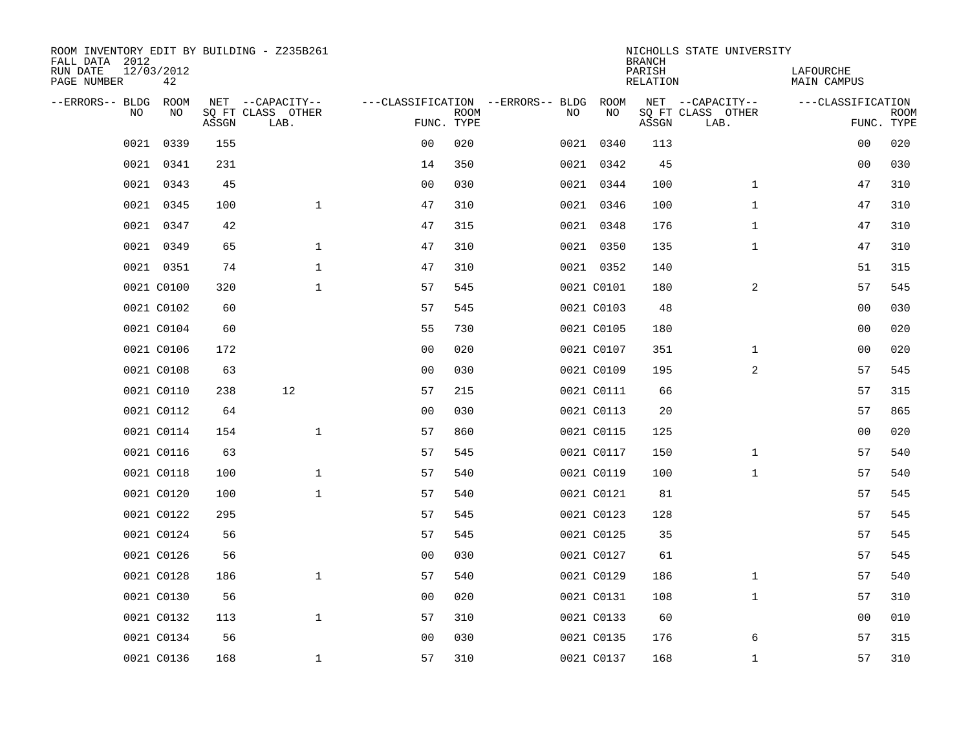| ROOM INVENTORY EDIT BY BUILDING - Z235B261<br>FALL DATA 2012<br>RUN DATE | 12/03/2012 |       |                           |                |             |                                   |            | <b>BRANCH</b><br>PARISH | NICHOLLS STATE UNIVERSITY | LAFOURCHE          |                           |
|--------------------------------------------------------------------------|------------|-------|---------------------------|----------------|-------------|-----------------------------------|------------|-------------------------|---------------------------|--------------------|---------------------------|
| PAGE NUMBER                                                              | 42         |       |                           |                |             |                                   |            | <b>RELATION</b>         |                           | <b>MAIN CAMPUS</b> |                           |
| --ERRORS-- BLDG                                                          | ROOM       |       | NET --CAPACITY--          |                |             | ---CLASSIFICATION --ERRORS-- BLDG | ROOM       |                         | NET --CAPACITY--          | ---CLASSIFICATION  |                           |
| NO                                                                       | NO         | ASSGN | SQ FT CLASS OTHER<br>LAB. | FUNC. TYPE     | <b>ROOM</b> | NO                                | NO         | ASSGN                   | SQ FT CLASS OTHER<br>LAB. |                    | <b>ROOM</b><br>FUNC. TYPE |
| 0021                                                                     | 0339       | 155   |                           | 0 <sub>0</sub> | 020         |                                   | 0021 0340  | 113                     |                           | 00                 | 020                       |
| 0021                                                                     | 0341       | 231   |                           | 14             | 350         |                                   | 0021 0342  | 45                      |                           | 00                 | 030                       |
| 0021                                                                     | 0343       | 45    |                           | 0 <sub>0</sub> | 030         |                                   | 0021 0344  | 100                     | $\mathbf{1}$              | 47                 | 310                       |
| 0021                                                                     | 0345       | 100   | $\mathbf{1}$              | 47             | 310         |                                   | 0021 0346  | 100                     | $\mathbf{1}$              | 47                 | 310                       |
| 0021                                                                     | 0347       | 42    |                           | 47             | 315         |                                   | 0021 0348  | 176                     | $\mathbf{1}$              | 47                 | 310                       |
|                                                                          | 0021 0349  | 65    | $\mathbf{1}$              | 47             | 310         |                                   | 0021 0350  | 135                     | $\mathbf{1}$              | 47                 | 310                       |
|                                                                          | 0021 0351  | 74    | $\mathbf{1}$              | 47             | 310         |                                   | 0021 0352  | 140                     |                           | 51                 | 315                       |
|                                                                          | 0021 C0100 | 320   | $\mathbf{1}$              | 57             | 545         |                                   | 0021 C0101 | 180                     | 2                         | 57                 | 545                       |
|                                                                          | 0021 C0102 | 60    |                           | 57             | 545         |                                   | 0021 C0103 | 48                      |                           | 00                 | 030                       |
|                                                                          | 0021 C0104 | 60    |                           | 55             | 730         |                                   | 0021 C0105 | 180                     |                           | 0 <sub>0</sub>     | 020                       |
|                                                                          | 0021 C0106 | 172   |                           | 0 <sub>0</sub> | 020         |                                   | 0021 C0107 | 351                     | $\mathbf{1}$              | 0 <sub>0</sub>     | 020                       |
|                                                                          | 0021 C0108 | 63    |                           | 0 <sub>0</sub> | 030         |                                   | 0021 C0109 | 195                     | 2                         | 57                 | 545                       |
|                                                                          | 0021 C0110 | 238   | 12                        | 57             | 215         |                                   | 0021 C0111 | 66                      |                           | 57                 | 315                       |
|                                                                          | 0021 C0112 | 64    |                           | 0 <sub>0</sub> | 030         |                                   | 0021 C0113 | 20                      |                           | 57                 | 865                       |
|                                                                          | 0021 C0114 | 154   | $\mathbf{1}$              | 57             | 860         |                                   | 0021 C0115 | 125                     |                           | 0 <sub>0</sub>     | 020                       |
|                                                                          | 0021 C0116 | 63    |                           | 57             | 545         |                                   | 0021 C0117 | 150                     | $\mathbf{1}$              | 57                 | 540                       |
|                                                                          | 0021 C0118 | 100   | $\mathbf 1$               | 57             | 540         |                                   | 0021 C0119 | 100                     | $\mathbf{1}$              | 57                 | 540                       |
|                                                                          | 0021 C0120 | 100   | $\mathbf{1}$              | 57             | 540         |                                   | 0021 C0121 | 81                      |                           | 57                 | 545                       |
|                                                                          | 0021 C0122 | 295   |                           | 57             | 545         |                                   | 0021 C0123 | 128                     |                           | 57                 | 545                       |
|                                                                          | 0021 C0124 | 56    |                           | 57             | 545         |                                   | 0021 C0125 | 35                      |                           | 57                 | 545                       |
|                                                                          | 0021 C0126 | 56    |                           | 0 <sub>0</sub> | 030         |                                   | 0021 C0127 | 61                      |                           | 57                 | 545                       |
|                                                                          | 0021 C0128 | 186   | $\mathbf 1$               | 57             | 540         |                                   | 0021 C0129 | 186                     | $\mathbf{1}$              | 57                 | 540                       |
|                                                                          | 0021 C0130 | 56    |                           | 0 <sub>0</sub> | 020         |                                   | 0021 C0131 | 108                     | $\mathbf{1}$              | 57                 | 310                       |
|                                                                          | 0021 C0132 | 113   | $\mathbf{1}$              | 57             | 310         |                                   | 0021 C0133 | 60                      |                           | 00                 | 010                       |
|                                                                          | 0021 C0134 | 56    |                           | 0 <sub>0</sub> | 030         |                                   | 0021 C0135 | 176                     | 6                         | 57                 | 315                       |
|                                                                          | 0021 C0136 | 168   | $\mathbf{1}$              | 57             | 310         |                                   | 0021 C0137 | 168                     | $\mathbf{1}$              | 57                 | 310                       |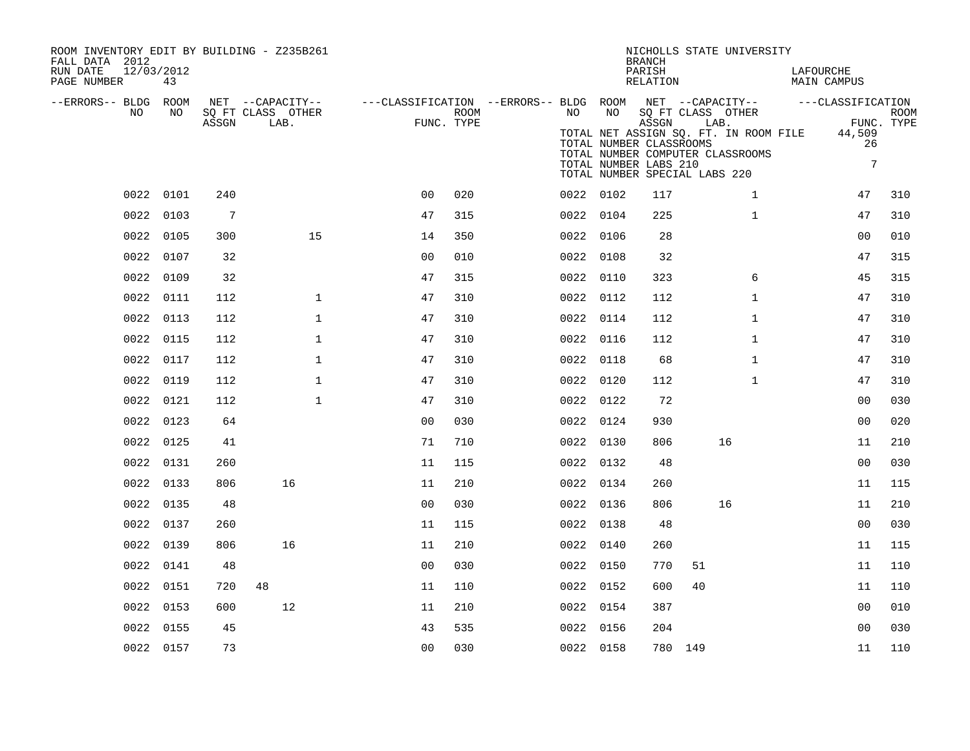| ROOM INVENTORY EDIT BY BUILDING - Z235B261<br>FALL DATA 2012<br>RUN DATE<br>12/03/2012 |           |                 |                           |                |      |                                                                            |           | <b>BRANCH</b><br>PARISH                                   | NICHOLLS STATE UNIVERSITY                                                                                                                      | LAFOURCHE             |                           |
|----------------------------------------------------------------------------------------|-----------|-----------------|---------------------------|----------------|------|----------------------------------------------------------------------------|-----------|-----------------------------------------------------------|------------------------------------------------------------------------------------------------------------------------------------------------|-----------------------|---------------------------|
| PAGE NUMBER                                                                            | 43        |                 |                           |                |      |                                                                            |           | RELATION                                                  |                                                                                                                                                | <b>MAIN CAMPUS</b>    |                           |
| --ERRORS-- BLDG ROOM                                                                   |           |                 | NET --CAPACITY--          |                |      | ---CLASSIFICATION --ERRORS-- BLDG ROOM NET --CAPACITY--  ---CLASSIFICATION |           |                                                           |                                                                                                                                                |                       |                           |
| NO                                                                                     | NO        | ASSGN           | SQ FT CLASS OTHER<br>LAB. | FUNC. TYPE     | ROOM | NO                                                                         | NO        | ASSGN<br>TOTAL NUMBER CLASSROOMS<br>TOTAL NUMBER LABS 210 | SQ FT CLASS OTHER<br>LAB.<br>TOTAL NET ASSIGN SQ. FT. IN ROOM FILE 44,509<br>TOTAL NUMBER COMPUTER CLASSROOMS<br>TOTAL NUMBER SPECIAL LABS 220 | 26<br>$7\overline{ }$ | <b>ROOM</b><br>FUNC. TYPE |
|                                                                                        | 0022 0101 | 240             |                           | 0 <sub>0</sub> | 020  |                                                                            | 0022 0102 | 117                                                       | $\mathbf{1}$                                                                                                                                   | 47                    | 310                       |
|                                                                                        | 0022 0103 | $7\phantom{.0}$ |                           | 47             | 315  |                                                                            | 0022 0104 | 225                                                       | $\mathbf{1}$                                                                                                                                   | 47                    | 310                       |
|                                                                                        | 0022 0105 | 300             | 15                        | 14             | 350  |                                                                            | 0022 0106 | 28                                                        |                                                                                                                                                | 0 <sub>0</sub>        | 010                       |
|                                                                                        | 0022 0107 | 32              |                           | 0 <sub>0</sub> | 010  |                                                                            | 0022 0108 | 32                                                        |                                                                                                                                                | 47                    | 315                       |
|                                                                                        | 0022 0109 | 32              |                           | 47             | 315  |                                                                            | 0022 0110 | 323                                                       | 6                                                                                                                                              | 45                    | 315                       |
|                                                                                        | 0022 0111 | 112             | $\mathbf 1$               | 47             | 310  |                                                                            | 0022 0112 | 112                                                       | $\mathbf{1}$                                                                                                                                   | 47                    | 310                       |
|                                                                                        | 0022 0113 | 112             | $\mathbf{1}$              | 47             | 310  |                                                                            | 0022 0114 | 112                                                       | $\mathbf{1}$                                                                                                                                   | 47                    | 310                       |
|                                                                                        | 0022 0115 | 112             | $\mathbf 1$               | 47             | 310  |                                                                            | 0022 0116 | 112                                                       | $\mathbf{1}$                                                                                                                                   | 47                    | 310                       |
|                                                                                        | 0022 0117 | 112             | 1                         | 47             | 310  |                                                                            | 0022 0118 | 68                                                        | $\mathbf{1}$                                                                                                                                   | 47                    | 310                       |
|                                                                                        | 0022 0119 | 112             | $\mathbf 1$               | 47             | 310  |                                                                            | 0022 0120 | 112                                                       | $\mathbf{1}$                                                                                                                                   | 47                    | 310                       |
|                                                                                        | 0022 0121 | 112             | $\mathbf{1}$              | 47             | 310  |                                                                            | 0022 0122 | 72                                                        |                                                                                                                                                | 0 <sub>0</sub>        | 030                       |
|                                                                                        | 0022 0123 | 64              |                           | 0 <sub>0</sub> | 030  |                                                                            | 0022 0124 | 930                                                       |                                                                                                                                                | 0 <sub>0</sub>        | 020                       |
|                                                                                        | 0022 0125 | 41              |                           | 71             | 710  |                                                                            | 0022 0130 | 806                                                       | 16                                                                                                                                             | 11                    | 210                       |
|                                                                                        | 0022 0131 | 260             |                           | 11             | 115  |                                                                            | 0022 0132 | 48                                                        |                                                                                                                                                | 0 <sub>0</sub>        | 030                       |
|                                                                                        | 0022 0133 | 806             | 16                        | 11             | 210  |                                                                            | 0022 0134 | 260                                                       |                                                                                                                                                | 11                    | 115                       |
|                                                                                        | 0022 0135 | 48              |                           | 0 <sub>0</sub> | 030  |                                                                            | 0022 0136 | 806                                                       | 16                                                                                                                                             | 11                    | 210                       |
|                                                                                        | 0022 0137 | 260             |                           | 11             | 115  |                                                                            | 0022 0138 | 48                                                        |                                                                                                                                                | 0 <sub>0</sub>        | 030                       |
|                                                                                        | 0022 0139 | 806             | 16                        | 11             | 210  |                                                                            | 0022 0140 | 260                                                       |                                                                                                                                                | 11                    | 115                       |
|                                                                                        | 0022 0141 | 48              |                           | 0 <sub>0</sub> | 030  |                                                                            | 0022 0150 | 770                                                       | 51                                                                                                                                             | 11                    | 110                       |
|                                                                                        | 0022 0151 | 720             | 48                        | 11             | 110  |                                                                            | 0022 0152 | 600                                                       | 40                                                                                                                                             | 11                    | 110                       |
| 0022                                                                                   | 0153      | 600             | 12                        | 11             | 210  |                                                                            | 0022 0154 | 387                                                       |                                                                                                                                                | 0 <sub>0</sub>        | 010                       |
|                                                                                        | 0022 0155 | 45              |                           | 43             | 535  |                                                                            | 0022 0156 | 204                                                       |                                                                                                                                                | 0 <sub>0</sub>        | 030                       |
|                                                                                        | 0022 0157 | 73              |                           | 00             | 030  |                                                                            | 0022 0158 | 780 149                                                   |                                                                                                                                                | 11                    | 110                       |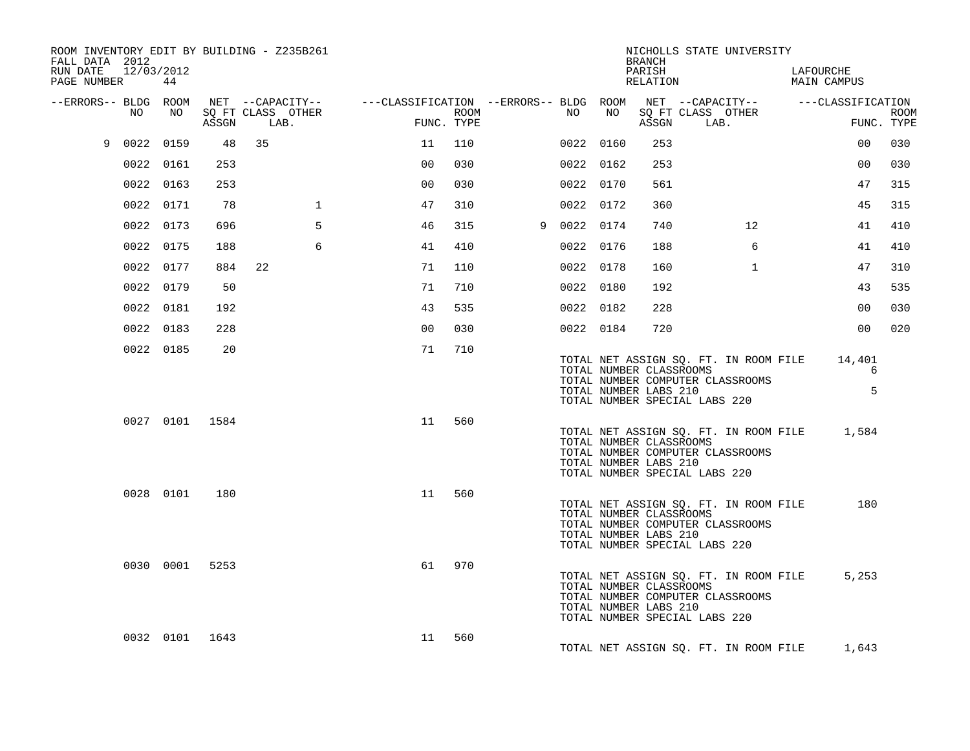| ROOM INVENTORY EDIT BY BUILDING - Z235B261<br>FALL DATA 2012<br>RUN DATE<br>12/03/2012 |           |                |                                       |              |                                        |            |             |    | BRANCH<br>PARISH                                 | NICHOLLS STATE UNIVERSITY                                                                                  | LAFOURCHE        |             |
|----------------------------------------------------------------------------------------|-----------|----------------|---------------------------------------|--------------|----------------------------------------|------------|-------------|----|--------------------------------------------------|------------------------------------------------------------------------------------------------------------|------------------|-------------|
| PAGE NUMBER                                                                            | 44        |                |                                       |              |                                        |            |             |    | RELATION                                         |                                                                                                            | MAIN CAMPUS      |             |
| --ERRORS-- BLDG ROOM<br>NO                                                             | NO        |                | NET --CAPACITY--<br>SQ FT CLASS OTHER |              | ---CLASSIFICATION --ERRORS-- BLDG ROOM | ROOM       | NO          | NO |                                                  | NET --CAPACITY-- ---CLASSIFICATION<br>SQ FT CLASS OTHER                                                    |                  | <b>ROOM</b> |
|                                                                                        |           | ASSGN          | LAB.                                  |              |                                        | FUNC. TYPE |             |    | ASSGN                                            | LAB.                                                                                                       |                  | FUNC. TYPE  |
| 9                                                                                      | 0022 0159 | 48             | 35                                    |              | 11                                     | 110        | 0022 0160   |    | 253                                              |                                                                                                            | 00 <sup>o</sup>  | 030         |
|                                                                                        | 0022 0161 | 253            |                                       |              | 00                                     | 030        | 0022 0162   |    | 253                                              |                                                                                                            | 00               | 030         |
|                                                                                        | 0022 0163 | 253            |                                       |              | 00                                     | 030        | 0022 0170   |    | 561                                              |                                                                                                            | 47               | 315         |
|                                                                                        | 0022 0171 | 78             |                                       | $\mathbf{1}$ | 47                                     | 310        | 0022 0172   |    | 360                                              |                                                                                                            | 45               | 315         |
|                                                                                        | 0022 0173 | 696            |                                       | 5            | 46                                     | 315        | 9 0022 0174 |    | 740                                              | 12 <sup>°</sup>                                                                                            | 41               | 410         |
|                                                                                        | 0022 0175 | 188            |                                       | 6            | 41                                     | 410        | 0022 0176   |    | 188                                              | 6                                                                                                          | 41               | 410         |
|                                                                                        | 0022 0177 | 884            | 22                                    |              | 71                                     | 110        | 0022 0178   |    | 160                                              | $\mathbf{1}$                                                                                               | 47               | 310         |
|                                                                                        | 0022 0179 | 50             |                                       |              | 71                                     | 710        | 0022 0180   |    | 192                                              |                                                                                                            | 43               | 535         |
|                                                                                        | 0022 0181 | 192            |                                       |              | 43                                     | 535        | 0022 0182   |    | 228                                              |                                                                                                            | 0 <sub>0</sub>   | 030         |
|                                                                                        | 0022 0183 | 228            |                                       |              | 0 <sub>0</sub>                         | 030        | 0022 0184   |    | 720                                              |                                                                                                            | 0 <sub>0</sub>   | 020         |
|                                                                                        | 0022 0185 | 20             |                                       |              | 71                                     | 710        |             |    | TOTAL NUMBER CLASSROOMS<br>TOTAL NUMBER LABS 210 | TOTAL NET ASSIGN SQ. FT. IN ROOM FILE<br>TOTAL NUMBER COMPUTER CLASSROOMS<br>TOTAL NUMBER SPECIAL LABS 220 | 14,401<br>6<br>5 |             |
|                                                                                        |           | 0027 0101 1584 |                                       |              | 11                                     | 560        |             |    | TOTAL NUMBER CLASSROOMS<br>TOTAL NUMBER LABS 210 | TOTAL NET ASSIGN SQ. FT. IN ROOM FILE<br>TOTAL NUMBER COMPUTER CLASSROOMS<br>TOTAL NUMBER SPECIAL LABS 220 | 1,584            |             |
|                                                                                        | 0028 0101 | 180            |                                       |              | 11                                     | 560        |             |    | TOTAL NUMBER CLASSROOMS<br>TOTAL NUMBER LABS 210 | TOTAL NET ASSIGN SQ. FT. IN ROOM FILE<br>TOTAL NUMBER COMPUTER CLASSROOMS<br>TOTAL NUMBER SPECIAL LABS 220 | 180              |             |
|                                                                                        | 0030 0001 | 5253           |                                       |              | 61                                     | 970        |             |    | TOTAL NUMBER CLASSROOMS<br>TOTAL NUMBER LABS 210 | TOTAL NET ASSIGN SQ. FT. IN ROOM FILE<br>TOTAL NUMBER COMPUTER CLASSROOMS<br>TOTAL NUMBER SPECIAL LABS 220 | 5,253            |             |
|                                                                                        |           | 0032 0101 1643 |                                       |              | 11                                     | 560        |             |    |                                                  | TOTAL NET ASSIGN SQ. FT. IN ROOM FILE                                                                      | 1,643            |             |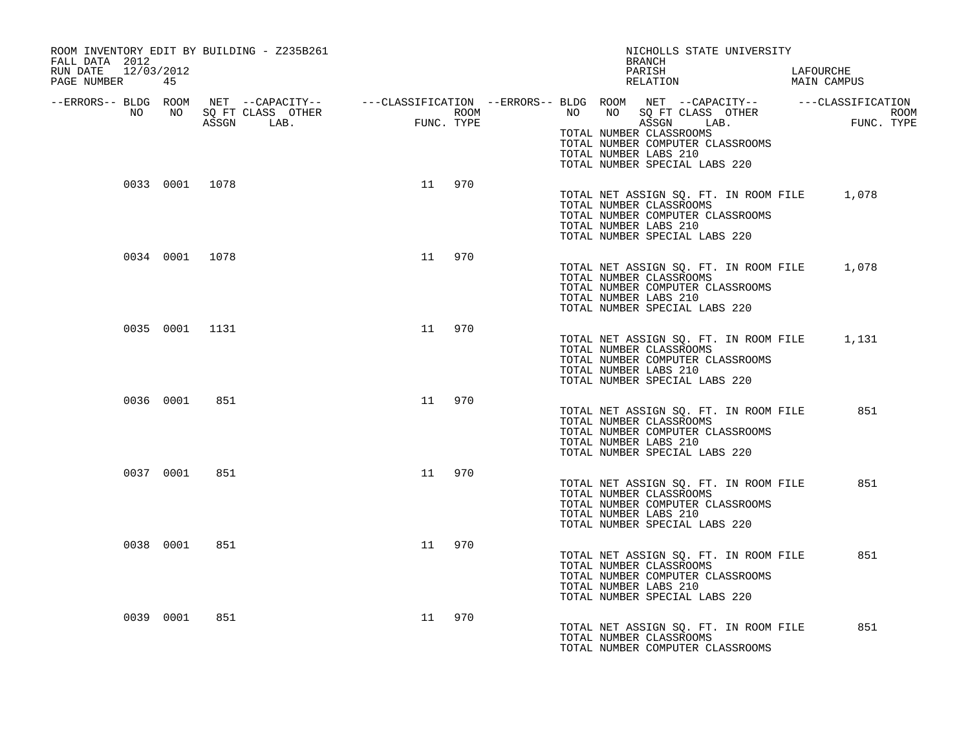| ROOM INVENTORY EDIT BY BUILDING - Z235B261<br>FALL DATA 2012<br>RUN DATE 12/03/2012 |                                                                               |           | NICHOLLS STATE UNIVERSITY<br>BRANCH<br>PARISH                                                                                                                                                                                                                                                                                                                 | LAFOURCHE |
|-------------------------------------------------------------------------------------|-------------------------------------------------------------------------------|-----------|---------------------------------------------------------------------------------------------------------------------------------------------------------------------------------------------------------------------------------------------------------------------------------------------------------------------------------------------------------------|-----------|
| PAGE NUMBER 45                                                                      |                                                                               |           | PARISH DESCRIPTION MAIN CAMPUS                                                                                                                                                                                                                                                                                                                                |           |
|                                                                                     | ROOM NET --CAPACITIT--<br>NO SQFT CLASS OTHER ROOM ROOM AGGGN LAB. FUNC. TYPE |           | -ERRORS-- BLDG ROOM NET --CAPACITY---------CLASSIFICATION--ERRORS-- BLDG ROOM NET --CAPACITY-----------------<br>NO NO SQ FT CLASS OTHER ROOM ROOM ROOM ROOM ROOM NO SQ FT CLASS OTHER ROOM<br>ASSGN LAB. FUNC. TYPE ASSGN LAB. FUNC<br>TOTAL NUMBER CLASSROOMS<br>TOTAL NUMBER COMPUTER CLASSROOMS<br>TOTAL NUMBER LABS 210<br>TOTAL NUMBER SPECIAL LABS 220 |           |
| 0033 0001 1078                                                                      |                                                                               | 11 970    | TOTAL NET ASSIGN SO. FT. IN ROOM FILE 1,078<br>TOTAL NUMBER CLASSROOMS<br>TOTAL NUMBER COMPUTER CLASSROOMS<br>TOTAL NUMBER LABS 210<br>TOTAL NUMBER SPECIAL LABS 220                                                                                                                                                                                          |           |
| 0034 0001 1078                                                                      |                                                                               | 11 970    | TOTAL NET ASSIGN SQ. FT. IN ROOM FILE 1,078<br>TOTAL NUMBER CLASSROOMS<br>TOTAL NUMBER COMPUTER CLASSROOMS<br>TOTAL NUMBER LABS 210<br>TOTAL NUMBER SPECIAL LABS 220                                                                                                                                                                                          |           |
| 0035 0001 1131                                                                      |                                                                               | 11 970    | TOTAL NET ASSIGN SO. FT. IN ROOM FILE 1,131<br>TOTAL NUMBER CLASSROOMS<br>TOTAL NUMBER COMPUTER CLASSROOMS<br>TOTAL NUMBER LABS 210<br>TOTAL NUMBER SPECIAL LABS 220                                                                                                                                                                                          |           |
| 0036 0001 851                                                                       |                                                                               | 11 970    | TOTAL NET ASSIGN SQ. FT. IN ROOM FILE<br>TOTAL NUMBER CLASSROOMS<br>TOTAL NUMBER COMPUTER CLASSROOMS<br>TOTAL NUMBER LABS 210<br>TOTAL NUMBER SPECIAL LABS 220                                                                                                                                                                                                | 851       |
| 0037 0001                                                                           | 851                                                                           | 11 970    | TOTAL NET ASSIGN SQ. FT. IN ROOM FILE<br>TOTAL NUMBER CLASSROOMS<br>TOTAL NUMBER COMPUTER CLASSROOMS<br>TOTAL NUMBER LABS 210<br>TOTAL NUMBER SPECIAL LABS 220                                                                                                                                                                                                | 851       |
| 0038 0001                                                                           | 851                                                                           | 11 970    | TOTAL NET ASSIGN SQ. FT. IN ROOM FILE<br>TOTAL NUMBER CLASSROOMS<br>TOTAL NUMBER COMPUTER CLASSROOMS<br>TOTAL NUMBER LABS 210<br>TOTAL NUMBER SPECIAL LABS 220                                                                                                                                                                                                | 851       |
| 0039 0001                                                                           | 851                                                                           | 970<br>11 | TOTAL NET ASSIGN SQ. FT. IN ROOM FILE<br>TOTAL NUMBER CLASSROOMS<br>TOTAL NUMBER COMPUTER CLASSROOMS                                                                                                                                                                                                                                                          | 851       |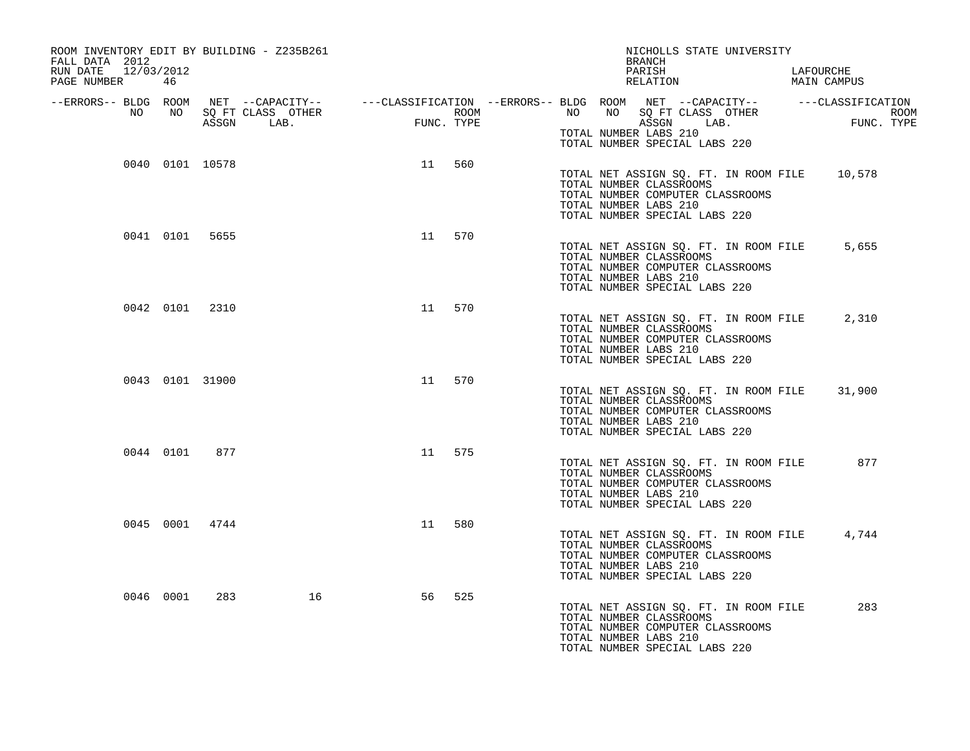| ROOM INVENTORY EDIT BY BUILDING - Z235B261<br>FALL DATA 2012<br>12/03/2012<br>RUN DATE<br>PAGE NUMBER | 46        |                 |    |    |        |  | NICHOLLS STATE UNIVERSITY<br>BRANCH<br>PARISH<br>RELATION                                                                                                                                                                                                                                                                                                        | LAFOURCHE<br>MAIN CAMPUS |  |
|-------------------------------------------------------------------------------------------------------|-----------|-----------------|----|----|--------|--|------------------------------------------------------------------------------------------------------------------------------------------------------------------------------------------------------------------------------------------------------------------------------------------------------------------------------------------------------------------|--------------------------|--|
|                                                                                                       |           |                 |    |    |        |  | ERRORS-- BLDG ROOM NET --CAPACITY--- --CLASSIFICATION --ERRORS-- BLDG ROOM NET --CAPACITY----------CLASSIFICATION--<br>NO NO SQ FT CLASS OTHER ROOM NO ROOM ROOM ROOM NO SQ FT CLASS OTHER ROOM<br>ASSGN LAB. FUNC. TYPE ASSGN ASSGN<br>ROOM NO NO SQ FT CLASS OTHER ROOM NO NO SQ FT CLASS OTHER ROOM<br>TOTAL NUMBER LABS 210<br>TOTAL NUMBER SPECIAL LABS 220 |                          |  |
|                                                                                                       |           | 0040 0101 10578 |    |    | 11 560 |  | TOTAL NET ASSIGN SQ. FT. IN ROOM FILE 10,578<br>TOTAL NUMBER CLASSROOMS<br>TOTAL NUMBER COMPUTER CLASSROOMS<br>TOTAL NUMBER LABS 210<br>TOTAL NUMBER SPECIAL LABS 220                                                                                                                                                                                            |                          |  |
|                                                                                                       |           | 0041 0101 5655  |    | 11 | 570    |  | TOTAL NET ASSIGN SQ. FT. IN ROOM FILE 5,655<br>TOTAL NUMBER CLASSROOMS<br>TOTAL NUMBER COMPUTER CLASSROOMS<br>TOTAL NUMBER LABS 210<br>TOTAL NUMBER SPECIAL LABS 220                                                                                                                                                                                             |                          |  |
|                                                                                                       |           | 0042 0101 2310  |    |    | 11 570 |  | TOTAL NET ASSIGN SQ. FT. IN ROOM FILE 2,310<br>TOTAL NUMBER CLASSROOMS<br>TOTAL NUMBER COMPUTER CLASSROOMS<br>TOTAL NUMBER LABS 210<br>TOTAL NUMBER SPECIAL LABS 220                                                                                                                                                                                             |                          |  |
|                                                                                                       |           | 0043 0101 31900 |    |    | 11 570 |  | TOTAL NET ASSIGN SQ. FT. IN ROOM FILE<br>TOTAL NUMBER CLASSROOMS<br>TOTAL NUMBER COMPUTER CLASSROOMS<br>TOTAL NUMBER LABS 210<br>TOTAL NUMBER SPECIAL LABS 220                                                                                                                                                                                                   | 31,900                   |  |
|                                                                                                       |           | 0044 0101 877   |    |    | 11 575 |  | TOTAL NET ASSIGN SQ. FT. IN ROOM FILE<br>TOTAL NUMBER CLASSROOMS<br>TOTAL NUMBER COMPUTER CLASSROOMS<br>TOTAL NUMBER LABS 210<br>TOTAL NUMBER SPECIAL LABS 220                                                                                                                                                                                                   | 877                      |  |
|                                                                                                       |           | 0045 0001 4744  |    | 11 | 580    |  | TOTAL NET ASSIGN SQ. FT. IN ROOM FILE 4,744<br>TOTAL NUMBER CLASSROOMS<br>TOTAL NUMBER COMPUTER CLASSROOMS<br>TOTAL NUMBER LABS 210<br>TOTAL NUMBER SPECIAL LABS 220                                                                                                                                                                                             |                          |  |
|                                                                                                       | 0046 0001 | 283             | 16 | 56 | 525    |  | TOTAL NET ASSIGN SQ. FT. IN ROOM FILE<br>TOTAL NUMBER CLASSROOMS<br>TOTAL NUMBER COMPUTER CLASSROOMS<br>TOTAL NUMBER LABS 210<br>TOTAL NUMBER SPECIAL LABS 220                                                                                                                                                                                                   | 283                      |  |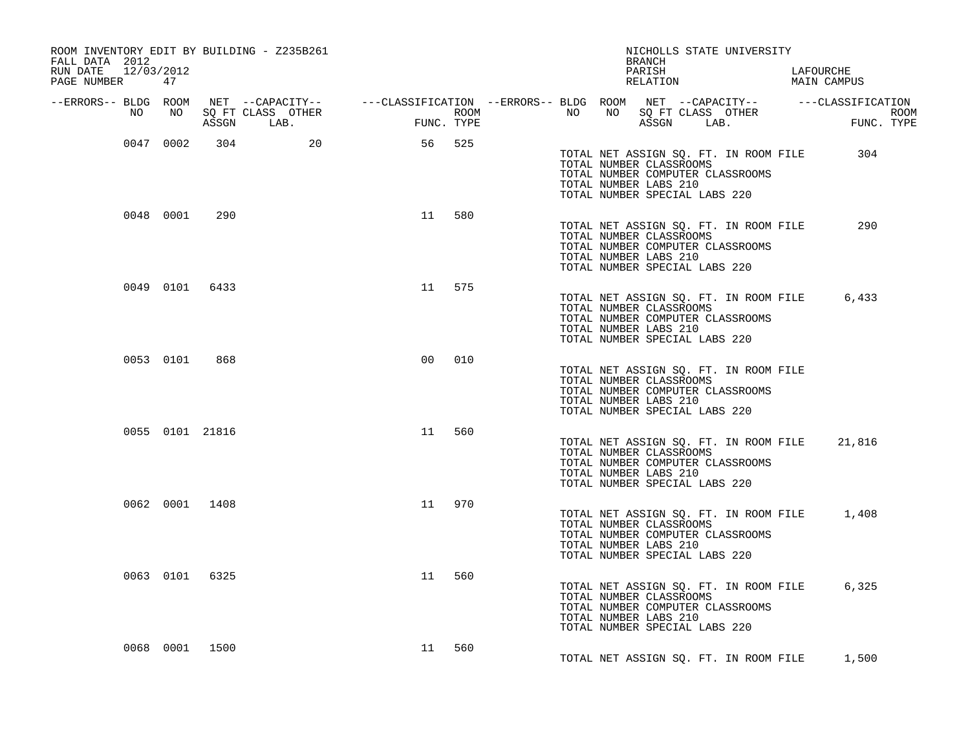| ROOM INVENTORY EDIT BY BUILDING - Z235B261<br>FALL DATA 2012<br>RUN DATE 12/03/2012<br>PAGE NUMBER 47 |                |        | NICHOLLS STATE UNIVERSITY<br>BRANCH<br>PARISH<br>RELATION                                                                                                                                                              | LAFOURCHE<br>MAIN CAMPUS |
|-------------------------------------------------------------------------------------------------------|----------------|--------|------------------------------------------------------------------------------------------------------------------------------------------------------------------------------------------------------------------------|--------------------------|
|                                                                                                       |                |        |                                                                                                                                                                                                                        |                          |
|                                                                                                       |                |        | ERRORS-- BLDG ROOM NET --CAPACITY--- --CLASSIFICATION--ERRORS-- BLDG ROOM NET --CAPACITY---------------------<br>NO NO SQ FT CLASS OTHER ROOM ROOM NO SQ FT CLASS OTHER ROOM ROOM NO SQ FT CLASS OTHER ROOM ASSGN LAB. |                          |
| 0047 0002 304 20                                                                                      | 56 525         |        | TOTAL NET ASSIGN SQ. FT. IN ROOM FILE<br>TOTAL NUMBER CLASSROOMS<br>TOTAL NUMBER COMPUTER CLASSROOMS<br>TOTAL NUMBER LABS 210<br>TOTAL NUMBER SPECIAL LABS 220                                                         | 304                      |
| 0048 0001 290                                                                                         |                | 11 580 | TOTAL NET ASSIGN SQ. FT. IN ROOM FILE<br>TOTAL NUMBER CLASSROOMS<br>TOTAL NUMBER COMPUTER CLASSROOMS<br>TOTAL NUMBER LABS 210<br>TOTAL NUMBER SPECIAL LABS 220                                                         | 290                      |
| 0049 0101 6433                                                                                        |                | 11 575 | TOTAL NET ASSIGN SQ. FT. IN ROOM FILE 6,433<br>TOTAL NUMBER CLASSROOMS<br>TOTAL NUMBER COMPUTER CLASSROOMS<br>TOTAL NUMBER LABS 210<br>TOTAL NUMBER SPECIAL LABS 220                                                   |                          |
| 0053 0101<br>868                                                                                      | 0 <sub>0</sub> | 010    | TOTAL NET ASSIGN SQ. FT. IN ROOM FILE<br>TOTAL NUMBER CLASSROOMS<br>TOTAL NUMBER COMPUTER CLASSROOMS<br>TOTAL NUMBER LABS 210<br>TOTAL NUMBER SPECIAL LABS 220                                                         |                          |
| 0055 0101 21816                                                                                       |                | 11 560 | TOTAL NET ASSIGN SQ. FT. IN ROOM FILE 21,816<br>TOTAL NUMBER CLASSROOMS<br>TOTAL NUMBER COMPUTER CLASSROOMS<br>TOTAL NUMBER LABS 210<br>TOTAL NUMBER SPECIAL LABS 220                                                  |                          |
| 0062 0001 1408                                                                                        | 11             | 970    | TOTAL NET ASSIGN SQ. FT. IN ROOM FILE 1,408<br>TOTAL NUMBER CLASSROOMS<br>TOTAL NUMBER COMPUTER CLASSROOMS<br>TOTAL NUMBER LABS 210<br>TOTAL NUMBER SPECIAL LABS 220                                                   |                          |
| 0063 0101 6325                                                                                        | 11             | 560    | TOTAL NET ASSIGN SQ. FT. IN ROOM FILE 6,325<br>TOTAL NUMBER CLASSROOMS<br>TOTAL NUMBER COMPUTER CLASSROOMS<br>TOTAL NUMBER LABS 210<br>TOTAL NUMBER SPECIAL LABS 220                                                   |                          |
| 0068 0001 1500                                                                                        |                | 11 560 | TOTAL NET ASSIGN SQ. FT. IN ROOM FILE 1,500                                                                                                                                                                            |                          |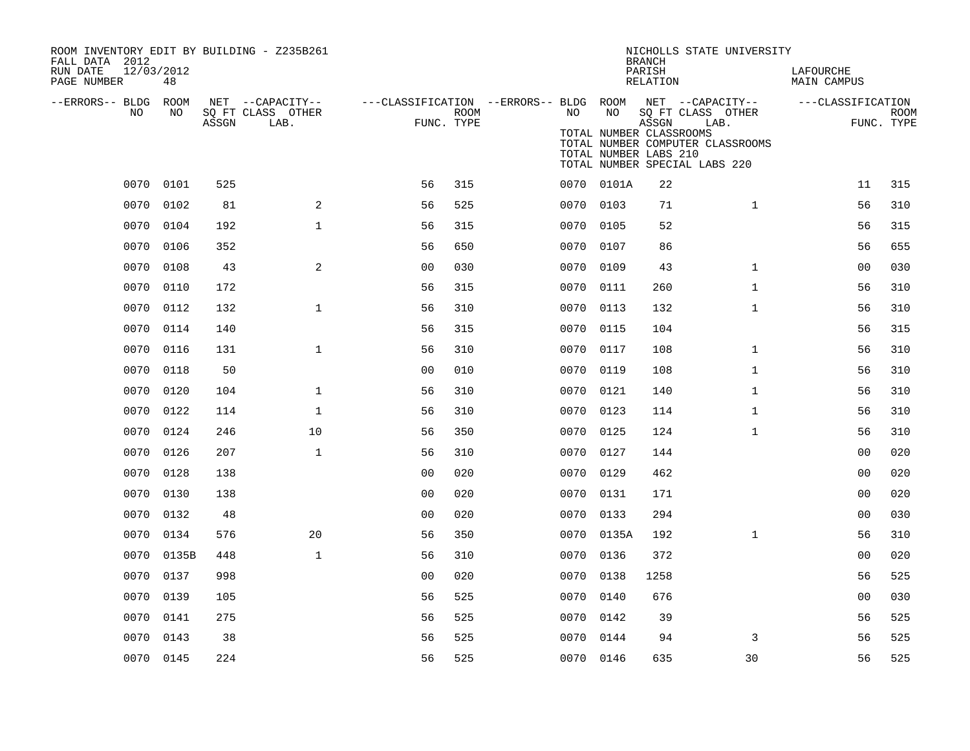| ROOM INVENTORY EDIT BY BUILDING - Z235B261<br>FALL DATA 2012 |            |       |                           |                                                         |      |           |                                                  | <b>BRANCH</b>      | NICHOLLS STATE UNIVERSITY                                                                      |                          |                           |
|--------------------------------------------------------------|------------|-------|---------------------------|---------------------------------------------------------|------|-----------|--------------------------------------------------|--------------------|------------------------------------------------------------------------------------------------|--------------------------|---------------------------|
| 12/03/2012<br>RUN DATE<br>PAGE NUMBER                        | 48         |       |                           |                                                         |      |           |                                                  | PARISH<br>RELATION |                                                                                                | LAFOURCHE<br>MAIN CAMPUS |                           |
| --ERRORS-- BLDG ROOM<br>NO.                                  | NO.        |       | NET --CAPACITY--          | ---CLASSIFICATION --ERRORS-- BLDG ROOM NET --CAPACITY-- |      | NO.       | NO                                               |                    |                                                                                                | ---CLASSIFICATION        |                           |
|                                                              |            | ASSGN | SQ FT CLASS OTHER<br>LAB. | FUNC. TYPE                                              | ROOM |           | TOTAL NUMBER CLASSROOMS<br>TOTAL NUMBER LABS 210 | ASSGN              | SQ FT CLASS OTHER<br>LAB.<br>TOTAL NUMBER COMPUTER CLASSROOMS<br>TOTAL NUMBER SPECIAL LABS 220 |                          | <b>ROOM</b><br>FUNC. TYPE |
| 0070                                                         | 0101       | 525   |                           | 56                                                      | 315  |           | 0070 0101A                                       | 22                 |                                                                                                | 11                       | 315                       |
| 0070                                                         | 0102       | 81    | 2                         | 56                                                      | 525  | 0070 0103 |                                                  | 71                 | $\mathbf{1}$                                                                                   | 56                       | 310                       |
| 0070                                                         | 0104       | 192   | $\mathbf{1}$              | 56                                                      | 315  | 0070 0105 |                                                  | 52                 |                                                                                                | 56                       | 315                       |
| 0070                                                         | 0106       | 352   |                           | 56                                                      | 650  | 0070 0107 |                                                  | 86                 |                                                                                                | 56                       | 655                       |
| 0070                                                         | 0108       | 43    | 2                         | 0 <sub>0</sub>                                          | 030  | 0070      | 0109                                             | 43                 | $\mathbf{1}$                                                                                   | 00                       | 030                       |
| 0070                                                         | 0110       | 172   |                           | 56                                                      | 315  | 0070 0111 |                                                  | 260                | $\mathbf{1}$                                                                                   | 56                       | 310                       |
| 0070                                                         | 0112       | 132   | $\mathbf{1}$              | 56                                                      | 310  | 0070      | 0113                                             | 132                | $\mathbf{1}$                                                                                   | 56                       | 310                       |
|                                                              | 0070 0114  | 140   |                           | 56                                                      | 315  | 0070 0115 |                                                  | 104                |                                                                                                | 56                       | 315                       |
| 0070                                                         | 0116       | 131   | $\mathbf{1}$              | 56                                                      | 310  | 0070 0117 |                                                  | 108                | $\mathbf{1}$                                                                                   | 56                       | 310                       |
|                                                              | 0070 0118  | 50    |                           | 0 <sub>0</sub>                                          | 010  | 0070 0119 |                                                  | 108                | $\mathbf{1}$                                                                                   | 56                       | 310                       |
| 0070                                                         | 0120       | 104   | $\mathbf{1}$              | 56                                                      | 310  | 0070 0121 |                                                  | 140                | $\mathbf{1}$                                                                                   | 56                       | 310                       |
| 0070                                                         | 0122       | 114   | $\mathbf{1}$              | 56                                                      | 310  | 0070 0123 |                                                  | 114                | $\mathbf{1}$                                                                                   | 56                       | 310                       |
| 0070                                                         | 0124       | 246   | 10                        | 56                                                      | 350  | 0070      | 0125                                             | 124                | $\mathbf{1}$                                                                                   | 56                       | 310                       |
| 0070                                                         | 0126       | 207   | $\mathbf{1}$              | 56                                                      | 310  | 0070      | 0127                                             | 144                |                                                                                                | 0 <sub>0</sub>           | 020                       |
| 0070                                                         | 0128       | 138   |                           | 0 <sub>0</sub>                                          | 020  | 0070 0129 |                                                  | 462                |                                                                                                | 0 <sub>0</sub>           | 020                       |
| 0070                                                         | 0130       | 138   |                           | 0 <sub>0</sub>                                          | 020  | 0070      | 0131                                             | 171                |                                                                                                | 0 <sub>0</sub>           | 020                       |
|                                                              | 0070 0132  | 48    |                           | 0 <sub>0</sub>                                          | 020  | 0070 0133 |                                                  | 294                |                                                                                                | 00                       | 030                       |
| 0070                                                         | 0134       | 576   | 20                        | 56                                                      | 350  |           | 0070 0135A                                       | 192                | $\mathbf{1}$                                                                                   | 56                       | 310                       |
|                                                              | 0070 0135B | 448   | $\mathbf{1}$              | 56                                                      | 310  | 0070 0136 |                                                  | 372                |                                                                                                | 0 <sub>0</sub>           | 020                       |
| 0070                                                         | 0137       | 998   |                           | 00                                                      | 020  | 0070 0138 |                                                  | 1258               |                                                                                                | 56                       | 525                       |
| 0070                                                         | 0139       | 105   |                           | 56                                                      | 525  | 0070 0140 |                                                  | 676                |                                                                                                | 00                       | 030                       |
| 0070                                                         | 0141       | 275   |                           | 56                                                      | 525  | 0070 0142 |                                                  | 39                 |                                                                                                | 56                       | 525                       |
| 0070                                                         | 0143       | 38    |                           | 56                                                      | 525  | 0070 0144 |                                                  | 94                 | 3                                                                                              | 56                       | 525                       |
|                                                              | 0070 0145  | 224   |                           | 56                                                      | 525  | 0070 0146 |                                                  | 635                | 30                                                                                             | 56                       | 525                       |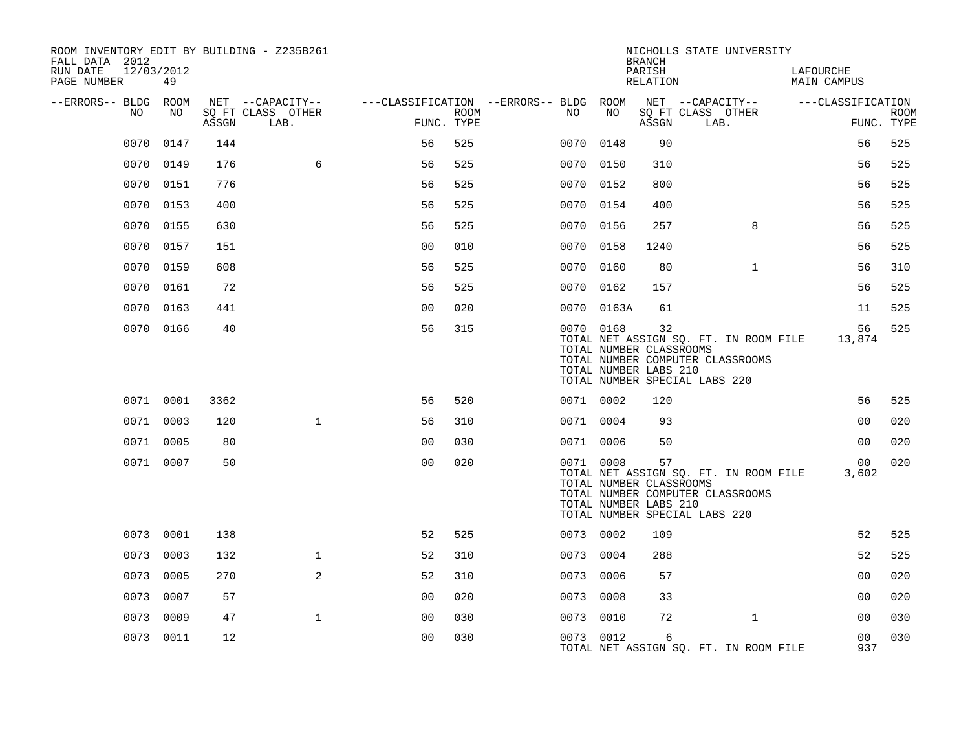| ROOM INVENTORY EDIT BY BUILDING - Z235B261<br>FALL DATA 2012 |           |       |                           |                |             |                                        |                                                               | <b>BRANCH</b>      | NICHOLLS STATE UNIVERSITY                                                                                  |                          |                           |
|--------------------------------------------------------------|-----------|-------|---------------------------|----------------|-------------|----------------------------------------|---------------------------------------------------------------|--------------------|------------------------------------------------------------------------------------------------------------|--------------------------|---------------------------|
| RUN DATE<br>12/03/2012<br>PAGE NUMBER                        | 49        |       |                           |                |             |                                        |                                                               | PARISH<br>RELATION |                                                                                                            | LAFOURCHE<br>MAIN CAMPUS |                           |
| --ERRORS-- BLDG ROOM                                         |           |       | NET --CAPACITY--          |                |             | ---CLASSIFICATION --ERRORS-- BLDG ROOM |                                                               |                    | NET --CAPACITY--                                                                                           | ---CLASSIFICATION        |                           |
| NO.                                                          | NO.       | ASSGN | SQ FT CLASS OTHER<br>LAB. | FUNC. TYPE     | <b>ROOM</b> | NO                                     | NO                                                            | ASSGN              | SQ FT CLASS OTHER<br>LAB.                                                                                  |                          | <b>ROOM</b><br>FUNC. TYPE |
| 0070                                                         | 0147      | 144   |                           | 56             | 525         |                                        | 0070 0148                                                     | 90                 |                                                                                                            | 56                       | 525                       |
| 0070                                                         | 0149      | 176   | 6                         | 56             | 525         |                                        | 0070 0150                                                     | 310                |                                                                                                            | 56                       | 525                       |
| 0070                                                         | 0151      | 776   |                           | 56             | 525         |                                        | 0070 0152                                                     | 800                |                                                                                                            | 56                       | 525                       |
| 0070                                                         | 0153      | 400   |                           | 56             | 525         |                                        | 0070 0154                                                     | 400                |                                                                                                            | 56                       | 525                       |
| 0070                                                         | 0155      | 630   |                           | 56             | 525         |                                        | 0070 0156                                                     | 257                | 8                                                                                                          | 56                       | 525                       |
| 0070                                                         | 0157      | 151   |                           | 0 <sub>0</sub> | 010         |                                        | 0070 0158                                                     | 1240               |                                                                                                            | 56                       | 525                       |
| 0070                                                         | 0159      | 608   |                           | 56             | 525         |                                        | 0070 0160                                                     | 80                 | $\mathbf{1}$                                                                                               | 56                       | 310                       |
| 0070                                                         | 0161      | 72    |                           | 56             | 525         |                                        | 0070 0162                                                     | 157                |                                                                                                            | 56                       | 525                       |
| 0070                                                         | 0163      | 441   |                           | 0 <sub>0</sub> | 020         |                                        | 0070 0163A                                                    | 61                 |                                                                                                            | 11                       | 525                       |
|                                                              | 0070 0166 | 40    |                           | 56             | 315         |                                        | 0070 0168<br>TOTAL NUMBER CLASSROOMS<br>TOTAL NUMBER LABS 210 | 32                 | TOTAL NET ASSIGN SQ. FT. IN ROOM FILE<br>TOTAL NUMBER COMPUTER CLASSROOMS<br>TOTAL NUMBER SPECIAL LABS 220 | 56<br>13,874             | 525                       |
|                                                              | 0071 0001 | 3362  |                           | 56             | 520         |                                        | 0071 0002                                                     | 120                |                                                                                                            | 56                       | 525                       |
|                                                              | 0071 0003 | 120   | $\mathbf{1}$              | 56             | 310         |                                        | 0071 0004                                                     | 93                 |                                                                                                            | 00                       | 020                       |
|                                                              | 0071 0005 | 80    |                           | 0 <sub>0</sub> | 030         |                                        | 0071 0006                                                     | 50                 |                                                                                                            | 0 <sub>0</sub>           | 020                       |
|                                                              | 0071 0007 | 50    |                           | 0 <sub>0</sub> | 020         |                                        | 0071 0008<br>TOTAL NUMBER CLASSROOMS<br>TOTAL NUMBER LABS 210 | 57                 | TOTAL NET ASSIGN SQ. FT. IN ROOM FILE<br>TOTAL NUMBER COMPUTER CLASSROOMS<br>TOTAL NUMBER SPECIAL LABS 220 | 00<br>3,602              | 020                       |
|                                                              | 0073 0001 | 138   |                           | 52             | 525         |                                        | 0073 0002                                                     | 109                |                                                                                                            | 52                       | 525                       |
|                                                              | 0073 0003 | 132   | $\mathbf{1}$              | 52             | 310         |                                        | 0073 0004                                                     | 288                |                                                                                                            | 52                       | 525                       |
|                                                              | 0073 0005 | 270   | 2                         | 52             | 310         |                                        | 0073 0006                                                     | 57                 |                                                                                                            | 0 <sub>0</sub>           | 020                       |
| 0073                                                         | 0007      | 57    |                           | 0 <sub>0</sub> | 020         | 0073                                   | 0008                                                          | 33                 |                                                                                                            | 0 <sub>0</sub>           | 020                       |
| 0073                                                         | 0009      | 47    | $\mathbf{1}$              | 0 <sub>0</sub> | 030         |                                        | 0073 0010                                                     | 72                 | $\mathbf{1}$                                                                                               | 0 <sub>0</sub>           | 030                       |
|                                                              | 0073 0011 | 12    |                           | 0 <sub>0</sub> | 030         |                                        | 0073 0012                                                     | 6                  | TOTAL NET ASSIGN SQ. FT. IN ROOM FILE                                                                      | 00<br>937                | 030                       |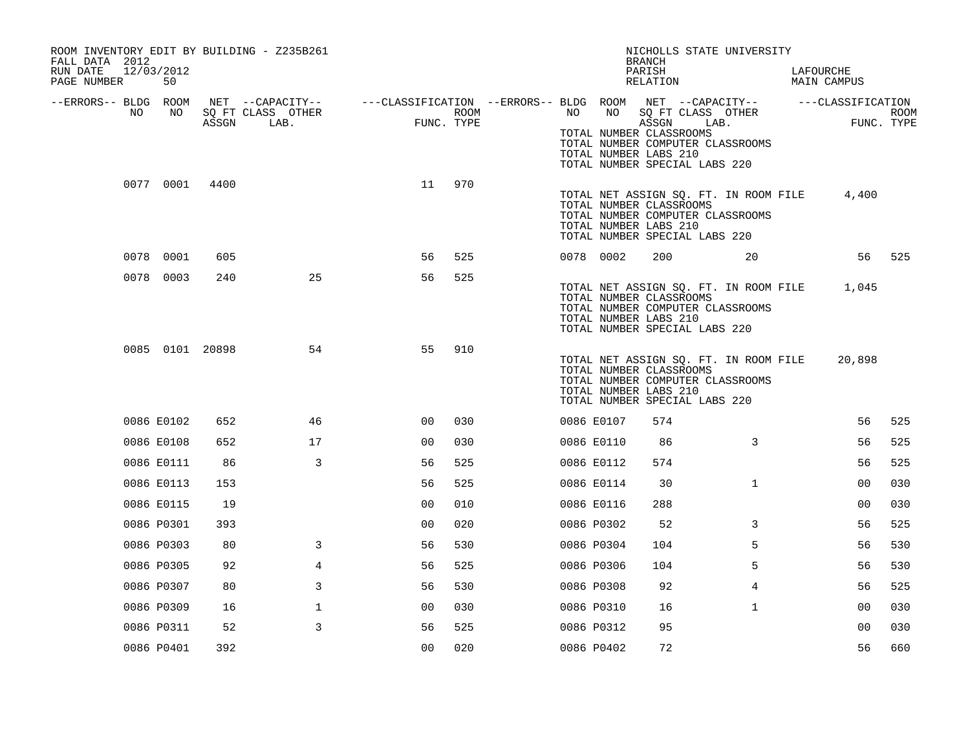| ROOM INVENTORY EDIT BY BUILDING - Z235B261<br>FALL DATA 2012<br>RUN DATE<br>PAGE NUMBER | 12/03/2012<br>50 |       |                           |                                                                                                              |      |    |            | NICHOLLS STATE UNIVERSITY<br><b>BRANCH</b><br>PARISH<br>RELATION                                                                                                     |              | LAFOURCHE<br>MAIN CAMPUS |      |
|-----------------------------------------------------------------------------------------|------------------|-------|---------------------------|--------------------------------------------------------------------------------------------------------------|------|----|------------|----------------------------------------------------------------------------------------------------------------------------------------------------------------------|--------------|--------------------------|------|
| --ERRORS-- BLDG ROOM<br>NO.                                                             | NO.              | ASSGN | SQ FT CLASS OTHER<br>LAB. | NET --CAPACITY-- - ---CLASSIFICATION --ERRORS-- BLDG ROOM NET --CAPACITY-- - ---CLASSIFICATION<br>FUNC. TYPE | ROOM | NO | NO         | SQ FT CLASS OTHER<br>ASSGN<br>TOTAL NUMBER CLASSROOMS<br>TOTAL NUMBER COMPUTER CLASSROOMS<br>TOTAL NUMBER LABS 210<br>TOTAL NUMBER SPECIAL LABS 220                  | LAB.         | FUNC. TYPE               | ROOM |
|                                                                                         | 0077 0001        | 4400  |                           | 11                                                                                                           | 970  |    |            | TOTAL NET ASSIGN SQ. FT. IN ROOM FILE<br>TOTAL NUMBER CLASSROOMS<br>TOTAL NUMBER COMPUTER CLASSROOMS<br>TOTAL NUMBER LABS 210<br>TOTAL NUMBER SPECIAL LABS 220       |              | 4,400                    |      |
|                                                                                         | 0078 0001        | 605   |                           | 56                                                                                                           | 525  |    | 0078 0002  | 200                                                                                                                                                                  | 20           | 56                       | 525  |
|                                                                                         | 0078 0003        | 240   | 25                        | 56                                                                                                           | 525  |    |            | TOTAL NET ASSIGN SQ. FT. IN ROOM FILE 1,045<br>TOTAL NUMBER CLASSROOMS<br>TOTAL NUMBER COMPUTER CLASSROOMS<br>TOTAL NUMBER LABS 210<br>TOTAL NUMBER SPECIAL LABS 220 |              |                          |      |
|                                                                                         | 0085 0101 20898  |       | 54                        | 55                                                                                                           | 910  |    |            | TOTAL NET ASSIGN SQ. FT. IN ROOM FILE<br>TOTAL NUMBER CLASSROOMS<br>TOTAL NUMBER COMPUTER CLASSROOMS<br>TOTAL NUMBER LABS 210<br>TOTAL NUMBER SPECIAL LABS 220       |              | 20,898                   |      |
|                                                                                         | 0086 E0102       | 652   | 46                        | 00                                                                                                           | 030  |    | 0086 E0107 | 574                                                                                                                                                                  |              | 56                       | 525  |
|                                                                                         | 0086 E0108       | 652   | 17                        | 0 <sub>0</sub>                                                                                               | 030  |    | 0086 E0110 | 86                                                                                                                                                                   | 3            | 56                       | 525  |
|                                                                                         | 0086 E0111       | 86    | 3                         | 56                                                                                                           | 525  |    | 0086 E0112 | 574                                                                                                                                                                  |              | 56                       | 525  |
|                                                                                         | 0086 E0113       | 153   |                           | 56                                                                                                           | 525  |    | 0086 E0114 | 30                                                                                                                                                                   | $\mathbf{1}$ | 0 <sub>0</sub>           | 030  |
|                                                                                         | 0086 E0115       | 19    |                           | 0 <sub>0</sub>                                                                                               | 010  |    | 0086 E0116 | 288                                                                                                                                                                  |              | 0 <sub>0</sub>           | 030  |
|                                                                                         | 0086 P0301       | 393   |                           | 0 <sub>0</sub>                                                                                               | 020  |    | 0086 P0302 | 52                                                                                                                                                                   | 3            | 56                       | 525  |
|                                                                                         | 0086 P0303       | 80    | 3                         | 56                                                                                                           | 530  |    | 0086 P0304 | 104                                                                                                                                                                  | 5            | 56                       | 530  |
|                                                                                         | 0086 P0305       | 92    | $\overline{4}$            | 56                                                                                                           | 525  |    | 0086 P0306 | 104                                                                                                                                                                  | 5            | 56                       | 530  |
|                                                                                         | 0086 P0307       | 80    | 3                         | 56                                                                                                           | 530  |    | 0086 P0308 | 92                                                                                                                                                                   | 4            | 56                       | 525  |
|                                                                                         | 0086 P0309       | 16    | $\mathbf 1$               | 00                                                                                                           | 030  |    | 0086 P0310 | 16                                                                                                                                                                   | $\mathbf{1}$ | 0 <sub>0</sub>           | 030  |
|                                                                                         | 0086 P0311       | 52    | 3                         | 56                                                                                                           | 525  |    | 0086 P0312 | 95                                                                                                                                                                   |              | 0 <sub>0</sub>           | 030  |
|                                                                                         | 0086 P0401       | 392   |                           | 0 <sub>0</sub>                                                                                               | 020  |    | 0086 P0402 | 72                                                                                                                                                                   |              | 56                       | 660  |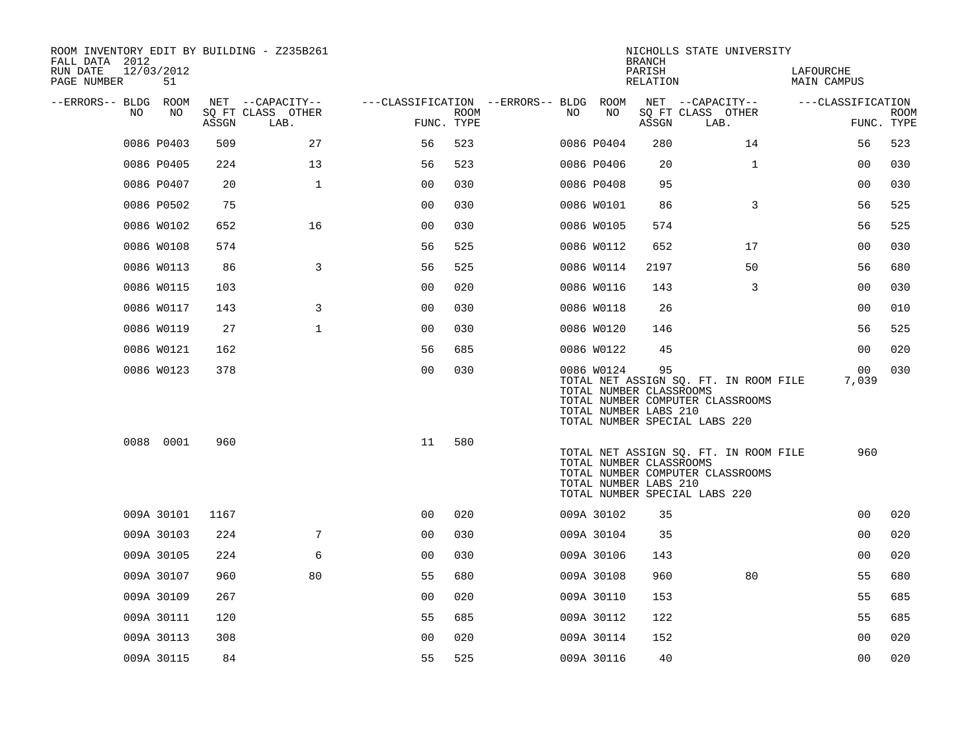| ROOM INVENTORY EDIT BY BUILDING - Z235B261<br>FALL DATA 2012 |                  |       |                           |                                        |             |     |                                                                | <b>BRANCH</b>      | NICHOLLS STATE UNIVERSITY                                                                                  |                          |                |                           |
|--------------------------------------------------------------|------------------|-------|---------------------------|----------------------------------------|-------------|-----|----------------------------------------------------------------|--------------------|------------------------------------------------------------------------------------------------------------|--------------------------|----------------|---------------------------|
| RUN DATE<br>PAGE NUMBER                                      | 12/03/2012<br>51 |       |                           |                                        |             |     |                                                                | PARISH<br>RELATION |                                                                                                            | LAFOURCHE<br>MAIN CAMPUS |                |                           |
| --ERRORS-- BLDG ROOM<br>NO.                                  | NO               |       | NET --CAPACITY--          | ---CLASSIFICATION --ERRORS-- BLDG ROOM |             | NO. | NO                                                             |                    | NET --CAPACITY--                                                                                           | ---CLASSIFICATION        |                |                           |
|                                                              |                  | ASSGN | SQ FT CLASS OTHER<br>LAB. | FUNC. TYPE                             | <b>ROOM</b> |     |                                                                | ASSGN              | SQ FT CLASS OTHER<br>LAB.                                                                                  |                          |                | <b>ROOM</b><br>FUNC. TYPE |
|                                                              | 0086 P0403       | 509   | 27                        | 56                                     | 523         |     | 0086 P0404                                                     | 280                | 14                                                                                                         |                          | 56             | 523                       |
|                                                              | 0086 P0405       | 224   | 13                        | 56                                     | 523         |     | 0086 P0406                                                     | 20                 | $\mathbf{1}$                                                                                               |                          | 0 <sub>0</sub> | 030                       |
|                                                              | 0086 P0407       | 20    | $\mathbf 1$               | 0 <sub>0</sub>                         | 030         |     | 0086 P0408                                                     | 95                 |                                                                                                            |                          | 00             | 030                       |
|                                                              | 0086 P0502       | 75    |                           | 0 <sub>0</sub>                         | 030         |     | 0086 W0101                                                     | 86                 | 3                                                                                                          |                          | 56             | 525                       |
|                                                              | 0086 W0102       | 652   | 16                        | 0 <sub>0</sub>                         | 030         |     | 0086 W0105                                                     | 574                |                                                                                                            |                          | 56             | 525                       |
|                                                              | 0086 W0108       | 574   |                           | 56                                     | 525         |     | 0086 W0112                                                     | 652                | 17                                                                                                         |                          | 00             | 030                       |
|                                                              | 0086 W0113       | 86    | 3                         | 56                                     | 525         |     | 0086 W0114                                                     | 2197               | 50                                                                                                         |                          | 56             | 680                       |
|                                                              | 0086 W0115       | 103   |                           | 0 <sub>0</sub>                         | 020         |     | 0086 W0116                                                     | 143                | 3                                                                                                          |                          | 00             | 030                       |
|                                                              | 0086 W0117       | 143   | 3                         | 0 <sub>0</sub>                         | 030         |     | 0086 W0118                                                     | 26                 |                                                                                                            |                          | 0 <sub>0</sub> | 010                       |
|                                                              | 0086 W0119       | 27    | $\mathbf{1}$              | 0 <sub>0</sub>                         | 030         |     | 0086 W0120                                                     | 146                |                                                                                                            |                          | 56             | 525                       |
|                                                              | 0086 W0121       | 162   |                           | 56                                     | 685         |     | 0086 W0122                                                     | 45                 |                                                                                                            |                          | 0 <sub>0</sub> | 020                       |
|                                                              | 0086 W0123       | 378   |                           | 0 <sub>0</sub>                         | 030         |     | 0086 W0124<br>TOTAL NUMBER CLASSROOMS<br>TOTAL NUMBER LABS 210 | 95                 | TOTAL NET ASSIGN SQ. FT. IN ROOM FILE<br>TOTAL NUMBER COMPUTER CLASSROOMS<br>TOTAL NUMBER SPECIAL LABS 220 |                          | 00<br>7,039    | 030                       |
|                                                              | 0088 0001        | 960   |                           | 11                                     | 580         |     | TOTAL NUMBER CLASSROOMS<br>TOTAL NUMBER LABS 210               |                    | TOTAL NET ASSIGN SO. FT. IN ROOM FILE<br>TOTAL NUMBER COMPUTER CLASSROOMS<br>TOTAL NUMBER SPECIAL LABS 220 |                          | 960            |                           |
|                                                              | 009A 30101       | 1167  |                           | 0 <sub>0</sub>                         | 020         |     | 009A 30102                                                     | 35                 |                                                                                                            |                          | 0 <sub>0</sub> | 020                       |
|                                                              | 009A 30103       | 224   | 7                         | 0 <sub>0</sub>                         | 030         |     | 009A 30104                                                     | 35                 |                                                                                                            |                          | 00             | 020                       |
|                                                              | 009A 30105       | 224   | 6                         | 0 <sub>0</sub>                         | 030         |     | 009A 30106                                                     | 143                |                                                                                                            |                          | 0 <sub>0</sub> | 020                       |
|                                                              | 009A 30107       | 960   | 80                        | 55                                     | 680         |     | 009A 30108                                                     | 960                | 80                                                                                                         |                          | 55             | 680                       |
|                                                              | 009A 30109       | 267   |                           | 0 <sub>0</sub>                         | 020         |     | 009A 30110                                                     | 153                |                                                                                                            |                          | 55             | 685                       |
|                                                              | 009A 30111       | 120   |                           | 55                                     | 685         |     | 009A 30112                                                     | 122                |                                                                                                            |                          | 55             | 685                       |
|                                                              | 009A 30113       | 308   |                           | 0 <sub>0</sub>                         | 020         |     | 009A 30114                                                     | 152                |                                                                                                            |                          | 00             | 020                       |
|                                                              | 009A 30115       | 84    |                           | 55                                     | 525         |     | 009A 30116                                                     | 40                 |                                                                                                            |                          | 00             | 020                       |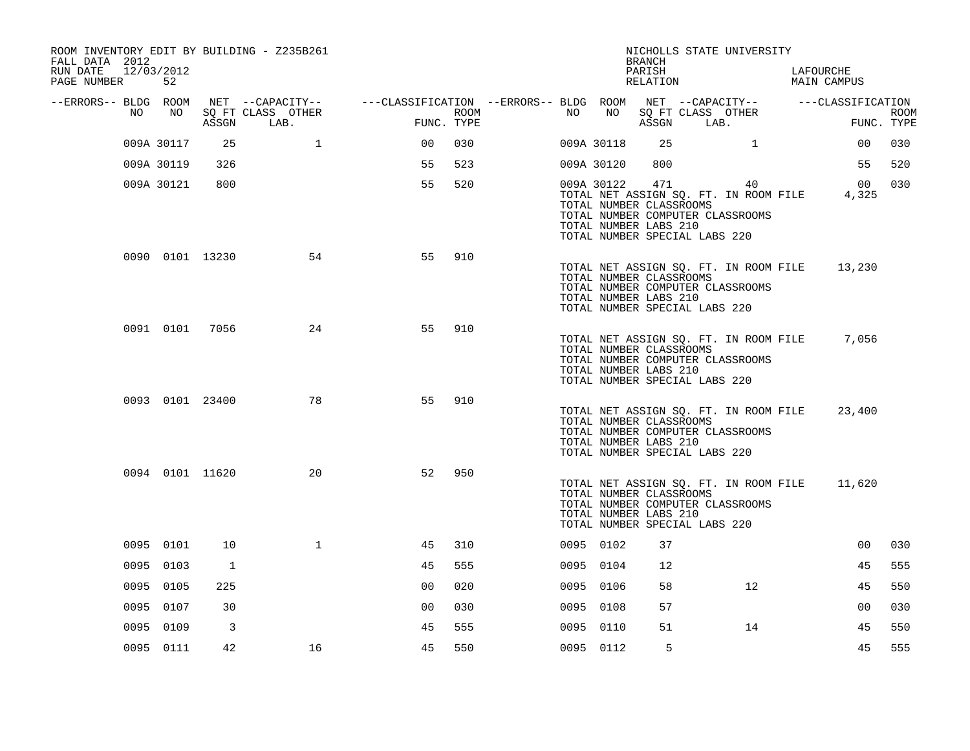| ROOM INVENTORY EDIT BY BUILDING - Z235B261<br>FALL DATA 2012<br>RUN DATE<br>PAGE NUMBER | 12/03/2012<br>52 |                 |                           |                                                                                                              |      |      |            | <b>BRANCH</b><br>PARISH<br>RELATION                                                      | NICHOLLS STATE UNIVERSITY                                                       | LAFOURCHE<br>MAIN CAMPUS                    |                           |
|-----------------------------------------------------------------------------------------|------------------|-----------------|---------------------------|--------------------------------------------------------------------------------------------------------------|------|------|------------|------------------------------------------------------------------------------------------|---------------------------------------------------------------------------------|---------------------------------------------|---------------------------|
| --ERRORS-- BLDG ROOM<br>NO .                                                            | NO               | ASSGN           | SQ FT CLASS OTHER<br>LAB. | NET --CAPACITY-- ----CLASSIFICATION --ERRORS-- BLDG ROOM NET --CAPACITY-- ------CLASSIFICATION<br>FUNC. TYPE | ROOM | NO . | NO         | ASSGN                                                                                    | SQ FT CLASS OTHER<br>LAB.                                                       |                                             | <b>ROOM</b><br>FUNC. TYPE |
|                                                                                         | 009A 30117       | 25              | $\mathbf{1}$              | 0 <sub>0</sub>                                                                                               | 030  |      | 009A 30118 | 25                                                                                       | $\mathbf{1}$                                                                    | 00                                          | 030                       |
|                                                                                         | 009A 30119       | 326             |                           | 55                                                                                                           | 523  |      | 009A 30120 | 800                                                                                      |                                                                                 | 55                                          | 520                       |
|                                                                                         | 009A 30121       | 800             |                           | 55                                                                                                           | 520  |      | 009A 30122 | 471<br>TOTAL NUMBER CLASSROOMS<br>TOTAL NUMBER LABS 210<br>TOTAL NUMBER SPECIAL LABS 220 | 40<br>TOTAL NET ASSIGN SQ. FT. IN ROOM FILE<br>TOTAL NUMBER COMPUTER CLASSROOMS | 00<br>4,325                                 | 030                       |
|                                                                                         |                  | 0090 0101 13230 | 54                        | 55                                                                                                           | 910  |      |            | TOTAL NUMBER CLASSROOMS<br>TOTAL NUMBER LABS 210<br>TOTAL NUMBER SPECIAL LABS 220        | TOTAL NET ASSIGN SQ. FT. IN ROOM FILE<br>TOTAL NUMBER COMPUTER CLASSROOMS       | 13,230                                      |                           |
|                                                                                         | 0091 0101 7056   |                 | 24                        | 55                                                                                                           | 910  |      |            | TOTAL NUMBER CLASSROOMS<br>TOTAL NUMBER LABS 210<br>TOTAL NUMBER SPECIAL LABS 220        | TOTAL NUMBER COMPUTER CLASSROOMS                                                | TOTAL NET ASSIGN SQ. FT. IN ROOM FILE 7,056 |                           |
|                                                                                         |                  | 0093 0101 23400 | 78                        | 55                                                                                                           | 910  |      |            | TOTAL NUMBER CLASSROOMS<br>TOTAL NUMBER LABS 210<br>TOTAL NUMBER SPECIAL LABS 220        | TOTAL NET ASSIGN SQ. FT. IN ROOM FILE<br>TOTAL NUMBER COMPUTER CLASSROOMS       | 23,400                                      |                           |
|                                                                                         |                  | 0094 0101 11620 | 20                        | 52                                                                                                           | 950  |      |            | TOTAL NUMBER CLASSROOMS<br>TOTAL NUMBER LABS 210<br>TOTAL NUMBER SPECIAL LABS 220        | TOTAL NET ASSIGN SQ. FT. IN ROOM FILE<br>TOTAL NUMBER COMPUTER CLASSROOMS       | 11,620                                      |                           |
|                                                                                         | 0095 0101        | 10              | $\mathbf{1}$              | 45                                                                                                           | 310  |      | 0095 0102  | 37                                                                                       |                                                                                 | 00                                          | 030                       |
|                                                                                         | 0095 0103        | $\mathbf{1}$    |                           | 45                                                                                                           | 555  |      | 0095 0104  | 12                                                                                       |                                                                                 | 45                                          | 555                       |
|                                                                                         | 0095 0105        | 225             |                           | 0 <sub>0</sub>                                                                                               | 020  |      | 0095 0106  | 58                                                                                       | 12 <sup>7</sup>                                                                 | 45                                          | 550                       |
|                                                                                         | 0095 0107        | 30              |                           | 0 <sub>0</sub>                                                                                               | 030  |      | 0095 0108  | 57                                                                                       |                                                                                 | 00                                          | 030                       |
|                                                                                         | 0095 0109        | 3               |                           | 45                                                                                                           | 555  |      | 0095 0110  | 51                                                                                       | 14                                                                              | 45                                          | 550                       |
|                                                                                         | 0095 0111        | 42              | 16                        | 45                                                                                                           | 550  |      | 0095 0112  | 5                                                                                        |                                                                                 | 45                                          | 555                       |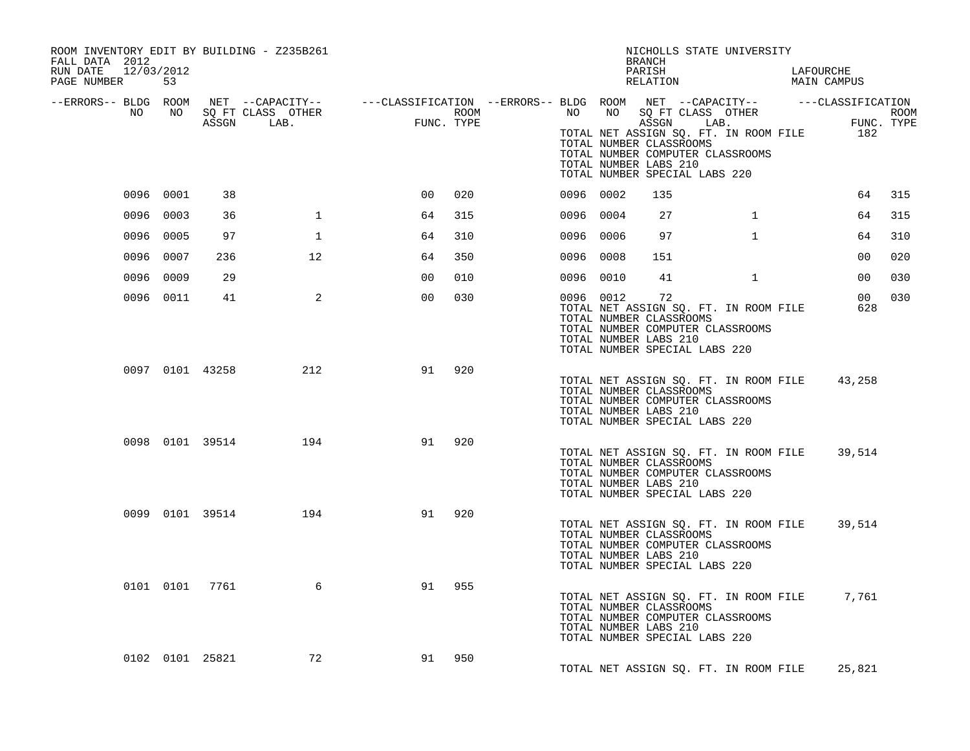| ROOM INVENTORY EDIT BY BUILDING - Z235B261<br>FALL DATA 2012<br>RUN DATE 12/03/2012<br>PAGE NUMBER 53                                                                                                                                |           |                 |                         |                |     | NICHOLLS STATE UNIVERSITY<br>BRANCH<br>PARISH<br>LAFOURCHE<br>LAFOURCHE<br>MAIN CAMPUS<br>RELATION |              |                                                                                                                                                                       |              |  |                 |     |
|--------------------------------------------------------------------------------------------------------------------------------------------------------------------------------------------------------------------------------------|-----------|-----------------|-------------------------|----------------|-----|----------------------------------------------------------------------------------------------------|--------------|-----------------------------------------------------------------------------------------------------------------------------------------------------------------------|--------------|--|-----------------|-----|
| ERRORS-- BLDG ROOM NET --CAPACITY-- ---CLASSIFICATION--ERRORS-- BLDG ROOM NET --CAPACITY-- ----CLASSIFICATION-<br>NO NO SQ FT CLASS OTHER ROOM NO SQ FT CLASS OTHER ROOM NO SQ FT CLASS OTHER ROOM<br>ASSGN LAB. FUNC. TYPE TOTAL NE |           |                 |                         |                |     |                                                                                                    |              | TOTAL NUMBER CLASSROOMS<br>TOTAL NUMBER COMPUTER CLASSROOMS<br>TOTAL NUMBER LABS 210<br>TOTAL NUMBER SPECIAL LABS 220                                                 |              |  |                 |     |
|                                                                                                                                                                                                                                      | 0096 0001 | 38              |                         | 00             | 020 | 0096 0002                                                                                          |              | 135                                                                                                                                                                   |              |  | 64              | 315 |
|                                                                                                                                                                                                                                      | 0096 0003 | 36              | $\mathbf{1}$            | 64             | 315 | 0096 0004                                                                                          |              | 27                                                                                                                                                                    | $\mathbf{1}$ |  | 64              | 315 |
|                                                                                                                                                                                                                                      | 0096 0005 | 97              | 1                       | 64             | 310 | 0096 0006                                                                                          |              | 97                                                                                                                                                                    | $\mathbf{1}$ |  | 64              | 310 |
|                                                                                                                                                                                                                                      | 0096 0007 | 236             | 12                      | 64             | 350 | 0096 0008                                                                                          |              | 151                                                                                                                                                                   |              |  | 00              | 020 |
|                                                                                                                                                                                                                                      | 0096 0009 | 29              |                         | 0 <sub>0</sub> | 010 | 0096 0010                                                                                          |              | 41                                                                                                                                                                    | $\mathbf{1}$ |  | 00 <sup>o</sup> | 030 |
|                                                                                                                                                                                                                                      | 0096 0011 | 41              | $\overline{\mathbf{2}}$ | 0 <sub>0</sub> | 030 |                                                                                                    | 0096 0012 72 | TOTAL NET ASSIGN SQ. FT. IN ROOM FILE<br>TOTAL NUMBER CLASSROOMS<br>TOTAL NUMBER COMPUTER CLASSROOMS<br>TOTAL NUMBER LABS 210<br>TOTAL NUMBER SPECIAL LABS 220        |              |  | 00 030<br>628   |     |
|                                                                                                                                                                                                                                      |           | 0097 0101 43258 | 212                     | 91             | 920 |                                                                                                    |              | TOTAL NET ASSIGN SQ. FT. IN ROOM FILE 43,258<br>TOTAL NUMBER CLASSROOMS<br>TOTAL NUMBER COMPUTER CLASSROOMS<br>TOTAL NUMBER LABS 210<br>TOTAL NUMBER SPECIAL LABS 220 |              |  |                 |     |
|                                                                                                                                                                                                                                      |           | 0098 0101 39514 | 194                     | 91             | 920 |                                                                                                    |              | TOTAL NET ASSIGN SQ. FT. IN ROOM FILE 39,514<br>TOTAL NUMBER CLASSROOMS<br>TOTAL NUMBER COMPUTER CLASSROOMS<br>TOTAL NUMBER LABS 210<br>TOTAL NUMBER SPECIAL LABS 220 |              |  |                 |     |
|                                                                                                                                                                                                                                      |           |                 | 0099 0101 39514 194     | 91             | 920 |                                                                                                    |              | TOTAL NET ASSIGN SQ. FT. IN ROOM FILE<br>TOTAL NUMBER CLASSROOMS<br>TOTAL NUMBER COMPUTER CLASSROOMS<br>TOTAL NUMBER LABS 210<br>TOTAL NUMBER SPECIAL LABS 220        |              |  | 39,514          |     |
|                                                                                                                                                                                                                                      |           | 0101 0101 7761  | 6                       | 91             | 955 |                                                                                                    |              | TOTAL NET ASSIGN SQ. FT. IN ROOM FILE 7,761<br>TOTAL NUMBER CLASSROOMS<br>TOTAL NUMBER COMPUTER CLASSROOMS<br>TOTAL NUMBER LABS 210<br>TOTAL NUMBER SPECIAL LABS 220  |              |  |                 |     |
|                                                                                                                                                                                                                                      |           | 0102 0101 25821 | 72                      | 91 950         |     |                                                                                                    |              | TOTAL NET ASSIGN SQ. FT. IN ROOM FILE                                                                                                                                 |              |  | 25,821          |     |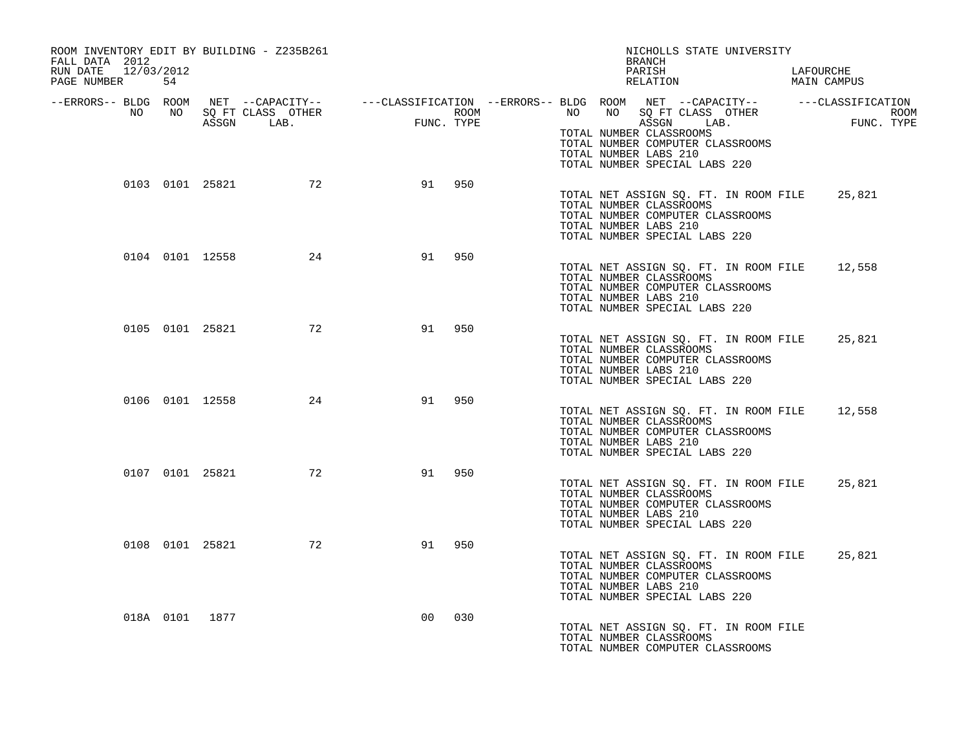| ROOM INVENTORY EDIT BY BUILDING - Z235B261<br>FALL DATA 2012<br>RUN DATE 12/03/2012<br>PAGE NUMBER 54 |  |                    |                |        | NICHOLLS STATE UNIVERSITY<br>BRANCH<br>PARISH<br>LAFOURCHE<br>RELATION<br>MAIN CAMPUS                                                                                                                                                                                                                                                                                               |  |
|-------------------------------------------------------------------------------------------------------|--|--------------------|----------------|--------|-------------------------------------------------------------------------------------------------------------------------------------------------------------------------------------------------------------------------------------------------------------------------------------------------------------------------------------------------------------------------------------|--|
|                                                                                                       |  |                    |                |        | ERRORS-- BLDG ROOM NET --CAPACITY--- --CLASSIFICATION --ERRORS-- BLDG ROOM NET --CAPACITY--------------------<br>NO NO SQ FT CLASS OTHER ROOM ROOM NO SQ FT CLASS OTHER ROOM ROOM NO SQ FT CLASS OTHER ROOM ROOM ROOM ROOM ROOM<br>A<br>ROOM<br>FUNC. TYPE<br>TOTAL NUMBER CLASSROOMS<br>TOTAL NUMBER COMPUTER CLASSROOMS<br>TOTAL NUMBER LABS 210<br>TOTAL NUMBER SPECIAL LABS 220 |  |
|                                                                                                       |  | 0103 0101 25821 72 |                | 91 950 | TOTAL NET ASSIGN SO. FT. IN ROOM FILE 25,821<br>TOTAL NUMBER CLASSROOMS<br>TOTAL NUMBER COMPUTER CLASSROOMS<br>TOTAL NUMBER LABS 210<br>TOTAL NUMBER SPECIAL LABS 220                                                                                                                                                                                                               |  |
|                                                                                                       |  | 0104 0101 12558 24 | 91             | 950    | TOTAL NET ASSIGN SQ. FT. IN ROOM FILE 12,558<br>TOTAL NUMBER CLASSROOMS<br>TOTAL NUMBER COMPUTER CLASSROOMS<br>TOTAL NUMBER LABS 210<br>TOTAL NUMBER SPECIAL LABS 220                                                                                                                                                                                                               |  |
|                                                                                                       |  | 0105 0101 25821 72 |                | 91 950 | TOTAL NET ASSIGN SQ. FT. IN ROOM FILE 25,821<br>TOTAL NUMBER CLASSROOMS<br>TOTAL NUMBER COMPUTER CLASSROOMS<br>TOTAL NUMBER LABS 210<br>TOTAL NUMBER SPECIAL LABS 220                                                                                                                                                                                                               |  |
|                                                                                                       |  | 0106 0101 12558 24 | 91             | 950    | TOTAL NET ASSIGN SQ. FT. IN ROOM FILE 12,558<br>TOTAL NUMBER CLASSROOMS<br>TOTAL NUMBER COMPUTER CLASSROOMS<br>TOTAL NUMBER LABS 210<br>TOTAL NUMBER SPECIAL LABS 220                                                                                                                                                                                                               |  |
|                                                                                                       |  | 0107 0101 25821 72 | 91             | 950    | TOTAL NET ASSIGN SQ. FT. IN ROOM FILE<br>25,821<br>TOTAL NUMBER CLASSROOMS<br>TOTAL NUMBER COMPUTER CLASSROOMS<br>TOTAL NUMBER LABS 210<br>TOTAL NUMBER SPECIAL LABS 220                                                                                                                                                                                                            |  |
|                                                                                                       |  | 0108 0101 25821 72 | 91             | 950    | TOTAL NET ASSIGN SQ. FT. IN ROOM FILE<br>25,821<br>TOTAL NUMBER CLASSROOMS<br>TOTAL NUMBER COMPUTER CLASSROOMS<br>TOTAL NUMBER LABS 210<br>TOTAL NUMBER SPECIAL LABS 220                                                                                                                                                                                                            |  |
| 018A 0101 1877                                                                                        |  |                    | 0 <sup>0</sup> | 030    | TOTAL NET ASSIGN SO. FT. IN ROOM FILE<br>TOTAL NUMBER CLASSROOMS<br>TOTAL NUMBER COMPUTER CLASSROOMS                                                                                                                                                                                                                                                                                |  |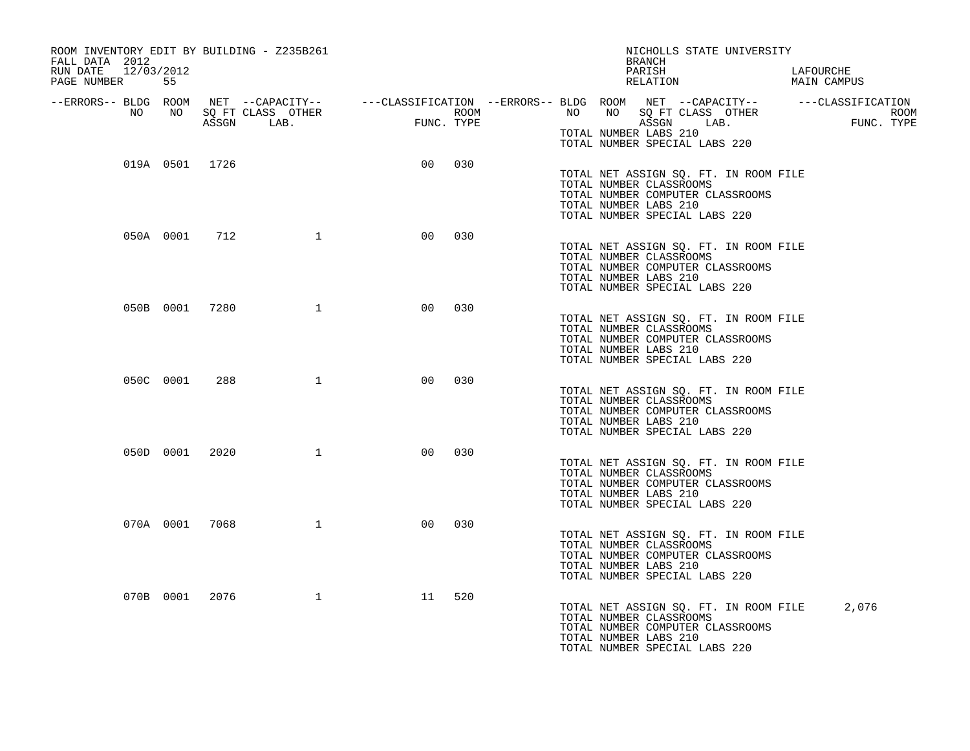| ROOM INVENTORY EDIT BY BUILDING - Z235B261<br>FALL DATA 2012 |           |                |              |                |     | NICHOLLS STATE UNIVERSITY |                                                                                                                                                                                                |                          |
|--------------------------------------------------------------|-----------|----------------|--------------|----------------|-----|---------------------------|------------------------------------------------------------------------------------------------------------------------------------------------------------------------------------------------|--------------------------|
| 12/03/2012<br>RUN DATE<br>PAGE NUMBER                        | 55        |                |              |                |     |                           | PARISH<br>RELATION                                                                                                                                                                             | LAFOURCHE<br>MAIN CAMPUS |
| --ERRORS-- BLDG ROOM<br>NO                                   | NO        |                |              |                |     |                           | NET --CAPACITY-- ---CLASSIFICATION --ERRORS-- BLDG ROOM NET --CAPACITY-- ----CLASSIFICATION<br>SQ FT CLASS OTHER ROOM NO SQ FT CLASS OTHER ROOM<br>ASSGN LAB. FUNC. TYPE ASSGN LAB. FUNC. TYPE | ROOM<br>FUNC. TYPE       |
|                                                              |           |                |              |                |     |                           | TOTAL NUMBER LABS 210<br>TOTAL NUMBER SPECIAL LABS 220                                                                                                                                         |                          |
|                                                              |           | 019A 0501 1726 |              | 0 <sub>0</sub> | 030 |                           | TOTAL NET ASSIGN SQ. FT. IN ROOM FILE<br>TOTAL NUMBER CLASSROOMS<br>TOTAL NUMBER COMPUTER CLASSROOMS<br>TOTAL NUMBER LABS 210<br>TOTAL NUMBER SPECIAL LABS 220                                 |                          |
|                                                              | 050A 0001 | 712            | 1            | 00             | 030 |                           | TOTAL NET ASSIGN SQ. FT. IN ROOM FILE<br>TOTAL NUMBER CLASSROOMS<br>TOTAL NUMBER COMPUTER CLASSROOMS<br>TOTAL NUMBER LABS 210<br>TOTAL NUMBER SPECIAL LABS 220                                 |                          |
|                                                              |           | 050B 0001 7280 | $\mathbf{1}$ | 00             | 030 |                           | TOTAL NET ASSIGN SQ. FT. IN ROOM FILE<br>TOTAL NUMBER CLASSROOMS<br>TOTAL NUMBER COMPUTER CLASSROOMS<br>TOTAL NUMBER LABS 210<br>TOTAL NUMBER SPECIAL LABS 220                                 |                          |
|                                                              | 050C 0001 | 288            | $\mathbf{1}$ | 0 <sup>0</sup> | 030 |                           | TOTAL NET ASSIGN SQ. FT. IN ROOM FILE<br>TOTAL NUMBER CLASSROOMS<br>TOTAL NUMBER COMPUTER CLASSROOMS<br>TOTAL NUMBER LABS 210<br>TOTAL NUMBER SPECIAL LABS 220                                 |                          |
|                                                              |           | 050D 0001 2020 | 1            | 0 <sub>0</sub> | 030 |                           | TOTAL NET ASSIGN SQ. FT. IN ROOM FILE<br>TOTAL NUMBER CLASSROOMS<br>TOTAL NUMBER COMPUTER CLASSROOMS<br>TOTAL NUMBER LABS 210<br>TOTAL NUMBER SPECIAL LABS 220                                 |                          |
|                                                              |           | 070A 0001 7068 | $\mathbf{1}$ | 00             | 030 |                           | TOTAL NET ASSIGN SQ. FT. IN ROOM FILE<br>TOTAL NUMBER CLASSROOMS<br>TOTAL NUMBER COMPUTER CLASSROOMS<br>TOTAL NUMBER LABS 210<br>TOTAL NUMBER SPECIAL LABS 220                                 |                          |
|                                                              | 070B 0001 | 2076           | $\mathbf{1}$ | 11             | 520 |                           | TOTAL NET ASSIGN SQ. FT. IN ROOM FILE<br>TOTAL NUMBER CLASSROOMS<br>TOTAL NUMBER COMPUTER CLASSROOMS<br>TOTAL NUMBER LABS 210<br>TOTAL NUMBER SPECIAL LABS 220                                 | 2,076                    |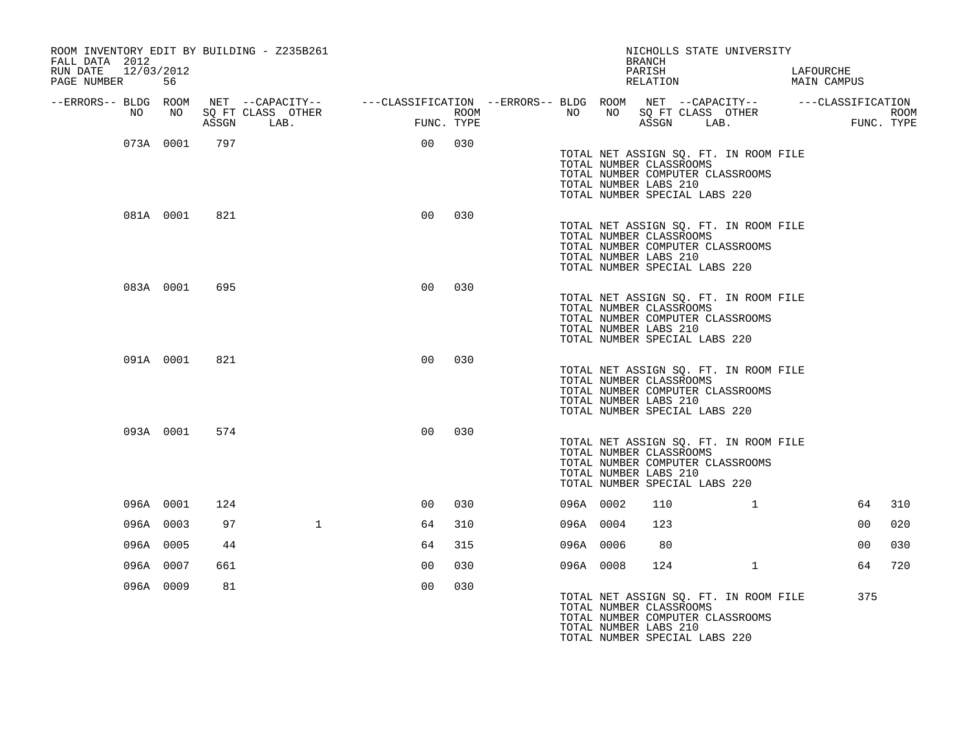| ROOM INVENTORY EDIT BY BUILDING - Z235B261<br>FALL DATA 2012 | NICHOLLS STATE UNIVERSITY<br><b>BRANCH</b> |       |                                                                                                                            |                 |      |  |           |  |                                                                                                                                                                |      |              |                          |                |                           |
|--------------------------------------------------------------|--------------------------------------------|-------|----------------------------------------------------------------------------------------------------------------------------|-----------------|------|--|-----------|--|----------------------------------------------------------------------------------------------------------------------------------------------------------------|------|--------------|--------------------------|----------------|---------------------------|
| RUN DATE<br>12/03/2012<br>PAGE NUMBER                        | 56                                         |       |                                                                                                                            |                 |      |  |           |  | PARISH<br>RELATION                                                                                                                                             |      |              | LAFOURCHE<br>MAIN CAMPUS |                |                           |
| --ERRORS-- BLDG ROOM<br>NO                                   | NO                                         | ASSGN | NET --CAPACITY-- ----CLASSIFICATION --ERRORS-- BLDG ROOM NET --CAPACITY-- -----CLASSIFICATION<br>SQ FT CLASS OTHER<br>LAB. | FUNC. TYPE      | ROOM |  | NO        |  | NO SQ FT CLASS OTHER<br>ASSGN                                                                                                                                  | LAB. |              |                          |                | <b>ROOM</b><br>FUNC. TYPE |
|                                                              | 073A 0001                                  | 797   |                                                                                                                            | 00 <sub>o</sub> | 030  |  |           |  | TOTAL NET ASSIGN SQ. FT. IN ROOM FILE<br>TOTAL NUMBER CLASSROOMS<br>TOTAL NUMBER COMPUTER CLASSROOMS<br>TOTAL NUMBER LABS 210<br>TOTAL NUMBER SPECIAL LABS 220 |      |              |                          |                |                           |
|                                                              | 081A 0001                                  | 821   |                                                                                                                            | 0 <sub>0</sub>  | 030  |  |           |  | TOTAL NET ASSIGN SQ. FT. IN ROOM FILE<br>TOTAL NUMBER CLASSROOMS<br>TOTAL NUMBER COMPUTER CLASSROOMS<br>TOTAL NUMBER LABS 210<br>TOTAL NUMBER SPECIAL LABS 220 |      |              |                          |                |                           |
|                                                              | 083A 0001                                  | 695   |                                                                                                                            | 0 <sup>0</sup>  | 030  |  |           |  | TOTAL NET ASSIGN SQ. FT. IN ROOM FILE<br>TOTAL NUMBER CLASSROOMS<br>TOTAL NUMBER COMPUTER CLASSROOMS<br>TOTAL NUMBER LABS 210<br>TOTAL NUMBER SPECIAL LABS 220 |      |              |                          |                |                           |
|                                                              | 091A 0001                                  | 821   |                                                                                                                            | 0 <sub>0</sub>  | 030  |  |           |  | TOTAL NET ASSIGN SQ. FT. IN ROOM FILE<br>TOTAL NUMBER CLASSROOMS<br>TOTAL NUMBER COMPUTER CLASSROOMS<br>TOTAL NUMBER LABS 210<br>TOTAL NUMBER SPECIAL LABS 220 |      |              |                          |                |                           |
|                                                              | 093A 0001                                  | 574   |                                                                                                                            | 0 <sub>0</sub>  | 030  |  |           |  | TOTAL NET ASSIGN SQ. FT. IN ROOM FILE<br>TOTAL NUMBER CLASSROOMS<br>TOTAL NUMBER COMPUTER CLASSROOMS<br>TOTAL NUMBER LABS 210<br>TOTAL NUMBER SPECIAL LABS 220 |      |              |                          |                |                           |
|                                                              | 096A 0001                                  | 124   |                                                                                                                            | 0 <sub>0</sub>  | 030  |  | 096A 0002 |  | 110                                                                                                                                                            |      | $\mathbf{1}$ |                          | 64             | 310                       |
|                                                              | 096A 0003                                  | 97    | $\mathbf{1}$                                                                                                               | 64              | 310  |  | 096A 0004 |  | 123                                                                                                                                                            |      |              |                          | 0 <sub>0</sub> | 020                       |
|                                                              | 096A 0005                                  | 44    |                                                                                                                            | 64              | 315  |  | 096A 0006 |  | 80                                                                                                                                                             |      |              |                          | 00             | 030                       |
|                                                              | 096A 0007                                  | 661   |                                                                                                                            | 0 <sub>0</sub>  | 030  |  | 096A 0008 |  | 124                                                                                                                                                            |      | $\mathbf{1}$ |                          | 64             | 720                       |
|                                                              | 096A 0009                                  | 81    |                                                                                                                            | 0 <sub>0</sub>  | 030  |  |           |  | TOTAL NET ASSIGN SQ. FT. IN ROOM FILE<br>TOTAL NUMBER CLASSROOMS<br>TOTAL NUMBER COMPUTER CLASSROOMS<br>TOTAL NUMBER LABS 210<br>TOTAL NUMBER SPECIAL LABS 220 |      |              |                          | 375            |                           |